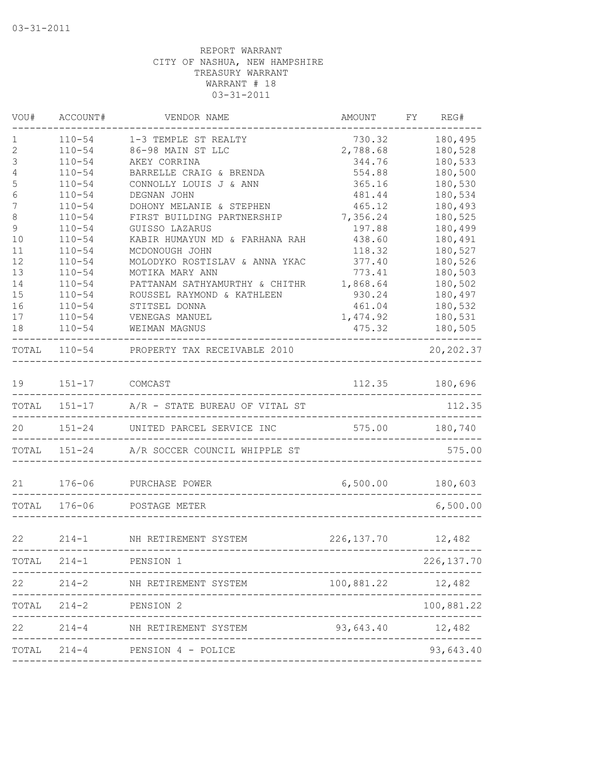| VOU#                           | ACCOUNT#                 | VENDOR NAME                                            | AMOUNT            | FY. | REG#               |
|--------------------------------|--------------------------|--------------------------------------------------------|-------------------|-----|--------------------|
| 1                              | $110 - 54$               | 1-3 TEMPLE ST REALTY                                   | 730.32            |     | 180,495            |
| $\mathbf{2}$                   | $110 - 54$               | 86-98 MAIN ST LLC                                      | 2,788.68          |     | 180,528            |
| $\mathcal{S}$                  | $110 - 54$               | AKEY CORRINA                                           | 344.76            |     | 180,533            |
| $\overline{4}$                 | $110 - 54$               | BARRELLE CRAIG & BRENDA                                | 554.88            |     | 180,500            |
| 5                              | $110 - 54$               | CONNOLLY LOUIS J & ANN                                 | 365.16            |     | 180,530            |
| $\epsilon$<br>$\boldsymbol{7}$ | $110 - 54$<br>$110 - 54$ | DEGNAN JOHN                                            | 481.44<br>465.12  |     | 180,534<br>180,493 |
| 8                              | $110 - 54$               | DOHONY MELANIE & STEPHEN<br>FIRST BUILDING PARTNERSHIP | 7,356.24          |     | 180,525            |
| $\mathsf 9$                    | $110 - 54$               | GUISSO LAZARUS                                         | 197.88            |     | 180,499            |
| 10                             | $110 - 54$               | KABIR HUMAYUN MD & FARHANA RAH                         | 438.60            |     | 180,491            |
| 11                             | $110 - 54$               | MCDONOUGH JOHN                                         | 118.32            |     | 180,527            |
| 12                             | $110 - 54$               | MOLODYKO ROSTISLAV & ANNA YKAC                         | 377.40            |     | 180,526            |
| 13                             | $110 - 54$               | MOTIKA MARY ANN                                        | 773.41            |     | 180,503            |
| 14                             | $110 - 54$               | PATTANAM SATHYAMURTHY & CHITHR                         | 1,868.64          |     | 180,502            |
| 15                             | $110 - 54$               | ROUSSEL RAYMOND & KATHLEEN                             | 930.24            |     | 180,497            |
| 16                             | $110 - 54$               | STITSEL DONNA                                          | 461.04            |     | 180,532            |
| 17                             | $110 - 54$               | VENEGAS MANUEL                                         | 1,474.92          |     | 180,531            |
| 18                             | $110 - 54$               | WEIMAN MAGNUS                                          | 475.32            |     | 180,505            |
| TOTAL                          |                          | 110-54 PROPERTY TAX RECEIVABLE 2010                    |                   |     | 20, 202.37         |
| 19                             | 151-17 COMCAST           |                                                        | 112.35            |     | 180,696            |
|                                | TOTAL 151-17             | A/R - STATE BUREAU OF VITAL ST                         |                   |     | 112.35             |
| 20                             | $151 - 24$               | UNITED PARCEL SERVICE INC                              | 575.00            |     | 180,740            |
|                                | TOTAL 151-24             | A/R SOCCER COUNCIL WHIPPLE ST                          |                   |     | 575.00             |
|                                |                          | 21 176-06 PURCHASE POWER                               | 6,500.00 180,603  |     |                    |
|                                | TOTAL 176-06             | POSTAGE METER                                          |                   |     | 6,500.00           |
|                                |                          |                                                        |                   |     |                    |
| 22                             |                          | 214-1 NH RETIREMENT SYSTEM                             | 226, 137.70       |     | 12,482             |
| TOTAL                          | $214 - 1$                | PENSION 1                                              |                   |     | 226, 137.70        |
| 22                             | $214 - 2$                | NH RETIREMENT SYSTEM                                   | 100,881.22 12,482 |     |                    |
| TOTAL                          | $214 - 2$                | PENSION 2                                              |                   |     | 100,881.22         |
| 22                             | $214 - 4$                | NH RETIREMENT SYSTEM                                   | 93,643.40         |     | 12,482             |
|                                |                          | TOTAL 214-4 PENSION 4 - POLICE                         |                   |     | 93,643.40          |
|                                |                          |                                                        |                   |     |                    |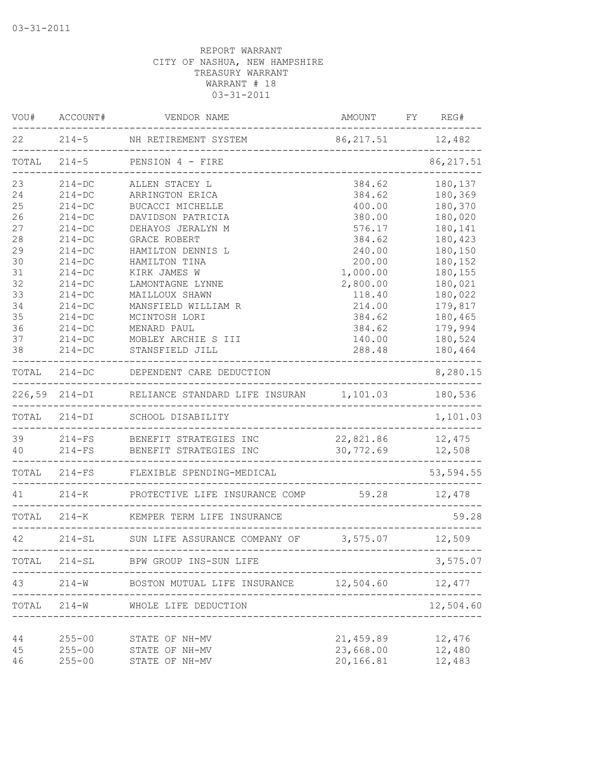| WOU#     | ACCOUNT#                 | VENDOR NAME                                                                                   | AMOUNT                               | FY | REG#             |
|----------|--------------------------|-----------------------------------------------------------------------------------------------|--------------------------------------|----|------------------|
| 22       |                          | 214-5 NH RETIREMENT SYSTEM                                                                    | 86, 217.51 12, 482                   |    |                  |
| TOTAL    | $214 - 5$                | PENSION 4 - FIRE                                                                              |                                      |    | 86, 217.51       |
| 23       | $214 - DC$               | ALLEN STACEY L                                                                                | 384.62                               |    | 180,137          |
| 24       | $214 - DC$               | ARRINGTON ERICA                                                                               | 384.62                               |    | 180,369          |
| $25$     | $214 - DC$               | BUCACCI MICHELLE                                                                              | 400.00                               |    | 180,370          |
| 26       | $214 - DC$               | DAVIDSON PATRICIA                                                                             | 380.00                               |    | 180,020          |
| 27       | $214 - DC$               | DEHAYOS JERALYN M                                                                             | 576.17                               |    | 180,141          |
| 28       | $214 - DC$               | GRACE ROBERT                                                                                  | 384.62                               |    | 180,423          |
| 29       | $214 - DC$               | HAMILTON DENNIS L                                                                             | 240.00                               |    | 180,150          |
| 30       | $214-DC$                 | HAMILTON TINA                                                                                 | 200.00                               |    | 180,152          |
| 31       | $214-DC$                 | KIRK JAMES W                                                                                  | 1,000.00                             |    | 180,155          |
| 32       | $214-DC$                 | LAMONTAGNE LYNNE                                                                              | 2,800.00                             |    | 180,021          |
| 33       | $214-DC$                 | MAILLOUX SHAWN                                                                                | 118.40                               |    | 180,022          |
| 34       | $214-DC$                 | MANSFIELD WILLIAM R                                                                           | 214.00                               |    | 179,817          |
| 35       | $214-DC$                 | MCINTOSH LORI                                                                                 | 384.62                               |    | 180,465          |
| 36       | $214 - DC$               | MENARD PAUL                                                                                   | 384.62                               |    | 179,994          |
| 37       | $214-DC$                 | MOBLEY ARCHIE S III                                                                           | 140.00                               |    | 180,524          |
| 38       | $214 - DC$               | STANSFIELD JILL                                                                               | 288.48                               |    | 180,464          |
| TOTAL    |                          | 214-DC DEPENDENT CARE DEDUCTION                                                               |                                      |    | 8,280.15         |
|          |                          | 226,59 214-DI RELIANCE STANDARD LIFE INSURAN 1,101.03<br>____________________________________ |                                      |    | 180,536          |
|          | TOTAL 214-DI             | SCHOOL DISABILITY                                                                             |                                      |    | 1,101.03         |
|          |                          | 39 214-FS BENEFIT STRATEGIES INC<br>40 214-FS BENEFIT STRATEGIES INC                          | 22,821.86 12,475<br>30,772.69 12,508 |    |                  |
|          |                          |                                                                                               |                                      |    |                  |
|          |                          | TOTAL 214-FS FLEXIBLE SPENDING-MEDICAL                                                        | -----------                          |    | 53,594.55        |
| 41       |                          | 214-K PROTECTIVE LIFE INSURANCE COMP 59.28                                                    |                                      |    | 12,478           |
|          |                          | TOTAL 214-K KEMPER TERM LIFE INSURANCE<br>. _ _ _ _ _ _ _ _                                   | _____________________________        |    | 59.28            |
| 42       |                          | 214-SL SUN LIFE ASSURANCE COMPANY OF 3,575.07 12,509                                          |                                      |    |                  |
| TOTAL    |                          | 214-SL BPW GROUP INS-SUN LIFE                                                                 |                                      |    | 3,575.07         |
| 43       |                          | 214-W BOSTON MUTUAL LIFE INSURANCE 12,504.60 12,477                                           |                                      |    |                  |
| TOTAL    |                          | 214-W WHOLE LIFE DEDUCTION<br>______________________                                          |                                      |    | 12,504.60        |
|          |                          |                                                                                               |                                      |    |                  |
| 44<br>45 | $255 - 00$<br>$255 - 00$ | STATE OF NH-MV<br>STATE OF NH-MV                                                              | 21,459.89<br>23,668.00               |    | 12,476<br>12,480 |
|          |                          |                                                                                               | 20,166.81                            |    |                  |
| 46       | $255 - 00$               | STATE OF NH-MV                                                                                |                                      |    | 12,483           |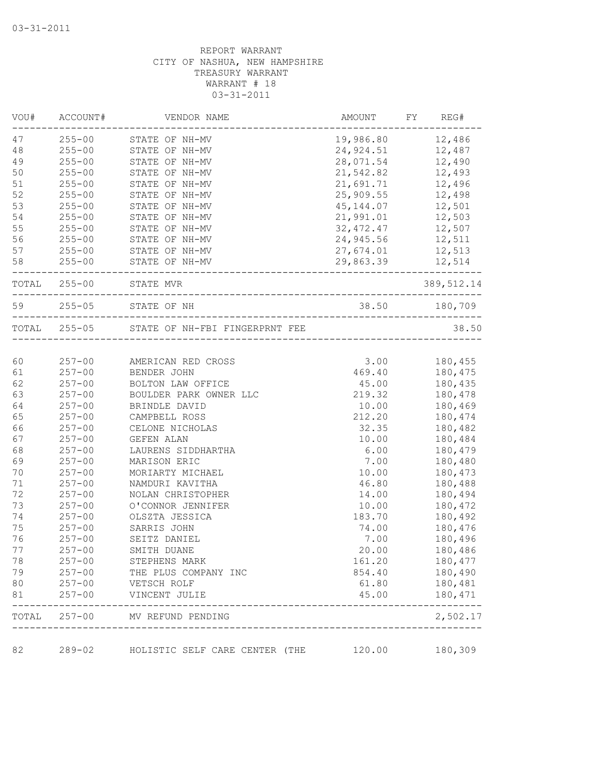| VOU#  | ACCOUNT#     | VENDOR NAME                                 | AMOUNT                     | FY<br>REG#    |
|-------|--------------|---------------------------------------------|----------------------------|---------------|
| 47    | $255 - 00$   | STATE OF NH-MV                              | 19,986.80                  | 12,486        |
| 48    | $255 - 00$   | STATE OF NH-MV                              | 24,924.51                  | 12,487        |
| 49    | $255 - 00$   | STATE OF NH-MV                              | 28,071.54                  | 12,490        |
| 50    | $255 - 00$   | STATE OF NH-MV                              | 21,542.82                  | 12,493        |
| 51    | $255 - 00$   | STATE OF NH-MV                              | 21,691.71                  | 12,496        |
| 52    | $255 - 00$   | STATE OF NH-MV                              | 25,909.55                  | 12,498        |
| 53    | $255 - 00$   | STATE OF NH-MV                              | 45,144.07                  | 12,501        |
| 54    | $255 - 00$   | STATE OF NH-MV                              | 21,991.01                  | 12,503        |
| 55    | $255 - 00$   | STATE OF NH-MV                              | 32, 472.47                 | 12,507        |
| 56    | $255 - 00$   | STATE OF NH-MV                              | 24,945.56                  | 12,511        |
| 57    | $255 - 00$   | STATE OF NH-MV                              | 27,674.01                  | 12,513        |
| 58    | $255 - 00$   | STATE OF NH-MV                              | 29,863.39                  | 12,514        |
|       | TOTAL 255-00 | STATE MVR<br>____________________________   |                            | 389,512.14    |
| 59    | $255 - 05$   | STATE OF NH                                 |                            | 38.50 180,709 |
|       |              | TOTAL 255-05 STATE OF NH-FBI FINGERPRNT FEE | -------------------------- | 38.50         |
|       |              |                                             |                            |               |
| 60    | $257 - 00$   | AMERICAN RED CROSS                          | 3.00                       | 180,455       |
| 61    | $257 - 00$   | BENDER JOHN                                 | 469.40                     | 180,475       |
| 62    | $257 - 00$   | BOLTON LAW OFFICE                           | 45.00                      | 180,435       |
| 63    | $257 - 00$   | BOULDER PARK OWNER LLC                      | 219.32                     | 180,478       |
| 64    | $257 - 00$   | BRINDLE DAVID                               | 10.00                      | 180,469       |
| 65    | $257 - 00$   | CAMPBELL ROSS                               | 212.20                     | 180,474       |
| 66    | $257 - 00$   | CELONE NICHOLAS                             | 32.35                      | 180,482       |
| 67    | $257 - 00$   | GEFEN ALAN                                  | 10.00                      | 180,484       |
| 68    | $257 - 00$   | LAURENS SIDDHARTHA                          | 6.00                       | 180,479       |
| 69    | $257 - 00$   | MARISON ERIC                                | 7.00                       | 180,480       |
| 70    | $257 - 00$   | MORIARTY MICHAEL                            | 10.00                      | 180,473       |
| 71    | $257 - 00$   | NAMDURI KAVITHA                             | 46.80                      | 180,488       |
| 72    | $257 - 00$   | NOLAN CHRISTOPHER                           | 14.00                      | 180,494       |
| 73    | $257 - 00$   | O'CONNOR JENNIFER                           | 10.00                      | 180,472       |
| 74    | $257 - 00$   | OLSZTA JESSICA                              | 183.70                     | 180,492       |
| 75    | $257 - 00$   | SARRIS JOHN                                 | 74.00                      | 180,476       |
| 76    | $257 - 00$   | SEITZ DANIEL                                | 7.00                       | 180,496       |
| 77    | $257 - 00$   | SMITH DUANE                                 | 20.00                      | 180,486       |
| 78    | $257 - 00$   | STEPHENS MARK                               | 161.20                     | 180,477       |
| 79    | $257 - 00$   | THE PLUS COMPANY INC                        | 854.40                     | 180,490       |
| 80    | $257 - 00$   | VETSCH ROLF                                 | 61.80                      | 180,481       |
| 81    | $257 - 00$   | VINCENT JULIE                               | 45.00                      | 180,471       |
| TOTAL | $257 - 00$   | MV REFUND PENDING                           |                            | 2,502.17      |
| 82    | $289 - 02$   | HOLISTIC SELF CARE CENTER (THE              | 120.00                     | 180,309       |
|       |              |                                             |                            |               |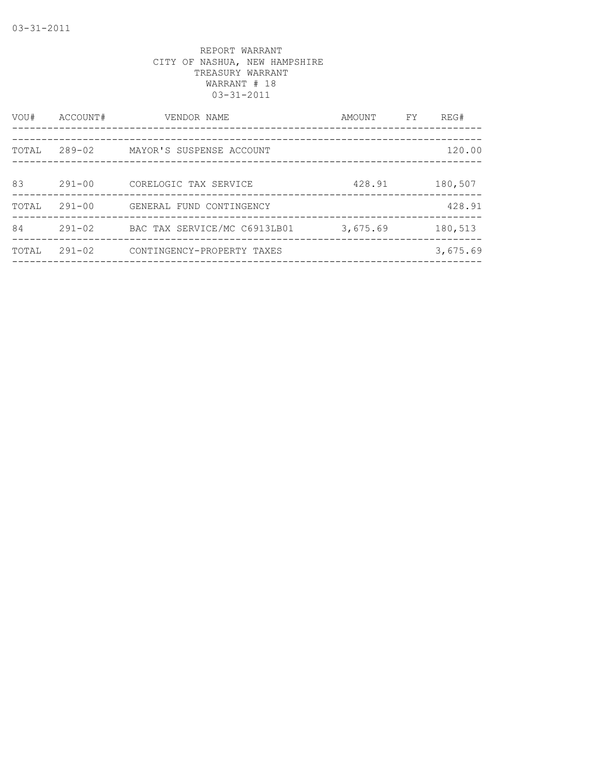| VOU#  | ACCOUNT#   | VENDOR NAME                  | AMOUNT   | FY | REG#     |
|-------|------------|------------------------------|----------|----|----------|
|       |            |                              |          |    |          |
| TOTAL | 289-02     | MAYOR'S SUSPENSE ACCOUNT     |          |    | 120.00   |
| 83    | $291 - 00$ | CORELOGIC TAX SERVICE        | 428.91   |    | 180,507  |
| TOTAL | $291 - 00$ | GENERAL FUND CONTINGENCY     |          |    | 428.91   |
| 84    | $291 - 02$ | BAC TAX SERVICE/MC C6913LB01 | 3,675.69 |    | 180,513  |
| TOTAL | $291 - 02$ | CONTINGENCY-PROPERTY TAXES   |          |    | 3,675.69 |
|       |            |                              |          |    |          |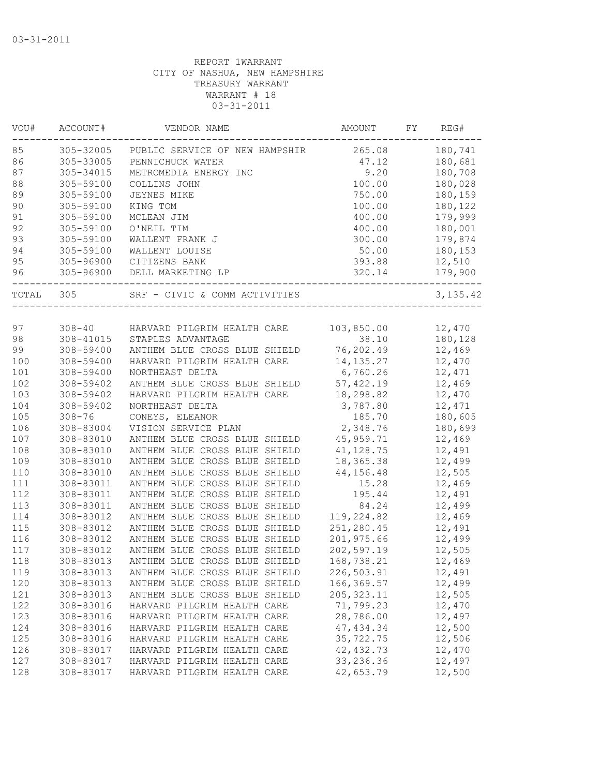| VOU#  | ACCOUNT#   | VENDOR NAME                        | AMOUNT      | FY | REG#     |
|-------|------------|------------------------------------|-------------|----|----------|
| 85    | 305-32005  | PUBLIC SERVICE OF NEW HAMPSHIR     | 265.08      |    | 180,741  |
| 86    | 305-33005  | PENNICHUCK WATER                   | 47.12       |    | 180,681  |
| 87    | 305-34015  | METROMEDIA ENERGY INC              | 9.20        |    | 180,708  |
| 88    | 305-59100  | COLLINS JOHN                       | 100.00      |    | 180,028  |
| 89    | 305-59100  | JEYNES MIKE                        | 750.00      |    | 180,159  |
| 90    | 305-59100  | KING TOM                           | 100.00      |    | 180,122  |
| 91    | 305-59100  | MCLEAN JIM                         | 400.00      |    | 179,999  |
| 92    | 305-59100  | O'NEIL TIM                         | 400.00      |    | 180,001  |
| 93    | 305-59100  | WALLENT FRANK J                    | 300.00      |    | 179,874  |
| 94    | 305-59100  | WALLENT LOUISE                     | 50.00       |    | 180,153  |
| 95    | 305-96900  | CITIZENS BANK                      | 393.88      |    | 12,510   |
| 96    | 305-96900  | DELL MARKETING LP                  | 320.14      |    | 179,900  |
| TOTAL | 305        | SRF - CIVIC & COMM ACTIVITIES      |             |    | 3,135.42 |
|       |            |                                    |             |    |          |
| 97    |            | 308-40 HARVARD PILGRIM HEALTH CARE | 103,850.00  |    | 12,470   |
| 98    | 308-41015  | STAPLES ADVANTAGE                  | 38.10       |    | 180,128  |
| 99    | 308-59400  | ANTHEM BLUE CROSS BLUE SHIELD      | 76,202.49   |    | 12,469   |
| 100   | 308-59400  | HARVARD PILGRIM HEALTH CARE        | 14, 135. 27 |    | 12,470   |
| 101   | 308-59400  | NORTHEAST DELTA                    | 6,760.26    |    | 12,471   |
| 102   | 308-59402  | ANTHEM BLUE CROSS BLUE SHIELD      | 57, 422.19  |    | 12,469   |
| 103   | 308-59402  | HARVARD PILGRIM HEALTH CARE        | 18,298.82   |    | 12,470   |
| 104   | 308-59402  | NORTHEAST DELTA                    | 3,787.80    |    | 12,471   |
| 105   | $308 - 76$ | CONEYS, ELEANOR                    | 185.70      |    | 180,605  |
| 106   | 308-83004  | VISION SERVICE PLAN                | 2,348.76    |    | 180,699  |
| 107   | 308-83010  | ANTHEM BLUE CROSS BLUE SHIELD      | 45,959.71   |    | 12,469   |
| 108   | 308-83010  | ANTHEM BLUE CROSS BLUE SHIELD      | 41, 128.75  |    | 12,491   |
| 109   | 308-83010  | ANTHEM BLUE CROSS BLUE SHIELD      | 18,365.38   |    | 12,499   |
| 110   | 308-83010  | ANTHEM BLUE CROSS BLUE SHIELD      | 44,156.48   |    | 12,505   |
| 111   | 308-83011  | ANTHEM BLUE CROSS BLUE SHIELD      | 15.28       |    | 12,469   |
| 112   | 308-83011  | ANTHEM BLUE CROSS BLUE SHIELD      | 195.44      |    | 12,491   |
| 113   | 308-83011  | ANTHEM BLUE CROSS BLUE SHIELD      | 84.24       |    | 12,499   |
| 114   | 308-83012  | ANTHEM BLUE CROSS BLUE SHIELD      | 119,224.82  |    | 12,469   |
| 115   | 308-83012  | ANTHEM BLUE CROSS BLUE SHIELD      | 251,280.45  |    | 12,491   |
| 116   | 308-83012  | ANTHEM BLUE CROSS BLUE SHIELD      | 201,975.66  |    | 12,499   |
| 117   | 308-83012  | ANTHEM BLUE CROSS BLUE SHIELD      | 202,597.19  |    | 12,505   |
| 118   | 308-83013  | ANTHEM BLUE CROSS BLUE SHIELD      | 168,738.21  |    | 12,469   |
| 119   | 308-83013  | ANTHEM BLUE CROSS BLUE SHIELD      | 226,503.91  |    | 12,491   |
| 120   | 308-83013  | ANTHEM BLUE CROSS BLUE SHIELD      | 166, 369.57 |    | 12,499   |
| 121   | 308-83013  | ANTHEM BLUE CROSS BLUE SHIELD      | 205, 323.11 |    | 12,505   |
| 122   | 308-83016  | HARVARD PILGRIM HEALTH CARE        | 71,799.23   |    | 12,470   |
| 123   | 308-83016  | HARVARD PILGRIM HEALTH CARE        | 28,786.00   |    | 12,497   |
| 124   | 308-83016  | HARVARD PILGRIM HEALTH CARE        | 47, 434.34  |    | 12,500   |
| 125   | 308-83016  | HARVARD PILGRIM HEALTH CARE        | 35,722.75   |    | 12,506   |
| 126   | 308-83017  | HARVARD PILGRIM HEALTH CARE        | 42, 432.73  |    | 12,470   |
| 127   | 308-83017  | HARVARD PILGRIM HEALTH CARE        | 33, 236.36  |    | 12,497   |
| 128   | 308-83017  | HARVARD PILGRIM HEALTH CARE        | 42,653.79   |    | 12,500   |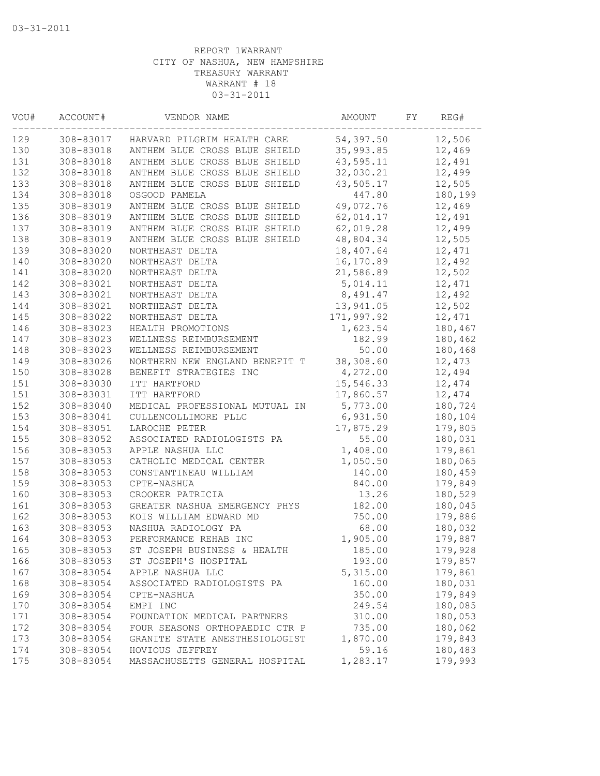| VOU# | ACCOUNT#  | VENDOR NAME                    | AMOUNT     | FY | REG#    |
|------|-----------|--------------------------------|------------|----|---------|
| 129  | 308-83017 | HARVARD PILGRIM HEALTH CARE    | 54,397.50  |    | 12,506  |
| 130  | 308-83018 | ANTHEM BLUE CROSS BLUE SHIELD  | 35,993.85  |    | 12,469  |
| 131  | 308-83018 | ANTHEM BLUE CROSS BLUE SHIELD  | 43,595.11  |    | 12,491  |
| 132  | 308-83018 | ANTHEM BLUE CROSS BLUE SHIELD  | 32,030.21  |    | 12,499  |
| 133  | 308-83018 | ANTHEM BLUE CROSS BLUE SHIELD  | 43,505.17  |    | 12,505  |
| 134  | 308-83018 | OSGOOD PAMELA                  | 447.80     |    | 180,199 |
| 135  | 308-83019 | ANTHEM BLUE CROSS BLUE SHIELD  | 49,072.76  |    | 12,469  |
| 136  | 308-83019 | ANTHEM BLUE CROSS BLUE SHIELD  | 62,014.17  |    | 12,491  |
| 137  | 308-83019 | ANTHEM BLUE CROSS BLUE SHIELD  | 62,019.28  |    | 12,499  |
| 138  | 308-83019 | ANTHEM BLUE CROSS BLUE SHIELD  | 48,804.34  |    | 12,505  |
| 139  | 308-83020 | NORTHEAST DELTA                | 18,407.64  |    | 12,471  |
| 140  | 308-83020 | NORTHEAST DELTA                | 16,170.89  |    | 12,492  |
| 141  | 308-83020 | NORTHEAST DELTA                | 21,586.89  |    | 12,502  |
| 142  | 308-83021 | NORTHEAST DELTA                | 5,014.11   |    | 12,471  |
| 143  | 308-83021 | NORTHEAST DELTA                | 8,491.47   |    | 12,492  |
| 144  | 308-83021 | NORTHEAST DELTA                | 13,941.05  |    | 12,502  |
| 145  | 308-83022 | NORTHEAST DELTA                | 171,997.92 |    | 12,471  |
| 146  | 308-83023 | HEALTH PROMOTIONS              | 1,623.54   |    | 180,467 |
| 147  | 308-83023 | WELLNESS REIMBURSEMENT         | 182.99     |    | 180,462 |
| 148  | 308-83023 | WELLNESS REIMBURSEMENT         | 50.00      |    | 180,468 |
| 149  | 308-83026 | NORTHERN NEW ENGLAND BENEFIT T | 38,308.60  |    | 12,473  |
| 150  | 308-83028 | BENEFIT STRATEGIES INC         | 4,272.00   |    | 12,494  |
| 151  | 308-83030 | ITT HARTFORD                   | 15,546.33  |    | 12,474  |
| 151  | 308-83031 | ITT HARTFORD                   | 17,860.57  |    | 12,474  |
| 152  | 308-83040 | MEDICAL PROFESSIONAL MUTUAL IN | 5,773.00   |    | 180,724 |
| 153  | 308-83041 | CULLENCOLLIMORE PLLC           | 6,931.50   |    | 180,104 |
| 154  | 308-83051 | LAROCHE PETER                  | 17,875.29  |    | 179,805 |
| 155  | 308-83052 | ASSOCIATED RADIOLOGISTS PA     | 55.00      |    | 180,031 |
| 156  | 308-83053 | APPLE NASHUA LLC               | 1,408.00   |    | 179,861 |
| 157  | 308-83053 | CATHOLIC MEDICAL CENTER        | 1,050.50   |    | 180,065 |
| 158  | 308-83053 | CONSTANTINEAU WILLIAM          | 140.00     |    | 180,459 |
| 159  | 308-83053 | CPTE-NASHUA                    | 840.00     |    | 179,849 |
| 160  | 308-83053 | CROOKER PATRICIA               | 13.26      |    | 180,529 |
| 161  | 308-83053 | GREATER NASHUA EMERGENCY PHYS  | 182.00     |    | 180,045 |
| 162  | 308-83053 | KOIS WILLIAM EDWARD MD         | 750.00     |    | 179,886 |
| 163  | 308-83053 | NASHUA RADIOLOGY PA            | 68.00      |    | 180,032 |
| 164  | 308-83053 | PERFORMANCE REHAB INC          | 1,905.00   |    | 179,887 |
| 165  | 308-83053 | ST JOSEPH BUSINESS & HEALTH    | 185.00     |    | 179,928 |
| 166  | 308-83053 | ST JOSEPH'S HOSPITAL           | 193.00     |    | 179,857 |
| 167  | 308-83054 | APPLE NASHUA LLC               | 5,315.00   |    | 179,861 |
| 168  | 308-83054 | ASSOCIATED RADIOLOGISTS PA     | 160.00     |    | 180,031 |
| 169  | 308-83054 | CPTE-NASHUA                    | 350.00     |    | 179,849 |
| 170  | 308-83054 | EMPI INC                       | 249.54     |    | 180,085 |
| 171  | 308-83054 | FOUNDATION MEDICAL PARTNERS    | 310.00     |    | 180,053 |
| 172  | 308-83054 | FOUR SEASONS ORTHOPAEDIC CTR P | 735.00     |    | 180,062 |
| 173  | 308-83054 | GRANITE STATE ANESTHESIOLOGIST | 1,870.00   |    | 179,843 |
| 174  | 308-83054 | HOVIOUS JEFFREY                | 59.16      |    | 180,483 |
| 175  | 308-83054 | MASSACHUSETTS GENERAL HOSPITAL | 1,283.17   |    | 179,993 |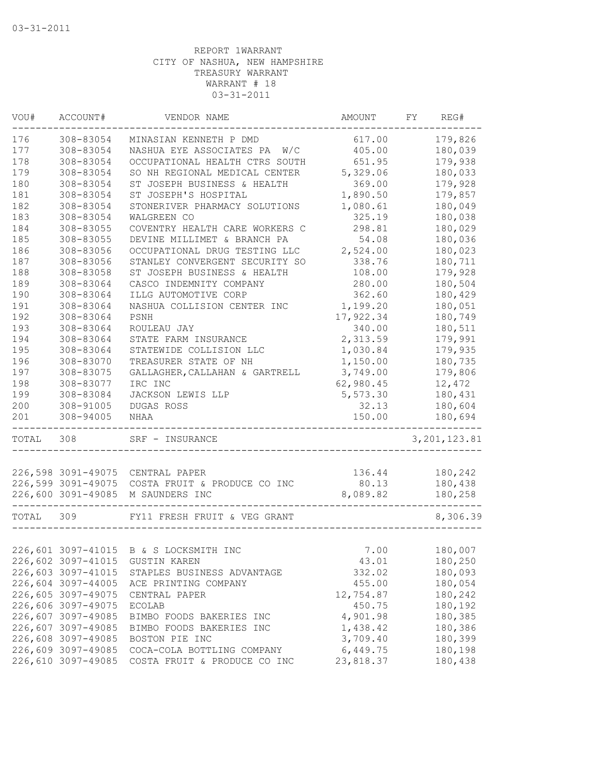| VOU#      | ACCOUNT#           | VENDOR NAME                                     | AMOUNT    | FY. | REG#           |
|-----------|--------------------|-------------------------------------------------|-----------|-----|----------------|
| 176       | 308-83054          | MINASIAN KENNETH P DMD                          | 617.00    |     | 179,826        |
| 177       | 308-83054          | NASHUA EYE ASSOCIATES PA W/C                    | 405.00    |     | 180,039        |
| 178       | 308-83054          | OCCUPATIONAL HEALTH CTRS SOUTH                  | 651.95    |     | 179,938        |
| 179       | 308-83054          | SO NH REGIONAL MEDICAL CENTER                   | 5,329.06  |     | 180,033        |
| 180       | 308-83054          | ST JOSEPH BUSINESS & HEALTH                     | 369.00    |     | 179,928        |
| 181       | 308-83054          | ST JOSEPH'S HOSPITAL                            | 1,890.50  |     | 179,857        |
| 182       | 308-83054          | STONERIVER PHARMACY SOLUTIONS                   | 1,080.61  |     | 180,049        |
| 183       | 308-83054          | WALGREEN CO                                     | 325.19    |     | 180,038        |
| 184       | 308-83055          | COVENTRY HEALTH CARE WORKERS C                  | 298.81    |     | 180,029        |
| 185       | 308-83055          | DEVINE MILLIMET & BRANCH PA                     | 54.08     |     | 180,036        |
| 186       | 308-83056          | OCCUPATIONAL DRUG TESTING LLC                   | 2,524.00  |     | 180,023        |
| 187       | 308-83056          | STANLEY CONVERGENT SECURITY SO                  | 338.76    |     | 180,711        |
| 188       | 308-83058          | ST JOSEPH BUSINESS & HEALTH                     | 108.00    |     | 179,928        |
| 189       | 308-83064          | CASCO INDEMNITY COMPANY                         | 280.00    |     | 180,504        |
| 190       | 308-83064          | ILLG AUTOMOTIVE CORP                            | 362.60    |     | 180,429        |
| 191       | 308-83064          | NASHUA COLLISION CENTER INC                     | 1,199.20  |     | 180,051        |
| 192       | 308-83064          | PSNH                                            | 17,922.34 |     | 180,749        |
| 193       | 308-83064          | ROULEAU JAY                                     | 340.00    |     | 180,511        |
| 194       | 308-83064          | STATE FARM INSURANCE                            | 2,313.59  |     | 179,991        |
| 195       | 308-83064          | STATEWIDE COLLISION LLC                         | 1,030.84  |     | 179,935        |
| 196       | 308-83070          | TREASURER STATE OF NH                           | 1,150.00  |     | 180,735        |
| 197       | 308-83075          | GALLAGHER, CALLAHAN & GARTRELL                  | 3,749.00  |     | 179,806        |
| 198       | 308-83077          | IRC INC                                         | 62,980.45 |     | 12,472         |
| 199       | 308-83084          | JACKSON LEWIS LLP                               | 5,573.30  |     | 180,431        |
| 200       | 308-91005          | DUGAS ROSS                                      | 32.13     |     | 180,604        |
| 201       | 308-94005          | NHAA                                            | 150.00    |     | 180,694        |
| TOTAL     | 308                | SRF - INSURANCE                                 |           |     | 3, 201, 123.81 |
|           |                    | 226,598 3091-49075 CENTRAL PAPER                | 136.44    |     | 180,242        |
|           |                    | 226,599 3091-49075 COSTA FRUIT & PRODUCE CO INC | 80.13     |     | 180,438        |
|           |                    | 226,600 3091-49085 M SAUNDERS INC               | 8,089.82  |     | 180,258        |
|           |                    |                                                 |           |     |                |
| TOTAL 309 |                    | FY11 FRESH FRUIT & VEG GRANT                    |           |     | 8,306.39       |
|           |                    |                                                 |           |     |                |
|           |                    | 226,601 3097-41015 B & S LOCKSMITH INC          | 7.00      |     | 180,007        |
|           | 226,602 3097-41015 | <b>GUSTIN KAREN</b>                             | 43.01     |     | 180,250        |
|           | 226,603 3097-41015 | STAPLES BUSINESS ADVANTAGE                      | 332.02    |     | 180,093        |
|           | 226,604 3097-44005 | ACE PRINTING COMPANY                            | 455.00    |     | 180,054        |
|           | 226,605 3097-49075 | CENTRAL PAPER                                   | 12,754.87 |     | 180,242        |
|           | 226,606 3097-49075 | <b>ECOLAB</b>                                   | 450.75    |     | 180,192        |
|           | 226,607 3097-49085 | BIMBO FOODS BAKERIES INC                        | 4,901.98  |     | 180,385        |
|           | 226,607 3097-49085 | BIMBO FOODS BAKERIES INC                        | 1,438.42  |     | 180,386        |
|           | 226,608 3097-49085 | BOSTON PIE INC                                  | 3,709.40  |     | 180,399        |
|           | 226,609 3097-49085 | COCA-COLA BOTTLING COMPANY                      | 6,449.75  |     | 180,198        |
|           | 226,610 3097-49085 | COSTA FRUIT & PRODUCE CO INC                    | 23,818.37 |     | 180,438        |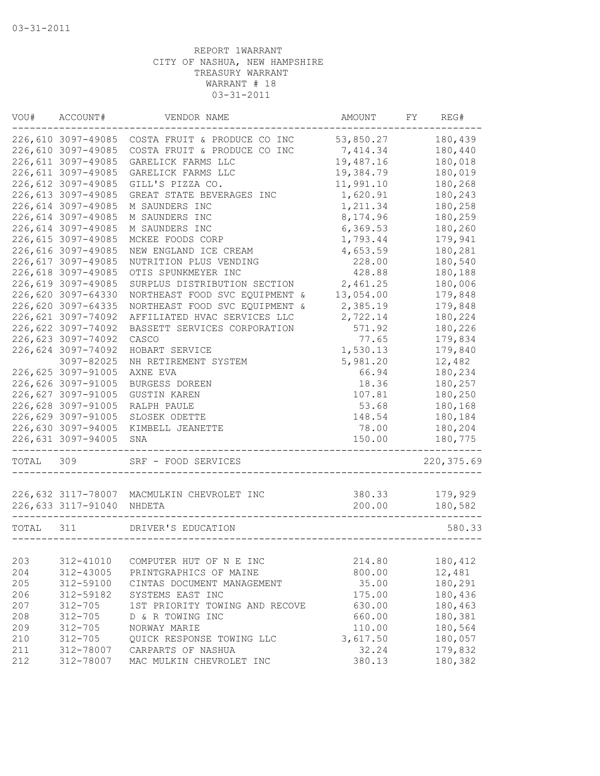| 226,610 3097-49085<br>COSTA FRUIT & PRODUCE CO INC<br>53,850.27<br>180,439<br>226,610 3097-49085<br>180,440<br>COSTA FRUIT & PRODUCE CO INC<br>7,414.34<br>226,611 3097-49085<br>19,487.16<br>GARELICK FARMS LLC<br>180,018<br>226,611 3097-49085<br>GARELICK FARMS LLC<br>19,384.79<br>180,019<br>11,991.10<br>226,612 3097-49085<br>GILL'S PIZZA CO.<br>180,268<br>226,613 3097-49085<br>1,620.91<br>180,243<br>GREAT STATE BEVERAGES INC<br>226,614 3097-49085<br>1,211.34<br>180,258<br>M SAUNDERS INC<br>226,614 3097-49085<br>8,174.96<br>180,259<br>M SAUNDERS INC<br>226,614 3097-49085<br>M SAUNDERS INC<br>6,369.53<br>180,260<br>226,615 3097-49085<br>179,941<br>MCKEE FOODS CORP<br>1,793.44<br>226,616 3097-49085<br>4,653.59<br>180,281<br>NEW ENGLAND ICE CREAM<br>226,617 3097-49085<br>NUTRITION PLUS VENDING<br>228.00<br>180,540<br>428.88<br>226,618 3097-49085<br>OTIS SPUNKMEYER INC<br>180,188<br>180,006<br>226,619 3097-49085<br>SURPLUS DISTRIBUTION SECTION<br>2,461.25<br>226,620 3097-64330<br>NORTHEAST FOOD SVC EQUIPMENT &<br>13,054.00<br>179,848<br>226,620 3097-64335<br>NORTHEAST FOOD SVC EQUIPMENT &<br>2,385.19<br>179,848<br>226,621 3097-74092<br>AFFILIATED HVAC SERVICES LLC<br>2,722.14<br>180,224<br>226,622 3097-74092<br>180,226<br>BASSETT SERVICES CORPORATION<br>571.92<br>226,623 3097-74092<br>77.65<br>179,834<br>CASCO<br>226,624 3097-74092<br>179,840<br>HOBART SERVICE<br>1,530.13<br>12,482<br>3097-82025<br>NH RETIREMENT SYSTEM<br>5,981.20<br>226,625 3097-91005<br>AXNE EVA<br>66.94<br>180,234<br>226,626 3097-91005<br>BURGESS DOREEN<br>18.36<br>180,257<br>226,627 3097-91005<br>107.81<br>180,250<br><b>GUSTIN KAREN</b><br>226,628 3097-91005<br>53.68<br>180,168<br>RALPH PAULE<br>226,629 3097-91005<br>180,184<br>SLOSEK ODETTE<br>148.54<br>226,630 3097-94005<br>180,204<br>KIMBELL JEANETTE<br>78.00<br>226,631 3097-94005<br>150.00<br>180,775<br>SNA<br>SRF - FOOD SERVICES<br>220, 375.69<br>309<br>179,929<br>226,632 3117-78007 MACMULKIN CHEVROLET INC<br>380.33<br>226,633 3117-91040<br>200.00<br>180,582<br>NHDETA<br>311<br>DRIVER'S EDUCATION<br>580.33<br>312-41010<br>214.80<br>COMPUTER HUT OF N E INC<br>180,412<br>800.00<br>12,481<br>312-43005<br>PRINTGRAPHICS OF MAINE<br>180,291<br>312-59100<br>CINTAS DOCUMENT MANAGEMENT<br>35.00<br>312-59182<br>SYSTEMS EAST INC<br>175.00<br>180,436<br>$312 - 705$<br>1ST PRIORITY TOWING AND RECOVE<br>630.00<br>180,463<br>180,381<br>$312 - 705$<br>D & R TOWING INC<br>660.00<br>$312 - 705$<br>NORWAY MARIE<br>110.00<br>180,564<br>$312 - 705$<br>QUICK RESPONSE TOWING LLC<br>3,617.50<br>180,057<br>312-78007<br>CARPARTS OF NASHUA<br>32.24<br>179,832<br>312-78007<br>380.13<br>180,382<br>MAC MULKIN CHEVROLET INC | VOU#  | ACCOUNT# | VENDOR NAME | AMOUNT | FΥ | REG# |
|----------------------------------------------------------------------------------------------------------------------------------------------------------------------------------------------------------------------------------------------------------------------------------------------------------------------------------------------------------------------------------------------------------------------------------------------------------------------------------------------------------------------------------------------------------------------------------------------------------------------------------------------------------------------------------------------------------------------------------------------------------------------------------------------------------------------------------------------------------------------------------------------------------------------------------------------------------------------------------------------------------------------------------------------------------------------------------------------------------------------------------------------------------------------------------------------------------------------------------------------------------------------------------------------------------------------------------------------------------------------------------------------------------------------------------------------------------------------------------------------------------------------------------------------------------------------------------------------------------------------------------------------------------------------------------------------------------------------------------------------------------------------------------------------------------------------------------------------------------------------------------------------------------------------------------------------------------------------------------------------------------------------------------------------------------------------------------------------------------------------------------------------------------------------------------------------------------------------------------------------------------------------------------------------------------------------------------------------------------------------------------------------------------------------------------------------------------------------------------------------------------------------------------------------------------------------------------------------------------------------------------------------------------------------------------------------------------------------------------------------------------------------|-------|----------|-------------|--------|----|------|
|                                                                                                                                                                                                                                                                                                                                                                                                                                                                                                                                                                                                                                                                                                                                                                                                                                                                                                                                                                                                                                                                                                                                                                                                                                                                                                                                                                                                                                                                                                                                                                                                                                                                                                                                                                                                                                                                                                                                                                                                                                                                                                                                                                                                                                                                                                                                                                                                                                                                                                                                                                                                                                                                                                                                                                      |       |          |             |        |    |      |
|                                                                                                                                                                                                                                                                                                                                                                                                                                                                                                                                                                                                                                                                                                                                                                                                                                                                                                                                                                                                                                                                                                                                                                                                                                                                                                                                                                                                                                                                                                                                                                                                                                                                                                                                                                                                                                                                                                                                                                                                                                                                                                                                                                                                                                                                                                                                                                                                                                                                                                                                                                                                                                                                                                                                                                      |       |          |             |        |    |      |
|                                                                                                                                                                                                                                                                                                                                                                                                                                                                                                                                                                                                                                                                                                                                                                                                                                                                                                                                                                                                                                                                                                                                                                                                                                                                                                                                                                                                                                                                                                                                                                                                                                                                                                                                                                                                                                                                                                                                                                                                                                                                                                                                                                                                                                                                                                                                                                                                                                                                                                                                                                                                                                                                                                                                                                      |       |          |             |        |    |      |
|                                                                                                                                                                                                                                                                                                                                                                                                                                                                                                                                                                                                                                                                                                                                                                                                                                                                                                                                                                                                                                                                                                                                                                                                                                                                                                                                                                                                                                                                                                                                                                                                                                                                                                                                                                                                                                                                                                                                                                                                                                                                                                                                                                                                                                                                                                                                                                                                                                                                                                                                                                                                                                                                                                                                                                      |       |          |             |        |    |      |
|                                                                                                                                                                                                                                                                                                                                                                                                                                                                                                                                                                                                                                                                                                                                                                                                                                                                                                                                                                                                                                                                                                                                                                                                                                                                                                                                                                                                                                                                                                                                                                                                                                                                                                                                                                                                                                                                                                                                                                                                                                                                                                                                                                                                                                                                                                                                                                                                                                                                                                                                                                                                                                                                                                                                                                      |       |          |             |        |    |      |
|                                                                                                                                                                                                                                                                                                                                                                                                                                                                                                                                                                                                                                                                                                                                                                                                                                                                                                                                                                                                                                                                                                                                                                                                                                                                                                                                                                                                                                                                                                                                                                                                                                                                                                                                                                                                                                                                                                                                                                                                                                                                                                                                                                                                                                                                                                                                                                                                                                                                                                                                                                                                                                                                                                                                                                      |       |          |             |        |    |      |
|                                                                                                                                                                                                                                                                                                                                                                                                                                                                                                                                                                                                                                                                                                                                                                                                                                                                                                                                                                                                                                                                                                                                                                                                                                                                                                                                                                                                                                                                                                                                                                                                                                                                                                                                                                                                                                                                                                                                                                                                                                                                                                                                                                                                                                                                                                                                                                                                                                                                                                                                                                                                                                                                                                                                                                      |       |          |             |        |    |      |
|                                                                                                                                                                                                                                                                                                                                                                                                                                                                                                                                                                                                                                                                                                                                                                                                                                                                                                                                                                                                                                                                                                                                                                                                                                                                                                                                                                                                                                                                                                                                                                                                                                                                                                                                                                                                                                                                                                                                                                                                                                                                                                                                                                                                                                                                                                                                                                                                                                                                                                                                                                                                                                                                                                                                                                      |       |          |             |        |    |      |
|                                                                                                                                                                                                                                                                                                                                                                                                                                                                                                                                                                                                                                                                                                                                                                                                                                                                                                                                                                                                                                                                                                                                                                                                                                                                                                                                                                                                                                                                                                                                                                                                                                                                                                                                                                                                                                                                                                                                                                                                                                                                                                                                                                                                                                                                                                                                                                                                                                                                                                                                                                                                                                                                                                                                                                      |       |          |             |        |    |      |
|                                                                                                                                                                                                                                                                                                                                                                                                                                                                                                                                                                                                                                                                                                                                                                                                                                                                                                                                                                                                                                                                                                                                                                                                                                                                                                                                                                                                                                                                                                                                                                                                                                                                                                                                                                                                                                                                                                                                                                                                                                                                                                                                                                                                                                                                                                                                                                                                                                                                                                                                                                                                                                                                                                                                                                      |       |          |             |        |    |      |
|                                                                                                                                                                                                                                                                                                                                                                                                                                                                                                                                                                                                                                                                                                                                                                                                                                                                                                                                                                                                                                                                                                                                                                                                                                                                                                                                                                                                                                                                                                                                                                                                                                                                                                                                                                                                                                                                                                                                                                                                                                                                                                                                                                                                                                                                                                                                                                                                                                                                                                                                                                                                                                                                                                                                                                      |       |          |             |        |    |      |
|                                                                                                                                                                                                                                                                                                                                                                                                                                                                                                                                                                                                                                                                                                                                                                                                                                                                                                                                                                                                                                                                                                                                                                                                                                                                                                                                                                                                                                                                                                                                                                                                                                                                                                                                                                                                                                                                                                                                                                                                                                                                                                                                                                                                                                                                                                                                                                                                                                                                                                                                                                                                                                                                                                                                                                      |       |          |             |        |    |      |
|                                                                                                                                                                                                                                                                                                                                                                                                                                                                                                                                                                                                                                                                                                                                                                                                                                                                                                                                                                                                                                                                                                                                                                                                                                                                                                                                                                                                                                                                                                                                                                                                                                                                                                                                                                                                                                                                                                                                                                                                                                                                                                                                                                                                                                                                                                                                                                                                                                                                                                                                                                                                                                                                                                                                                                      |       |          |             |        |    |      |
|                                                                                                                                                                                                                                                                                                                                                                                                                                                                                                                                                                                                                                                                                                                                                                                                                                                                                                                                                                                                                                                                                                                                                                                                                                                                                                                                                                                                                                                                                                                                                                                                                                                                                                                                                                                                                                                                                                                                                                                                                                                                                                                                                                                                                                                                                                                                                                                                                                                                                                                                                                                                                                                                                                                                                                      |       |          |             |        |    |      |
|                                                                                                                                                                                                                                                                                                                                                                                                                                                                                                                                                                                                                                                                                                                                                                                                                                                                                                                                                                                                                                                                                                                                                                                                                                                                                                                                                                                                                                                                                                                                                                                                                                                                                                                                                                                                                                                                                                                                                                                                                                                                                                                                                                                                                                                                                                                                                                                                                                                                                                                                                                                                                                                                                                                                                                      |       |          |             |        |    |      |
|                                                                                                                                                                                                                                                                                                                                                                                                                                                                                                                                                                                                                                                                                                                                                                                                                                                                                                                                                                                                                                                                                                                                                                                                                                                                                                                                                                                                                                                                                                                                                                                                                                                                                                                                                                                                                                                                                                                                                                                                                                                                                                                                                                                                                                                                                                                                                                                                                                                                                                                                                                                                                                                                                                                                                                      |       |          |             |        |    |      |
|                                                                                                                                                                                                                                                                                                                                                                                                                                                                                                                                                                                                                                                                                                                                                                                                                                                                                                                                                                                                                                                                                                                                                                                                                                                                                                                                                                                                                                                                                                                                                                                                                                                                                                                                                                                                                                                                                                                                                                                                                                                                                                                                                                                                                                                                                                                                                                                                                                                                                                                                                                                                                                                                                                                                                                      |       |          |             |        |    |      |
|                                                                                                                                                                                                                                                                                                                                                                                                                                                                                                                                                                                                                                                                                                                                                                                                                                                                                                                                                                                                                                                                                                                                                                                                                                                                                                                                                                                                                                                                                                                                                                                                                                                                                                                                                                                                                                                                                                                                                                                                                                                                                                                                                                                                                                                                                                                                                                                                                                                                                                                                                                                                                                                                                                                                                                      |       |          |             |        |    |      |
|                                                                                                                                                                                                                                                                                                                                                                                                                                                                                                                                                                                                                                                                                                                                                                                                                                                                                                                                                                                                                                                                                                                                                                                                                                                                                                                                                                                                                                                                                                                                                                                                                                                                                                                                                                                                                                                                                                                                                                                                                                                                                                                                                                                                                                                                                                                                                                                                                                                                                                                                                                                                                                                                                                                                                                      |       |          |             |        |    |      |
|                                                                                                                                                                                                                                                                                                                                                                                                                                                                                                                                                                                                                                                                                                                                                                                                                                                                                                                                                                                                                                                                                                                                                                                                                                                                                                                                                                                                                                                                                                                                                                                                                                                                                                                                                                                                                                                                                                                                                                                                                                                                                                                                                                                                                                                                                                                                                                                                                                                                                                                                                                                                                                                                                                                                                                      |       |          |             |        |    |      |
|                                                                                                                                                                                                                                                                                                                                                                                                                                                                                                                                                                                                                                                                                                                                                                                                                                                                                                                                                                                                                                                                                                                                                                                                                                                                                                                                                                                                                                                                                                                                                                                                                                                                                                                                                                                                                                                                                                                                                                                                                                                                                                                                                                                                                                                                                                                                                                                                                                                                                                                                                                                                                                                                                                                                                                      |       |          |             |        |    |      |
|                                                                                                                                                                                                                                                                                                                                                                                                                                                                                                                                                                                                                                                                                                                                                                                                                                                                                                                                                                                                                                                                                                                                                                                                                                                                                                                                                                                                                                                                                                                                                                                                                                                                                                                                                                                                                                                                                                                                                                                                                                                                                                                                                                                                                                                                                                                                                                                                                                                                                                                                                                                                                                                                                                                                                                      |       |          |             |        |    |      |
|                                                                                                                                                                                                                                                                                                                                                                                                                                                                                                                                                                                                                                                                                                                                                                                                                                                                                                                                                                                                                                                                                                                                                                                                                                                                                                                                                                                                                                                                                                                                                                                                                                                                                                                                                                                                                                                                                                                                                                                                                                                                                                                                                                                                                                                                                                                                                                                                                                                                                                                                                                                                                                                                                                                                                                      |       |          |             |        |    |      |
|                                                                                                                                                                                                                                                                                                                                                                                                                                                                                                                                                                                                                                                                                                                                                                                                                                                                                                                                                                                                                                                                                                                                                                                                                                                                                                                                                                                                                                                                                                                                                                                                                                                                                                                                                                                                                                                                                                                                                                                                                                                                                                                                                                                                                                                                                                                                                                                                                                                                                                                                                                                                                                                                                                                                                                      |       |          |             |        |    |      |
|                                                                                                                                                                                                                                                                                                                                                                                                                                                                                                                                                                                                                                                                                                                                                                                                                                                                                                                                                                                                                                                                                                                                                                                                                                                                                                                                                                                                                                                                                                                                                                                                                                                                                                                                                                                                                                                                                                                                                                                                                                                                                                                                                                                                                                                                                                                                                                                                                                                                                                                                                                                                                                                                                                                                                                      |       |          |             |        |    |      |
|                                                                                                                                                                                                                                                                                                                                                                                                                                                                                                                                                                                                                                                                                                                                                                                                                                                                                                                                                                                                                                                                                                                                                                                                                                                                                                                                                                                                                                                                                                                                                                                                                                                                                                                                                                                                                                                                                                                                                                                                                                                                                                                                                                                                                                                                                                                                                                                                                                                                                                                                                                                                                                                                                                                                                                      |       |          |             |        |    |      |
|                                                                                                                                                                                                                                                                                                                                                                                                                                                                                                                                                                                                                                                                                                                                                                                                                                                                                                                                                                                                                                                                                                                                                                                                                                                                                                                                                                                                                                                                                                                                                                                                                                                                                                                                                                                                                                                                                                                                                                                                                                                                                                                                                                                                                                                                                                                                                                                                                                                                                                                                                                                                                                                                                                                                                                      |       |          |             |        |    |      |
|                                                                                                                                                                                                                                                                                                                                                                                                                                                                                                                                                                                                                                                                                                                                                                                                                                                                                                                                                                                                                                                                                                                                                                                                                                                                                                                                                                                                                                                                                                                                                                                                                                                                                                                                                                                                                                                                                                                                                                                                                                                                                                                                                                                                                                                                                                                                                                                                                                                                                                                                                                                                                                                                                                                                                                      |       |          |             |        |    |      |
|                                                                                                                                                                                                                                                                                                                                                                                                                                                                                                                                                                                                                                                                                                                                                                                                                                                                                                                                                                                                                                                                                                                                                                                                                                                                                                                                                                                                                                                                                                                                                                                                                                                                                                                                                                                                                                                                                                                                                                                                                                                                                                                                                                                                                                                                                                                                                                                                                                                                                                                                                                                                                                                                                                                                                                      | TOTAL |          |             |        |    |      |
|                                                                                                                                                                                                                                                                                                                                                                                                                                                                                                                                                                                                                                                                                                                                                                                                                                                                                                                                                                                                                                                                                                                                                                                                                                                                                                                                                                                                                                                                                                                                                                                                                                                                                                                                                                                                                                                                                                                                                                                                                                                                                                                                                                                                                                                                                                                                                                                                                                                                                                                                                                                                                                                                                                                                                                      |       |          |             |        |    |      |
|                                                                                                                                                                                                                                                                                                                                                                                                                                                                                                                                                                                                                                                                                                                                                                                                                                                                                                                                                                                                                                                                                                                                                                                                                                                                                                                                                                                                                                                                                                                                                                                                                                                                                                                                                                                                                                                                                                                                                                                                                                                                                                                                                                                                                                                                                                                                                                                                                                                                                                                                                                                                                                                                                                                                                                      |       |          |             |        |    |      |
|                                                                                                                                                                                                                                                                                                                                                                                                                                                                                                                                                                                                                                                                                                                                                                                                                                                                                                                                                                                                                                                                                                                                                                                                                                                                                                                                                                                                                                                                                                                                                                                                                                                                                                                                                                                                                                                                                                                                                                                                                                                                                                                                                                                                                                                                                                                                                                                                                                                                                                                                                                                                                                                                                                                                                                      |       |          |             |        |    |      |
|                                                                                                                                                                                                                                                                                                                                                                                                                                                                                                                                                                                                                                                                                                                                                                                                                                                                                                                                                                                                                                                                                                                                                                                                                                                                                                                                                                                                                                                                                                                                                                                                                                                                                                                                                                                                                                                                                                                                                                                                                                                                                                                                                                                                                                                                                                                                                                                                                                                                                                                                                                                                                                                                                                                                                                      | TOTAL |          |             |        |    |      |
|                                                                                                                                                                                                                                                                                                                                                                                                                                                                                                                                                                                                                                                                                                                                                                                                                                                                                                                                                                                                                                                                                                                                                                                                                                                                                                                                                                                                                                                                                                                                                                                                                                                                                                                                                                                                                                                                                                                                                                                                                                                                                                                                                                                                                                                                                                                                                                                                                                                                                                                                                                                                                                                                                                                                                                      |       |          |             |        |    |      |
|                                                                                                                                                                                                                                                                                                                                                                                                                                                                                                                                                                                                                                                                                                                                                                                                                                                                                                                                                                                                                                                                                                                                                                                                                                                                                                                                                                                                                                                                                                                                                                                                                                                                                                                                                                                                                                                                                                                                                                                                                                                                                                                                                                                                                                                                                                                                                                                                                                                                                                                                                                                                                                                                                                                                                                      | 203   |          |             |        |    |      |
|                                                                                                                                                                                                                                                                                                                                                                                                                                                                                                                                                                                                                                                                                                                                                                                                                                                                                                                                                                                                                                                                                                                                                                                                                                                                                                                                                                                                                                                                                                                                                                                                                                                                                                                                                                                                                                                                                                                                                                                                                                                                                                                                                                                                                                                                                                                                                                                                                                                                                                                                                                                                                                                                                                                                                                      | 204   |          |             |        |    |      |
|                                                                                                                                                                                                                                                                                                                                                                                                                                                                                                                                                                                                                                                                                                                                                                                                                                                                                                                                                                                                                                                                                                                                                                                                                                                                                                                                                                                                                                                                                                                                                                                                                                                                                                                                                                                                                                                                                                                                                                                                                                                                                                                                                                                                                                                                                                                                                                                                                                                                                                                                                                                                                                                                                                                                                                      | 205   |          |             |        |    |      |
|                                                                                                                                                                                                                                                                                                                                                                                                                                                                                                                                                                                                                                                                                                                                                                                                                                                                                                                                                                                                                                                                                                                                                                                                                                                                                                                                                                                                                                                                                                                                                                                                                                                                                                                                                                                                                                                                                                                                                                                                                                                                                                                                                                                                                                                                                                                                                                                                                                                                                                                                                                                                                                                                                                                                                                      | 206   |          |             |        |    |      |
|                                                                                                                                                                                                                                                                                                                                                                                                                                                                                                                                                                                                                                                                                                                                                                                                                                                                                                                                                                                                                                                                                                                                                                                                                                                                                                                                                                                                                                                                                                                                                                                                                                                                                                                                                                                                                                                                                                                                                                                                                                                                                                                                                                                                                                                                                                                                                                                                                                                                                                                                                                                                                                                                                                                                                                      | 207   |          |             |        |    |      |
|                                                                                                                                                                                                                                                                                                                                                                                                                                                                                                                                                                                                                                                                                                                                                                                                                                                                                                                                                                                                                                                                                                                                                                                                                                                                                                                                                                                                                                                                                                                                                                                                                                                                                                                                                                                                                                                                                                                                                                                                                                                                                                                                                                                                                                                                                                                                                                                                                                                                                                                                                                                                                                                                                                                                                                      | 208   |          |             |        |    |      |
|                                                                                                                                                                                                                                                                                                                                                                                                                                                                                                                                                                                                                                                                                                                                                                                                                                                                                                                                                                                                                                                                                                                                                                                                                                                                                                                                                                                                                                                                                                                                                                                                                                                                                                                                                                                                                                                                                                                                                                                                                                                                                                                                                                                                                                                                                                                                                                                                                                                                                                                                                                                                                                                                                                                                                                      | 209   |          |             |        |    |      |
|                                                                                                                                                                                                                                                                                                                                                                                                                                                                                                                                                                                                                                                                                                                                                                                                                                                                                                                                                                                                                                                                                                                                                                                                                                                                                                                                                                                                                                                                                                                                                                                                                                                                                                                                                                                                                                                                                                                                                                                                                                                                                                                                                                                                                                                                                                                                                                                                                                                                                                                                                                                                                                                                                                                                                                      | 210   |          |             |        |    |      |
|                                                                                                                                                                                                                                                                                                                                                                                                                                                                                                                                                                                                                                                                                                                                                                                                                                                                                                                                                                                                                                                                                                                                                                                                                                                                                                                                                                                                                                                                                                                                                                                                                                                                                                                                                                                                                                                                                                                                                                                                                                                                                                                                                                                                                                                                                                                                                                                                                                                                                                                                                                                                                                                                                                                                                                      | 211   |          |             |        |    |      |
|                                                                                                                                                                                                                                                                                                                                                                                                                                                                                                                                                                                                                                                                                                                                                                                                                                                                                                                                                                                                                                                                                                                                                                                                                                                                                                                                                                                                                                                                                                                                                                                                                                                                                                                                                                                                                                                                                                                                                                                                                                                                                                                                                                                                                                                                                                                                                                                                                                                                                                                                                                                                                                                                                                                                                                      | 212   |          |             |        |    |      |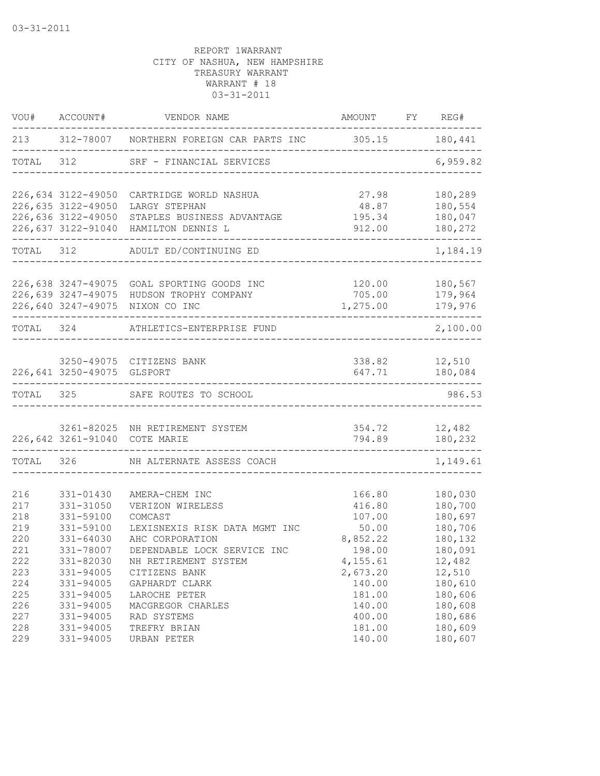| VOU#      | ACCOUNT#                   | VENDOR NAME                                                                           | AMOUNT FY REG#     |                          |
|-----------|----------------------------|---------------------------------------------------------------------------------------|--------------------|--------------------------|
| 213       |                            | 312-78007 NORTHERN FOREIGN CAR PARTS INC 305.15 180,441                               |                    |                          |
| TOTAL     | 312                        | SRF - FINANCIAL SERVICES                                                              |                    | 6,959.82                 |
|           | 226,634 3122-49050         | CARTRIDGE WORLD NASHUA                                                                | 27.98              | 180,289                  |
|           | 226,635 3122-49050         | LARGY STEPHAN                                                                         | 48.87              | 180,554                  |
|           |                            | 226,636 3122-49050 STAPLES BUSINESS ADVANTAGE<br>226,637 3122-91040 HAMILTON DENNIS L | 195.34<br>912.00   | 180,047<br>180,272       |
| TOTAL 312 |                            | ADULT ED/CONTINUING ED                                                                |                    | 1,184.19                 |
|           |                            |                                                                                       |                    |                          |
|           |                            | 226,638 3247-49075 GOAL SPORTING GOODS INC                                            | 120.00             | 180,567                  |
|           |                            | 226,639 3247-49075 HUDSON TROPHY COMPANY<br>226,640 3247-49075 NIXON CO INC           | 705.00<br>1,275.00 | 179,964<br>179,976       |
| TOTAL 324 |                            | ATHLETICS-ENTERPRISE FUND                                                             |                    | $- - - - -$<br>2,100.00  |
|           |                            |                                                                                       |                    |                          |
|           | 226,641 3250-49075 GLSPORT | 3250-49075 CITIZENS BANK                                                              | 647.71             | 338.82 12,510<br>180,084 |
| TOTAL 325 |                            | SAFE ROUTES TO SCHOOL                                                                 |                    | 986.53                   |
|           |                            | 3261-82025 NH RETIREMENT SYSTEM                                                       | 354.72             | 12,482                   |
|           |                            | 226,642 3261-91040 COTE MARIE                                                         | 794.89             | 180,232                  |
| TOTAL 326 |                            | NH ALTERNATE ASSESS COACH                                                             |                    | 1,149.61                 |
|           |                            |                                                                                       |                    |                          |
| 216       | 331-01430                  | AMERA-CHEM INC                                                                        | 166.80             | 180,030                  |
| 217       | 331-31050                  | VERIZON WIRELESS                                                                      | 416.80             | 180,700                  |
| 218       | 331-59100                  | COMCAST                                                                               | 107.00             | 180,697                  |
| 219       | 331-59100                  | LEXISNEXIS RISK DATA MGMT INC                                                         | 50.00              | 180,706                  |
| 220       | $331 - 64030$              | AHC CORPORATION                                                                       | 8,852.22           | 180,132                  |
| 221       | 331-78007                  | DEPENDABLE LOCK SERVICE INC                                                           | 198.00             | 180,091                  |
| 222       | 331-82030                  | NH RETIREMENT SYSTEM                                                                  | 4,155.61           | 12,482                   |
| 223       | $331 - 94005$              | CITIZENS BANK                                                                         | 2,673.20           | 12,510                   |
| 224       | 331-94005                  | GAPHARDT CLARK                                                                        | 140.00             | 180,610                  |
| 225       | 331-94005                  | LAROCHE PETER                                                                         | 181.00             | 180,606                  |
| 226       | 331-94005                  | MACGREGOR CHARLES                                                                     | 140.00             | 180,608                  |
| 227       | 331-94005                  | RAD SYSTEMS                                                                           | 400.00             | 180,686                  |
| 228       | 331-94005                  | TREFRY BRIAN                                                                          | 181.00             | 180,609                  |
| 229       | 331-94005                  | URBAN PETER                                                                           | 140.00             | 180,607                  |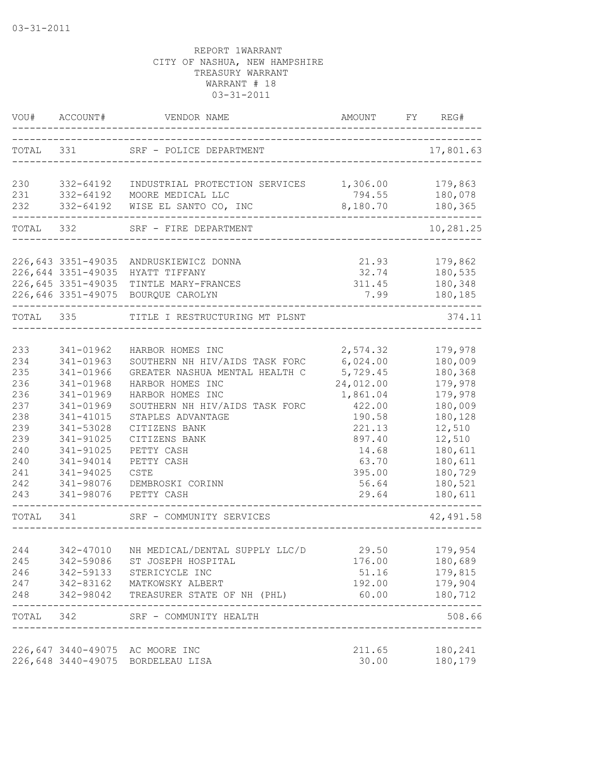|            | VOU# ACCOUNT#                            | VENDOR NAME                                                             | AMOUNT<br>------------------------------ | FY REG#                  |
|------------|------------------------------------------|-------------------------------------------------------------------------|------------------------------------------|--------------------------|
| TOTAL 331  |                                          | SRF - POLICE DEPARTMENT                                                 |                                          | 17,801.63                |
| 230        | 332-64192                                | INDUSTRIAL PROTECTION SERVICES 1,306.00                                 |                                          | 179,863                  |
| 231<br>232 | 332-64192<br>332-64192                   | MOORE MEDICAL LLC<br>WISE EL SANTO CO, INC                              | 794.55<br>8,180.70                       | 180,078<br>180,365       |
|            | -----------------------<br>TOTAL 332     | SRF - FIRE DEPARTMENT                                                   |                                          | 10,281.25                |
|            |                                          |                                                                         |                                          |                          |
|            | 226,643 3351-49035<br>226,644 3351-49035 | ANDRUSKIEWICZ DONNA                                                     | 21.93 179,862                            |                          |
|            |                                          | HYATT TIFFANY<br>226, 645 3351-49035 TINTLE MARY-FRANCES                | 311.45                                   | 32.74 180,535<br>180,348 |
|            |                                          | 226,646 3351-49075 BOURQUE CAROLYN                                      | 7.99                                     | 180,185                  |
| TOTAL 335  |                                          | ----------<br>TITLE I RESTRUCTURING MT PLSNT                            |                                          | 374.11                   |
|            |                                          |                                                                         |                                          |                          |
| 233        | 341-01962                                | HARBOR HOMES INC                                                        | 2,574.32                                 | 179,978                  |
| 234        | 341-01963                                | SOUTHERN NH HIV/AIDS TASK FORC 6,024.00                                 |                                          | 180,009                  |
| 235        | 341-01966                                | GREATER NASHUA MENTAL HEALTH C                                          | 5,729.45                                 | 180,368                  |
| 236        | 341-01968                                | HARBOR HOMES INC                                                        | 24,012.00                                | 179,978                  |
| 236        | 341-01969                                | HARBOR HOMES INC                                                        | 1,861.04                                 | 179,978                  |
| 237        | 341-01969                                | SOUTHERN NH HIV/AIDS TASK FORC                                          | 422.00                                   | 180,009                  |
| 238        | 341-41015                                | STAPLES ADVANTAGE                                                       | 190.58                                   | 180,128                  |
| 239        | 341-53028                                | CITIZENS BANK                                                           | 221.13                                   | 12,510                   |
| 239        | 341-91025                                | CITIZENS BANK                                                           | 897.40                                   | 12,510                   |
| 240        | 341-91025                                | PETTY CASH                                                              | 14.68                                    | 180,611                  |
| 240        | 341-94014                                | PETTY CASH                                                              | 63.70                                    | 180,611                  |
| 241        | 341-94025                                | CSTE                                                                    | 395.00                                   | 180,729                  |
| 242        | 341-98076                                | DEMBROSKI CORINN                                                        | 56.64                                    | 180,521                  |
| 243        |                                          | 341-98076 PETTY CASH                                                    | 29.64                                    | 180,611                  |
| TOTAL 341  |                                          | SRF - COMMUNITY SERVICES                                                |                                          | 42,491.58                |
|            |                                          |                                                                         |                                          |                          |
| 244        |                                          | 342-47010 NH MEDICAL/DENTAL SUPPLY LLC/D                                | 29.50                                    | 179,954                  |
| 245        |                                          | 342-59086 ST JOSEPH HOSPITAL                                            | 176.00                                   | 180,689                  |
| 246        |                                          | 342-59133 STERICYCLE INC                                                | 51.16                                    | 179,815                  |
| 248        |                                          | 247 342-83162 MATKOWSKY ALBERT<br>342-98042 TREASURER STATE OF NH (PHL) | 192.00<br>60.00                          | 179,904<br>180,712       |
|            |                                          | TOTAL 342 SRF - COMMUNITY HEALTH                                        | ---------------------------------        | 508.66                   |
|            |                                          |                                                                         |                                          |                          |
|            |                                          | 226,647 3440-49075 AC MOORE INC<br>226,648 3440-49075 BORDELEAU LISA    | 211.65<br>30.00                          | 180,241<br>180,179       |
|            |                                          |                                                                         |                                          |                          |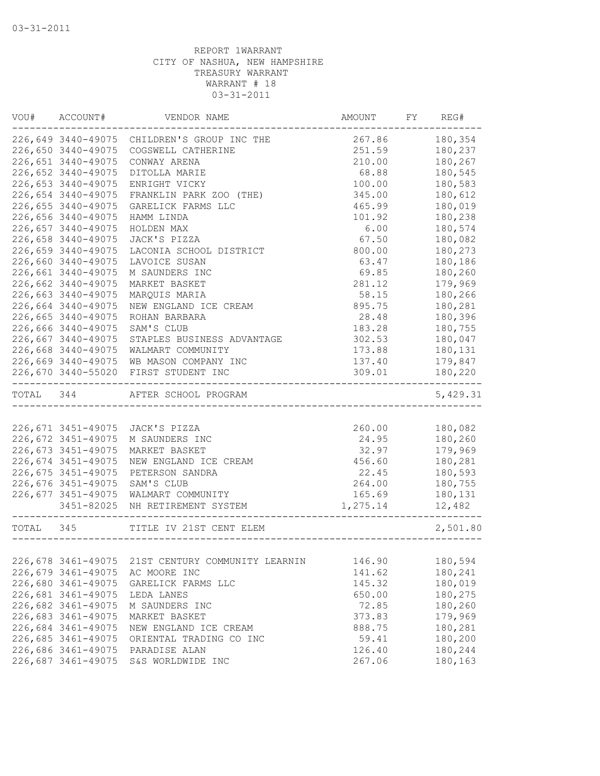| VOU#      | ACCOUNT#           | VENDOR NAME                    | AMOUNT   | FY | REG#     |
|-----------|--------------------|--------------------------------|----------|----|----------|
|           | 226,649 3440-49075 | CHILDREN'S GROUP INC THE       | 267.86   |    | 180,354  |
|           | 226,650 3440-49075 | COGSWELL CATHERINE             | 251.59   |    | 180,237  |
|           | 226,651 3440-49075 | CONWAY ARENA                   | 210.00   |    | 180,267  |
|           | 226,652 3440-49075 | DITOLLA MARIE                  | 68.88    |    | 180,545  |
|           | 226,653 3440-49075 | ENRIGHT VICKY                  | 100.00   |    | 180,583  |
|           | 226,654 3440-49075 | FRANKLIN PARK ZOO (THE)        | 345.00   |    | 180,612  |
|           | 226,655 3440-49075 | GARELICK FARMS LLC             | 465.99   |    | 180,019  |
|           | 226,656 3440-49075 | HAMM LINDA                     | 101.92   |    | 180,238  |
|           | 226,657 3440-49075 | HOLDEN MAX                     | 6.00     |    | 180,574  |
|           | 226,658 3440-49075 | JACK'S PIZZA                   | 67.50    |    | 180,082  |
|           | 226,659 3440-49075 | LACONIA SCHOOL DISTRICT        | 800.00   |    | 180,273  |
|           | 226,660 3440-49075 | LAVOICE SUSAN                  | 63.47    |    | 180,186  |
|           | 226,661 3440-49075 | M SAUNDERS INC                 | 69.85    |    | 180,260  |
|           | 226,662 3440-49075 | MARKET BASKET                  | 281.12   |    | 179,969  |
|           | 226,663 3440-49075 | MARQUIS MARIA                  | 58.15    |    | 180,266  |
|           | 226,664 3440-49075 | NEW ENGLAND ICE CREAM          | 895.75   |    | 180,281  |
|           | 226,665 3440-49075 | ROHAN BARBARA                  | 28.48    |    | 180,396  |
|           | 226,666 3440-49075 | SAM'S CLUB                     | 183.28   |    | 180,755  |
|           | 226,667 3440-49075 | STAPLES BUSINESS ADVANTAGE     | 302.53   |    | 180,047  |
|           | 226,668 3440-49075 | WALMART COMMUNITY              | 173.88   |    | 180,131  |
|           | 226,669 3440-49075 | WB MASON COMPANY INC           | 137.40   |    | 179,847  |
|           | 226,670 3440-55020 | FIRST STUDENT INC              | 309.01   |    | 180,220  |
| TOTAL 344 |                    | AFTER SCHOOL PROGRAM           |          |    | 5,429.31 |
|           |                    |                                |          |    |          |
|           | 226,671 3451-49075 | JACK'S PIZZA                   | 260.00   |    | 180,082  |
|           | 226,672 3451-49075 | M SAUNDERS INC                 | 24.95    |    | 180,260  |
|           | 226,673 3451-49075 | MARKET BASKET                  | 32.97    |    | 179,969  |
|           | 226,674 3451-49075 | NEW ENGLAND ICE CREAM          | 456.60   |    | 180,281  |
|           | 226,675 3451-49075 | PETERSON SANDRA                | 22.45    |    | 180,593  |
|           | 226,676 3451-49075 | SAM'S CLUB                     | 264.00   |    | 180,755  |
|           | 226,677 3451-49075 | WALMART COMMUNITY              | 165.69   |    | 180,131  |
|           | 3451-82025         | NH RETIREMENT SYSTEM           | 1,275.14 |    | 12,482   |
| TOTAL 345 |                    | TITLE IV 21ST CENT ELEM        |          |    | 2,501.80 |
|           |                    |                                |          |    |          |
|           | 226,678 3461-49075 | 21ST CENTURY COMMUNITY LEARNIN | 146.90   |    | 180,594  |
|           | 226,679 3461-49075 | AC MOORE INC                   | 141.62   |    | 180,241  |
|           | 226,680 3461-49075 | GARELICK FARMS LLC             | 145.32   |    | 180,019  |
|           | 226,681 3461-49075 | LEDA LANES                     | 650.00   |    | 180,275  |
|           | 226,682 3461-49075 | M SAUNDERS INC                 | 72.85    |    | 180,260  |
|           | 226,683 3461-49075 | MARKET BASKET                  | 373.83   |    | 179,969  |
|           | 226,684 3461-49075 | NEW ENGLAND ICE CREAM          | 888.75   |    | 180,281  |
|           | 226,685 3461-49075 | ORIENTAL TRADING CO INC        | 59.41    |    | 180,200  |
|           | 226,686 3461-49075 | PARADISE ALAN                  | 126.40   |    | 180,244  |
|           | 226,687 3461-49075 | S&S WORLDWIDE INC              | 267.06   |    | 180,163  |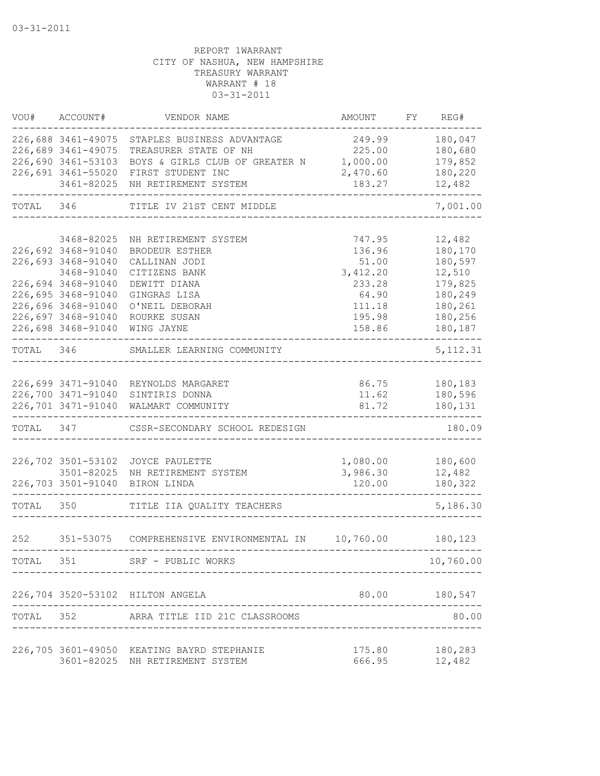| VOU#      | ACCOUNT#                                                       | VENDOR NAME                                                                           | <b>AMOUNT</b>                | FY | REG#                          |
|-----------|----------------------------------------------------------------|---------------------------------------------------------------------------------------|------------------------------|----|-------------------------------|
|           | 226,688 3461-49075<br>226,689 3461-49075<br>226,690 3461-53103 | STAPLES BUSINESS ADVANTAGE<br>TREASURER STATE OF NH<br>BOYS & GIRLS CLUB OF GREATER N | 249.99<br>225.00<br>1,000.00 |    | 180,047<br>180,680<br>179,852 |
|           | 226,691 3461-55020<br>3461-82025                               | FIRST STUDENT INC<br>NH RETIREMENT SYSTEM                                             | 2,470.60<br>183.27           |    | 180,220<br>12,482             |
| TOTAL 346 |                                                                | TITLE IV 21ST CENT MIDDLE                                                             |                              |    | 7,001.00                      |
|           | 3468-82025                                                     | NH RETIREMENT SYSTEM                                                                  | 747.95                       |    | 12,482                        |
|           | 226,692 3468-91040                                             | BRODEUR ESTHER                                                                        | 136.96                       |    | 180,170                       |
|           | 226,693 3468-91040                                             | CALLINAN JODI                                                                         | 51.00                        |    | 180,597                       |
|           | 3468-91040                                                     | CITIZENS BANK                                                                         | 3,412.20                     |    | 12,510                        |
|           | 226,694 3468-91040                                             | DEWITT DIANA                                                                          | 233.28                       |    | 179,825                       |
|           | 226,695 3468-91040                                             | GINGRAS LISA                                                                          | 64.90                        |    | 180,249                       |
|           | 226,696 3468-91040                                             | O'NEIL DEBORAH                                                                        | 111.18                       |    | 180,261                       |
|           | 226,697 3468-91040<br>226,698 3468-91040                       | ROURKE SUSAN<br>WING JAYNE                                                            | 195.98<br>158.86             |    | 180,256<br>180,187            |
| TOTAL 346 |                                                                | SMALLER LEARNING COMMUNITY                                                            |                              |    | 5, 112.31                     |
|           |                                                                |                                                                                       |                              |    |                               |
|           |                                                                | 226,699 3471-91040 REYNOLDS MARGARET                                                  | 86.75                        |    | 180,183                       |
|           |                                                                | 226,700 3471-91040 SINTIRIS DONNA                                                     | 11.62                        |    | 180,596                       |
|           | 226,701 3471-91040                                             | WALMART COMMUNITY                                                                     | 81.72                        |    | 180,131                       |
| TOTAL 347 |                                                                | CSSR-SECONDARY SCHOOL REDESIGN                                                        |                              |    | 180.09                        |
|           | 226,702 3501-53102                                             | JOYCE PAULETTE                                                                        | 1,080.00                     |    | 180,600                       |
|           | 3501-82025                                                     | NH RETIREMENT SYSTEM                                                                  | 3,986.30                     |    | 12,482                        |
|           | 226,703 3501-91040                                             | BIRON LINDA                                                                           | 120.00                       |    | 180,322                       |
| TOTAL 350 |                                                                | TITLE IIA QUALITY TEACHERS                                                            |                              |    | 5,186.30                      |
| 252       | 351-53075                                                      | COMPREHENSIVE ENVIRONMENTAL IN                                                        | 10,760.00                    |    | 180,123                       |
| TOTAL 351 |                                                                | SRF - PUBLIC WORKS                                                                    |                              |    | 10,760.00                     |
|           |                                                                |                                                                                       |                              |    |                               |
|           |                                                                | 226,704 3520-53102 HILTON ANGELA                                                      | 80.00                        |    | 180,547                       |
| TOTAL 352 |                                                                | ARRA TITLE IID 21C CLASSROOMS                                                         |                              |    | 80.00                         |
|           |                                                                | 226,705 3601-49050 KEATING BAYRD STEPHANIE                                            | 175.80                       |    | 180,283                       |
|           |                                                                | 3601-82025 NH RETIREMENT SYSTEM                                                       | 666.95                       |    | 12,482                        |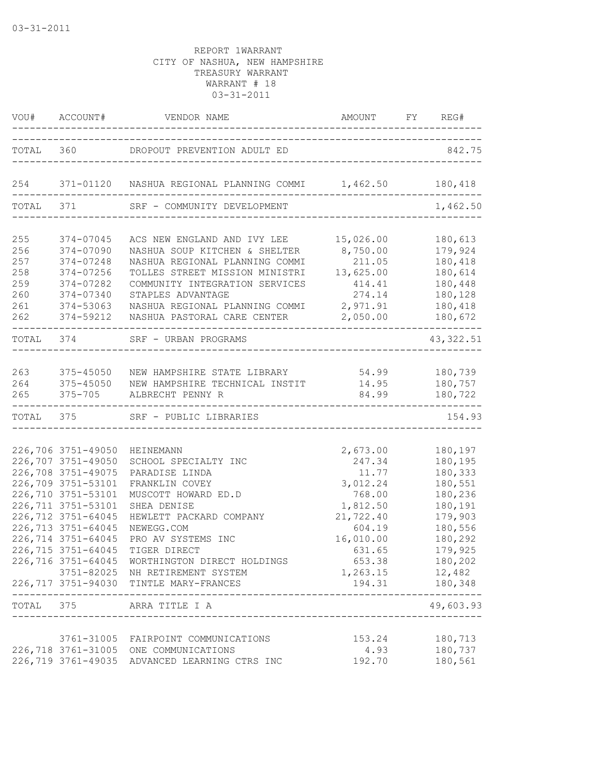|                                                      |                                                                                                                                                                                                    | VOU# ACCOUNT# VENDOR NAME AMOUNT FY RE                                                                                                                                                                                                                                                                                                              | AMOUNT FY REG#                                                                                                                              |                                                                                                                                            |
|------------------------------------------------------|----------------------------------------------------------------------------------------------------------------------------------------------------------------------------------------------------|-----------------------------------------------------------------------------------------------------------------------------------------------------------------------------------------------------------------------------------------------------------------------------------------------------------------------------------------------------|---------------------------------------------------------------------------------------------------------------------------------------------|--------------------------------------------------------------------------------------------------------------------------------------------|
|                                                      |                                                                                                                                                                                                    | TOTAL 360 DROPOUT PREVENTION ADULT ED 342.75                                                                                                                                                                                                                                                                                                        |                                                                                                                                             |                                                                                                                                            |
|                                                      |                                                                                                                                                                                                    | 254 371-01120 NASHUA REGIONAL PLANNING COMMI 1,462.50 180,418                                                                                                                                                                                                                                                                                       |                                                                                                                                             |                                                                                                                                            |
| TOTAL 371                                            |                                                                                                                                                                                                    | SRF - COMMUNITY DEVELOPMENT                                                                                                                                                                                                                                                                                                                         |                                                                                                                                             | 1,462.50                                                                                                                                   |
| 255<br>256<br>257<br>258<br>259<br>260<br>261<br>262 | 374-07045<br>374-07090<br>374-07248<br>374-07256<br>374-07282<br>374-07340<br>374-53063<br>374-59212                                                                                               | ACS NEW ENGLAND AND IVY LEE<br>NASHUA SOUP KITCHEN & SHELTER<br>NASHUA REGIONAL PLANNING COMMI<br>TOLLES STREET MISSION MINISTRI<br>COMMUNITY INTEGRATION SERVICES<br>STAPLES ADVANTAGE<br>NASHUA REGIONAL PLANNING COMMI 2,971.91<br>NASHUA PASTORAL CARE CENTER                                                                                   | 15,026.00<br>8,750.00<br>211.05<br>13,625.00<br>414.41<br>274.14<br>2,050.00                                                                | 180,613<br>179,924<br>180,418<br>180,614<br>180,448<br>180,128<br>180,418<br>180,672<br>--------                                           |
| TOTAL 374                                            |                                                                                                                                                                                                    | -------------------<br>SRF - URBAN PROGRAMS                                                                                                                                                                                                                                                                                                         |                                                                                                                                             | 43, 322.51                                                                                                                                 |
| 263<br>264<br>265                                    | 375-45050                                                                                                                                                                                          | 375-45050 NEW HAMPSHIRE STATE LIBRARY 54.99 180,739<br>NEW HAMPSHIRE TECHNICAL INSTIT 14.95 180,757<br>375-705 ALBRECHT PENNY R                                                                                                                                                                                                                     |                                                                                                                                             | 84.99 180,722                                                                                                                              |
|                                                      | TOTAL 375                                                                                                                                                                                          | SRF - PUBLIC LIBRARIES                                                                                                                                                                                                                                                                                                                              |                                                                                                                                             | 154.93                                                                                                                                     |
|                                                      | 226,706 3751-49050<br>226,707 3751-49050<br>226,708 3751-49075<br>226,709 3751-53101<br>226,710 3751-53101<br>226,711 3751-53101<br>226,712 3751-64045<br>226,713 3751-64045<br>226,714 3751-64045 | <b>HEINEMANN</b><br>SCHOOL SPECIALTY INC<br>PARADISE LINDA<br>FRANKLIN COVEY<br>MUSCOTT HOWARD ED.D<br>SHEA DENISE<br>HEWLETT PACKARD COMPANY<br>NEWEGG.COM<br>PRO AV SYSTEMS INC<br>226,715 3751-64045 TIGER DIRECT<br>226,716 3751-64045 WORTHINGTON DIRECT HOLDINGS<br>3751-82025 NH RETIREMENT SYSTEM<br>226,717 3751-94030 TINTLE MARY-FRANCES | 2,673.00<br>247.34<br>11.77<br>3,012.24<br>768.00<br>1,812.50<br>21,722.40<br>604.19<br>16,010.00<br>631.65<br>653.38<br>1,263.15<br>194.31 | 180,197<br>180,195<br>180,333<br>180,551<br>180,236<br>180,191<br>179,903<br>180,556<br>180,292<br>179,925<br>180,202<br>12,482<br>180,348 |
| TOTAL 375                                            |                                                                                                                                                                                                    | ARRA TITLE I A                                                                                                                                                                                                                                                                                                                                      |                                                                                                                                             | 49,603.93                                                                                                                                  |
|                                                      |                                                                                                                                                                                                    | 3761-31005 FAIRPOINT COMMUNICATIONS<br>226,718 3761-31005 ONE COMMUNICATIONS<br>226,719 3761-49035 ADVANCED LEARNING CTRS INC                                                                                                                                                                                                                       | 153.24<br>4.93<br>192.70                                                                                                                    | 180,713<br>180,737<br>180,561                                                                                                              |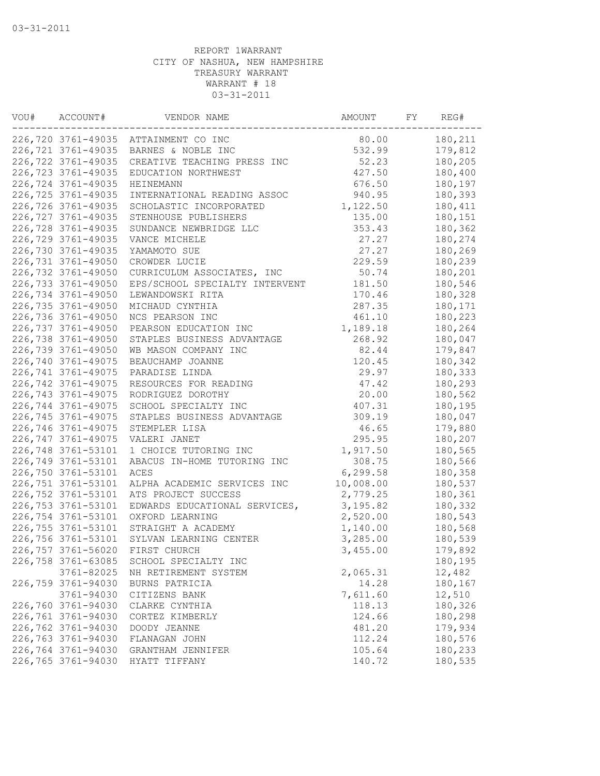| VOU# | ACCOUNT#           | VENDOR NAME                          | AMOUNT    | FY | REG#    |
|------|--------------------|--------------------------------------|-----------|----|---------|
|      |                    | 226,720 3761-49035 ATTAINMENT CO INC | 80.00     |    | 180,211 |
|      | 226,721 3761-49035 | BARNES & NOBLE INC                   | 532.99    |    | 179,812 |
|      | 226,722 3761-49035 | CREATIVE TEACHING PRESS INC          | 52.23     |    | 180,205 |
|      | 226,723 3761-49035 | EDUCATION NORTHWEST                  | 427.50    |    | 180,400 |
|      | 226,724 3761-49035 | HEINEMANN                            | 676.50    |    | 180,197 |
|      | 226,725 3761-49035 | INTERNATIONAL READING ASSOC          | 940.95    |    | 180,393 |
|      | 226,726 3761-49035 | SCHOLASTIC INCORPORATED              | 1,122.50  |    | 180,411 |
|      | 226,727 3761-49035 | STENHOUSE PUBLISHERS                 | 135.00    |    | 180,151 |
|      | 226,728 3761-49035 | SUNDANCE NEWBRIDGE LLC               | 353.43    |    | 180,362 |
|      | 226,729 3761-49035 | VANCE MICHELE                        | 27.27     |    | 180,274 |
|      | 226,730 3761-49035 | YAMAMOTO SUE                         | 27.27     |    | 180,269 |
|      | 226,731 3761-49050 | CROWDER LUCIE                        | 229.59    |    | 180,239 |
|      | 226,732 3761-49050 | CURRICULUM ASSOCIATES, INC           | 50.74     |    | 180,201 |
|      | 226,733 3761-49050 | EPS/SCHOOL SPECIALTY INTERVENT       | 181.50    |    | 180,546 |
|      | 226,734 3761-49050 | LEWANDOWSKI RITA                     | 170.46    |    | 180,328 |
|      | 226,735 3761-49050 | MICHAUD CYNTHIA                      | 287.35    |    | 180,171 |
|      | 226,736 3761-49050 | NCS PEARSON INC                      | 461.10    |    | 180,223 |
|      | 226,737 3761-49050 | PEARSON EDUCATION INC                | 1,189.18  |    | 180,264 |
|      | 226,738 3761-49050 | STAPLES BUSINESS ADVANTAGE           | 268.92    |    | 180,047 |
|      | 226,739 3761-49050 | WB MASON COMPANY INC                 | 82.44     |    | 179,847 |
|      | 226,740 3761-49075 | BEAUCHAMP JOANNE                     | 120.45    |    | 180,342 |
|      | 226,741 3761-49075 | PARADISE LINDA                       | 29.97     |    | 180,333 |
|      | 226,742 3761-49075 | RESOURCES FOR READING                | 47.42     |    | 180,293 |
|      | 226,743 3761-49075 | RODRIGUEZ DOROTHY                    | 20.00     |    | 180,562 |
|      | 226,744 3761-49075 |                                      | 407.31    |    |         |
|      |                    | SCHOOL SPECIALTY INC                 |           |    | 180,195 |
|      | 226,745 3761-49075 | STAPLES BUSINESS ADVANTAGE           | 309.19    |    | 180,047 |
|      | 226,746 3761-49075 | STEMPLER LISA                        | 46.65     |    | 179,880 |
|      | 226,747 3761-49075 | VALERI JANET                         | 295.95    |    | 180,207 |
|      | 226,748 3761-53101 | 1 CHOICE TUTORING INC                | 1,917.50  |    | 180,565 |
|      | 226,749 3761-53101 | ABACUS IN-HOME TUTORING INC          | 308.75    |    | 180,566 |
|      | 226,750 3761-53101 | ACES                                 | 6,299.58  |    | 180,358 |
|      | 226,751 3761-53101 | ALPHA ACADEMIC SERVICES INC          | 10,008.00 |    | 180,537 |
|      | 226,752 3761-53101 | ATS PROJECT SUCCESS                  | 2,779.25  |    | 180,361 |
|      | 226,753 3761-53101 | EDWARDS EDUCATIONAL SERVICES,        | 3, 195.82 |    | 180,332 |
|      | 226,754 3761-53101 | OXFORD LEARNING                      | 2,520.00  |    | 180,543 |
|      | 226,755 3761-53101 | STRAIGHT A ACADEMY                   | 1,140.00  |    | 180,568 |
|      | 226,756 3761-53101 | SYLVAN LEARNING CENTER               | 3,285.00  |    | 180,539 |
|      | 226,757 3761-56020 | FIRST CHURCH                         | 3,455.00  |    | 179,892 |
|      | 226,758 3761-63085 | SCHOOL SPECIALTY INC                 |           |    | 180,195 |
|      | 3761-82025         | NH RETIREMENT SYSTEM                 | 2,065.31  |    | 12,482  |
|      | 226,759 3761-94030 | BURNS PATRICIA                       | 14.28     |    | 180,167 |
|      | 3761-94030         | CITIZENS BANK                        | 7,611.60  |    | 12,510  |
|      | 226,760 3761-94030 | CLARKE CYNTHIA                       | 118.13    |    | 180,326 |
|      | 226,761 3761-94030 | CORTEZ KIMBERLY                      | 124.66    |    | 180,298 |
|      | 226,762 3761-94030 | DOODY JEANNE                         | 481.20    |    | 179,934 |
|      | 226,763 3761-94030 | FLANAGAN JOHN                        | 112.24    |    | 180,576 |
|      | 226,764 3761-94030 | GRANTHAM JENNIFER                    | 105.64    |    | 180,233 |
|      | 226,765 3761-94030 | HYATT TIFFANY                        | 140.72    |    | 180,535 |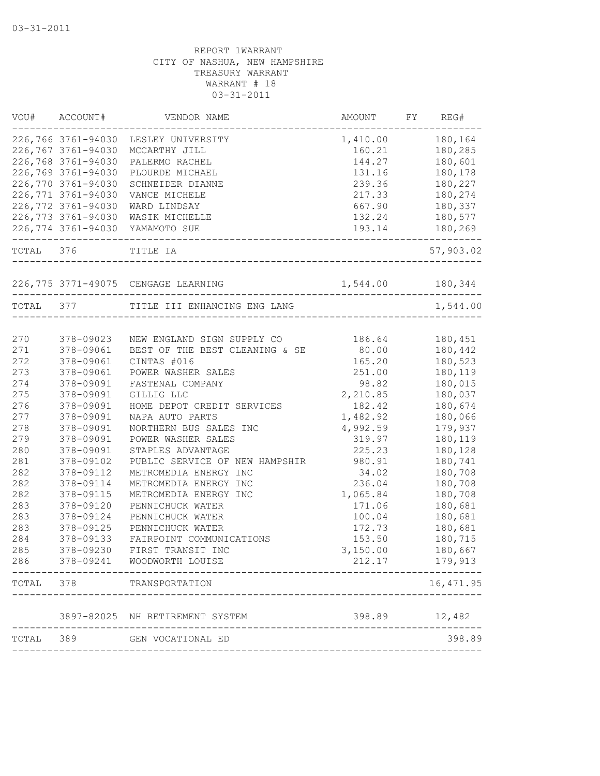| VOU#      | ACCOUNT#           | VENDOR NAME                                  | AMOUNT           | FY | REG#       |
|-----------|--------------------|----------------------------------------------|------------------|----|------------|
|           | 226,766 3761-94030 | LESLEY UNIVERSITY                            | 1,410.00         |    | 180,164    |
|           | 226,767 3761-94030 | MCCARTHY JILL                                | 160.21           |    | 180,285    |
|           | 226,768 3761-94030 | PALERMO RACHEL                               | 144.27           |    | 180,601    |
|           | 226,769 3761-94030 | PLOURDE MICHAEL                              | 131.16           |    | 180,178    |
|           | 226,770 3761-94030 | SCHNEIDER DIANNE                             | 239.36           |    | 180,227    |
|           | 226,771 3761-94030 | VANCE MICHELE                                | 217.33           |    | 180,274    |
|           | 226,772 3761-94030 | WARD LINDSAY                                 | 667.90           |    | 180,337    |
|           | 226,773 3761-94030 | WASIK MICHELLE                               | 132.24           |    | 180,577    |
|           | 226,774 3761-94030 | YAMAMOTO SUE                                 | 193.14           |    | 180,269    |
| TOTAL 376 |                    | TITLE IA<br>-------------------------------- |                  |    | 57,903.02  |
|           |                    | 226,775 3771-49075 CENGAGE LEARNING          | 1,544.00 180,344 |    |            |
| TOTAL 377 |                    | TITLE III ENHANCING ENG LANG                 |                  |    | 1,544.00   |
|           |                    |                                              |                  |    |            |
| 270       | 378-09023          | NEW ENGLAND SIGN SUPPLY CO                   | 186.64           |    | 180,451    |
| 271       | 378-09061          | BEST OF THE BEST CLEANING & SE               | 80.00            |    | 180,442    |
| 272       | 378-09061          | CINTAS #016                                  | 165.20           |    | 180,523    |
| 273       | 378-09061          | POWER WASHER SALES                           | 251.00           |    | 180,119    |
| 274       | 378-09091          | FASTENAL COMPANY                             | 98.82            |    | 180,015    |
| 275       | 378-09091          | GILLIG LLC                                   | 2,210.85         |    | 180,037    |
| 276       | 378-09091          | HOME DEPOT CREDIT SERVICES                   | 182.42           |    | 180,674    |
| 277       | 378-09091          | NAPA AUTO PARTS                              | 1,482.92         |    | 180,066    |
| 278       | 378-09091          | NORTHERN BUS SALES INC                       | 4,992.59         |    | 179,937    |
| 279       | 378-09091          | POWER WASHER SALES                           | 319.97           |    | 180,119    |
| 280       | 378-09091          | STAPLES ADVANTAGE                            | 225.23           |    | 180,128    |
| 281       | 378-09102          | PUBLIC SERVICE OF NEW HAMPSHIR               | 980.91           |    | 180,741    |
| 282       | 378-09112          | METROMEDIA ENERGY INC                        | 34.02            |    | 180,708    |
| 282       | 378-09114          | METROMEDIA ENERGY INC                        | 236.04           |    | 180,708    |
| 282       | 378-09115          | METROMEDIA ENERGY INC                        | 1,065.84         |    | 180,708    |
| 283       | 378-09120          | PENNICHUCK WATER                             | 171.06           |    | 180,681    |
| 283       | 378-09124          | PENNICHUCK WATER                             | 100.04           |    | 180,681    |
| 283       | 378-09125          | PENNICHUCK WATER                             | 172.73           |    | 180,681    |
| 284       | 378-09133          | FAIRPOINT COMMUNICATIONS                     | 153.50           |    | 180,715    |
| 285       | 378-09230          | FIRST TRANSIT INC                            | 3,150.00         |    | 180,667    |
| 286       | 378-09241          | WOODWORTH LOUISE                             | 212.17           |    | 179,913    |
| TOTAL     | 378                | TRANSPORTATION                               |                  |    | 16, 471.95 |
|           |                    | 3897-82025 NH RETIREMENT SYSTEM              | 398.89           |    | 12,482     |
| TOTAL     | 389                | GEN VOCATIONAL ED                            |                  |    | 398.89     |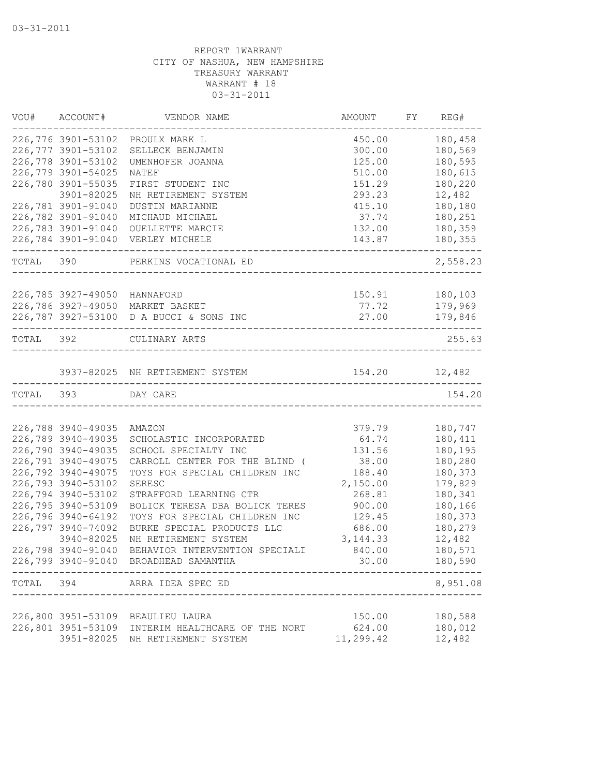| VOU#      | ACCOUNT#                     | VENDOR NAME                             | AMOUNT    | FY | REG#     |
|-----------|------------------------------|-----------------------------------------|-----------|----|----------|
|           | 226,776 3901-53102           | PROULX MARK L                           | 450.00    |    | 180,458  |
|           | 226,777 3901-53102           | SELLECK BENJAMIN                        | 300.00    |    | 180,569  |
|           | 226,778 3901-53102           | UMENHOFER JOANNA                        | 125.00    |    | 180,595  |
|           | 226,779 3901-54025           | NATEF                                   | 510.00    |    | 180,615  |
|           | 226,780 3901-55035           | FIRST STUDENT INC                       | 151.29    |    | 180,220  |
|           | 3901-82025                   | NH RETIREMENT SYSTEM                    | 293.23    |    | 12,482   |
|           | 226,781 3901-91040           | DUSTIN MARIANNE                         | 415.10    |    | 180,180  |
|           | 226,782 3901-91040           | MICHAUD MICHAEL                         | 37.74     |    | 180,251  |
|           | 226,783 3901-91040           | OUELLETTE MARCIE                        | 132.00    |    | 180,359  |
|           | 226,784 3901-91040           | VERLEY MICHELE                          | 143.87    |    | 180,355  |
| TOTAL 390 |                              | PERKINS VOCATIONAL ED                   |           |    | 2,558.23 |
|           | 226,785 3927-49050 HANNAFORD |                                         | 150.91    |    | 180,103  |
|           |                              | 226,786 3927-49050 MARKET BASKET        | 77.72     |    | 179,969  |
|           |                              | 226,787 3927-53100 D A BUCCI & SONS INC | 27.00     |    | 179,846  |
|           |                              | ------------------------------------    |           |    |          |
| TOTAL 392 |                              | CULINARY ARTS                           |           |    | 255.63   |
|           |                              | 3937-82025 NH RETIREMENT SYSTEM         | 154.20    |    | 12,482   |
| TOTAL 393 |                              | DAY CARE                                |           |    | 154.20   |
|           |                              |                                         |           |    |          |
|           | 226,788 3940-49035           | AMAZON                                  | 379.79    |    | 180,747  |
|           | 226,789 3940-49035           | SCHOLASTIC INCORPORATED                 | 64.74     |    | 180,411  |
|           | 226,790 3940-49035           | SCHOOL SPECIALTY INC                    | 131.56    |    | 180,195  |
|           | 226,791 3940-49075           | CARROLL CENTER FOR THE BLIND (          | 38.00     |    | 180,280  |
|           | 226,792 3940-49075           | TOYS FOR SPECIAL CHILDREN INC           | 188.40    |    | 180,373  |
|           | 226,793 3940-53102           | SERESC                                  | 2,150.00  |    | 179,829  |
|           | 226,794 3940-53102           | STRAFFORD LEARNING CTR                  | 268.81    |    | 180,341  |
|           | 226,795 3940-53109           | BOLICK TERESA DBA BOLICK TERES          | 900.00    |    | 180,166  |
|           | 226,796 3940-64192           | TOYS FOR SPECIAL CHILDREN INC           | 129.45    |    | 180,373  |
|           | 226,797 3940-74092           | BURKE SPECIAL PRODUCTS LLC              | 686.00    |    | 180,279  |
|           | 3940-82025                   | NH RETIREMENT SYSTEM                    | 3, 144.33 |    | 12,482   |
|           | 226,798 3940-91040           | BEHAVIOR INTERVENTION SPECIALI          | 840.00    |    | 180,571  |
|           |                              | 226,799 3940-91040 BROADHEAD SAMANTHA   | 30.00     |    | 180,590  |
| TOTAL     | 394                          | ARRA IDEA SPEC ED                       |           |    | 8,951.08 |
|           |                              |                                         |           |    |          |
|           | 226,800 3951-53109           | BEAULIEU LAURA                          | 150.00    |    | 180,588  |
|           | 226,801 3951-53109           | INTERIM HEALTHCARE OF THE NORT          | 624.00    |    | 180,012  |
|           | 3951-82025                   | NH RETIREMENT SYSTEM                    | 11,299.42 |    | 12,482   |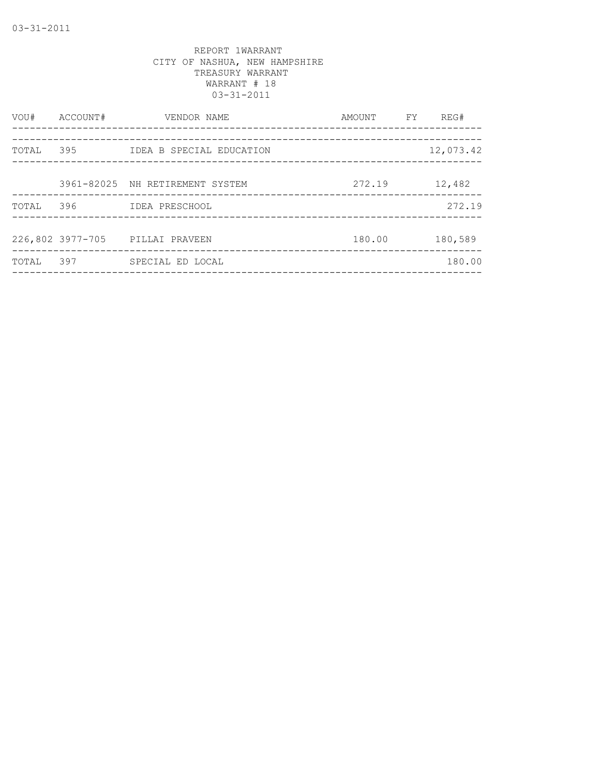| ACCOUNT#         | VENDOR NAME | AMOUNT                                                                                                              | FY. | REG#      |
|------------------|-------------|---------------------------------------------------------------------------------------------------------------------|-----|-----------|
|                  |             |                                                                                                                     |     | 12,073.42 |
|                  |             |                                                                                                                     |     |           |
|                  |             | 272.19                                                                                                              |     | 12,482    |
| 396              |             |                                                                                                                     |     | 272.19    |
|                  |             |                                                                                                                     |     |           |
| 226,802 3977-705 |             | 180.00                                                                                                              |     | 180,589   |
| 397              |             |                                                                                                                     |     | 180.00    |
|                  | 395         | IDEA B SPECIAL EDUCATION<br>3961-82025 NH RETIREMENT SYSTEM<br>IDEA PRESCHOOL<br>PILLAI PRAVEEN<br>SPECIAL ED LOCAL |     |           |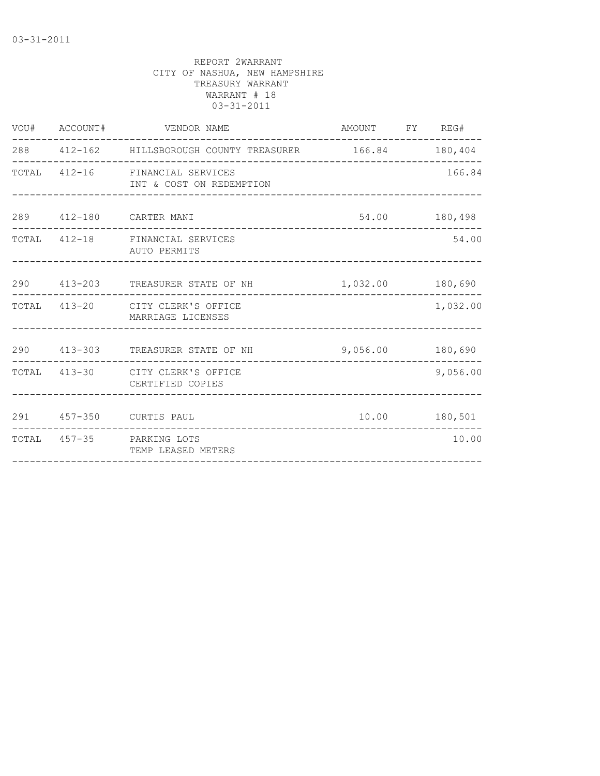| VOU# ACCOUNT# |                    |                                                                                                                                                                                                                                                                                                                                                                                                                          |                                                              |                                                                                                                                                                                            |
|---------------|--------------------|--------------------------------------------------------------------------------------------------------------------------------------------------------------------------------------------------------------------------------------------------------------------------------------------------------------------------------------------------------------------------------------------------------------------------|--------------------------------------------------------------|--------------------------------------------------------------------------------------------------------------------------------------------------------------------------------------------|
|               |                    |                                                                                                                                                                                                                                                                                                                                                                                                                          |                                                              |                                                                                                                                                                                            |
|               |                    |                                                                                                                                                                                                                                                                                                                                                                                                                          |                                                              | 166.84                                                                                                                                                                                     |
|               |                    |                                                                                                                                                                                                                                                                                                                                                                                                                          |                                                              |                                                                                                                                                                                            |
|               |                    |                                                                                                                                                                                                                                                                                                                                                                                                                          |                                                              | 54.00                                                                                                                                                                                      |
|               |                    |                                                                                                                                                                                                                                                                                                                                                                                                                          |                                                              | _______________                                                                                                                                                                            |
|               |                    |                                                                                                                                                                                                                                                                                                                                                                                                                          |                                                              | 1,032.00                                                                                                                                                                                   |
|               |                    |                                                                                                                                                                                                                                                                                                                                                                                                                          |                                                              | ------------                                                                                                                                                                               |
|               | CERTIFIED COPIES   |                                                                                                                                                                                                                                                                                                                                                                                                                          |                                                              | 9,056.00                                                                                                                                                                                   |
|               |                    |                                                                                                                                                                                                                                                                                                                                                                                                                          |                                                              |                                                                                                                                                                                            |
|               | TEMP LEASED METERS |                                                                                                                                                                                                                                                                                                                                                                                                                          |                                                              | 10.00                                                                                                                                                                                      |
|               |                    | VENDOR NAME<br>TOTAL 412-16 FINANCIAL SERVICES<br>INT & COST ON REDEMPTION<br>289   412-180   CARTER MANI<br>TOTAL 412-18 FINANCIAL SERVICES<br>AUTO PERMITS<br>TOTAL 413-20 CITY CLERK'S OFFICE<br>MARRIAGE LICENSES<br>290 413-303 TREASURER STATE OF NH<br>-------------------------<br>TOTAL 413-30 CITY CLERK'S OFFICE<br>291 457-350 CURTIS PAUL<br>TOTAL 457-35 PARKING LOTS<br>--------------------------------- | ____________________________<br>____________________________ | AMOUNT FY REG#<br>288  412-162  HILLSBOROUGH COUNTY TREASURER  166.84  180,404<br>54.00 180,498<br>290 413-203 TREASURER STATE OF NH 1,032.00 180,690<br>9,056.00 180,690<br>10.00 180,501 |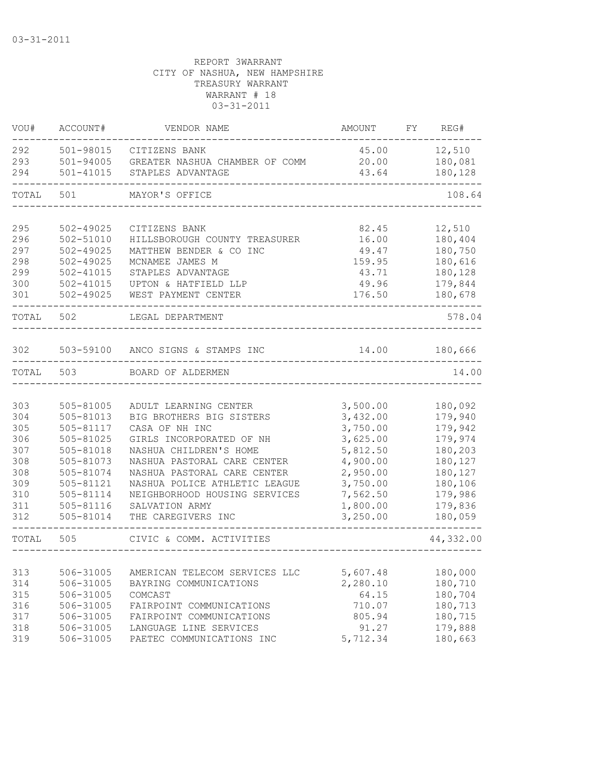| VOU#  | ACCOUNT#      | VENDOR NAME                       | AMOUNT   | FY | REG#      |
|-------|---------------|-----------------------------------|----------|----|-----------|
| 292   | 501-98015     | CITIZENS BANK                     | 45.00    |    | 12,510    |
| 293   | 501-94005     | GREATER NASHUA CHAMBER OF COMM    | 20.00    |    | 180,081   |
| 294   | 501-41015     | STAPLES ADVANTAGE                 | 43.64    |    | 180,128   |
| TOTAL | 501           | MAYOR'S OFFICE                    |          |    | 108.64    |
|       |               |                                   |          |    |           |
| 295   | 502-49025     | CITIZENS BANK                     | 82.45    |    | 12,510    |
| 296   | $502 - 51010$ | HILLSBOROUGH COUNTY TREASURER     | 16.00    |    | 180,404   |
| 297   | $502 - 49025$ | MATTHEW BENDER & CO INC           | 49.47    |    | 180,750   |
| 298   | $502 - 49025$ | MCNAMEE JAMES M                   | 159.95   |    | 180,616   |
| 299   | $502 - 41015$ | STAPLES ADVANTAGE                 | 43.71    |    | 180,128   |
| 300   | $502 - 41015$ | UPTON & HATFIELD LLP              | 49.96    |    | 179,844   |
| 301   | $502 - 49025$ | WEST PAYMENT CENTER               | 176.50   |    | 180,678   |
| TOTAL | 502           | LEGAL DEPARTMENT                  |          |    | 578.04    |
|       |               |                                   |          |    |           |
| 302   |               | 503-59100 ANCO SIGNS & STAMPS INC | 14.00    |    | 180,666   |
| TOTAL | 503           | BOARD OF ALDERMEN                 |          |    | 14.00     |
|       |               |                                   |          |    |           |
| 303   | 505-81005     | ADULT LEARNING CENTER             | 3,500.00 |    | 180,092   |
| 304   | 505-81013     | BIG BROTHERS BIG SISTERS          | 3,432.00 |    | 179,940   |
| 305   | 505-81117     | CASA OF NH INC                    | 3,750.00 |    | 179,942   |
| 306   | 505-81025     | GIRLS INCORPORATED OF NH          | 3,625.00 |    | 179,974   |
| 307   | 505-81018     | NASHUA CHILDREN'S HOME            | 5,812.50 |    | 180,203   |
| 308   | 505-81073     | NASHUA PASTORAL CARE CENTER       | 4,900.00 |    | 180,127   |
| 308   | 505-81074     | NASHUA PASTORAL CARE CENTER       | 2,950.00 |    | 180,127   |
| 309   | 505-81121     | NASHUA POLICE ATHLETIC LEAGUE     | 3,750.00 |    | 180,106   |
| 310   | 505-81114     | NEIGHBORHOOD HOUSING SERVICES     | 7,562.50 |    | 179,986   |
| 311   | 505-81116     | SALVATION ARMY                    | 1,800.00 |    | 179,836   |
| 312   | 505-81014     | THE CAREGIVERS INC                | 3,250.00 |    | 180,059   |
| TOTAL | 505           | CIVIC & COMM. ACTIVITIES          |          |    | 44,332.00 |
|       |               |                                   |          |    |           |
| 313   | 506-31005     | AMERICAN TELECOM SERVICES LLC     | 5,607.48 |    | 180,000   |
| 314   | 506-31005     | BAYRING COMMUNICATIONS            | 2,280.10 |    | 180,710   |
| 315   | 506-31005     | COMCAST                           | 64.15    |    | 180,704   |
| 316   | 506-31005     | FAIRPOINT COMMUNICATIONS          | 710.07   |    | 180,713   |
| 317   | 506-31005     | FAIRPOINT COMMUNICATIONS          | 805.94   |    | 180,715   |
| 318   | 506-31005     | LANGUAGE LINE SERVICES            | 91.27    |    | 179,888   |
| 319   | 506-31005     | PAETEC COMMUNICATIONS INC         | 5,712.34 |    | 180,663   |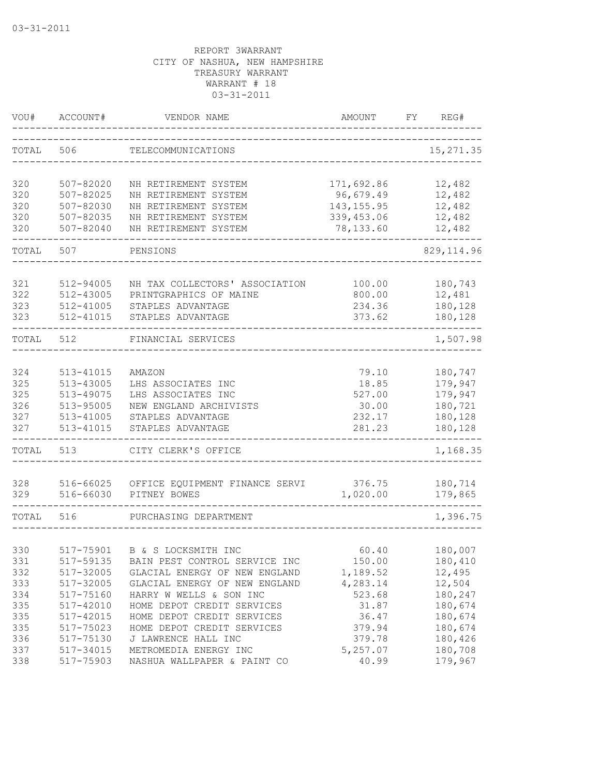| VOU#       | ACCOUNT#               | VENDOR NAME                    | <b>AMOUNT</b>  | FY. | REG#               |
|------------|------------------------|--------------------------------|----------------|-----|--------------------|
| TOTAL      | 506                    | TELECOMMUNICATIONS             |                |     | 15, 271.35         |
| 320        | 507-82020              | NH RETIREMENT SYSTEM           | 171,692.86     |     | 12,482             |
| 320        | 507-82025              | NH RETIREMENT SYSTEM           | 96,679.49      |     | 12,482             |
| 320        | 507-82030              | NH RETIREMENT SYSTEM           | 143, 155.95    |     | 12,482             |
| 320        | $507 - 82035$          | NH RETIREMENT SYSTEM           | 339, 453.06    |     | 12,482             |
| 320        | 507-82040              | NH RETIREMENT SYSTEM           | 78,133.60      |     | 12,482             |
| TOTAL      | 507                    | PENSIONS                       |                |     | 829, 114.96        |
| 321        | 512-94005              | NH TAX COLLECTORS' ASSOCIATION | 100.00         |     | 180,743            |
| 322        | 512-43005              | PRINTGRAPHICS OF MAINE         | 800.00         |     | 12,481             |
| 323        | 512-41005              | STAPLES ADVANTAGE              | 234.36         |     | 180,128            |
| 323        | 512-41015              | STAPLES ADVANTAGE              | 373.62         |     | 180,128            |
| TOTAL      | 512                    | FINANCIAL SERVICES             |                |     | 1,507.98           |
|            |                        |                                |                |     |                    |
| 324<br>325 | 513-41015<br>513-43005 | AMAZON<br>LHS ASSOCIATES INC   | 79.10<br>18.85 |     | 180,747<br>179,947 |
| 325        | 513-49075              | LHS ASSOCIATES INC             | 527.00         |     | 179,947            |
| 326        | 513-95005              | NEW ENGLAND ARCHIVISTS         | 30.00          |     | 180,721            |
| 327        | 513-41005              | STAPLES ADVANTAGE              | 232.17         |     | 180,128            |
| 327        | 513-41015              | STAPLES ADVANTAGE              | 281.23         |     | 180,128            |
| TOTAL      | 513                    | CITY CLERK'S OFFICE            |                |     | 1,168.35           |
| 328        | 516-66025              | OFFICE EQUIPMENT FINANCE SERVI | 376.75         |     | 180,714            |
| 329        | 516-66030              | PITNEY BOWES                   | 1,020.00       |     | 179,865            |
| TOTAL      | 516                    | PURCHASING DEPARTMENT          |                |     | 1,396.75           |
|            |                        |                                |                |     |                    |
| 330        | 517-75901              | B & S LOCKSMITH INC            | 60.40          |     | 180,007            |
| 331        | 517-59135              | BAIN PEST CONTROL SERVICE INC  | 150.00         |     | 180,410            |
| 332        | 517-32005              | GLACIAL ENERGY OF NEW ENGLAND  | 1,189.52       |     | 12,495             |
| 333        | 517-32005              | GLACIAL ENERGY OF NEW ENGLAND  | 4,283.14       |     | 12,504             |
| 334        | 517-75160              | HARRY W WELLS & SON INC        | 523.68         |     | 180,247            |
| 335        | $517 - 42010$          | HOME DEPOT CREDIT SERVICES     | 31.87          |     | 180,674            |
| 335        | 517-42015              | HOME DEPOT CREDIT SERVICES     | 36.47          |     | 180,674            |
| 335        | 517-75023              | HOME DEPOT CREDIT SERVICES     | 379.94         |     | 180,674            |
| 336        | 517-75130              | J LAWRENCE HALL INC            | 379.78         |     | 180,426            |
| 337        | 517-34015              | METROMEDIA ENERGY INC          | 5,257.07       |     | 180,708            |
| 338        | 517-75903              | NASHUA WALLPAPER & PAINT CO    | 40.99          |     | 179,967            |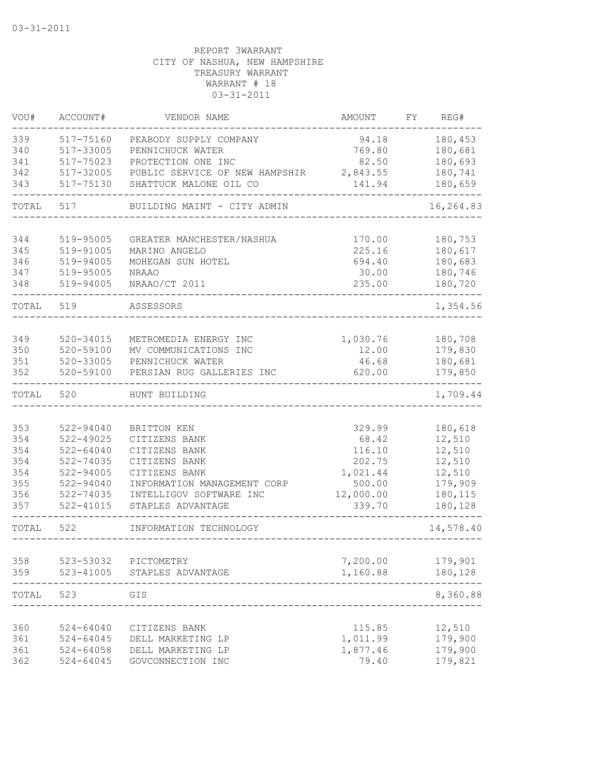| VOU#       | ACCOUNT#                       | VENDOR NAME                                   | <b>AMOUNT</b>      | FY | REG#               |
|------------|--------------------------------|-----------------------------------------------|--------------------|----|--------------------|
| 339<br>340 | 517-75160<br>517-33005         | PEABODY SUPPLY COMPANY<br>PENNICHUCK WATER    | 94.18<br>769.80    |    | 180,453<br>180,681 |
| 341        | 517-75023                      | PROTECTION ONE INC                            | 82.50              |    | 180,693            |
| 342        | 517-32005                      | PUBLIC SERVICE OF NEW HAMPSHIR                | 2,843.55           |    | 180,741            |
| 343        | 517-75130                      | SHATTUCK MALONE OIL CO                        | 141.94             |    | 180,659            |
| TOTAL      | 517                            | BUILDING MAINT - CITY ADMIN                   |                    |    | 16,264.83          |
| 344        | 519-95005                      | GREATER MANCHESTER/NASHUA                     | 170.00             |    | 180,753            |
| 345        | 519-91005                      | MARINO ANGELO                                 | 225.16             |    | 180,617            |
| 346        | 519-94005                      | MOHEGAN SUN HOTEL                             | 694.40             |    | 180,683            |
| 347        | 519-95005                      | <b>NRAAO</b>                                  | 30.00              |    | 180,746            |
| 348        | 519-94005                      | NRAAO/CT 2011                                 | 235.00             |    | 180,720            |
| TOTAL      | 519                            | ASSESSORS                                     |                    |    | 1,354.56           |
|            |                                |                                               |                    |    |                    |
| 349        | $520 - 34015$                  | METROMEDIA ENERGY INC                         | 1,030.76           |    | 180,708            |
| 350        | 520-59100                      | MV COMMUNICATIONS INC                         | 12.00              |    | 179,830            |
| 351<br>352 | 520-33005<br>520-59100         | PENNICHUCK WATER<br>PERSIAN RUG GALLERIES INC | 46.68<br>620.00    |    | 180,681<br>179,850 |
|            |                                |                                               |                    |    |                    |
| TOTAL      | 520                            | HUNT BUILDING                                 |                    |    | 1,709.44           |
|            |                                |                                               |                    |    |                    |
| 353<br>354 | 522-94040<br>522-49025         | BRITTON KEN<br>CITIZENS BANK                  | 329.99<br>68.42    |    | 180,618<br>12,510  |
| 354        | $522 - 64040$                  | CITIZENS BANK                                 | 116.10             |    | 12,510             |
| 354        | 522-74035                      | CITIZENS BANK                                 | 202.75             |    | 12,510             |
| 354        | $522 - 94005$                  | CITIZENS BANK                                 | 1,021.44           |    | 12,510             |
| 355        | $522 - 94040$                  | INFORMATION MANAGEMENT CORP                   | 500.00             |    | 179,909            |
| 356        | 522-74035                      | INTELLIGOV SOFTWARE INC                       | 12,000.00          |    | 180,115            |
| 357        | $522 - 41015$                  | STAPLES ADVANTAGE                             | 339.70             |    | 180,128            |
| TOTAL      | 522                            | INFORMATION TECHNOLOGY                        |                    |    | 14,578.40          |
|            |                                |                                               |                    |    |                    |
| 358        | 523-53032                      | PICTOMETRY                                    | 7,200.00           |    | 179,901            |
| 359        | 523-41005                      | STAPLES ADVANTAGE                             | 1,160.88           |    | 180,128            |
| TOTAL      | 523                            | GIS                                           |                    |    | 8,360.88           |
|            |                                |                                               |                    |    | 12,510             |
| 360<br>361 | $524 - 64040$<br>$524 - 64045$ | CITIZENS BANK<br>DELL MARKETING LP            | 115.85<br>1,011.99 |    | 179,900            |
| 361        | $524 - 64058$                  | DELL MARKETING LP                             | 1,877.46           |    | 179,900            |
| 362        | 524-64045                      | GOVCONNECTION INC                             | 79.40              |    | 179,821            |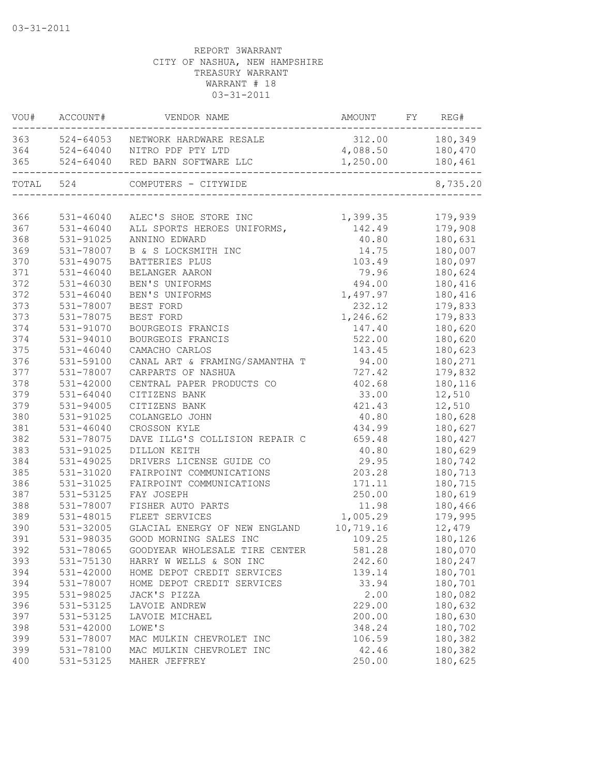| VOU#      | ACCOUNT#      | VENDOR NAME                           | AMOUNT           | FY | REG#     |
|-----------|---------------|---------------------------------------|------------------|----|----------|
|           |               | 363 524-64053 NETWORK HARDWARE RESALE | 312.00 180,349   |    |          |
|           |               | 364 524-64040 NITRO PDF PTY LTD       | 4,088.50 180,470 |    |          |
| 365       |               | 524-64040 RED BARN SOFTWARE LLC       | 1,250.00         |    | 180,461  |
| TOTAL 524 |               | COMPUTERS - CITYWIDE                  |                  |    | 8,735.20 |
|           |               |                                       |                  |    |          |
| 366       | 531-46040     | ALEC'S SHOE STORE INC                 | 1,399.35         |    | 179,939  |
| 367       | 531-46040     | ALL SPORTS HEROES UNIFORMS,           | 142.49           |    | 179,908  |
| 368       | 531-91025     | ANNINO EDWARD                         | 40.80            |    | 180,631  |
| 369       | 531-78007     | B & S LOCKSMITH INC                   | 14.75            |    | 180,007  |
| 370       | 531-49075     | BATTERIES PLUS                        | 103.49           |    | 180,097  |
| 371       | $531 - 46040$ | BELANGER AARON                        | 79.96            |    | 180,624  |
| 372       | $531 - 46030$ | BEN'S UNIFORMS                        | 494.00           |    | 180,416  |
| 372       | $531 - 46040$ | BEN'S UNIFORMS                        | 1,497.97         |    | 180,416  |
| 373       | 531-78007     | BEST FORD                             | 232.12           |    | 179,833  |
| 373       | 531-78075     | BEST FORD                             | 1,246.62         |    | 179,833  |
| 374       | 531-91070     | BOURGEOIS FRANCIS                     | 147.40           |    | 180,620  |
| 374       | 531-94010     | BOURGEOIS FRANCIS                     | 522.00           |    | 180,620  |
| 375       | $531 - 46040$ | CAMACHO CARLOS                        | 143.45           |    | 180,623  |
| 376       | 531-59100     | CANAL ART & FRAMING/SAMANTHA T        | 94.00            |    | 180,271  |
| 377       | 531-78007     | CARPARTS OF NASHUA                    | 727.42           |    | 179,832  |
| 378       | 531-42000     | CENTRAL PAPER PRODUCTS CO             | 402.68           |    | 180,116  |
| 379       | $531 - 64040$ | CITIZENS BANK                         | 33.00            |    | 12,510   |
| 379       | 531-94005     | CITIZENS BANK                         | 421.43           |    | 12,510   |
| 380       | 531-91025     | COLANGELO JOHN                        | 40.80            |    | 180,628  |
| 381       | $531 - 46040$ | CROSSON KYLE                          | 434.99           |    | 180,627  |
| 382       | 531-78075     | DAVE ILLG'S COLLISION REPAIR C        | 659.48           |    | 180,427  |
| 383       | 531-91025     | DILLON KEITH                          | 40.80            |    | 180,629  |
| 384       | 531-49025     | DRIVERS LICENSE GUIDE CO              | 29.95            |    | 180,742  |
| 385       | 531-31020     | FAIRPOINT COMMUNICATIONS              | 203.28           |    | 180,713  |
| 386       | 531-31025     | FAIRPOINT COMMUNICATIONS              | 171.11           |    | 180,715  |
| 387       | 531-53125     | FAY JOSEPH                            | 250.00           |    | 180,619  |
| 388       | 531-78007     | FISHER AUTO PARTS                     | 11.98            |    | 180,466  |
| 389       | 531-48015     | FLEET SERVICES                        | 1,005.29         |    | 179,995  |
| 390       | 531-32005     | GLACIAL ENERGY OF NEW ENGLAND         | 10,719.16        |    | 12,479   |
| 391       | 531-98035     | GOOD MORNING SALES INC                | 109.25           |    | 180,126  |
| 392       | 531-78065     | GOODYEAR WHOLESALE TIRE CENTER        | 581.28           |    | 180,070  |
| 393       | 531-75130     | HARRY W WELLS & SON INC               | 242.60           |    | 180,247  |
| 394       | 531-42000     | HOME DEPOT CREDIT SERVICES            | 139.14           |    | 180,701  |
| 394       | 531-78007     | HOME DEPOT CREDIT SERVICES            | 33.94            |    | 180,701  |
| 395       | 531-98025     | JACK'S PIZZA                          | 2.00             |    | 180,082  |
| 396       | 531-53125     | LAVOIE ANDREW                         | 229.00           |    | 180,632  |
| 397       | 531-53125     | LAVOIE MICHAEL                        | 200.00           |    | 180,630  |
| 398       | 531-42000     | LOWE'S                                | 348.24           |    | 180,702  |
| 399       | 531-78007     | MAC MULKIN CHEVROLET INC              | 106.59           |    | 180,382  |
| 399       | 531-78100     | MAC MULKIN CHEVROLET INC              | 42.46            |    | 180,382  |
| 400       | 531-53125     | MAHER JEFFREY                         | 250.00           |    | 180,625  |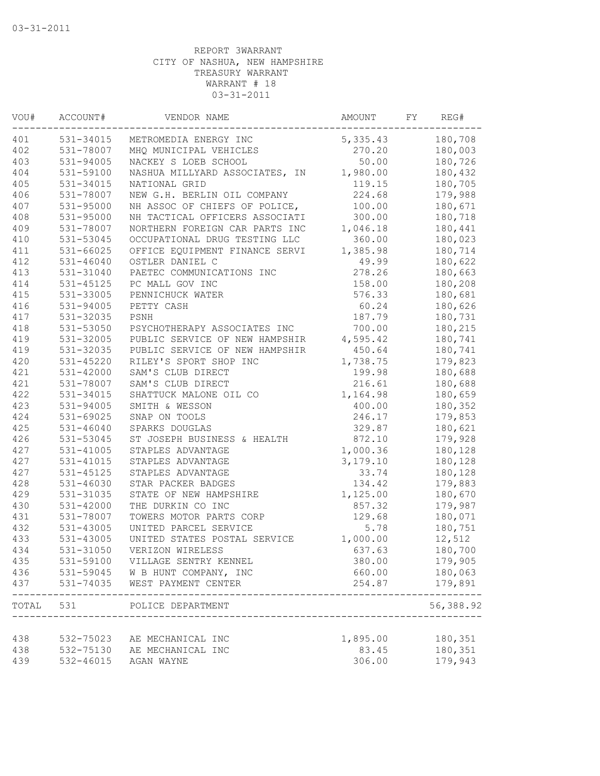| VOU#  | ACCOUNT#      | VENDOR NAME                    | AMOUNT   | FΥ | REG#      |
|-------|---------------|--------------------------------|----------|----|-----------|
| 401   | 531-34015     | METROMEDIA ENERGY INC          | 5,335.43 |    | 180,708   |
| 402   | 531-78007     | MHQ MUNICIPAL VEHICLES         | 270.20   |    | 180,003   |
| 403   | 531-94005     | NACKEY S LOEB SCHOOL           | 50.00    |    | 180,726   |
| 404   | 531-59100     | NASHUA MILLYARD ASSOCIATES, IN | 1,980.00 |    | 180,432   |
| 405   | 531-34015     | NATIONAL GRID                  | 119.15   |    | 180,705   |
| 406   | 531-78007     | NEW G.H. BERLIN OIL COMPANY    | 224.68   |    | 179,988   |
| 407   | 531-95000     | NH ASSOC OF CHIEFS OF POLICE,  | 100.00   |    | 180,671   |
| 408   | 531-95000     | NH TACTICAL OFFICERS ASSOCIATI | 300.00   |    | 180,718   |
| 409   | 531-78007     | NORTHERN FOREIGN CAR PARTS INC | 1,046.18 |    | 180,441   |
| 410   | 531-53045     | OCCUPATIONAL DRUG TESTING LLC  | 360.00   |    | 180,023   |
| 411   | 531-66025     | OFFICE EQUIPMENT FINANCE SERVI | 1,385.98 |    | 180,714   |
| 412   | $531 - 46040$ | OSTLER DANIEL C                | 49.99    |    | 180,622   |
| 413   | 531-31040     | PAETEC COMMUNICATIONS INC      | 278.26   |    | 180,663   |
| 414   | 531-45125     | PC MALL GOV INC                | 158.00   |    | 180,208   |
| 415   | 531-33005     | PENNICHUCK WATER               | 576.33   |    | 180,681   |
| 416   | $531 - 94005$ | PETTY CASH                     | 60.24    |    | 180,626   |
| 417   | 531-32035     | PSNH                           | 187.79   |    | 180,731   |
| 418   | 531-53050     | PSYCHOTHERAPY ASSOCIATES INC   | 700.00   |    | 180,215   |
| 419   | 531-32005     | PUBLIC SERVICE OF NEW HAMPSHIR | 4,595.42 |    | 180,741   |
| 419   | 531-32035     | PUBLIC SERVICE OF NEW HAMPSHIR | 450.64   |    | 180,741   |
| 420   | $531 - 45220$ | RILEY'S SPORT SHOP INC         | 1,738.75 |    | 179,823   |
| 421   | 531-42000     | SAM'S CLUB DIRECT              | 199.98   |    | 180,688   |
| 421   | 531-78007     | SAM'S CLUB DIRECT              | 216.61   |    | 180,688   |
| 422   | 531-34015     | SHATTUCK MALONE OIL CO         | 1,164.98 |    | 180,659   |
| 423   | 531-94005     | SMITH & WESSON                 | 400.00   |    | 180,352   |
| 424   | $531 - 69025$ | SNAP ON TOOLS                  | 246.17   |    | 179,853   |
| 425   | $531 - 46040$ | SPARKS DOUGLAS                 | 329.87   |    | 180,621   |
| 426   | 531-53045     | ST JOSEPH BUSINESS & HEALTH    | 872.10   |    | 179,928   |
| 427   | $531 - 41005$ | STAPLES ADVANTAGE              | 1,000.36 |    | 180,128   |
| 427   | 531-41015     | STAPLES ADVANTAGE              | 3,179.10 |    | 180,128   |
| 427   | 531-45125     | STAPLES ADVANTAGE              | 33.74    |    | 180,128   |
| 428   | 531-46030     | STAR PACKER BADGES             | 134.42   |    | 179,883   |
| 429   | 531-31035     | STATE OF NEW HAMPSHIRE         | 1,125.00 |    | 180,670   |
| 430   | 531-42000     | THE DURKIN CO INC              | 857.32   |    | 179,987   |
| 431   | 531-78007     | TOWERS MOTOR PARTS CORP        | 129.68   |    | 180,071   |
| 432   | 531-43005     | UNITED PARCEL SERVICE          | 5.78     |    | 180,751   |
| 433   | 531-43005     | UNITED STATES POSTAL SERVICE   | 1,000.00 |    | 12,512    |
| 434   | 531-31050     | VERIZON WIRELESS               | 637.63   |    | 180,700   |
| 435   | 531-59100     | VILLAGE SENTRY KENNEL          | 380.00   |    | 179,905   |
| 436   | 531-59045     | W B HUNT COMPANY, INC          | 660.00   |    | 180,063   |
| 437   | 531-74035     | WEST PAYMENT CENTER            | 254.87   |    | 179,891   |
| TOTAL | 531           | POLICE DEPARTMENT              |          |    | 56,388.92 |
| 438   | 532-75023     | AE MECHANICAL INC              | 1,895.00 |    | 180,351   |
| 438   | 532-75130     | AE MECHANICAL INC              | 83.45    |    | 180,351   |
| 439   | 532-46015     | AGAN WAYNE                     | 306.00   |    | 179,943   |
|       |               |                                |          |    |           |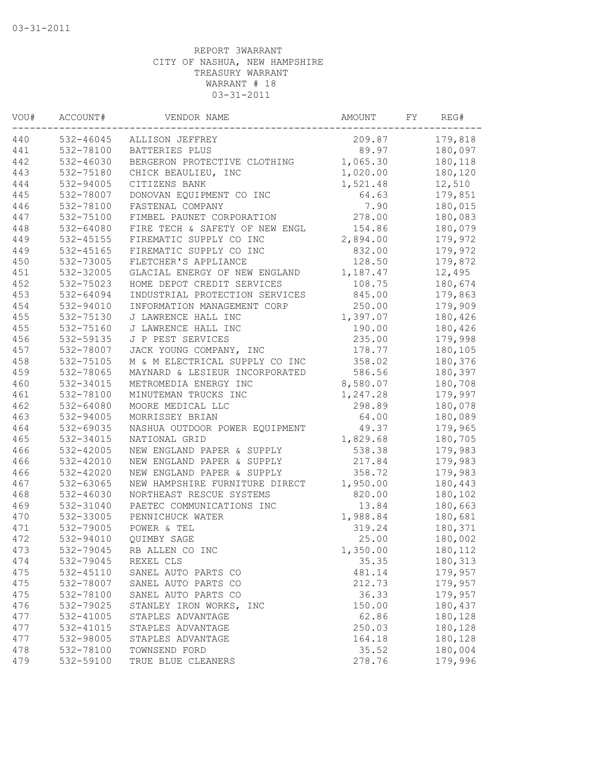| VOU# | ACCOUNT#      | VENDOR NAME                    | AMOUNT   | FY | REG#    |
|------|---------------|--------------------------------|----------|----|---------|
| 440  | 532-46045     | ALLISON JEFFREY                | 209.87   |    | 179,818 |
| 441  | 532-78100     | BATTERIES PLUS                 | 89.97    |    | 180,097 |
| 442  | 532-46030     | BERGERON PROTECTIVE CLOTHING   | 1,065.30 |    | 180,118 |
| 443  | 532-75180     | CHICK BEAULIEU, INC            | 1,020.00 |    | 180,120 |
| 444  | 532-94005     | CITIZENS BANK                  | 1,521.48 |    | 12,510  |
| 445  | 532-78007     | DONOVAN EQUIPMENT CO INC       | 64.63    |    | 179,851 |
| 446  | 532-78100     | FASTENAL COMPANY               | 7.90     |    | 180,015 |
| 447  | 532-75100     | FIMBEL PAUNET CORPORATION      | 278.00   |    | 180,083 |
| 448  | 532-64080     | FIRE TECH & SAFETY OF NEW ENGL | 154.86   |    | 180,079 |
| 449  | $532 - 45155$ | FIREMATIC SUPPLY CO INC        | 2,894.00 |    | 179,972 |
| 449  | $532 - 45165$ | FIREMATIC SUPPLY CO INC        | 832.00   |    | 179,972 |
| 450  | 532-73005     | FLETCHER'S APPLIANCE           | 128.50   |    | 179,872 |
| 451  | 532-32005     | GLACIAL ENERGY OF NEW ENGLAND  | 1,187.47 |    | 12,495  |
| 452  | 532-75023     | HOME DEPOT CREDIT SERVICES     | 108.75   |    | 180,674 |
| 453  | 532-64094     | INDUSTRIAL PROTECTION SERVICES | 845.00   |    | 179,863 |
| 454  | 532-94010     | INFORMATION MANAGEMENT CORP    | 250.00   |    | 179,909 |
| 455  | 532-75130     | J LAWRENCE HALL INC            | 1,397.07 |    | 180,426 |
| 455  | 532-75160     | J LAWRENCE HALL INC            | 190.00   |    | 180,426 |
| 456  | 532-59135     | J P PEST SERVICES              | 235.00   |    | 179,998 |
| 457  | 532-78007     | JACK YOUNG COMPANY, INC        | 178.77   |    | 180,105 |
| 458  | 532-75105     | M & M ELECTRICAL SUPPLY CO INC | 358.02   |    | 180,376 |
| 459  | 532-78065     | MAYNARD & LESIEUR INCORPORATED | 586.56   |    | 180,397 |
| 460  | 532-34015     | METROMEDIA ENERGY INC          | 8,580.07 |    | 180,708 |
| 461  | 532-78100     | MINUTEMAN TRUCKS INC           | 1,247.28 |    | 179,997 |
| 462  | 532-64080     | MOORE MEDICAL LLC              | 298.89   |    | 180,078 |
| 463  | 532-94005     | MORRISSEY BRIAN                | 64.00    |    | 180,089 |
| 464  | 532-69035     | NASHUA OUTDOOR POWER EQUIPMENT | 49.37    |    | 179,965 |
| 465  | 532-34015     | NATIONAL GRID                  | 1,829.68 |    | 180,705 |
| 466  | 532-42005     | NEW ENGLAND PAPER & SUPPLY     | 538.38   |    | 179,983 |
| 466  | 532-42010     | NEW ENGLAND PAPER & SUPPLY     | 217.84   |    | 179,983 |
| 466  | 532-42020     | NEW ENGLAND PAPER & SUPPLY     | 358.72   |    | 179,983 |
| 467  | 532-63065     | NEW HAMPSHIRE FURNITURE DIRECT | 1,950.00 |    | 180,443 |
| 468  | 532-46030     | NORTHEAST RESCUE SYSTEMS       | 820.00   |    | 180,102 |
| 469  | 532-31040     | PAETEC COMMUNICATIONS INC      | 13.84    |    | 180,663 |
| 470  | 532-33005     | PENNICHUCK WATER               | 1,988.84 |    | 180,681 |
| 471  | 532-79005     | POWER & TEL                    | 319.24   |    | 180,371 |
| 472  | 532-94010     | QUIMBY SAGE                    | 25.00    |    | 180,002 |
| 473  | 532-79045     | RB ALLEN CO INC                | 1,350.00 |    | 180,112 |
| 474  | 532-79045     | REXEL CLS                      | 35.35    |    | 180,313 |
| 475  | 532-45110     | SANEL AUTO PARTS CO            | 481.14   |    | 179,957 |
| 475  | 532-78007     | SANEL AUTO PARTS CO            | 212.73   |    | 179,957 |
| 475  | 532-78100     | SANEL AUTO PARTS CO            | 36.33    |    | 179,957 |
| 476  | 532-79025     | STANLEY IRON WORKS, INC        | 150.00   |    | 180,437 |
| 477  | 532-41005     | STAPLES ADVANTAGE              | 62.86    |    | 180,128 |
| 477  | 532-41015     | STAPLES ADVANTAGE              | 250.03   |    | 180,128 |
| 477  | 532-98005     | STAPLES ADVANTAGE              | 164.18   |    | 180,128 |
| 478  | 532-78100     | TOWNSEND FORD                  | 35.52    |    | 180,004 |
| 479  | 532-59100     | TRUE BLUE CLEANERS             | 278.76   |    | 179,996 |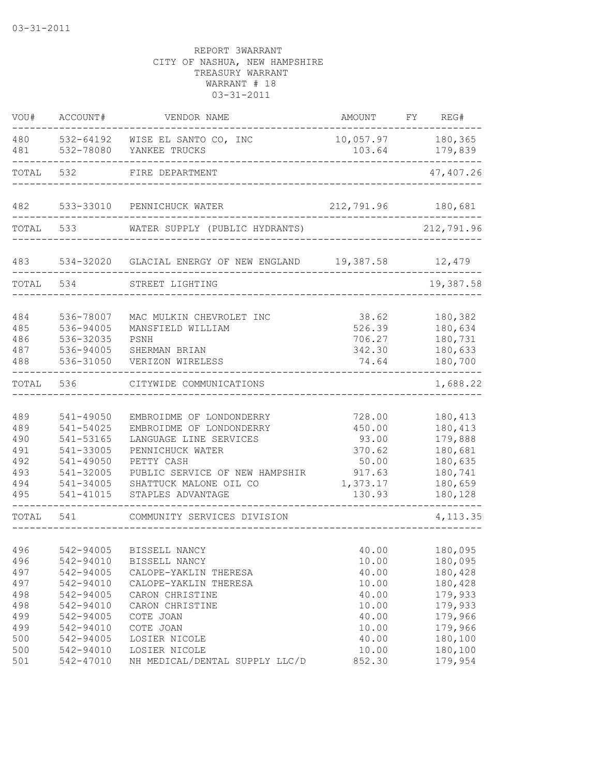| VOU#                                                 | ACCOUNT#                                                                                             | VENDOR NAME                                                                                                                                                                                       | AMOUNT                                                                       | FY REG#                                                                              |
|------------------------------------------------------|------------------------------------------------------------------------------------------------------|---------------------------------------------------------------------------------------------------------------------------------------------------------------------------------------------------|------------------------------------------------------------------------------|--------------------------------------------------------------------------------------|
| 480<br>481                                           | 532-78080                                                                                            | 532-64192 WISE EL SANTO CO, INC<br>YANKEE TRUCKS                                                                                                                                                  | 10,057.97<br>103.64                                                          | 180,365<br>179,839                                                                   |
| TOTAL                                                | 532                                                                                                  | FIRE DEPARTMENT                                                                                                                                                                                   |                                                                              | 47,407.26                                                                            |
| 482                                                  | 533-33010                                                                                            | PENNICHUCK WATER                                                                                                                                                                                  | 212,791.96                                                                   | 180,681                                                                              |
| TOTAL                                                | 533                                                                                                  | WATER SUPPLY (PUBLIC HYDRANTS)                                                                                                                                                                    |                                                                              | 212,791.96                                                                           |
| 483                                                  | 534-32020                                                                                            | GLACIAL ENERGY OF NEW ENGLAND 19,387.58                                                                                                                                                           |                                                                              | 12,479                                                                               |
| TOTAL                                                | 534                                                                                                  | STREET LIGHTING                                                                                                                                                                                   |                                                                              | 19,387.58                                                                            |
| 484<br>485<br>486<br>487<br>488                      | 536-78007<br>536-94005<br>536-32035<br>536-94005<br>536-31050                                        | MAC MULKIN CHEVROLET INC<br>MANSFIELD WILLIAM<br>PSNH<br>SHERMAN BRIAN<br>VERIZON WIRELESS                                                                                                        | 38.62<br>526.39<br>706.27<br>342.30<br>74.64                                 | 180,382<br>180,634<br>180,731<br>180,633<br>180,700                                  |
| TOTAL                                                | 536                                                                                                  | CITYWIDE COMMUNICATIONS                                                                                                                                                                           |                                                                              | 1,688.22                                                                             |
| 489<br>489<br>490<br>491<br>492<br>493<br>494<br>495 | 541-49050<br>541-54025<br>541-53165<br>541-33005<br>541-49050<br>541-32005<br>541-34005<br>541-41015 | EMBROIDME OF LONDONDERRY<br>EMBROIDME OF LONDONDERRY<br>LANGUAGE LINE SERVICES<br>PENNICHUCK WATER<br>PETTY CASH<br>PUBLIC SERVICE OF NEW HAMPSHIR<br>SHATTUCK MALONE OIL CO<br>STAPLES ADVANTAGE | 728.00<br>450.00<br>93.00<br>370.62<br>50.00<br>917.63<br>1,373.17<br>130.93 | 180,413<br>180,413<br>179,888<br>180,681<br>180,635<br>180,741<br>180,659<br>180,128 |
| TOTAL                                                | 541                                                                                                  | COMMUNITY SERVICES DIVISION                                                                                                                                                                       |                                                                              | 4, 113.35                                                                            |
| 496<br>496<br>497<br>497<br>498<br>498<br>499<br>499 | 542-94005<br>542-94010<br>542-94005<br>542-94010<br>542-94005<br>542-94010<br>542-94005<br>542-94010 | BISSELL NANCY<br>BISSELL NANCY<br>CALOPE-YAKLIN THERESA<br>CALOPE-YAKLIN THERESA<br>CARON CHRISTINE<br>CARON CHRISTINE<br>COTE JOAN<br>COTE JOAN                                                  | 40.00<br>10.00<br>40.00<br>10.00<br>40.00<br>10.00<br>40.00<br>10.00         | 180,095<br>180,095<br>180,428<br>180,428<br>179,933<br>179,933<br>179,966<br>179,966 |
| 500<br>500<br>501                                    | 542-94005<br>542-94010<br>542-47010                                                                  | LOSIER NICOLE<br>LOSIER NICOLE<br>NH MEDICAL/DENTAL SUPPLY LLC/D                                                                                                                                  | 40.00<br>10.00<br>852.30                                                     | 180,100<br>180,100<br>179,954                                                        |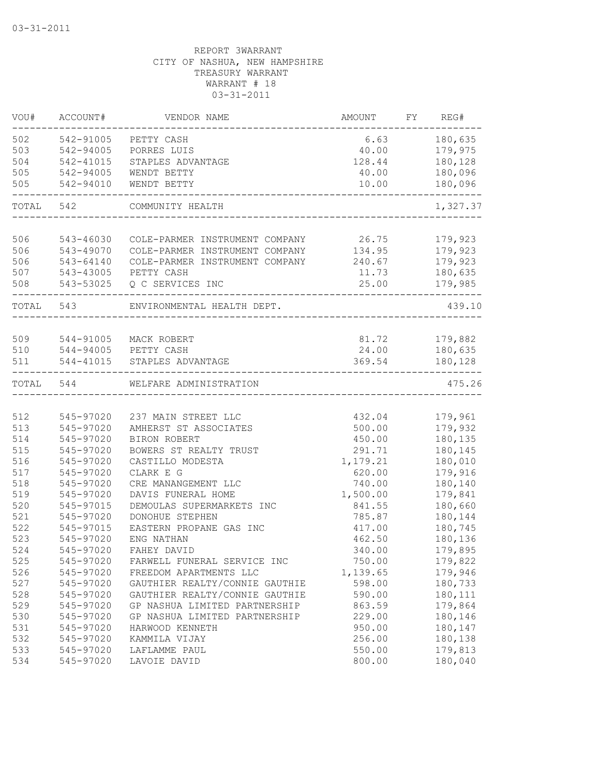| 502<br>180,635<br>542-91005<br>PETTY CASH<br>6.63<br>503<br>542-94005<br>179,975<br>PORRES LUIS<br>40.00<br>542-41015<br>128.44<br>180,128<br>STAPLES ADVANTAGE<br>542-94005<br>180,096<br>WENDT BETTY<br>40.00<br>505<br>542-94010<br>10.00<br>180,096<br>WENDT BETTY<br>1,327.37<br>TOTAL<br>542<br>COMMUNITY HEALTH<br>506<br>543-46030<br>COLE-PARMER INSTRUMENT COMPANY 26.75<br>179,923<br>506<br>179,923<br>543-49070<br>COLE-PARMER INSTRUMENT COMPANY 134.95<br>506<br>543-64140<br>COLE-PARMER INSTRUMENT COMPANY 240.67<br>179,923<br>507<br>180,635<br>543-43005<br>PETTY CASH<br>11.73<br>508<br>543-53025<br>Q C SERVICES INC<br>25.00<br>179,985<br>439.10<br>TOTAL 543<br>ENVIRONMENTAL HEALTH DEPT.<br>509 544-91005 MACK ROBERT<br>81.72<br>179,882<br>510<br>544-94005 PETTY CASH<br>24.00<br>180,635<br>511<br>544-41015<br>STAPLES ADVANTAGE<br>369.54<br>180,128<br>475.26<br>TOTAL<br>544<br>WELFARE ADMINISTRATION<br>179,961<br>512<br>545-97020<br>237 MAIN STREET LLC<br>432.04<br>513<br>179,932<br>545-97020<br>AMHERST ST ASSOCIATES<br>500.00<br>514<br>545-97020<br>180,135<br>BIRON ROBERT<br>450.00<br>515<br>545-97020<br>BOWERS ST REALTY TRUST<br>180,145<br>291.71<br>516<br>545-97020<br>CASTILLO MODESTA<br>1,179.21<br>180,010<br>517<br>545-97020<br>CLARK E G<br>620.00<br>179,916<br>518<br>740.00<br>180,140<br>545-97020<br>CRE MANANGEMENT LLC<br>519<br>1,500.00<br>179,841<br>545-97020<br>DAVIS FUNERAL HOME<br>180,660<br>520<br>545-97015<br>DEMOULAS SUPERMARKETS INC<br>841.55<br>180,144<br>521<br>545-97020<br>DONOHUE STEPHEN<br>785.87<br>180,745<br>522<br>545-97015<br>EASTERN PROPANE GAS INC<br>417.00<br>523<br>180,136<br>545-97020<br>ENG NATHAN<br>462.50<br>179,895<br>524<br>545-97020<br>FAHEY DAVID<br>340.00<br>525<br>545-97020<br>750.00<br>179,822<br>FARWELL FUNERAL SERVICE INC<br>526<br>545-97020<br>1,139.65<br>FREEDOM APARTMENTS LLC<br>179,946<br>527<br>GAUTHIER REALTY/CONNIE GAUTHIE<br>598.00<br>545-97020<br>180,733<br>528<br>GAUTHIER REALTY/CONNIE GAUTHIE<br>545-97020<br>590.00<br>180,111<br>529<br>545-97020<br>GP NASHUA LIMITED PARTNERSHIP<br>863.59<br>179,864<br>530<br>180,146<br>545-97020<br>GP NASHUA LIMITED PARTNERSHIP<br>229.00<br>531<br>180,147<br>545-97020<br>HARWOOD KENNETH<br>950.00<br>532<br>545-97020<br>256.00<br>180,138<br>KAMMILA VIJAY<br>533<br>179,813<br>545-97020<br>550.00<br>LAFLAMME PAUL<br>545-97020<br>180,040<br>534<br>LAVOIE DAVID<br>800.00 | VOU# | ACCOUNT# | VENDOR NAME | AMOUNT | FY REG# |
|-------------------------------------------------------------------------------------------------------------------------------------------------------------------------------------------------------------------------------------------------------------------------------------------------------------------------------------------------------------------------------------------------------------------------------------------------------------------------------------------------------------------------------------------------------------------------------------------------------------------------------------------------------------------------------------------------------------------------------------------------------------------------------------------------------------------------------------------------------------------------------------------------------------------------------------------------------------------------------------------------------------------------------------------------------------------------------------------------------------------------------------------------------------------------------------------------------------------------------------------------------------------------------------------------------------------------------------------------------------------------------------------------------------------------------------------------------------------------------------------------------------------------------------------------------------------------------------------------------------------------------------------------------------------------------------------------------------------------------------------------------------------------------------------------------------------------------------------------------------------------------------------------------------------------------------------------------------------------------------------------------------------------------------------------------------------------------------------------------------------------------------------------------------------------------------------------------------------------------------------------------------------------------------------------------------------------------------------------------------------------------------------------------------------------------------------------------------------------------------|------|----------|-------------|--------|---------|
|                                                                                                                                                                                                                                                                                                                                                                                                                                                                                                                                                                                                                                                                                                                                                                                                                                                                                                                                                                                                                                                                                                                                                                                                                                                                                                                                                                                                                                                                                                                                                                                                                                                                                                                                                                                                                                                                                                                                                                                                                                                                                                                                                                                                                                                                                                                                                                                                                                                                                     |      |          |             |        |         |
|                                                                                                                                                                                                                                                                                                                                                                                                                                                                                                                                                                                                                                                                                                                                                                                                                                                                                                                                                                                                                                                                                                                                                                                                                                                                                                                                                                                                                                                                                                                                                                                                                                                                                                                                                                                                                                                                                                                                                                                                                                                                                                                                                                                                                                                                                                                                                                                                                                                                                     |      |          |             |        |         |
|                                                                                                                                                                                                                                                                                                                                                                                                                                                                                                                                                                                                                                                                                                                                                                                                                                                                                                                                                                                                                                                                                                                                                                                                                                                                                                                                                                                                                                                                                                                                                                                                                                                                                                                                                                                                                                                                                                                                                                                                                                                                                                                                                                                                                                                                                                                                                                                                                                                                                     | 504  |          |             |        |         |
|                                                                                                                                                                                                                                                                                                                                                                                                                                                                                                                                                                                                                                                                                                                                                                                                                                                                                                                                                                                                                                                                                                                                                                                                                                                                                                                                                                                                                                                                                                                                                                                                                                                                                                                                                                                                                                                                                                                                                                                                                                                                                                                                                                                                                                                                                                                                                                                                                                                                                     | 505  |          |             |        |         |
|                                                                                                                                                                                                                                                                                                                                                                                                                                                                                                                                                                                                                                                                                                                                                                                                                                                                                                                                                                                                                                                                                                                                                                                                                                                                                                                                                                                                                                                                                                                                                                                                                                                                                                                                                                                                                                                                                                                                                                                                                                                                                                                                                                                                                                                                                                                                                                                                                                                                                     |      |          |             |        |         |
|                                                                                                                                                                                                                                                                                                                                                                                                                                                                                                                                                                                                                                                                                                                                                                                                                                                                                                                                                                                                                                                                                                                                                                                                                                                                                                                                                                                                                                                                                                                                                                                                                                                                                                                                                                                                                                                                                                                                                                                                                                                                                                                                                                                                                                                                                                                                                                                                                                                                                     |      |          |             |        |         |
|                                                                                                                                                                                                                                                                                                                                                                                                                                                                                                                                                                                                                                                                                                                                                                                                                                                                                                                                                                                                                                                                                                                                                                                                                                                                                                                                                                                                                                                                                                                                                                                                                                                                                                                                                                                                                                                                                                                                                                                                                                                                                                                                                                                                                                                                                                                                                                                                                                                                                     |      |          |             |        |         |
|                                                                                                                                                                                                                                                                                                                                                                                                                                                                                                                                                                                                                                                                                                                                                                                                                                                                                                                                                                                                                                                                                                                                                                                                                                                                                                                                                                                                                                                                                                                                                                                                                                                                                                                                                                                                                                                                                                                                                                                                                                                                                                                                                                                                                                                                                                                                                                                                                                                                                     |      |          |             |        |         |
|                                                                                                                                                                                                                                                                                                                                                                                                                                                                                                                                                                                                                                                                                                                                                                                                                                                                                                                                                                                                                                                                                                                                                                                                                                                                                                                                                                                                                                                                                                                                                                                                                                                                                                                                                                                                                                                                                                                                                                                                                                                                                                                                                                                                                                                                                                                                                                                                                                                                                     |      |          |             |        |         |
|                                                                                                                                                                                                                                                                                                                                                                                                                                                                                                                                                                                                                                                                                                                                                                                                                                                                                                                                                                                                                                                                                                                                                                                                                                                                                                                                                                                                                                                                                                                                                                                                                                                                                                                                                                                                                                                                                                                                                                                                                                                                                                                                                                                                                                                                                                                                                                                                                                                                                     |      |          |             |        |         |
|                                                                                                                                                                                                                                                                                                                                                                                                                                                                                                                                                                                                                                                                                                                                                                                                                                                                                                                                                                                                                                                                                                                                                                                                                                                                                                                                                                                                                                                                                                                                                                                                                                                                                                                                                                                                                                                                                                                                                                                                                                                                                                                                                                                                                                                                                                                                                                                                                                                                                     |      |          |             |        |         |
|                                                                                                                                                                                                                                                                                                                                                                                                                                                                                                                                                                                                                                                                                                                                                                                                                                                                                                                                                                                                                                                                                                                                                                                                                                                                                                                                                                                                                                                                                                                                                                                                                                                                                                                                                                                                                                                                                                                                                                                                                                                                                                                                                                                                                                                                                                                                                                                                                                                                                     |      |          |             |        |         |
|                                                                                                                                                                                                                                                                                                                                                                                                                                                                                                                                                                                                                                                                                                                                                                                                                                                                                                                                                                                                                                                                                                                                                                                                                                                                                                                                                                                                                                                                                                                                                                                                                                                                                                                                                                                                                                                                                                                                                                                                                                                                                                                                                                                                                                                                                                                                                                                                                                                                                     |      |          |             |        |         |
|                                                                                                                                                                                                                                                                                                                                                                                                                                                                                                                                                                                                                                                                                                                                                                                                                                                                                                                                                                                                                                                                                                                                                                                                                                                                                                                                                                                                                                                                                                                                                                                                                                                                                                                                                                                                                                                                                                                                                                                                                                                                                                                                                                                                                                                                                                                                                                                                                                                                                     |      |          |             |        |         |
|                                                                                                                                                                                                                                                                                                                                                                                                                                                                                                                                                                                                                                                                                                                                                                                                                                                                                                                                                                                                                                                                                                                                                                                                                                                                                                                                                                                                                                                                                                                                                                                                                                                                                                                                                                                                                                                                                                                                                                                                                                                                                                                                                                                                                                                                                                                                                                                                                                                                                     |      |          |             |        |         |
|                                                                                                                                                                                                                                                                                                                                                                                                                                                                                                                                                                                                                                                                                                                                                                                                                                                                                                                                                                                                                                                                                                                                                                                                                                                                                                                                                                                                                                                                                                                                                                                                                                                                                                                                                                                                                                                                                                                                                                                                                                                                                                                                                                                                                                                                                                                                                                                                                                                                                     |      |          |             |        |         |
|                                                                                                                                                                                                                                                                                                                                                                                                                                                                                                                                                                                                                                                                                                                                                                                                                                                                                                                                                                                                                                                                                                                                                                                                                                                                                                                                                                                                                                                                                                                                                                                                                                                                                                                                                                                                                                                                                                                                                                                                                                                                                                                                                                                                                                                                                                                                                                                                                                                                                     |      |          |             |        |         |
|                                                                                                                                                                                                                                                                                                                                                                                                                                                                                                                                                                                                                                                                                                                                                                                                                                                                                                                                                                                                                                                                                                                                                                                                                                                                                                                                                                                                                                                                                                                                                                                                                                                                                                                                                                                                                                                                                                                                                                                                                                                                                                                                                                                                                                                                                                                                                                                                                                                                                     |      |          |             |        |         |
|                                                                                                                                                                                                                                                                                                                                                                                                                                                                                                                                                                                                                                                                                                                                                                                                                                                                                                                                                                                                                                                                                                                                                                                                                                                                                                                                                                                                                                                                                                                                                                                                                                                                                                                                                                                                                                                                                                                                                                                                                                                                                                                                                                                                                                                                                                                                                                                                                                                                                     |      |          |             |        |         |
|                                                                                                                                                                                                                                                                                                                                                                                                                                                                                                                                                                                                                                                                                                                                                                                                                                                                                                                                                                                                                                                                                                                                                                                                                                                                                                                                                                                                                                                                                                                                                                                                                                                                                                                                                                                                                                                                                                                                                                                                                                                                                                                                                                                                                                                                                                                                                                                                                                                                                     |      |          |             |        |         |
|                                                                                                                                                                                                                                                                                                                                                                                                                                                                                                                                                                                                                                                                                                                                                                                                                                                                                                                                                                                                                                                                                                                                                                                                                                                                                                                                                                                                                                                                                                                                                                                                                                                                                                                                                                                                                                                                                                                                                                                                                                                                                                                                                                                                                                                                                                                                                                                                                                                                                     |      |          |             |        |         |
|                                                                                                                                                                                                                                                                                                                                                                                                                                                                                                                                                                                                                                                                                                                                                                                                                                                                                                                                                                                                                                                                                                                                                                                                                                                                                                                                                                                                                                                                                                                                                                                                                                                                                                                                                                                                                                                                                                                                                                                                                                                                                                                                                                                                                                                                                                                                                                                                                                                                                     |      |          |             |        |         |
|                                                                                                                                                                                                                                                                                                                                                                                                                                                                                                                                                                                                                                                                                                                                                                                                                                                                                                                                                                                                                                                                                                                                                                                                                                                                                                                                                                                                                                                                                                                                                                                                                                                                                                                                                                                                                                                                                                                                                                                                                                                                                                                                                                                                                                                                                                                                                                                                                                                                                     |      |          |             |        |         |
|                                                                                                                                                                                                                                                                                                                                                                                                                                                                                                                                                                                                                                                                                                                                                                                                                                                                                                                                                                                                                                                                                                                                                                                                                                                                                                                                                                                                                                                                                                                                                                                                                                                                                                                                                                                                                                                                                                                                                                                                                                                                                                                                                                                                                                                                                                                                                                                                                                                                                     |      |          |             |        |         |
|                                                                                                                                                                                                                                                                                                                                                                                                                                                                                                                                                                                                                                                                                                                                                                                                                                                                                                                                                                                                                                                                                                                                                                                                                                                                                                                                                                                                                                                                                                                                                                                                                                                                                                                                                                                                                                                                                                                                                                                                                                                                                                                                                                                                                                                                                                                                                                                                                                                                                     |      |          |             |        |         |
|                                                                                                                                                                                                                                                                                                                                                                                                                                                                                                                                                                                                                                                                                                                                                                                                                                                                                                                                                                                                                                                                                                                                                                                                                                                                                                                                                                                                                                                                                                                                                                                                                                                                                                                                                                                                                                                                                                                                                                                                                                                                                                                                                                                                                                                                                                                                                                                                                                                                                     |      |          |             |        |         |
|                                                                                                                                                                                                                                                                                                                                                                                                                                                                                                                                                                                                                                                                                                                                                                                                                                                                                                                                                                                                                                                                                                                                                                                                                                                                                                                                                                                                                                                                                                                                                                                                                                                                                                                                                                                                                                                                                                                                                                                                                                                                                                                                                                                                                                                                                                                                                                                                                                                                                     |      |          |             |        |         |
|                                                                                                                                                                                                                                                                                                                                                                                                                                                                                                                                                                                                                                                                                                                                                                                                                                                                                                                                                                                                                                                                                                                                                                                                                                                                                                                                                                                                                                                                                                                                                                                                                                                                                                                                                                                                                                                                                                                                                                                                                                                                                                                                                                                                                                                                                                                                                                                                                                                                                     |      |          |             |        |         |
|                                                                                                                                                                                                                                                                                                                                                                                                                                                                                                                                                                                                                                                                                                                                                                                                                                                                                                                                                                                                                                                                                                                                                                                                                                                                                                                                                                                                                                                                                                                                                                                                                                                                                                                                                                                                                                                                                                                                                                                                                                                                                                                                                                                                                                                                                                                                                                                                                                                                                     |      |          |             |        |         |
|                                                                                                                                                                                                                                                                                                                                                                                                                                                                                                                                                                                                                                                                                                                                                                                                                                                                                                                                                                                                                                                                                                                                                                                                                                                                                                                                                                                                                                                                                                                                                                                                                                                                                                                                                                                                                                                                                                                                                                                                                                                                                                                                                                                                                                                                                                                                                                                                                                                                                     |      |          |             |        |         |
|                                                                                                                                                                                                                                                                                                                                                                                                                                                                                                                                                                                                                                                                                                                                                                                                                                                                                                                                                                                                                                                                                                                                                                                                                                                                                                                                                                                                                                                                                                                                                                                                                                                                                                                                                                                                                                                                                                                                                                                                                                                                                                                                                                                                                                                                                                                                                                                                                                                                                     |      |          |             |        |         |
|                                                                                                                                                                                                                                                                                                                                                                                                                                                                                                                                                                                                                                                                                                                                                                                                                                                                                                                                                                                                                                                                                                                                                                                                                                                                                                                                                                                                                                                                                                                                                                                                                                                                                                                                                                                                                                                                                                                                                                                                                                                                                                                                                                                                                                                                                                                                                                                                                                                                                     |      |          |             |        |         |
|                                                                                                                                                                                                                                                                                                                                                                                                                                                                                                                                                                                                                                                                                                                                                                                                                                                                                                                                                                                                                                                                                                                                                                                                                                                                                                                                                                                                                                                                                                                                                                                                                                                                                                                                                                                                                                                                                                                                                                                                                                                                                                                                                                                                                                                                                                                                                                                                                                                                                     |      |          |             |        |         |
|                                                                                                                                                                                                                                                                                                                                                                                                                                                                                                                                                                                                                                                                                                                                                                                                                                                                                                                                                                                                                                                                                                                                                                                                                                                                                                                                                                                                                                                                                                                                                                                                                                                                                                                                                                                                                                                                                                                                                                                                                                                                                                                                                                                                                                                                                                                                                                                                                                                                                     |      |          |             |        |         |
|                                                                                                                                                                                                                                                                                                                                                                                                                                                                                                                                                                                                                                                                                                                                                                                                                                                                                                                                                                                                                                                                                                                                                                                                                                                                                                                                                                                                                                                                                                                                                                                                                                                                                                                                                                                                                                                                                                                                                                                                                                                                                                                                                                                                                                                                                                                                                                                                                                                                                     |      |          |             |        |         |
|                                                                                                                                                                                                                                                                                                                                                                                                                                                                                                                                                                                                                                                                                                                                                                                                                                                                                                                                                                                                                                                                                                                                                                                                                                                                                                                                                                                                                                                                                                                                                                                                                                                                                                                                                                                                                                                                                                                                                                                                                                                                                                                                                                                                                                                                                                                                                                                                                                                                                     |      |          |             |        |         |
|                                                                                                                                                                                                                                                                                                                                                                                                                                                                                                                                                                                                                                                                                                                                                                                                                                                                                                                                                                                                                                                                                                                                                                                                                                                                                                                                                                                                                                                                                                                                                                                                                                                                                                                                                                                                                                                                                                                                                                                                                                                                                                                                                                                                                                                                                                                                                                                                                                                                                     |      |          |             |        |         |
|                                                                                                                                                                                                                                                                                                                                                                                                                                                                                                                                                                                                                                                                                                                                                                                                                                                                                                                                                                                                                                                                                                                                                                                                                                                                                                                                                                                                                                                                                                                                                                                                                                                                                                                                                                                                                                                                                                                                                                                                                                                                                                                                                                                                                                                                                                                                                                                                                                                                                     |      |          |             |        |         |
|                                                                                                                                                                                                                                                                                                                                                                                                                                                                                                                                                                                                                                                                                                                                                                                                                                                                                                                                                                                                                                                                                                                                                                                                                                                                                                                                                                                                                                                                                                                                                                                                                                                                                                                                                                                                                                                                                                                                                                                                                                                                                                                                                                                                                                                                                                                                                                                                                                                                                     |      |          |             |        |         |
|                                                                                                                                                                                                                                                                                                                                                                                                                                                                                                                                                                                                                                                                                                                                                                                                                                                                                                                                                                                                                                                                                                                                                                                                                                                                                                                                                                                                                                                                                                                                                                                                                                                                                                                                                                                                                                                                                                                                                                                                                                                                                                                                                                                                                                                                                                                                                                                                                                                                                     |      |          |             |        |         |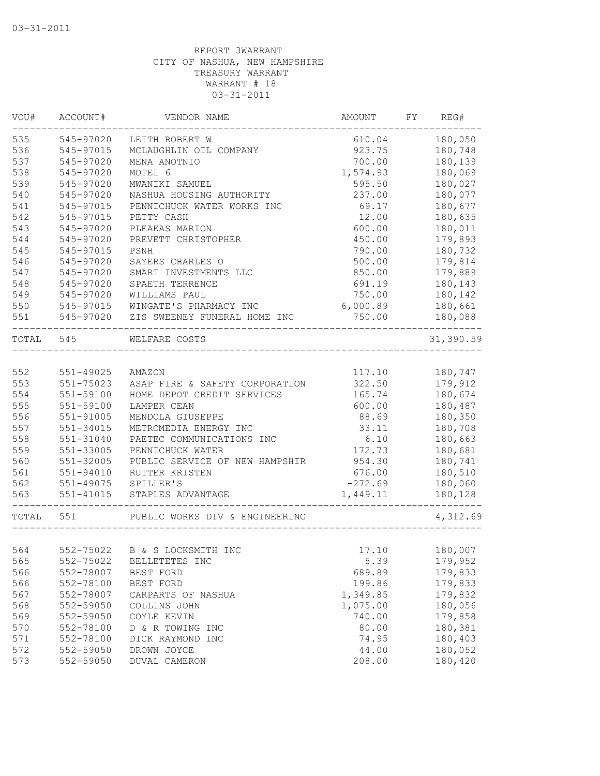| VOU#      | ACCOUNT#      | VENDOR NAME                                          | AMOUNT    | FY | REG#      |
|-----------|---------------|------------------------------------------------------|-----------|----|-----------|
| 535       | 545-97020     | LEITH ROBERT W                                       | 610.04    |    | 180,050   |
| 536       | 545-97015     | MCLAUGHLIN OIL COMPANY                               | 923.75    |    | 180,748   |
| 537       | 545-97020     | MENA ANOTNIO                                         | 700.00    |    | 180,139   |
| 538       | 545-97020     | MOTEL 6                                              | 1,574.93  |    | 180,069   |
| 539       | 545-97020     | MWANIKI SAMUEL                                       | 595.50    |    | 180,027   |
| 540       | 545-97020     | NASHUA HOUSING AUTHORITY                             | 237.00    |    | 180,077   |
| 541       | 545-97015     | PENNICHUCK WATER WORKS INC                           | 69.17     |    | 180,677   |
| 542       | 545-97015     | PETTY CASH                                           | 12.00     |    | 180,635   |
| 543       | 545-97020     | PLEAKAS MARION                                       | 600.00    |    | 180,011   |
| 544       | 545-97020     | PREVETT CHRISTOPHER                                  | 450.00    |    | 179,893   |
| 545       | 545-97015     | PSNH                                                 | 790.00    |    | 180,732   |
| 546       | 545-97020     | SAYERS CHARLES O                                     | 500.00    |    | 179,814   |
| 547       | 545-97020     | SMART INVESTMENTS LLC                                | 850.00    |    | 179,889   |
| 548       | 545-97020     | SPAETH TERRENCE                                      | 691.19    |    | 180,143   |
| 549       | 545-97020     | WILLIAMS PAUL                                        | 750.00    |    | 180,142   |
| 550       | 545-97015     | WINGATE'S PHARMACY INC                               | 6,000.89  |    | 180,661   |
| 551       | 545-97020     | ZIS SWEENEY FUNERAL HOME INC<br>____________________ | 750.00    |    | 180,088   |
| TOTAL 545 |               | WELFARE COSTS                                        |           |    | 31,390.59 |
|           |               |                                                      |           |    |           |
| 552       | 551-49025     | AMAZON                                               | 117.10    |    | 180,747   |
| 553       | $551 - 75023$ | ASAP FIRE & SAFETY CORPORATION                       | 322.50    |    | 179,912   |
| 554       | 551-59100     | HOME DEPOT CREDIT SERVICES                           | 165.74    |    | 180,674   |
| 555       | 551-59100     | LAMPER CEAN                                          | 600.00    |    | 180,487   |
| 556       | 551-91005     | MENDOLA GIUSEPPE                                     | 88.69     |    | 180,350   |
| 557       | 551-34015     | METROMEDIA ENERGY INC                                | 33.11     |    | 180,708   |
| 558       | 551-31040     | PAETEC COMMUNICATIONS INC                            | 6.10      |    | 180,663   |
| 559       | 551-33005     | PENNICHUCK WATER                                     | 172.73    |    | 180,681   |
| 560       | 551-32005     | PUBLIC SERVICE OF NEW HAMPSHIR                       | 954.30    |    | 180,741   |
| 561       | $551 - 94010$ | RUTTER KRISTEN                                       | 676.00    |    | 180,510   |
| 562       | 551-49075     | SPILLER'S                                            | $-272.69$ |    | 180,060   |
| 563       | $551 - 41015$ | STAPLES ADVANTAGE                                    | 1,449.11  |    | 180,128   |
| TOTAL 551 |               | PUBLIC WORKS DIV & ENGINEERING                       |           |    | 4,312.69  |
|           |               |                                                      |           |    |           |
| 564       |               | 552-75022 B & S LOCKSMITH INC                        | 17.10     |    | 180,007   |
| 565       | 552-75022     | BELLETETES INC                                       | 5.39      |    | 179,952   |
| 566       | 552-78007     | BEST FORD                                            | 689.89    |    | 179,833   |
| 566       | 552-78100     | BEST FORD                                            | 199.86    |    | 179,833   |
| 567       | 552-78007     | CARPARTS OF NASHUA                                   | 1,349.85  |    | 179,832   |
| 568       | 552-59050     | COLLINS JOHN                                         | 1,075.00  |    | 180,056   |
| 569       | 552-59050     | COYLE KEVIN                                          | 740.00    |    | 179,858   |
| 570       | 552-78100     | D & R TOWING INC                                     | 80.00     |    | 180,381   |
| 571       | 552-78100     | DICK RAYMOND INC                                     | 74.95     |    | 180,403   |
| 572       | 552-59050     | DROWN JOYCE                                          | 44.00     |    | 180,052   |
| 573       | 552-59050     | DUVAL CAMERON                                        | 208.00    |    | 180,420   |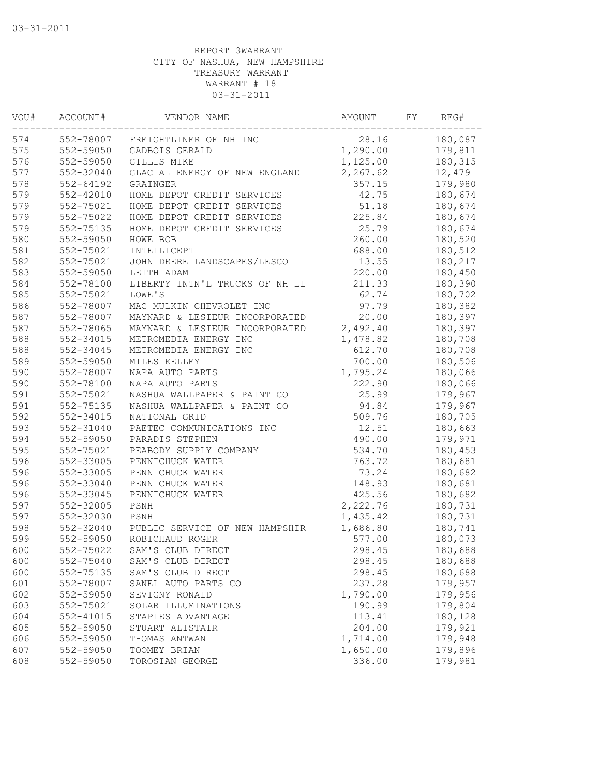| VOU# | ACCOUNT#      | VENDOR NAME                    | AMOUNT   | FY | REG#    |
|------|---------------|--------------------------------|----------|----|---------|
| 574  | 552-78007     | FREIGHTLINER OF NH INC         | 28.16    |    | 180,087 |
| 575  | 552-59050     | GADBOIS GERALD                 | 1,290.00 |    | 179,811 |
| 576  | 552-59050     | GILLIS MIKE                    | 1,125.00 |    | 180,315 |
| 577  | 552-32040     | GLACIAL ENERGY OF NEW ENGLAND  | 2,267.62 |    | 12,479  |
| 578  | 552-64192     | GRAINGER                       | 357.15   |    | 179,980 |
| 579  | $552 - 42010$ | HOME DEPOT CREDIT SERVICES     | 42.75    |    | 180,674 |
| 579  | 552-75021     | HOME DEPOT CREDIT SERVICES     | 51.18    |    | 180,674 |
| 579  | 552-75022     | HOME DEPOT CREDIT SERVICES     | 225.84   |    | 180,674 |
| 579  | 552-75135     | HOME DEPOT CREDIT SERVICES     | 25.79    |    | 180,674 |
| 580  | 552-59050     | HOWE BOB                       | 260.00   |    | 180,520 |
| 581  | 552-75021     | INTELLICEPT                    | 688.00   |    | 180,512 |
| 582  | 552-75021     | JOHN DEERE LANDSCAPES/LESCO    | 13.55    |    | 180,217 |
| 583  | 552-59050     | LEITH ADAM                     | 220.00   |    | 180,450 |
| 584  | 552-78100     | LIBERTY INTN'L TRUCKS OF NH LL | 211.33   |    | 180,390 |
| 585  | 552-75021     | LOWE'S                         | 62.74    |    | 180,702 |
| 586  | 552-78007     | MAC MULKIN CHEVROLET INC       | 97.79    |    | 180,382 |
| 587  | 552-78007     | MAYNARD & LESIEUR INCORPORATED | 20.00    |    | 180,397 |
| 587  | 552-78065     | MAYNARD & LESIEUR INCORPORATED | 2,492.40 |    | 180,397 |
| 588  | 552-34015     | METROMEDIA ENERGY INC          | 1,478.82 |    | 180,708 |
| 588  | 552-34045     | METROMEDIA ENERGY INC          | 612.70   |    | 180,708 |
| 589  | 552-59050     | MILES KELLEY                   | 700.00   |    | 180,506 |
| 590  | 552-78007     | NAPA AUTO PARTS                | 1,795.24 |    | 180,066 |
| 590  | 552-78100     | NAPA AUTO PARTS                | 222.90   |    | 180,066 |
| 591  | 552-75021     | NASHUA WALLPAPER & PAINT CO    | 25.99    |    | 179,967 |
| 591  | 552-75135     | NASHUA WALLPAPER & PAINT CO    | 94.84    |    | 179,967 |
| 592  | 552-34015     | NATIONAL GRID                  | 509.76   |    | 180,705 |
| 593  | 552-31040     | PAETEC COMMUNICATIONS INC      | 12.51    |    | 180,663 |
| 594  | 552-59050     | PARADIS STEPHEN                | 490.00   |    | 179,971 |
| 595  | 552-75021     | PEABODY SUPPLY COMPANY         | 534.70   |    | 180,453 |
| 596  | 552-33005     | PENNICHUCK WATER               | 763.72   |    | 180,681 |
| 596  | 552-33005     | PENNICHUCK WATER               | 73.24    |    | 180,682 |
| 596  | 552-33040     | PENNICHUCK WATER               | 148.93   |    | 180,681 |
| 596  | 552-33045     | PENNICHUCK WATER               | 425.56   |    | 180,682 |
| 597  | 552-32005     | PSNH                           | 2,222.76 |    | 180,731 |
| 597  | 552-32030     | PSNH                           | 1,435.42 |    | 180,731 |
| 598  | 552-32040     | PUBLIC SERVICE OF NEW HAMPSHIR | 1,686.80 |    | 180,741 |
| 599  | 552-59050     | ROBICHAUD ROGER                | 577.00   |    | 180,073 |
| 600  | 552-75022     | SAM'S CLUB DIRECT              | 298.45   |    | 180,688 |
| 600  | 552-75040     | SAM'S CLUB DIRECT              | 298.45   |    | 180,688 |
| 600  | 552-75135     | SAM'S CLUB DIRECT              | 298.45   |    | 180,688 |
| 601  | 552-78007     | SANEL AUTO PARTS CO            | 237.28   |    | 179,957 |
| 602  | 552-59050     | SEVIGNY RONALD                 | 1,790.00 |    | 179,956 |
| 603  | 552-75021     | SOLAR ILLUMINATIONS            | 190.99   |    | 179,804 |
| 604  | 552-41015     | STAPLES ADVANTAGE              | 113.41   |    | 180,128 |
| 605  | 552-59050     | STUART ALISTAIR                | 204.00   |    | 179,921 |
| 606  | 552-59050     | THOMAS ANTWAN                  | 1,714.00 |    | 179,948 |
| 607  | 552-59050     | TOOMEY BRIAN                   | 1,650.00 |    | 179,896 |
| 608  | 552-59050     | TOROSIAN GEORGE                | 336.00   |    | 179,981 |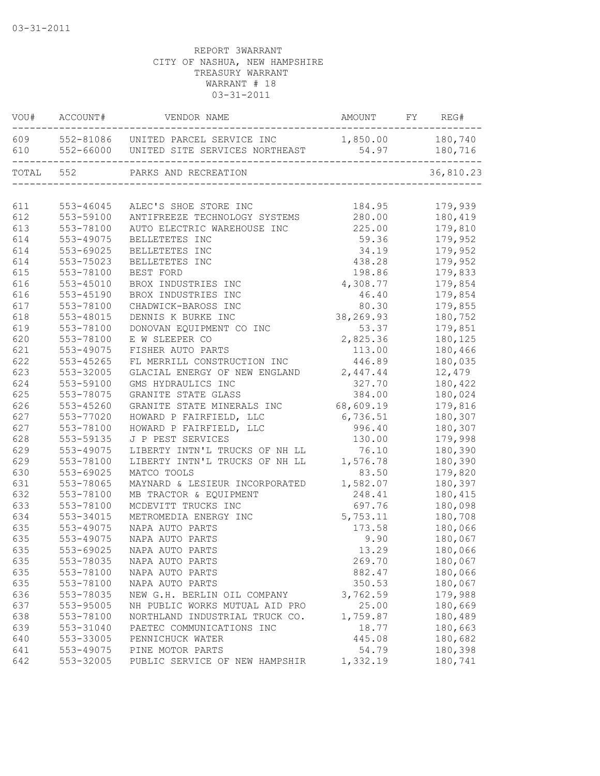|           | VOU# ACCOUNT# | VENDOR NAME                                                                                              | AMOUNT        | FY | REG#      |
|-----------|---------------|----------------------------------------------------------------------------------------------------------|---------------|----|-----------|
|           |               | 609 552-81086 UNITED PARCEL SERVICE INC 1,850.00 180,740<br>610 552-66000 UNITED SITE SERVICES NORTHEAST | 54.97 180,716 |    |           |
| TOTAL 552 |               | PARKS AND RECREATION<br><sub>JIN</sub><br>---------------------------                                    |               |    | 36,810.23 |
|           |               |                                                                                                          |               |    |           |
| 611       | 553-46045     | ALEC'S SHOE STORE INC                                                                                    | 184.95        |    | 179,939   |
| 612       | 553-59100     | ANTIFREEZE TECHNOLOGY SYSTEMS                                                                            | 280.00        |    | 180,419   |
| 613       | 553-78100     | AUTO ELECTRIC WAREHOUSE INC                                                                              | 225.00        |    | 179,810   |
| 614       | 553-49075     | BELLETETES INC                                                                                           | 59.36         |    | 179,952   |
| 614       | 553-69025     | BELLETETES INC                                                                                           | 34.19         |    | 179,952   |
| 614       | 553-75023     | BELLETETES INC                                                                                           | 438.28        |    | 179,952   |
| 615       | 553-78100     | BEST FORD                                                                                                | 198.86        |    | 179,833   |
| 616       | 553-45010     | BROX INDUSTRIES INC                                                                                      | 4,308.77      |    | 179,854   |
| 616       | $553 - 45190$ | BROX INDUSTRIES INC                                                                                      | 46.40         |    | 179,854   |
| 617       | 553-78100     | CHADWICK-BAROSS INC                                                                                      | 80.30         |    | 179,855   |
| 618       | 553-48015     | DENNIS K BURKE INC                                                                                       | 38,269.93     |    | 180,752   |
| 619       | 553-78100     | DONOVAN EQUIPMENT CO INC                                                                                 | 53.37         |    | 179,851   |
| 620       | 553-78100     | E W SLEEPER CO                                                                                           | 2,825.36      |    | 180,125   |
| 621       | 553-49075     | FISHER AUTO PARTS                                                                                        | 113.00        |    | 180,466   |
| 622       | 553-45265     | FL MERRILL CONSTRUCTION INC                                                                              | 446.89        |    | 180,035   |
| 623       | 553-32005     | GLACIAL ENERGY OF NEW ENGLAND 2,447.44                                                                   |               |    | 12,479    |
| 624       | 553-59100     | GMS HYDRAULICS INC                                                                                       | 327.70        |    | 180,422   |
| 625       | 553-78075     | GRANITE STATE GLASS                                                                                      | 384.00        |    | 180,024   |
| 626       | 553-45260     | GRANITE STATE MINERALS INC                                                                               | 68,609.19     |    | 179,816   |
| 627       | 553-77020     | HOWARD P FAIRFIELD, LLC                                                                                  | 6,736.51      |    | 180,307   |
| 627       | 553-78100     | HOWARD P FAIRFIELD, LLC                                                                                  | 996.40        |    | 180,307   |
| 628       | 553-59135     | J P PEST SERVICES                                                                                        | 130.00        |    | 179,998   |
| 629       | 553-49075     | LIBERTY INTN'L TRUCKS OF NH LL                                                                           | 76.10         |    | 180,390   |
| 629       | 553-78100     | LIBERTY INTN'L TRUCKS OF NH LL                                                                           | 1,576.78      |    | 180,390   |
| 630       | 553-69025     | MATCO TOOLS                                                                                              | 83.50         |    | 179,820   |
| 631       | 553-78065     | MAYNARD & LESIEUR INCORPORATED                                                                           | 1,582.07      |    | 180,397   |
| 632       | 553-78100     | MB TRACTOR & EQUIPMENT                                                                                   | 248.41        |    | 180,415   |
| 633       | 553-78100     | MCDEVITT TRUCKS INC                                                                                      | 697.76        |    | 180,098   |
| 634       | 553-34015     | METROMEDIA ENERGY INC                                                                                    | 5,753.11      |    | 180,708   |
| 635       | 553-49075     | NAPA AUTO PARTS                                                                                          | 173.58        |    | 180,066   |
| 635       | 553-49075     | NAPA AUTO PARTS                                                                                          | 9.90          |    | 180,067   |
| 635       | 553-69025     | NAPA AUTO PARTS                                                                                          | 13.29         |    | 180,066   |
| 635       | 553-78035     | NAPA AUTO PARTS                                                                                          | 269.70        |    | 180,067   |
| 635       | 553-78100     | NAPA AUTO PARTS                                                                                          | 882.47        |    | 180,066   |
| 635       | 553-78100     | NAPA AUTO PARTS                                                                                          | 350.53        |    | 180,067   |
| 636       | 553-78035     | NEW G.H. BERLIN OIL COMPANY                                                                              | 3,762.59      |    | 179,988   |
| 637       | 553-95005     | NH PUBLIC WORKS MUTUAL AID PRO                                                                           | 25.00         |    | 180,669   |
| 638       | 553-78100     | NORTHLAND INDUSTRIAL TRUCK CO.                                                                           | 1,759.87      |    | 180,489   |
| 639       | 553-31040     | PAETEC COMMUNICATIONS INC                                                                                | 18.77         |    | 180,663   |
| 640       | 553-33005     | PENNICHUCK WATER                                                                                         | 445.08        |    | 180,682   |
| 641       | 553-49075     | PINE MOTOR PARTS                                                                                         | 54.79         |    | 180,398   |
| 642       | 553-32005     | PUBLIC SERVICE OF NEW HAMPSHIR                                                                           | 1,332.19      |    | 180,741   |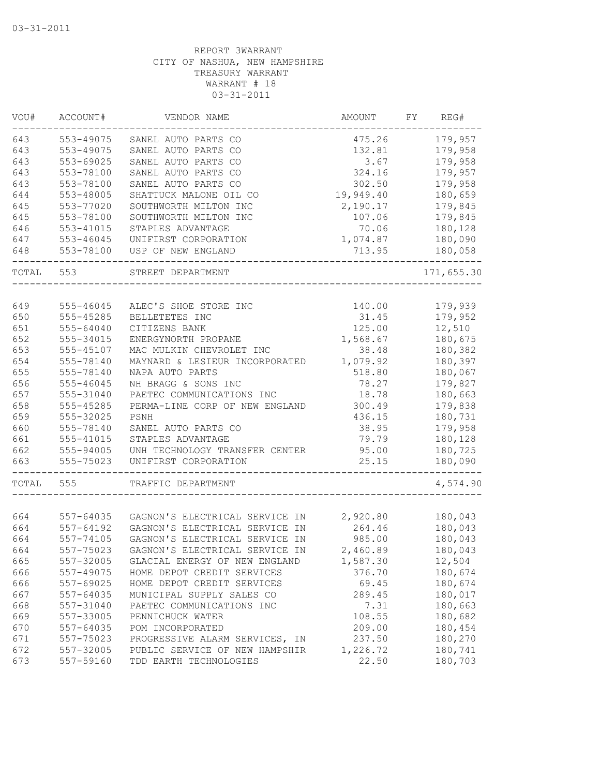| VOU#  | ACCOUNT#      | VENDOR NAME                    | AMOUNT    | FY | REG#       |
|-------|---------------|--------------------------------|-----------|----|------------|
| 643   | 553-49075     | SANEL AUTO PARTS CO            | 475.26    |    | 179,957    |
| 643   | 553-49075     | SANEL AUTO PARTS CO            | 132.81    |    | 179,958    |
| 643   | 553-69025     | SANEL AUTO PARTS CO            | 3.67      |    | 179,958    |
| 643   | 553-78100     | SANEL AUTO PARTS CO            | 324.16    |    | 179,957    |
| 643   | 553-78100     | SANEL AUTO PARTS CO            | 302.50    |    | 179,958    |
| 644   | 553-48005     | SHATTUCK MALONE OIL CO         | 19,949.40 |    | 180,659    |
| 645   | 553-77020     | SOUTHWORTH MILTON INC          | 2,190.17  |    | 179,845    |
| 645   | 553-78100     | SOUTHWORTH MILTON INC          | 107.06    |    | 179,845    |
| 646   | 553-41015     | STAPLES ADVANTAGE              | 70.06     |    | 180,128    |
| 647   | $553 - 46045$ | UNIFIRST CORPORATION           | 1,074.87  |    | 180,090    |
| 648   | 553-78100     | USP OF NEW ENGLAND             | 713.95    |    | 180,058    |
| TOTAL | 553           | STREET DEPARTMENT              |           |    | 171,655.30 |
|       |               |                                |           |    |            |
| 649   | 555-46045     | ALEC'S SHOE STORE INC          | 140.00    |    | 179,939    |
| 650   | 555-45285     | BELLETETES INC                 | 31.45     |    | 179,952    |
| 651   | 555-64040     | CITIZENS BANK                  | 125.00    |    | 12,510     |
| 652   | 555-34015     | ENERGYNORTH PROPANE            | 1,568.67  |    | 180,675    |
| 653   | 555-45107     | MAC MULKIN CHEVROLET INC       | 38.48     |    | 180,382    |
| 654   | 555-78140     | MAYNARD & LESIEUR INCORPORATED | 1,079.92  |    | 180,397    |
| 655   | 555-78140     | NAPA AUTO PARTS                | 518.80    |    | 180,067    |
| 656   | 555-46045     | NH BRAGG & SONS INC            | 78.27     |    | 179,827    |
| 657   | 555-31040     | PAETEC COMMUNICATIONS INC      | 18.78     |    | 180,663    |
| 658   | 555-45285     | PERMA-LINE CORP OF NEW ENGLAND | 300.49    |    | 179,838    |
| 659   | 555-32025     | PSNH                           | 436.15    |    | 180,731    |
| 660   | 555-78140     | SANEL AUTO PARTS CO            | 38.95     |    | 179,958    |
| 661   | 555-41015     | STAPLES ADVANTAGE              | 79.79     |    | 180,128    |
| 662   | 555-94005     | UNH TECHNOLOGY TRANSFER CENTER | 95.00     |    | 180,725    |
| 663   | 555-75023     | UNIFIRST CORPORATION           | 25.15     |    | 180,090    |
| TOTAL | 555           | TRAFFIC DEPARTMENT             |           |    | 4,574.90   |
|       |               |                                |           |    |            |
| 664   | 557-64035     | GAGNON'S ELECTRICAL SERVICE IN | 2,920.80  |    | 180,043    |
| 664   | $557 - 64192$ | GAGNON'S ELECTRICAL SERVICE IN | 264.46    |    | 180,043    |
| 664   | 557-74105     | GAGNON'S ELECTRICAL SERVICE IN | 985.00    |    | 180,043    |
| 664   | 557-75023     | GAGNON'S ELECTRICAL SERVICE IN | 2,460.89  |    | 180,043    |
| 665   | 557-32005     | GLACIAL ENERGY OF NEW ENGLAND  | 1,587.30  |    | 12,504     |
| 666   | 557-49075     | HOME DEPOT CREDIT SERVICES     | 376.70    |    | 180,674    |
| 666   | 557-69025     | HOME DEPOT CREDIT SERVICES     | 69.45     |    | 180,674    |
| 667   | 557-64035     | MUNICIPAL SUPPLY SALES CO      | 289.45    |    | 180,017    |
| 668   | 557-31040     | PAETEC COMMUNICATIONS INC      | 7.31      |    | 180,663    |
| 669   | 557-33005     | PENNICHUCK WATER               | 108.55    |    | 180,682    |
| 670   | 557-64035     | POM INCORPORATED               | 209.00    |    | 180,454    |
| 671   | 557-75023     | PROGRESSIVE ALARM SERVICES, IN | 237.50    |    | 180,270    |
| 672   | 557-32005     | PUBLIC SERVICE OF NEW HAMPSHIR | 1,226.72  |    | 180,741    |
| 673   | 557-59160     | TDD EARTH TECHNOLOGIES         | 22.50     |    | 180,703    |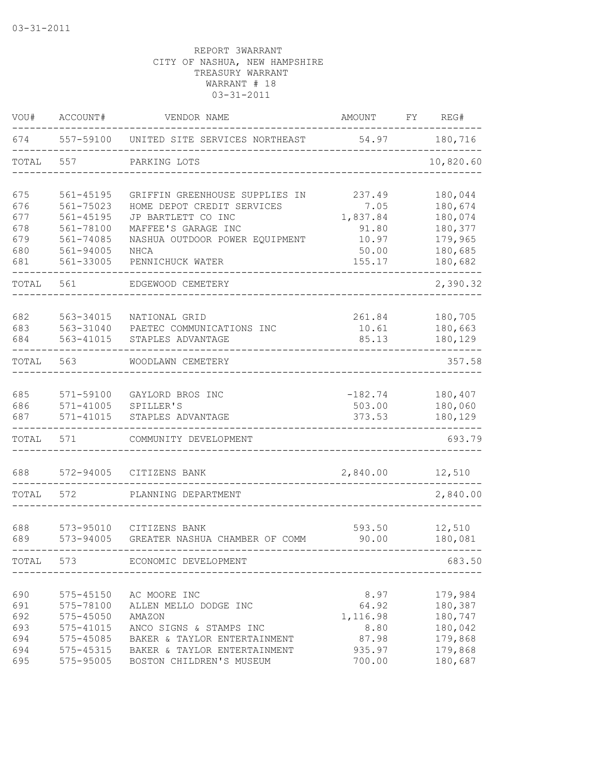| VOU#                                   | ACCOUNT#                                                                       | VENDOR NAME                                                                                                                                | AMOUNT                                               | FY | REG#                                                           |
|----------------------------------------|--------------------------------------------------------------------------------|--------------------------------------------------------------------------------------------------------------------------------------------|------------------------------------------------------|----|----------------------------------------------------------------|
| 674                                    | 557-59100                                                                      | UNITED SITE SERVICES NORTHEAST                                                                                                             | 54.97                                                |    | 180,716                                                        |
| TOTAL                                  | 557                                                                            | PARKING LOTS                                                                                                                               |                                                      |    | 10,820.60                                                      |
| 675<br>676<br>677<br>678               | 561-45195<br>561-75023<br>$561 - 45195$<br>561-78100                           | GRIFFIN GREENHOUSE SUPPLIES IN<br>HOME DEPOT CREDIT SERVICES<br>JP BARTLETT CO INC<br>MAFFEE'S GARAGE INC                                  | 237.49<br>7.05<br>1,837.84<br>91.80                  |    | 180,044<br>180,674<br>180,074<br>180,377                       |
| 679<br>680<br>681                      | 561-74085<br>561-94005<br>561-33005                                            | NASHUA OUTDOOR POWER EQUIPMENT<br>NHCA<br>PENNICHUCK WATER                                                                                 | 10.97<br>50.00<br>155.17                             |    | 179,965<br>180,685<br>180,682                                  |
| TOTAL                                  | 561                                                                            | EDGEWOOD CEMETERY                                                                                                                          |                                                      |    | 2,390.32                                                       |
| 682<br>683<br>684                      | 563-34015<br>563-31040<br>563-41015                                            | NATIONAL GRID<br>PAETEC COMMUNICATIONS INC<br>STAPLES ADVANTAGE                                                                            | 261.84<br>10.61<br>85.13                             |    | 180,705<br>180,663<br>180,129                                  |
| TOTAL                                  | 563                                                                            | WOODLAWN CEMETERY                                                                                                                          |                                                      |    | 357.58                                                         |
| 685<br>686<br>687                      | 571-59100<br>$571 - 41005$<br>$571 - 41015$                                    | GAYLORD BROS INC<br>SPILLER'S<br>STAPLES ADVANTAGE                                                                                         | $-182.74$<br>503.00<br>373.53                        |    | 180,407<br>180,060<br>180,129                                  |
| TOTAL                                  | 571                                                                            | COMMUNITY DEVELOPMENT                                                                                                                      |                                                      |    | 693.79                                                         |
| 688                                    | 572-94005                                                                      | CITIZENS BANK                                                                                                                              | 2,840.00                                             |    | 12,510                                                         |
| TOTAL                                  | 572                                                                            | PLANNING DEPARTMENT                                                                                                                        |                                                      |    | 2,840.00                                                       |
| 688<br>689                             | 573-95010<br>573-94005                                                         | CITIZENS BANK<br>GREATER NASHUA CHAMBER OF COMM                                                                                            | 593.50<br>90.00                                      |    | 12,510<br>180,081                                              |
| TOTAL                                  | 573                                                                            | ECONOMIC DEVELOPMENT                                                                                                                       |                                                      |    | 683.50                                                         |
| 690<br>691<br>692<br>693<br>694<br>694 | 575-45150<br>575-78100<br>$575 - 45050$<br>575-41015<br>575-45085<br>575-45315 | AC MOORE INC<br>ALLEN MELLO DODGE INC<br>AMAZON<br>ANCO SIGNS & STAMPS INC<br>BAKER & TAYLOR ENTERTAINMENT<br>BAKER & TAYLOR ENTERTAINMENT | 8.97<br>64.92<br>1,116.98<br>8.80<br>87.98<br>935.97 |    | 179,984<br>180,387<br>180,747<br>180,042<br>179,868<br>179,868 |
| 695                                    | 575-95005                                                                      | BOSTON CHILDREN'S MUSEUM                                                                                                                   | 700.00                                               |    | 180,687                                                        |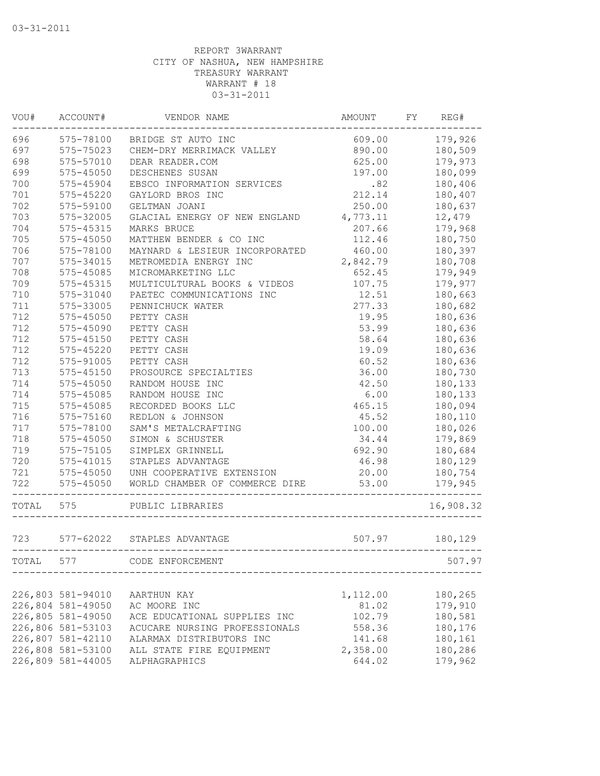| WOU#  | ACCOUNT#          | VENDOR NAME                    | AMOUNT   | FY | REG#      |
|-------|-------------------|--------------------------------|----------|----|-----------|
| 696   | 575-78100         | BRIDGE ST AUTO INC             | 609.00   |    | 179,926   |
| 697   | 575-75023         | CHEM-DRY MERRIMACK VALLEY      | 890.00   |    | 180,509   |
| 698   | 575-57010         | DEAR READER.COM                | 625.00   |    | 179,973   |
| 699   | 575-45050         | DESCHENES SUSAN                | 197.00   |    | 180,099   |
| 700   | 575-45904         | EBSCO INFORMATION SERVICES     | .82      |    | 180,406   |
| 701   | 575-45220         | GAYLORD BROS INC               | 212.14   |    | 180,407   |
| 702   | 575-59100         | GELTMAN JOANI                  | 250.00   |    | 180,637   |
| 703   | 575-32005         | GLACIAL ENERGY OF NEW ENGLAND  | 4,773.11 |    | 12,479    |
| 704   | 575-45315         | MARKS BRUCE                    | 207.66   |    | 179,968   |
| 705   | 575-45050         | MATTHEW BENDER & CO INC        | 112.46   |    | 180,750   |
| 706   | 575-78100         | MAYNARD & LESIEUR INCORPORATED | 460.00   |    | 180,397   |
| 707   | 575-34015         | METROMEDIA ENERGY INC          | 2,842.79 |    | 180,708   |
| 708   | 575-45085         | MICROMARKETING LLC             | 652.45   |    | 179,949   |
| 709   | 575-45315         | MULTICULTURAL BOOKS & VIDEOS   | 107.75   |    | 179,977   |
| 710   | 575-31040         | PAETEC COMMUNICATIONS INC      | 12.51    |    | 180,663   |
| 711   | 575-33005         | PENNICHUCK WATER               | 277.33   |    | 180,682   |
| 712   | $575 - 45050$     | PETTY CASH                     | 19.95    |    | 180,636   |
| 712   | 575-45090         | PETTY CASH                     | 53.99    |    | 180,636   |
| 712   | $575 - 45150$     | PETTY CASH                     | 58.64    |    | 180,636   |
| 712   | $575 - 45220$     | PETTY CASH                     | 19.09    |    | 180,636   |
| 712   | 575-91005         | PETTY CASH                     | 60.52    |    | 180,636   |
| 713   | $575 - 45150$     | PROSOURCE SPECIALTIES          | 36.00    |    | 180,730   |
| 714   | 575-45050         | RANDOM HOUSE INC               | 42.50    |    | 180,133   |
| 714   | 575-45085         | RANDOM HOUSE INC               | 6.00     |    | 180,133   |
| 715   | 575-45085         | RECORDED BOOKS LLC             | 465.15   |    | 180,094   |
| 716   | 575-75160         | REDLON & JOHNSON               | 45.52    |    | 180,110   |
| 717   | 575-78100         | SAM'S METALCRAFTING            | 100.00   |    | 180,026   |
| 718   | 575-45050         | SIMON & SCHUSTER               | 34.44    |    | 179,869   |
| 719   | 575-75105         | SIMPLEX GRINNELL               | 692.90   |    | 180,684   |
| 720   | $575 - 41015$     | STAPLES ADVANTAGE              | 46.98    |    |           |
|       |                   |                                |          |    | 180,129   |
| 721   | $575 - 45050$     | UNH COOPERATIVE EXTENSION      | 20.00    |    | 180,754   |
| 722   | $575 - 45050$     | WORLD CHAMBER OF COMMERCE DIRE | 53.00    |    | 179,945   |
| TOTAL | 575               | PUBLIC LIBRARIES               |          |    | 16,908.32 |
| 723   |                   | 577-62022 STAPLES ADVANTAGE    | 507.97   |    | 180,129   |
| TOTAL | 577               | CODE ENFORCEMENT               |          |    | 507.97    |
|       |                   |                                |          |    |           |
|       | 226,803 581-94010 | AARTHUN KAY                    | 1,112.00 |    | 180,265   |
|       | 226,804 581-49050 | AC MOORE INC                   | 81.02    |    | 179,910   |
|       | 226,805 581-49050 | ACE EDUCATIONAL SUPPLIES INC   | 102.79   |    | 180,581   |
|       | 226,806 581-53103 | ACUCARE NURSING PROFESSIONALS  | 558.36   |    | 180,176   |
|       | 226,807 581-42110 | ALARMAX DISTRIBUTORS INC       | 141.68   |    | 180,161   |
|       | 226,808 581-53100 | ALL STATE FIRE EQUIPMENT       | 2,358.00 |    | 180,286   |
|       | 226,809 581-44005 | ALPHAGRAPHICS                  | 644.02   |    | 179,962   |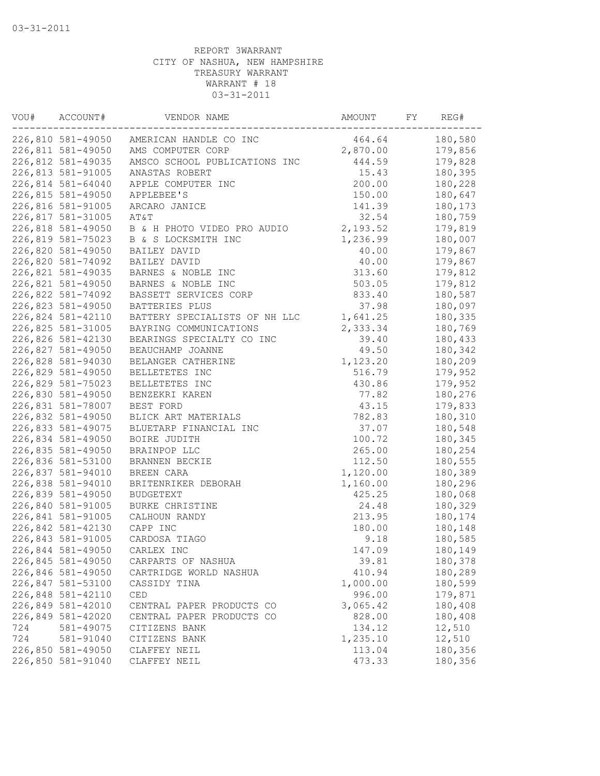| VOU# | ACCOUNT#                               | VENDOR NAME                             | AMOUNT             | FY | REG#    |
|------|----------------------------------------|-----------------------------------------|--------------------|----|---------|
|      | 226,810 581-49050                      | AMERICAN HANDLE CO INC                  | 464.64             |    | 180,580 |
|      | 226,811 581-49050                      | AMS COMPUTER CORP                       | 2,870.00           |    | 179,856 |
|      | 226,812 581-49035                      | AMSCO SCHOOL PUBLICATIONS INC           | 444.59             |    | 179,828 |
|      | 226,813 581-91005                      | ANASTAS ROBERT                          | 15.43              |    | 180,395 |
|      | 226,814 581-64040                      | APPLE COMPUTER INC                      | 200.00             |    | 180,228 |
|      | 226,815 581-49050                      | APPLEBEE'S                              | 150.00             |    | 180,647 |
|      | 226,816 581-91005                      | ARCARO JANICE                           | 141.39             |    | 180,173 |
|      | 226,817 581-31005                      | AT&T                                    | 32.54              |    | 180,759 |
|      | 226,818 581-49050                      | B & H PHOTO VIDEO PRO AUDIO             | 2,193.52           |    | 179,819 |
|      | 226,819 581-75023                      | B & S LOCKSMITH INC                     | 1,236.99           |    | 180,007 |
|      | 226,820 581-49050                      | BAILEY DAVID                            | 40.00              |    | 179,867 |
|      | 226,820 581-74092                      | BAILEY DAVID                            | 40.00              |    | 179,867 |
|      | 226,821 581-49035                      | BARNES & NOBLE INC                      | 313.60             |    | 179,812 |
|      | 226,821 581-49050                      | BARNES & NOBLE INC                      | 503.05             |    | 179,812 |
|      | 226,822 581-74092                      | BASSETT SERVICES CORP                   | 833.40             |    | 180,587 |
|      | 226,823 581-49050                      | BATTERIES PLUS                          | 37.98              |    | 180,097 |
|      | 226,824 581-42110                      | BATTERY SPECIALISTS OF NH LLC           | 1,641.25           |    | 180,335 |
|      | 226,825 581-31005                      | BAYRING COMMUNICATIONS                  | 2,333.34           |    | 180,769 |
|      | 226,826 581-42130                      | BEARINGS SPECIALTY CO INC               | 39.40              |    | 180,433 |
|      | 226,827 581-49050                      | BEAUCHAMP JOANNE                        | 49.50              |    | 180,342 |
|      | 226,828 581-94030                      | BELANGER CATHERINE                      | 1,123.20           |    | 180,209 |
|      | 226,829 581-49050                      | BELLETETES INC                          | 516.79             |    | 179,952 |
|      | 226,829 581-75023                      | BELLETETES INC                          | 430.86             |    | 179,952 |
|      | 226,830 581-49050                      | BENZEKRI KAREN                          | 77.82              |    | 180,276 |
|      | 226,831 581-78007                      | BEST FORD                               | 43.15              |    | 179,833 |
|      | 226,832 581-49050                      | BLICK ART MATERIALS                     | 782.83             |    | 180,310 |
|      | 226,833 581-49075                      | BLUETARP FINANCIAL INC                  | 37.07              |    | 180,548 |
|      | 226,834 581-49050                      | BOIRE JUDITH                            | 100.72             |    | 180,345 |
|      | 226,835 581-49050                      | BRAINPOP LLC                            | 265.00             |    | 180,254 |
|      | 226,836 581-53100                      | BRANNEN BECKIE                          | 112.50             |    | 180,555 |
|      | 226,837 581-94010                      | BREEN CARA                              | 1,120.00           |    | 180,389 |
|      |                                        |                                         |                    |    |         |
|      | 226,838 581-94010<br>226,839 581-49050 | BRITENRIKER DEBORAH<br><b>BUDGETEXT</b> | 1,160.00<br>425.25 |    | 180,296 |
|      |                                        |                                         |                    |    | 180,068 |
|      | 226,840 581-91005                      | BURKE CHRISTINE                         | 24.48              |    | 180,329 |
|      | 226,841 581-91005                      | CALHOUN RANDY                           | 213.95             |    | 180,174 |
|      | 226,842 581-42130                      | CAPP INC                                | 180.00             |    | 180,148 |
|      | 226,843 581-91005                      | CARDOSA TIAGO                           | 9.18               |    | 180,585 |
|      | 226,844 581-49050                      | CARLEX INC                              | 147.09             |    | 180,149 |
|      | 226,845 581-49050                      | CARPARTS OF NASHUA                      | 39.81              |    | 180,378 |
|      | 226,846 581-49050                      | CARTRIDGE WORLD NASHUA                  | 410.94             |    | 180,289 |
|      | 226,847 581-53100                      | CASSIDY TINA                            | 1,000.00           |    | 180,599 |
|      | 226,848 581-42110                      | CED                                     | 996.00             |    | 179,871 |
|      | 226,849 581-42010                      | CENTRAL PAPER PRODUCTS CO               | 3,065.42           |    | 180,408 |
|      | 226,849 581-42020                      | CENTRAL PAPER PRODUCTS CO               | 828.00             |    | 180,408 |
| 724  | 581-49075                              | CITIZENS BANK                           | 134.12             |    | 12,510  |
| 724  | 581-91040                              | CITIZENS BANK                           | 1,235.10           |    | 12,510  |
|      | 226,850 581-49050                      | CLAFFEY NEIL                            | 113.04             |    | 180,356 |
|      | 226,850 581-91040                      | CLAFFEY NEIL                            | 473.33             |    | 180,356 |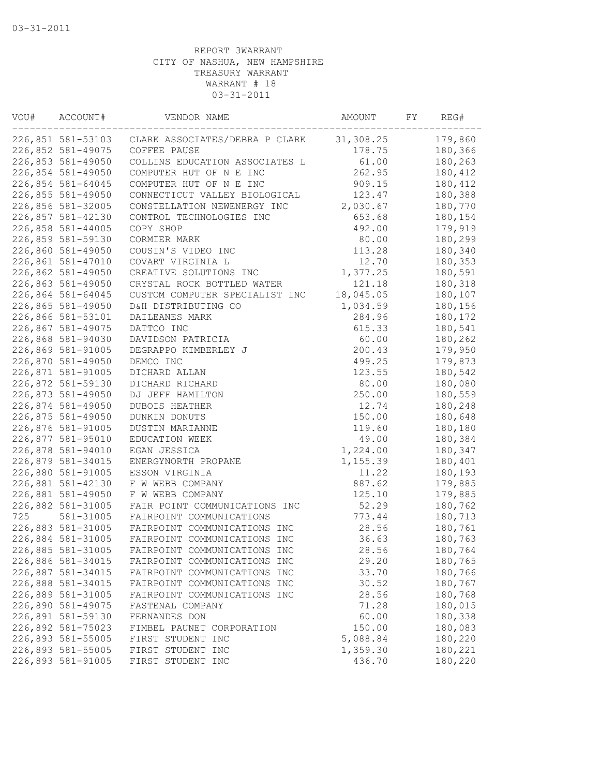| VOU# | ACCOUNT#          | VENDOR NAME                    | AMOUNT    | FY | REG#    |
|------|-------------------|--------------------------------|-----------|----|---------|
|      | 226,851 581-53103 | CLARK ASSOCIATES/DEBRA P CLARK | 31,308.25 |    | 179,860 |
|      | 226,852 581-49075 | COFFEE PAUSE                   | 178.75    |    | 180,366 |
|      | 226,853 581-49050 | COLLINS EDUCATION ASSOCIATES L | 61.00     |    | 180,263 |
|      | 226,854 581-49050 | COMPUTER HUT OF N E INC        | 262.95    |    | 180,412 |
|      | 226,854 581-64045 | COMPUTER HUT OF N E INC        | 909.15    |    | 180,412 |
|      | 226,855 581-49050 | CONNECTICUT VALLEY BIOLOGICAL  | 123.47    |    | 180,388 |
|      | 226,856 581-32005 | CONSTELLATION NEWENERGY INC    | 2,030.67  |    | 180,770 |
|      | 226,857 581-42130 | CONTROL TECHNOLOGIES INC       | 653.68    |    | 180,154 |
|      | 226,858 581-44005 | COPY SHOP                      | 492.00    |    | 179,919 |
|      | 226,859 581-59130 | CORMIER MARK                   | 80.00     |    | 180,299 |
|      | 226,860 581-49050 | COUSIN'S VIDEO INC             | 113.28    |    | 180,340 |
|      | 226,861 581-47010 | COVART VIRGINIA L              | 12.70     |    | 180,353 |
|      | 226,862 581-49050 | CREATIVE SOLUTIONS INC         | 1,377.25  |    | 180,591 |
|      | 226,863 581-49050 | CRYSTAL ROCK BOTTLED WATER     | 121.18    |    | 180,318 |
|      | 226,864 581-64045 | CUSTOM COMPUTER SPECIALIST INC | 18,045.05 |    | 180,107 |
|      | 226,865 581-49050 | D&H DISTRIBUTING CO            | 1,034.59  |    | 180,156 |
|      | 226,866 581-53101 | DAILEANES MARK                 | 284.96    |    | 180,172 |
|      | 226,867 581-49075 | DATTCO INC                     | 615.33    |    | 180,541 |
|      | 226,868 581-94030 | DAVIDSON PATRICIA              | 60.00     |    | 180,262 |
|      | 226,869 581-91005 | DEGRAPPO KIMBERLEY J           | 200.43    |    | 179,950 |
|      | 226,870 581-49050 | DEMCO INC                      | 499.25    |    | 179,873 |
|      | 226,871 581-91005 | DICHARD ALLAN                  | 123.55    |    | 180,542 |
|      | 226,872 581-59130 | DICHARD RICHARD                | 80.00     |    | 180,080 |
|      | 226,873 581-49050 | DJ JEFF HAMILTON               | 250.00    |    | 180,559 |
|      | 226,874 581-49050 | DUBOIS HEATHER                 | 12.74     |    | 180,248 |
|      | 226,875 581-49050 | DUNKIN DONUTS                  | 150.00    |    | 180,648 |
|      | 226,876 581-91005 | DUSTIN MARIANNE                | 119.60    |    | 180,180 |
|      | 226,877 581-95010 | EDUCATION WEEK                 | 49.00     |    | 180,384 |
|      | 226,878 581-94010 |                                |           |    | 180,347 |
|      | 226,879 581-34015 | EGAN JESSICA                   | 1,224.00  |    | 180,401 |
|      |                   | ENERGYNORTH PROPANE            | 1,155.39  |    |         |
|      | 226,880 581-91005 | ESSON VIRGINIA                 | 11.22     |    | 180,193 |
|      | 226,881 581-42130 | F W WEBB COMPANY               | 887.62    |    | 179,885 |
|      | 226,881 581-49050 | F W WEBB COMPANY               | 125.10    |    | 179,885 |
|      | 226,882 581-31005 | FAIR POINT COMMUNICATIONS INC  | 52.29     |    | 180,762 |
| 725  | 581-31005         | FAIRPOINT COMMUNICATIONS       | 773.44    |    | 180,713 |
|      | 226,883 581-31005 | FAIRPOINT COMMUNICATIONS INC   | 28.56     |    | 180,761 |
|      | 226,884 581-31005 | FAIRPOINT COMMUNICATIONS INC   | 36.63     |    | 180,763 |
|      | 226,885 581-31005 | FAIRPOINT COMMUNICATIONS INC   | 28.56     |    | 180,764 |
|      | 226,886 581-34015 | FAIRPOINT COMMUNICATIONS INC   | 29.20     |    | 180,765 |
|      | 226,887 581-34015 | FAIRPOINT COMMUNICATIONS INC   | 33.70     |    | 180,766 |
|      | 226,888 581-34015 | FAIRPOINT COMMUNICATIONS INC   | 30.52     |    | 180,767 |
|      | 226,889 581-31005 | FAIRPOINT COMMUNICATIONS INC   | 28.56     |    | 180,768 |
|      | 226,890 581-49075 | FASTENAL COMPANY               | 71.28     |    | 180,015 |
|      | 226,891 581-59130 | FERNANDES DON                  | 60.00     |    | 180,338 |
|      | 226,892 581-75023 | FIMBEL PAUNET CORPORATION      | 150.00    |    | 180,083 |
|      | 226,893 581-55005 | FIRST STUDENT INC              | 5,088.84  |    | 180,220 |
|      | 226,893 581-55005 | FIRST STUDENT INC              | 1,359.30  |    | 180,221 |
|      | 226,893 581-91005 | FIRST STUDENT INC              | 436.70    |    | 180,220 |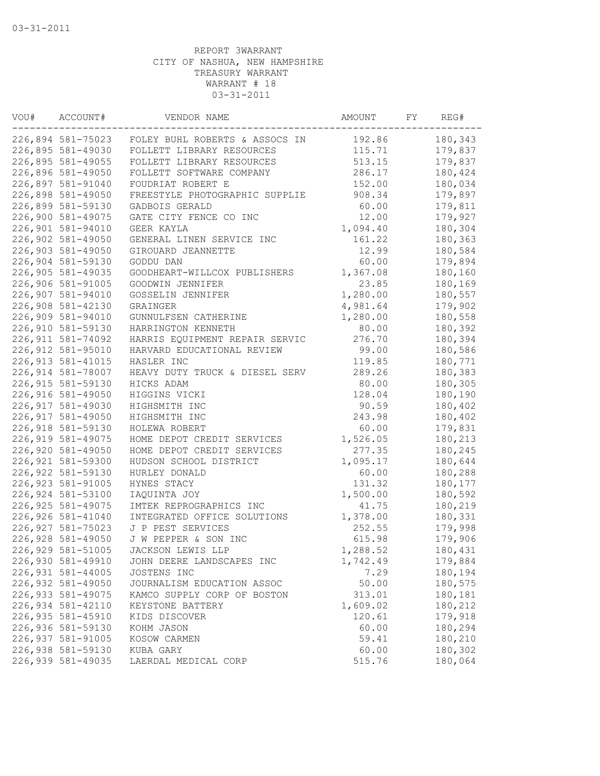| VOU# | ACCOUNT#           | VENDOR NAME                    | AMOUNT   | FY | REG#    |
|------|--------------------|--------------------------------|----------|----|---------|
|      | 226,894 581-75023  | FOLEY BUHL ROBERTS & ASSOCS IN | 192.86   |    | 180,343 |
|      | 226,895 581-49030  | FOLLETT LIBRARY RESOURCES      | 115.71   |    | 179,837 |
|      | 226,895 581-49055  | FOLLETT LIBRARY RESOURCES      | 513.15   |    | 179,837 |
|      | 226,896 581-49050  | FOLLETT SOFTWARE COMPANY       | 286.17   |    | 180,424 |
|      | 226,897 581-91040  | FOUDRIAT ROBERT E              | 152.00   |    | 180,034 |
|      | 226,898 581-49050  | FREESTYLE PHOTOGRAPHIC SUPPLIE | 908.34   |    | 179,897 |
|      | 226,899 581-59130  | GADBOIS GERALD                 | 60.00    |    | 179,811 |
|      | 226,900 581-49075  | GATE CITY FENCE CO INC         | 12.00    |    | 179,927 |
|      | 226,901 581-94010  | GEER KAYLA                     | 1,094.40 |    | 180,304 |
|      | 226,902 581-49050  | GENERAL LINEN SERVICE INC      | 161.22   |    | 180,363 |
|      | 226,903 581-49050  | GIROUARD JEANNETTE             | 12.99    |    | 180,584 |
|      | 226,904 581-59130  | GODDU DAN                      | 60.00    |    | 179,894 |
|      | 226,905 581-49035  | GOODHEART-WILLCOX PUBLISHERS   | 1,367.08 |    | 180,160 |
|      | 226,906 581-91005  | GOODWIN JENNIFER               | 23.85    |    | 180,169 |
|      | 226,907 581-94010  | GOSSELIN JENNIFER              | 1,280.00 |    | 180,557 |
|      | 226,908 581-42130  | <b>GRAINGER</b>                | 4,981.64 |    | 179,902 |
|      | 226,909 581-94010  | GUNNULFSEN CATHERINE           | 1,280.00 |    | 180,558 |
|      | 226,910 581-59130  | HARRINGTON KENNETH             | 80.00    |    | 180,392 |
|      | 226, 911 581-74092 | HARRIS EQUIPMENT REPAIR SERVIC | 276.70   |    | 180,394 |
|      | 226,912 581-95010  | HARVARD EDUCATIONAL REVIEW     | 99.00    |    | 180,586 |
|      | 226, 913 581-41015 | HASLER INC                     | 119.85   |    | 180,771 |
|      | 226,914 581-78007  | HEAVY DUTY TRUCK & DIESEL SERV | 289.26   |    | 180,383 |
|      | 226, 915 581-59130 | HICKS ADAM                     | 80.00    |    | 180,305 |
|      | 226,916 581-49050  | HIGGINS VICKI                  | 128.04   |    | 180,190 |
|      | 226, 917 581-49030 | HIGHSMITH INC                  | 90.59    |    | 180,402 |
|      | 226, 917 581-49050 | HIGHSMITH INC                  | 243.98   |    | 180,402 |
|      | 226,918 581-59130  | HOLEWA ROBERT                  | 60.00    |    | 179,831 |
|      | 226, 919 581-49075 | HOME DEPOT CREDIT SERVICES     | 1,526.05 |    | 180,213 |
|      | 226,920 581-49050  | HOME DEPOT CREDIT SERVICES     | 277.35   |    | 180,245 |
|      | 226,921 581-59300  | HUDSON SCHOOL DISTRICT         | 1,095.17 |    | 180,644 |
|      | 226,922 581-59130  | HURLEY DONALD                  | 60.00    |    | 180,288 |
|      | 226, 923 581-91005 | HYNES STACY                    | 131.32   |    | 180,177 |
|      | 226,924 581-53100  | IAQUINTA JOY                   | 1,500.00 |    | 180,592 |
|      | 226, 925 581-49075 | IMTEK REPROGRAPHICS INC        | 41.75    |    | 180,219 |
|      | 226,926 581-41040  | INTEGRATED OFFICE SOLUTIONS    | 1,378.00 |    | 180,331 |
|      | 226, 927 581-75023 | J P PEST SERVICES              | 252.55   |    | 179,998 |
|      | 226,928 581-49050  | J W PEPPER & SON INC           | 615.98   |    | 179,906 |
|      | 226,929 581-51005  | JACKSON LEWIS LLP              | 1,288.52 |    | 180,431 |
|      | 226,930 581-49910  | JOHN DEERE LANDSCAPES INC      | 1,742.49 |    | 179,884 |
|      | 226,931 581-44005  | JOSTENS INC                    | 7.29     |    | 180,194 |
|      | 226,932 581-49050  | JOURNALISM EDUCATION ASSOC     | 50.00    |    | 180,575 |
|      | 226,933 581-49075  | KAMCO SUPPLY CORP OF BOSTON    | 313.01   |    | 180,181 |
|      | 226,934 581-42110  | KEYSTONE BATTERY               | 1,609.02 |    | 180,212 |
|      | 226,935 581-45910  | KIDS DISCOVER                  | 120.61   |    | 179,918 |
|      | 226,936 581-59130  | KOHM JASON                     | 60.00    |    | 180,294 |
|      | 226,937 581-91005  | KOSOW CARMEN                   | 59.41    |    | 180,210 |
|      | 226,938 581-59130  | KUBA GARY                      | 60.00    |    | 180,302 |
|      | 226,939 581-49035  | LAERDAL MEDICAL CORP           | 515.76   |    | 180,064 |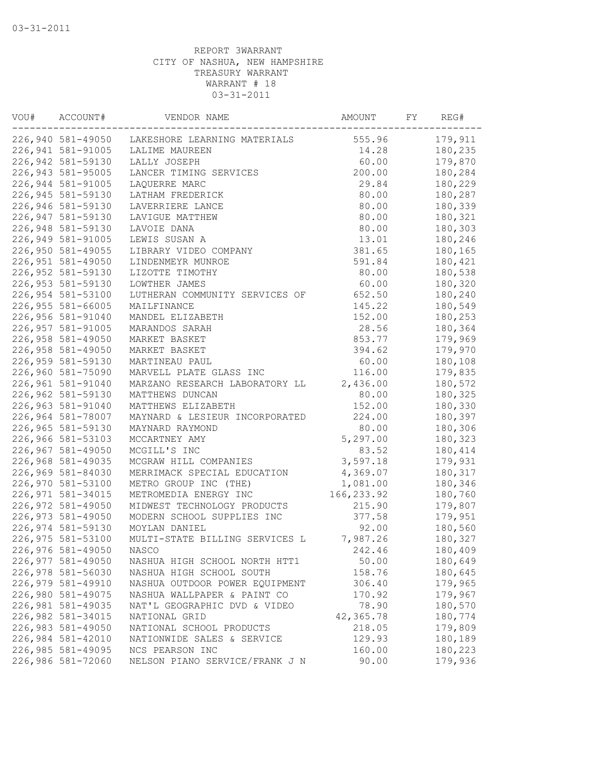| VOU# | ACCOUNT#           | VENDOR NAME                    | AMOUNT      | FY | REG#    |
|------|--------------------|--------------------------------|-------------|----|---------|
|      | 226,940 581-49050  | LAKESHORE LEARNING MATERIALS   | 555.96      |    | 179,911 |
|      | 226,941 581-91005  | LALIME MAUREEN                 | 14.28       |    | 180,235 |
|      | 226,942 581-59130  | LALLY JOSEPH                   | 60.00       |    | 179,870 |
|      | 226,943 581-95005  | LANCER TIMING SERVICES         | 200.00      |    | 180,284 |
|      | 226,944 581-91005  | LAQUERRE MARC                  | 29.84       |    | 180,229 |
|      | 226,945 581-59130  | LATHAM FREDERICK               | 80.00       |    | 180,287 |
|      | 226,946 581-59130  | LAVERRIERE LANCE               | 80.00       |    | 180,339 |
|      | 226,947 581-59130  | LAVIGUE MATTHEW                | 80.00       |    | 180,321 |
|      | 226,948 581-59130  | LAVOIE DANA                    | 80.00       |    | 180,303 |
|      | 226,949 581-91005  | LEWIS SUSAN A                  | 13.01       |    | 180,246 |
|      | 226,950 581-49055  | LIBRARY VIDEO COMPANY          | 381.65      |    | 180,165 |
|      | 226,951 581-49050  | LINDENMEYR MUNROE              | 591.84      |    | 180,421 |
|      | 226,952 581-59130  | LIZOTTE TIMOTHY                | 80.00       |    | 180,538 |
|      | 226,953 581-59130  | LOWTHER JAMES                  | 60.00       |    | 180,320 |
|      | 226,954 581-53100  | LUTHERAN COMMUNITY SERVICES OF | 652.50      |    | 180,240 |
|      | 226,955 581-66005  | MAILFINANCE                    | 145.22      |    | 180,549 |
|      | 226,956 581-91040  | MANDEL ELIZABETH               | 152.00      |    | 180,253 |
|      | 226,957 581-91005  | MARANDOS SARAH                 | 28.56       |    | 180,364 |
|      | 226,958 581-49050  | MARKET BASKET                  | 853.77      |    | 179,969 |
|      | 226,958 581-49050  | MARKET BASKET                  | 394.62      |    | 179,970 |
|      | 226,959 581-59130  | MARTINEAU PAUL                 | 60.00       |    | 180,108 |
|      | 226,960 581-75090  | MARVELL PLATE GLASS INC        | 116.00      |    | 179,835 |
|      | 226,961 581-91040  | MARZANO RESEARCH LABORATORY LL | 2,436.00    |    | 180,572 |
|      | 226,962 581-59130  | MATTHEWS DUNCAN                | 80.00       |    | 180,325 |
|      | 226,963 581-91040  | MATTHEWS ELIZABETH             | 152.00      |    | 180,330 |
|      | 226,964 581-78007  | MAYNARD & LESIEUR INCORPORATED | 224.00      |    | 180,397 |
|      | 226,965 581-59130  | MAYNARD RAYMOND                | 80.00       |    | 180,306 |
|      | 226,966 581-53103  | MCCARTNEY AMY                  | 5,297.00    |    | 180,323 |
|      | 226,967 581-49050  | MCGILL'S INC                   | 83.52       |    | 180,414 |
|      | 226,968 581-49035  | MCGRAW HILL COMPANIES          | 3,597.18    |    | 179,931 |
|      | 226,969 581-84030  | MERRIMACK SPECIAL EDUCATION    | 4,369.07    |    | 180,317 |
|      | 226,970 581-53100  | METRO GROUP INC (THE)          | 1,081.00    |    | 180,346 |
|      | 226, 971 581-34015 | METROMEDIA ENERGY INC          | 166, 233.92 |    | 180,760 |
|      | 226,972 581-49050  | MIDWEST TECHNOLOGY PRODUCTS    | 215.90      |    | 179,807 |
|      | 226,973 581-49050  | MODERN SCHOOL SUPPLIES INC     | 377.58      |    | 179,951 |
|      | 226,974 581-59130  | MOYLAN DANIEL                  | 92.00       |    | 180,560 |
|      | 226,975 581-53100  | MULTI-STATE BILLING SERVICES L | 7,987.26    |    | 180,327 |
|      | 226,976 581-49050  | NASCO                          | 242.46      |    | 180,409 |
|      | 226,977 581-49050  | NASHUA HIGH SCHOOL NORTH HTT1  | 50.00       |    | 180,649 |
|      | 226,978 581-56030  | NASHUA HIGH SCHOOL SOUTH       | 158.76      |    | 180,645 |
|      | 226,979 581-49910  | NASHUA OUTDOOR POWER EQUIPMENT | 306.40      |    | 179,965 |
|      | 226,980 581-49075  | NASHUA WALLPAPER & PAINT CO    | 170.92      |    | 179,967 |
|      | 226,981 581-49035  | NAT'L GEOGRAPHIC DVD & VIDEO   | 78.90       |    | 180,570 |
|      | 226,982 581-34015  | NATIONAL GRID                  | 42,365.78   |    | 180,774 |
|      | 226,983 581-49050  | NATIONAL SCHOOL PRODUCTS       | 218.05      |    | 179,809 |
|      | 226,984 581-42010  | NATIONWIDE SALES & SERVICE     | 129.93      |    | 180,189 |
|      | 226,985 581-49095  | NCS PEARSON INC                | 160.00      |    | 180,223 |
|      | 226,986 581-72060  | NELSON PIANO SERVICE/FRANK J N | 90.00       |    | 179,936 |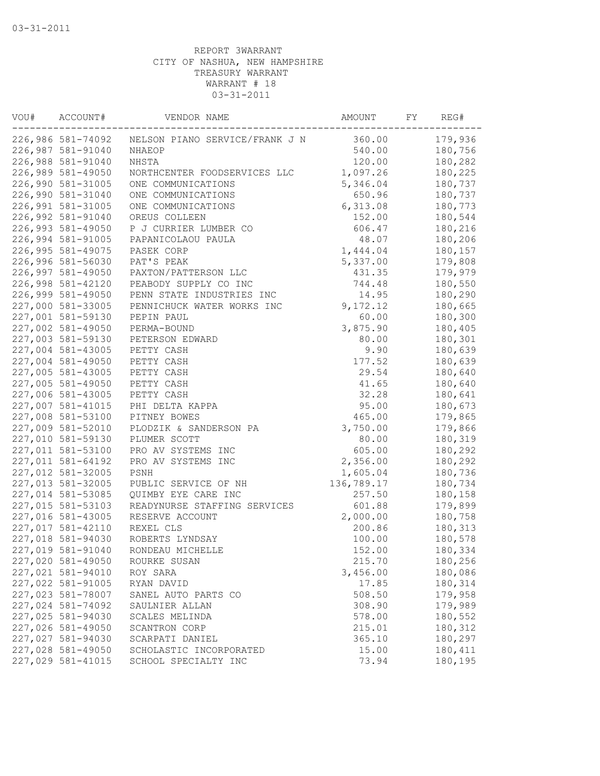| VOU# | ACCOUNT#                               | VENDOR NAME                    | AMOUNT             | FY | REG#    |
|------|----------------------------------------|--------------------------------|--------------------|----|---------|
|      | 226,986 581-74092                      | NELSON PIANO SERVICE/FRANK J N | 360.00             |    | 179,936 |
|      | 226,987 581-91040                      | NHAEOP                         | 540.00             |    | 180,756 |
|      | 226,988 581-91040                      | NHSTA                          | 120.00             |    | 180,282 |
|      | 226,989 581-49050                      | NORTHCENTER FOODSERVICES LLC   | 1,097.26           |    | 180,225 |
|      | 226,990 581-31005                      | ONE COMMUNICATIONS             | 5,346.04           |    | 180,737 |
|      | 226,990 581-31040                      | ONE COMMUNICATIONS             | 650.96             |    | 180,737 |
|      | 226,991 581-31005                      | ONE COMMUNICATIONS             | 6,313.08           |    | 180,773 |
|      | 226,992 581-91040                      | OREUS COLLEEN                  | 152.00             |    | 180,544 |
|      | 226,993 581-49050                      | P J CURRIER LUMBER CO          | 606.47             |    | 180,216 |
|      | 226,994 581-91005                      | PAPANICOLAOU PAULA             | 48.07              |    | 180,206 |
|      | 226,995 581-49075                      | PASEK CORP                     | 1,444.04           |    | 180,157 |
|      | 226,996 581-56030                      | PAT'S PEAK                     | 5,337.00           |    | 179,808 |
|      | 226,997 581-49050                      | PAXTON/PATTERSON LLC           | 431.35             |    | 179,979 |
|      | 226,998 581-42120                      | PEABODY SUPPLY CO INC          | 744.48             |    | 180,550 |
|      | 226,999 581-49050                      | PENN STATE INDUSTRIES INC      | 14.95              |    | 180,290 |
|      | 227,000 581-33005                      | PENNICHUCK WATER WORKS INC     | 9,172.12           |    | 180,665 |
|      | 227,001 581-59130                      | PEPIN PAUL                     | 60.00              |    | 180,300 |
|      | 227,002 581-49050                      | PERMA-BOUND                    | 3,875.90           |    | 180,405 |
|      | 227,003 581-59130                      | PETERSON EDWARD                | 80.00              |    | 180,301 |
|      | 227,004 581-43005                      | PETTY CASH                     | 9.90               |    | 180,639 |
|      | 227,004 581-49050                      | PETTY CASH                     | 177.52             |    | 180,639 |
|      | 227,005 581-43005                      | PETTY CASH                     | 29.54              |    | 180,640 |
|      | 227,005 581-49050                      | PETTY CASH                     | 41.65              |    | 180,640 |
|      | 227,006 581-43005                      | PETTY CASH                     | 32.28              |    | 180,641 |
|      | 227,007 581-41015                      | PHI DELTA KAPPA                | 95.00              |    | 180,673 |
|      | 227,008 581-53100                      | PITNEY BOWES                   | 465.00             |    | 179,865 |
|      | 227,009 581-52010                      | PLODZIK & SANDERSON PA         | 3,750.00           |    | 179,866 |
|      | 227,010 581-59130                      | PLUMER SCOTT                   | 80.00              |    | 180,319 |
|      | 227,011 581-53100                      | PRO AV SYSTEMS INC             | 605.00             |    | 180,292 |
|      | 227,011 581-64192                      | PRO AV SYSTEMS INC             | 2,356.00           |    | 180,292 |
|      | 227,012 581-32005                      | PSNH                           | 1,605.04           |    | 180,736 |
|      | 227,013 581-32005                      | PUBLIC SERVICE OF NH           | 136,789.17         |    | 180,734 |
|      | 227,014 581-53085                      | QUIMBY EYE CARE INC            | 257.50             |    | 180,158 |
|      | 227,015 581-53103                      | READYNURSE STAFFING SERVICES   | 601.88             |    | 179,899 |
|      | 227,016 581-43005                      | RESERVE ACCOUNT                | 2,000.00           |    | 180,758 |
|      | 227,017 581-42110                      | REXEL CLS                      | 200.86             |    | 180,313 |
|      | 227,018 581-94030                      | ROBERTS LYNDSAY                | 100.00             |    | 180,578 |
|      | 227,019 581-91040                      | RONDEAU MICHELLE               | 152.00             |    | 180,334 |
|      |                                        |                                |                    |    | 180,256 |
|      | 227,020 581-49050<br>227,021 581-94010 | ROURKE SUSAN                   | 215.70<br>3,456.00 |    | 180,086 |
|      | 227,022 581-91005                      | ROY SARA<br>RYAN DAVID         | 17.85              |    | 180,314 |
|      | 227,023 581-78007                      |                                | 508.50             |    | 179,958 |
|      | 227,024 581-74092                      | SANEL AUTO PARTS CO            | 308.90             |    | 179,989 |
|      |                                        | SAULNIER ALLAN                 |                    |    |         |
|      | 227,025 581-94030                      | SCALES MELINDA                 | 578.00             |    | 180,552 |
|      | 227,026 581-49050                      | SCANTRON CORP                  | 215.01             |    | 180,312 |
|      | 227,027 581-94030                      | SCARPATI DANIEL                | 365.10             |    | 180,297 |
|      | 227,028 581-49050                      | SCHOLASTIC INCORPORATED        | 15.00              |    | 180,411 |
|      | 227,029 581-41015                      | SCHOOL SPECIALTY INC           | 73.94              |    | 180,195 |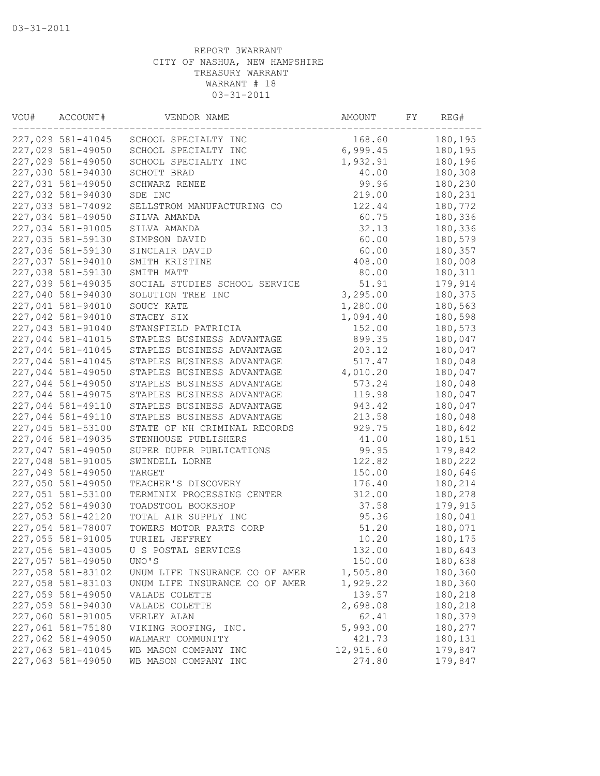| VOU# | ACCOUNT#          | VENDOR NAME                    | AMOUNT    | FY | REG#    |
|------|-------------------|--------------------------------|-----------|----|---------|
|      | 227,029 581-41045 | SCHOOL SPECIALTY INC           | 168.60    |    | 180,195 |
|      | 227,029 581-49050 | SCHOOL SPECIALTY INC           | 6,999.45  |    | 180,195 |
|      | 227,029 581-49050 | SCHOOL SPECIALTY INC           | 1,932.91  |    | 180,196 |
|      | 227,030 581-94030 | SCHOTT BRAD                    | 40.00     |    | 180,308 |
|      | 227,031 581-49050 | SCHWARZ RENEE                  | 99.96     |    | 180,230 |
|      | 227,032 581-94030 | SDE INC                        | 219.00    |    | 180,231 |
|      | 227,033 581-74092 | SELLSTROM MANUFACTURING CO     | 122.44    |    | 180,772 |
|      | 227,034 581-49050 | SILVA AMANDA                   | 60.75     |    | 180,336 |
|      | 227,034 581-91005 | SILVA AMANDA                   | 32.13     |    | 180,336 |
|      | 227,035 581-59130 | SIMPSON DAVID                  | 60.00     |    | 180,579 |
|      | 227,036 581-59130 | SINCLAIR DAVID                 | 60.00     |    | 180,357 |
|      | 227,037 581-94010 | SMITH KRISTINE                 | 408.00    |    | 180,008 |
|      | 227,038 581-59130 | SMITH MATT                     | 80.00     |    | 180,311 |
|      | 227,039 581-49035 | SOCIAL STUDIES SCHOOL SERVICE  | 51.91     |    | 179,914 |
|      | 227,040 581-94030 | SOLUTION TREE INC              | 3,295.00  |    | 180,375 |
|      | 227,041 581-94010 | SOUCY KATE                     | 1,280.00  |    | 180,563 |
|      | 227,042 581-94010 | STACEY SIX                     | 1,094.40  |    | 180,598 |
|      | 227,043 581-91040 | STANSFIELD PATRICIA            | 152.00    |    | 180,573 |
|      | 227,044 581-41015 | STAPLES BUSINESS ADVANTAGE     | 899.35    |    | 180,047 |
|      | 227,044 581-41045 | STAPLES BUSINESS ADVANTAGE     | 203.12    |    | 180,047 |
|      | 227,044 581-41045 | STAPLES BUSINESS ADVANTAGE     | 517.47    |    | 180,048 |
|      | 227,044 581-49050 | STAPLES BUSINESS ADVANTAGE     | 4,010.20  |    | 180,047 |
|      | 227,044 581-49050 | STAPLES BUSINESS ADVANTAGE     | 573.24    |    | 180,048 |
|      | 227,044 581-49075 | STAPLES BUSINESS ADVANTAGE     | 119.98    |    | 180,047 |
|      | 227,044 581-49110 | STAPLES BUSINESS ADVANTAGE     | 943.42    |    | 180,047 |
|      | 227,044 581-49110 | STAPLES BUSINESS ADVANTAGE     | 213.58    |    | 180,048 |
|      | 227,045 581-53100 | STATE OF NH CRIMINAL RECORDS   | 929.75    |    | 180,642 |
|      | 227,046 581-49035 | STENHOUSE PUBLISHERS           | 41.00     |    | 180,151 |
|      | 227,047 581-49050 | SUPER DUPER PUBLICATIONS       | 99.95     |    | 179,842 |
|      | 227,048 581-91005 | SWINDELL LORNE                 | 122.82    |    | 180,222 |
|      | 227,049 581-49050 | TARGET                         | 150.00    |    | 180,646 |
|      | 227,050 581-49050 | TEACHER'S DISCOVERY            | 176.40    |    | 180,214 |
|      | 227,051 581-53100 | TERMINIX PROCESSING CENTER     | 312.00    |    | 180,278 |
|      |                   |                                |           |    |         |
|      | 227,052 581-49030 | TOADSTOOL BOOKSHOP             | 37.58     |    | 179,915 |
|      | 227,053 581-42120 | TOTAL AIR SUPPLY INC           | 95.36     |    | 180,041 |
|      | 227,054 581-78007 | TOWERS MOTOR PARTS CORP        | 51.20     |    | 180,071 |
|      | 227,055 581-91005 | TURIEL JEFFREY                 | 10.20     |    | 180,175 |
|      | 227,056 581-43005 | U S POSTAL SERVICES            | 132.00    |    | 180,643 |
|      | 227,057 581-49050 | UNO'S                          | 150.00    |    | 180,638 |
|      | 227,058 581-83102 | UNUM LIFE INSURANCE CO OF AMER | 1,505.80  |    | 180,360 |
|      | 227,058 581-83103 | UNUM LIFE INSURANCE CO OF AMER | 1,929.22  |    | 180,360 |
|      | 227,059 581-49050 | VALADE COLETTE                 | 139.57    |    | 180,218 |
|      | 227,059 581-94030 | VALADE COLETTE                 | 2,698.08  |    | 180,218 |
|      | 227,060 581-91005 | VERLEY ALAN                    | 62.41     |    | 180,379 |
|      | 227,061 581-75180 | VIKING ROOFING, INC.           | 5,993.00  |    | 180,277 |
|      | 227,062 581-49050 | WALMART COMMUNITY              | 421.73    |    | 180,131 |
|      | 227,063 581-41045 | WB MASON COMPANY INC           | 12,915.60 |    | 179,847 |
|      | 227,063 581-49050 | WB MASON COMPANY INC           | 274.80    |    | 179,847 |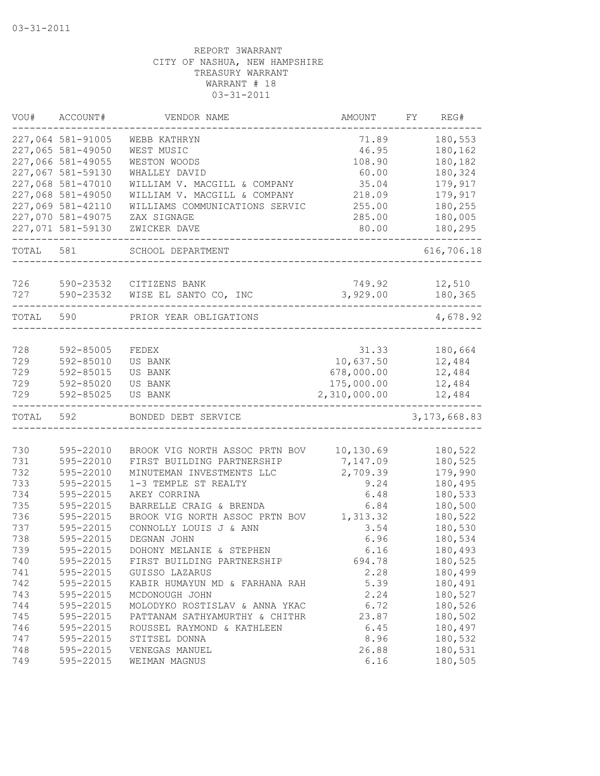| VOU#  | ACCOUNT#          | VENDOR NAME                    | AMOUNT       | FY | REG#           |
|-------|-------------------|--------------------------------|--------------|----|----------------|
|       | 227,064 581-91005 | WEBB KATHRYN                   | 71.89        |    | 180,553        |
|       | 227,065 581-49050 | WEST MUSIC                     | 46.95        |    | 180,162        |
|       | 227,066 581-49055 | WESTON WOODS                   | 108.90       |    | 180,182        |
|       | 227,067 581-59130 | WHALLEY DAVID                  | 60.00        |    | 180,324        |
|       | 227,068 581-47010 | WILLIAM V. MACGILL & COMPANY   | 35.04        |    | 179,917        |
|       | 227,068 581-49050 | WILLIAM V. MACGILL & COMPANY   | 218.09       |    | 179,917        |
|       | 227,069 581-42110 | WILLIAMS COMMUNICATIONS SERVIC | 255.00       |    | 180,255        |
|       | 227,070 581-49075 | ZAX SIGNAGE                    | 285.00       |    | 180,005        |
|       | 227,071 581-59130 | ZWICKER DAVE                   | 80.00        |    | 180,295        |
| TOTAL | 581               | SCHOOL DEPARTMENT              |              |    | 616,706.18     |
|       |                   |                                |              |    |                |
| 726   |                   | 590-23532 CITIZENS BANK        | 749.92       |    | 12,510         |
| 727   | 590-23532         | WISE EL SANTO CO, INC          | 3,929.00     |    | 180,365        |
| TOTAL | 590               | PRIOR YEAR OBLIGATIONS         |              |    | 4,678.92       |
|       |                   |                                |              |    |                |
| 728   | 592-85005         | FEDEX                          | 31.33        |    | 180,664        |
| 729   | 592-85010         | US BANK                        | 10,637.50    |    | 12,484         |
| 729   | 592-85015         | US BANK                        | 678,000.00   |    | 12,484         |
| 729   | 592-85020         | US BANK                        | 175,000.00   |    | 12,484         |
| 729   | 592-85025         | US BANK                        | 2,310,000.00 |    | 12,484         |
| TOTAL | 592               | BONDED DEBT SERVICE            |              |    | 3, 173, 668.83 |
|       |                   |                                |              |    |                |
| 730   | 595-22010         | BROOK VIG NORTH ASSOC PRTN BOV | 10,130.69    |    | 180,522        |
| 731   | 595-22010         | FIRST BUILDING PARTNERSHIP     | 7,147.09     |    | 180,525        |
| 732   | 595-22010         | MINUTEMAN INVESTMENTS LLC      | 2,709.39     |    | 179,990        |
| 733   | 595-22015         | 1-3 TEMPLE ST REALTY           | 9.24         |    | 180,495        |
| 734   | 595-22015         | AKEY CORRINA                   | 6.48         |    | 180,533        |
| 735   | 595-22015         | BARRELLE CRAIG & BRENDA        | 6.84         |    | 180,500        |
| 736   | 595-22015         | BROOK VIG NORTH ASSOC PRTN BOV | 1,313.32     |    | 180,522        |
| 737   | 595-22015         | CONNOLLY LOUIS J & ANN         | 3.54         |    | 180,530        |
| 738   | 595-22015         | DEGNAN JOHN                    | 6.96         |    | 180,534        |
| 739   | 595-22015         | DOHONY MELANIE & STEPHEN       | 6.16         |    | 180,493        |
| 740   | 595-22015         | FIRST BUILDING PARTNERSHIP     | 694.78       |    | 180,525        |
| 741   | 595-22015         | GUISSO LAZARUS                 | 2.28         |    | 180,499        |
| 742   | 595-22015         | KABIR HUMAYUN MD & FARHANA RAH | 5.39         |    | 180,491        |
| 743   | 595-22015         | MCDONOUGH JOHN                 | 2.24         |    | 180,527        |
| 744   | 595-22015         | MOLODYKO ROSTISLAV & ANNA YKAC | 6.72         |    | 180,526        |
| 745   | 595-22015         | PATTANAM SATHYAMURTHY & CHITHR | 23.87        |    | 180,502        |
| 746   | 595-22015         | ROUSSEL RAYMOND & KATHLEEN     | 6.45         |    | 180,497        |
| 747   | 595-22015         | STITSEL DONNA                  | 8.96         |    | 180,532        |
| 748   | 595-22015         | VENEGAS MANUEL                 | 26.88        |    | 180,531        |
| 749   | 595-22015         | WEIMAN MAGNUS                  | 6.16         |    | 180,505        |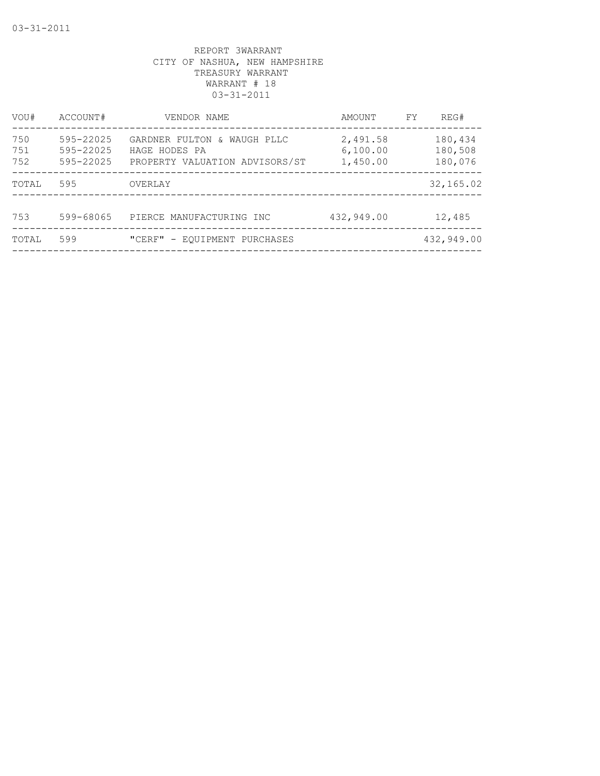| VOU#              | ACCOUNT#                            | VENDOR NAME                                                                    | AMOUNT                           | FY | REG#                          |
|-------------------|-------------------------------------|--------------------------------------------------------------------------------|----------------------------------|----|-------------------------------|
| 750<br>751<br>752 | 595-22025<br>595-22025<br>595-22025 | GARDNER FULTON & WAUGH PLLC<br>HAGE HODES PA<br>PROPERTY VALUATION ADVISORS/ST | 2,491.58<br>6,100.00<br>1,450.00 |    | 180,434<br>180,508<br>180,076 |
| TOTAL             | 595                                 | OVERLAY                                                                        |                                  |    | 32, 165.02                    |
| 753               | 599-68065                           | PIERCE MANUFACTURING INC                                                       | 432,949.00                       |    | 12,485                        |
| TOTAL             | 599                                 | "CERF" - EQUIPMENT PURCHASES                                                   |                                  |    | 432,949.00                    |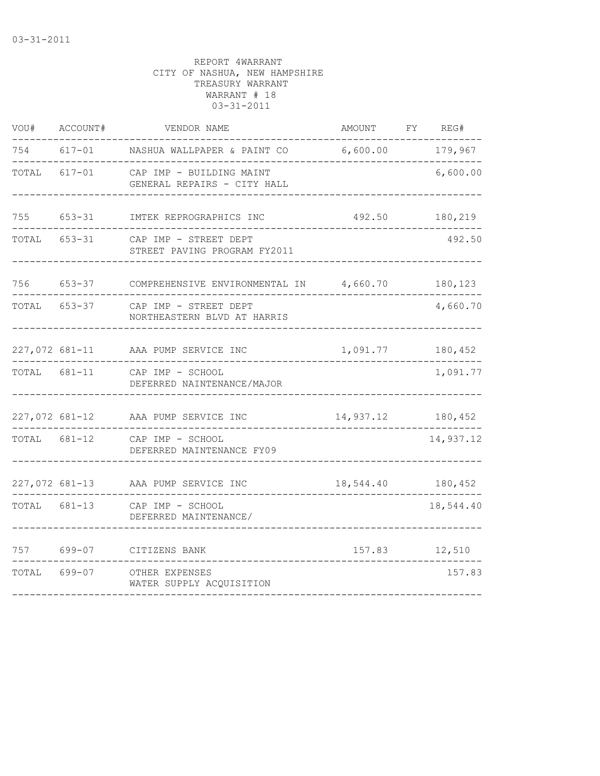| WOU#           | ACCOUNT#       | VENDOR NAME                                             | AMOUNT               | FY | REG#      |
|----------------|----------------|---------------------------------------------------------|----------------------|----|-----------|
| 754            | $617 - 01$     | NASHUA WALLPAPER & PAINT CO                             | 6,600.00             |    | 179,967   |
| TOTAL          | $617 - 01$     | CAP IMP - BUILDING MAINT<br>GENERAL REPAIRS - CITY HALL |                      |    | 6,600.00  |
| 755            | $653 - 31$     | IMTEK REPROGRAPHICS INC                                 | 492.50               |    | 180,219   |
| TOTAL          | $653 - 31$     | CAP IMP - STREET DEPT<br>STREET PAVING PROGRAM FY2011   |                      |    | 492.50    |
| 756            | $653 - 37$     | COMPREHENSIVE ENVIRONMENTAL IN 4,660.70                 |                      |    | 180,123   |
| TOTAL          | $653 - 37$     | CAP IMP - STREET DEPT<br>NORTHEASTERN BLVD AT HARRIS    |                      |    | 4,660.70  |
|                | 227,072 681-11 | AAA PUMP SERVICE INC                                    | 1,091.77             |    | 180,452   |
| TOTAL          | 681-11         | CAP IMP - SCHOOL<br>DEFERRED NAINTENANCE/MAJOR          |                      |    | 1,091.77  |
| 227,072 681-12 |                | AAA PUMP SERVICE INC                                    | 14,937.12 180,452    |    |           |
| TOTAL          | 681-12         | CAP IMP - SCHOOL<br>DEFERRED MAINTENANCE FY09           |                      |    | 14,937.12 |
| 227,072 681-13 |                | AAA PUMP SERVICE INC                                    | 18,544.40    180,452 |    |           |
| TOTAL          | 681-13         | CAP IMP - SCHOOL<br>DEFERRED MAINTENANCE/               |                      |    | 18,544.40 |
| 757            | 699-07         | CITIZENS BANK                                           | 157.83               |    | 12,510    |
| TOTAL          | 699-07         | OTHER EXPENSES<br>WATER SUPPLY ACQUISITION              |                      |    | 157.83    |
|                |                |                                                         |                      |    |           |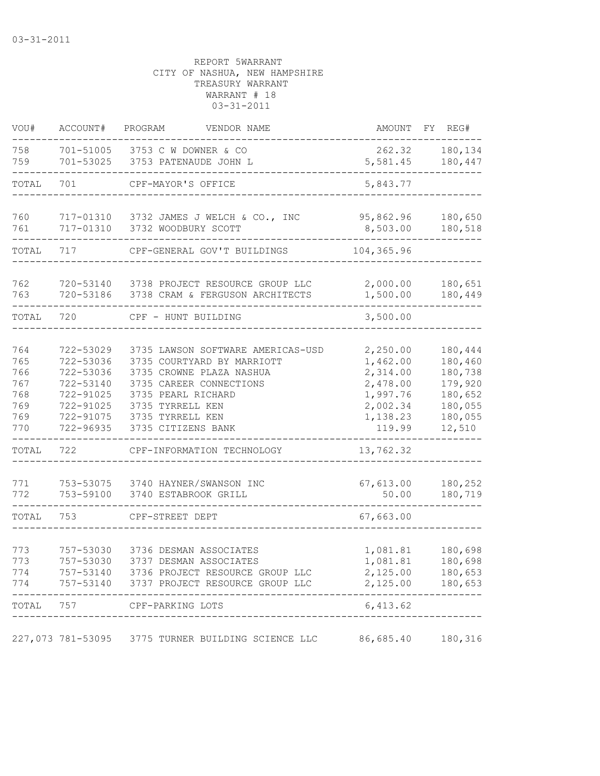| VOU#                                                                 | ACCOUNT#                                                                                                                 | PROGRAM<br>VENDOR NAME                                                                                                                                                                                                                                              |                                                                                                                      | AMOUNT FY REG#                                                                      |
|----------------------------------------------------------------------|--------------------------------------------------------------------------------------------------------------------------|---------------------------------------------------------------------------------------------------------------------------------------------------------------------------------------------------------------------------------------------------------------------|----------------------------------------------------------------------------------------------------------------------|-------------------------------------------------------------------------------------|
| 758<br>759                                                           | 701-53025                                                                                                                | 701-51005 3753 C W DOWNER & CO<br>3753 PATENAUDE JOHN L                                                                                                                                                                                                             | 262.32<br>5,581.45                                                                                                   | 180,134<br>180,447                                                                  |
| TOTAL                                                                | 701                                                                                                                      | CPF-MAYOR'S OFFICE                                                                                                                                                                                                                                                  | 5,843.77                                                                                                             |                                                                                     |
| 760<br>761                                                           | 717-01310                                                                                                                | 717-01310 3732 JAMES J WELCH & CO., INC<br>3732 WOODBURY SCOTT                                                                                                                                                                                                      | 95,862.96<br>8,503.00                                                                                                | 180,650<br>180,518                                                                  |
| TOTAL                                                                | 717                                                                                                                      | CPF-GENERAL GOV'T BUILDINGS                                                                                                                                                                                                                                         | 104,365.96                                                                                                           |                                                                                     |
| 762<br>763                                                           | 720-53140<br>720-53186                                                                                                   | 3738 PROJECT RESOURCE GROUP LLC<br>3738 CRAM & FERGUSON ARCHITECTS                                                                                                                                                                                                  | 2,000.00<br>1,500.00                                                                                                 | 180,651<br>180,449                                                                  |
| TOTAL                                                                | 720                                                                                                                      | CPF - HUNT BUILDING                                                                                                                                                                                                                                                 | 3,500.00                                                                                                             |                                                                                     |
| 764<br>765<br>766<br>767<br>768<br>769<br>769<br>770<br>TOTAL<br>771 | 722-53029<br>722-53036<br>722-53036<br>722-53140<br>722-91025<br>722-91025<br>722-91075<br>722-96935<br>722<br>753-53075 | 3735 LAWSON SOFTWARE AMERICAS-USD<br>3735 COURTYARD BY MARRIOTT<br>3735 CROWNE PLAZA NASHUA<br>3735 CAREER CONNECTIONS<br>3735 PEARL RICHARD<br>3735 TYRRELL KEN<br>3735 TYRRELL KEN<br>3735 CITIZENS BANK<br>CPF-INFORMATION TECHNOLOGY<br>3740 HAYNER/SWANSON INC | 2,250.00<br>1,462.00<br>2,314.00<br>2,478.00<br>1,997.76<br>2,002.34<br>1,138.23<br>119.99<br>13,762.32<br>67,613.00 | 180,444<br>180,460<br>180,738<br>179,920<br>180,652<br>180,055<br>180,055<br>12,510 |
| 772                                                                  | 753-59100                                                                                                                | 3740 ESTABROOK GRILL                                                                                                                                                                                                                                                | 50.00                                                                                                                | 180,252<br>180,719                                                                  |
| TOTAL                                                                | 753                                                                                                                      | CPF-STREET DEPT                                                                                                                                                                                                                                                     | 67,663.00                                                                                                            |                                                                                     |
| 773<br>773<br>774<br>774                                             | 757-53030<br>757-53030                                                                                                   | 3736 DESMAN ASSOCIATES<br>3737 DESMAN ASSOCIATES<br>757-53140 3736 PROJECT RESOURCE GROUP LLC<br>757-53140 3737 PROJECT RESOURCE GROUP LLC                                                                                                                          | 1,081.81<br>1,081.81<br>2,125.00<br>2,125.00                                                                         | 180,698<br>180,698<br>180,653<br>180,653                                            |
|                                                                      |                                                                                                                          | TOTAL 757 CPF-PARKING LOTS                                                                                                                                                                                                                                          | 6,413.62                                                                                                             |                                                                                     |
|                                                                      |                                                                                                                          | 227,073 781-53095 3775 TURNER BUILDING SCIENCE LLC                                                                                                                                                                                                                  | 86,685.40                                                                                                            | 180,316                                                                             |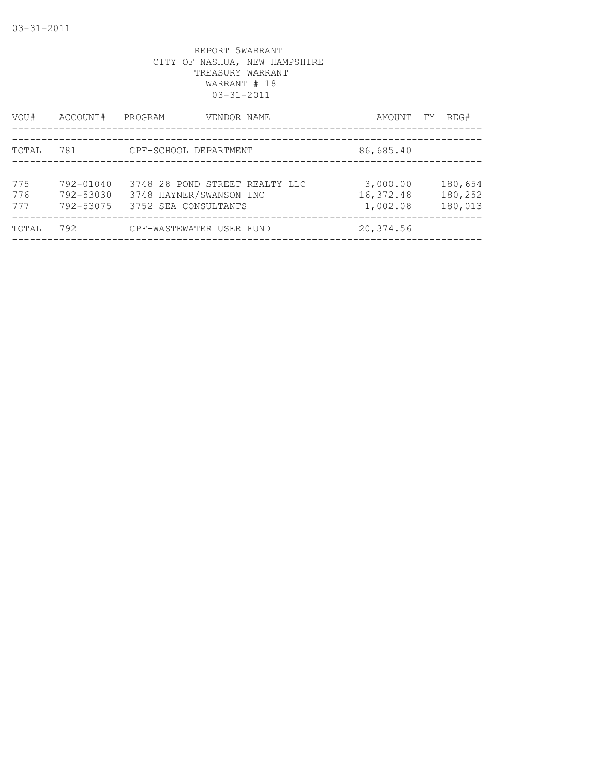| VOU#              | ACCOUNT#                            | PROGRAM<br>VENDOR NAME                                                            | AMOUNT FY                         | REG#                          |
|-------------------|-------------------------------------|-----------------------------------------------------------------------------------|-----------------------------------|-------------------------------|
| TOTAL             | 781                                 | CPF-SCHOOL DEPARTMENT                                                             | 86,685.40                         |                               |
| 775<br>776<br>777 | 792-01040<br>792-53030<br>792-53075 | 3748 28 POND STREET REALTY LLC<br>3748 HAYNER/SWANSON INC<br>3752 SEA CONSULTANTS | 3,000.00<br>16,372.48<br>1,002.08 | 180,654<br>180,252<br>180,013 |
| TOTAL             | 792                                 | CPF-WASTEWATER USER FUND                                                          | 20,374.56                         |                               |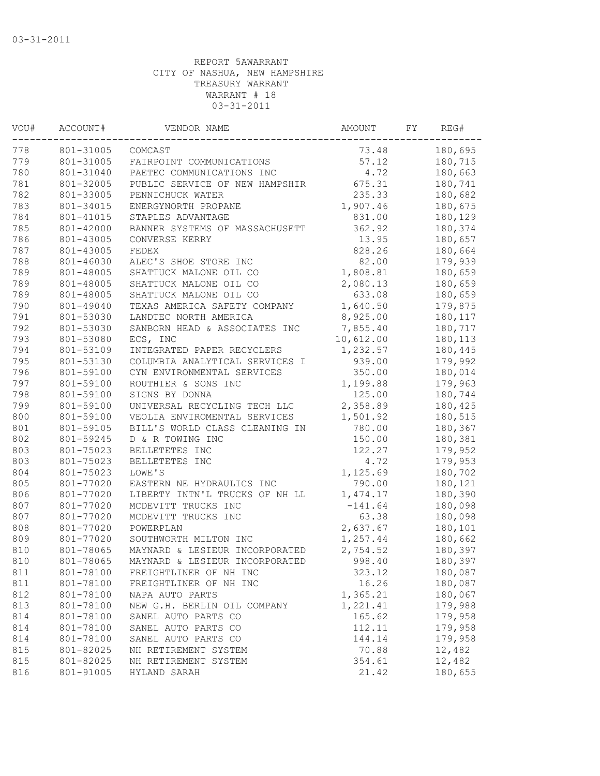| VOU# | ACCOUNT#  | VENDOR NAME                    | AMOUNT    | FY | REG#    |
|------|-----------|--------------------------------|-----------|----|---------|
| 778  | 801-31005 | COMCAST                        | 73.48     |    | 180,695 |
| 779  | 801-31005 | FAIRPOINT COMMUNICATIONS       | 57.12     |    | 180,715 |
| 780  | 801-31040 | PAETEC COMMUNICATIONS INC      | 4.72      |    | 180,663 |
| 781  | 801-32005 | PUBLIC SERVICE OF NEW HAMPSHIR | 675.31    |    | 180,741 |
| 782  | 801-33005 | PENNICHUCK WATER               | 235.33    |    | 180,682 |
| 783  | 801-34015 | ENERGYNORTH PROPANE            | 1,907.46  |    | 180,675 |
| 784  | 801-41015 | STAPLES ADVANTAGE              | 831.00    |    | 180,129 |
| 785  | 801-42000 | BANNER SYSTEMS OF MASSACHUSETT | 362.92    |    | 180,374 |
| 786  | 801-43005 | CONVERSE KERRY                 | 13.95     |    | 180,657 |
| 787  | 801-43005 | FEDEX                          | 828.26    |    | 180,664 |
| 788  | 801-46030 | ALEC'S SHOE STORE INC          | 82.00     |    | 179,939 |
| 789  | 801-48005 | SHATTUCK MALONE OIL CO         | 1,808.81  |    | 180,659 |
| 789  | 801-48005 | SHATTUCK MALONE OIL CO         | 2,080.13  |    | 180,659 |
| 789  | 801-48005 | SHATTUCK MALONE OIL CO         | 633.08    |    | 180,659 |
| 790  | 801-49040 | TEXAS AMERICA SAFETY COMPANY   | 1,640.50  |    | 179,875 |
| 791  | 801-53030 | LANDTEC NORTH AMERICA          | 8,925.00  |    | 180,117 |
| 792  | 801-53030 | SANBORN HEAD & ASSOCIATES INC  | 7,855.40  |    | 180,717 |
| 793  | 801-53080 | ECS, INC                       | 10,612.00 |    | 180,113 |
| 794  | 801-53109 | INTEGRATED PAPER RECYCLERS     | 1,232.57  |    | 180,445 |
| 795  | 801-53130 | COLUMBIA ANALYTICAL SERVICES I | 939.00    |    | 179,992 |
| 796  | 801-59100 | CYN ENVIRONMENTAL SERVICES     | 350.00    |    | 180,014 |
| 797  | 801-59100 | ROUTHIER & SONS INC            | 1,199.88  |    | 179,963 |
| 798  | 801-59100 | SIGNS BY DONNA                 | 125.00    |    | 180,744 |
| 799  | 801-59100 | UNIVERSAL RECYCLING TECH LLC   | 2,358.89  |    | 180,425 |
| 800  | 801-59100 | VEOLIA ENVIROMENTAL SERVICES   | 1,501.92  |    | 180,515 |
| 801  | 801-59105 | BILL'S WORLD CLASS CLEANING IN | 780.00    |    | 180,367 |
| 802  | 801-59245 | D & R TOWING INC               | 150.00    |    | 180,381 |
| 803  | 801-75023 | BELLETETES INC                 | 122.27    |    | 179,952 |
| 803  | 801-75023 | BELLETETES INC                 | 4.72      |    | 179,953 |
| 804  | 801-75023 | LOWE'S                         | 1,125.69  |    | 180,702 |
| 805  | 801-77020 | EASTERN NE HYDRAULICS INC      | 790.00    |    | 180,121 |
| 806  | 801-77020 | LIBERTY INTN'L TRUCKS OF NH LL | 1,474.17  |    | 180,390 |
| 807  | 801-77020 | MCDEVITT TRUCKS INC            | $-141.64$ |    | 180,098 |
| 807  | 801-77020 | MCDEVITT TRUCKS INC            | 63.38     |    | 180,098 |
| 808  | 801-77020 | POWERPLAN                      | 2,637.67  |    | 180,101 |
| 809  | 801-77020 | SOUTHWORTH MILTON INC          | 1,257.44  |    | 180,662 |
| 810  | 801-78065 | MAYNARD & LESIEUR INCORPORATED | 2,754.52  |    | 180,397 |
| 810  | 801-78065 | MAYNARD & LESIEUR INCORPORATED | 998.40    |    | 180,397 |
| 811  | 801-78100 | FREIGHTLINER OF NH INC         | 323.12    |    | 180,087 |
| 811  | 801-78100 | FREIGHTLINER OF NH INC         | 16.26     |    | 180,087 |
| 812  | 801-78100 | NAPA AUTO PARTS                | 1,365.21  |    | 180,067 |
| 813  | 801-78100 | NEW G.H. BERLIN OIL COMPANY    | 1,221.41  |    | 179,988 |
| 814  | 801-78100 | SANEL AUTO PARTS CO            | 165.62    |    | 179,958 |
| 814  | 801-78100 | SANEL AUTO PARTS CO            | 112.11    |    | 179,958 |
| 814  | 801-78100 | SANEL AUTO PARTS CO            | 144.14    |    | 179,958 |
| 815  | 801-82025 | NH RETIREMENT SYSTEM           | 70.88     |    | 12,482  |
| 815  | 801-82025 | NH RETIREMENT SYSTEM           | 354.61    |    | 12,482  |
| 816  | 801-91005 | HYLAND SARAH                   | 21.42     |    | 180,655 |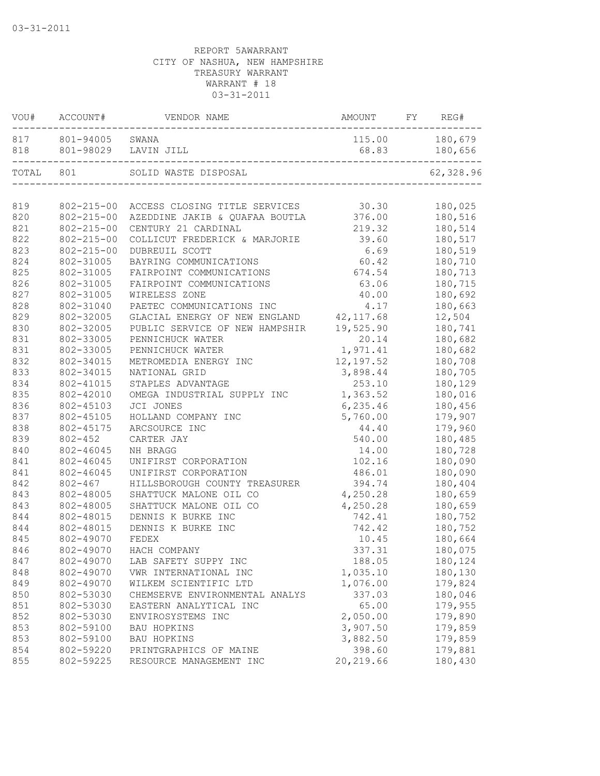|           | VOU# ACCOUNT#       | VENDOR NAME                               | AMOUNT     | FY | REG#           |
|-----------|---------------------|-------------------------------------------|------------|----|----------------|
|           | 817 801-94005 SWANA |                                           |            |    | 115.00 180,679 |
|           |                     | 818 801-98029 LAVIN JILL                  | 68.83      |    | 180,656        |
| TOTAL 801 |                     | SOLID WASTE DISPOSAL                      |            |    | 62,328.96      |
|           |                     |                                           |            |    |                |
| 819       |                     | 802-215-00 ACCESS CLOSING TITLE SERVICES  | 30.30      |    | 180,025        |
| 820       |                     | 802-215-00 AZEDDINE JAKIB & QUAFAA BOUTLA | 376.00     |    | 180,516        |
| 821       | $802 - 215 - 00$    | CENTURY 21 CARDINAL                       | 219.32     |    | 180,514        |
| 822       | $802 - 215 - 00$    | COLLICUT FREDERICK & MARJORIE             | 39.60      |    | 180,517        |
| 823       | $802 - 215 - 00$    | DUBREUIL SCOTT                            | 6.69       |    | 180,519        |
| 824       | 802-31005           | BAYRING COMMUNICATIONS                    | 60.42      |    | 180,710        |
| 825       | 802-31005           | FAIRPOINT COMMUNICATIONS                  | 674.54     |    | 180,713        |
| 826       | 802-31005           | FAIRPOINT COMMUNICATIONS                  | 63.06      |    | 180,715        |
| 827       | 802-31005           | WIRELESS ZONE                             | 40.00      |    | 180,692        |
| 828       | 802-31040           | PAETEC COMMUNICATIONS INC                 | 4.17       |    | 180,663        |
| 829       | 802-32005           | GLACIAL ENERGY OF NEW ENGLAND             | 42,117.68  |    | 12,504         |
| 830       | 802-32005           | PUBLIC SERVICE OF NEW HAMPSHIR            | 19,525.90  |    | 180,741        |
| 831       | 802-33005           | PENNICHUCK WATER                          | 20.14      |    | 180,682        |
| 831       | 802-33005           | PENNICHUCK WATER                          | 1,971.41   |    | 180,682        |
| 832       | 802-34015           | METROMEDIA ENERGY INC                     | 12, 197.52 |    | 180,708        |
| 833       | 802-34015           | NATIONAL GRID                             | 3,898.44   |    | 180,705        |
| 834       | 802-41015           | STAPLES ADVANTAGE                         | 253.10     |    | 180,129        |
| 835       | 802-42010           | OMEGA INDUSTRIAL SUPPLY INC               | 1,363.52   |    | 180,016        |
| 836       | 802-45103           | JCI JONES                                 | 6, 235.46  |    | 180,456        |
| 837       | 802-45105           | HOLLAND COMPANY INC                       | 5,760.00   |    | 179,907        |
| 838       | 802-45175           | ARCSOURCE INC                             | 44.40      |    | 179,960        |
| 839       | $802 - 452$         | CARTER JAY                                | 540.00     |    | 180,485        |
| 840       | 802-46045           | NH BRAGG                                  | 14.00      |    | 180,728        |
| 841       | 802-46045           | UNIFIRST CORPORATION                      | 102.16     |    | 180,090        |
| 841       | 802-46045           | UNIFIRST CORPORATION                      | 486.01     |    | 180,090        |
| 842       | $802 - 467$         | HILLSBOROUGH COUNTY TREASURER             | 394.74     |    | 180,404        |
| 843       | 802-48005           | SHATTUCK MALONE OIL CO                    | 4,250.28   |    | 180,659        |
| 843       | 802-48005           | SHATTUCK MALONE OIL CO                    | 4,250.28   |    | 180,659        |
| 844       | 802-48015           | DENNIS K BURKE INC                        | 742.41     |    | 180,752        |
| 844       | 802-48015           | DENNIS K BURKE INC                        | 742.42     |    | 180,752        |
| 845       | 802-49070           | FEDEX                                     | 10.45      |    | 180,664        |
| 846       |                     | 802-49070 HACH COMPANY                    | 337.31     |    | 180,075        |
| 847       | 802-49070           | LAB SAFETY SUPPY INC                      | 188.05     |    | 180,124        |
| 848       | 802-49070           | VWR INTERNATIONAL INC                     | 1,035.10   |    | 180,130        |
| 849       | 802-49070           | WILKEM SCIENTIFIC LTD                     | 1,076.00   |    | 179,824        |
| 850       | 802-53030           | CHEMSERVE ENVIRONMENTAL ANALYS            | 337.03     |    | 180,046        |
| 851       | 802-53030           | EASTERN ANALYTICAL INC                    | 65.00      |    | 179,955        |
| 852       | 802-53030           | ENVIROSYSTEMS INC                         | 2,050.00   |    | 179,890        |
| 853       | 802-59100           | <b>BAU HOPKINS</b>                        | 3,907.50   |    | 179,859        |
| 853       | 802-59100           | BAU HOPKINS                               | 3,882.50   |    | 179,859        |
| 854       | 802-59220           | PRINTGRAPHICS OF MAINE                    | 398.60     |    | 179,881        |
| 855       | 802-59225           | RESOURCE MANAGEMENT INC                   | 20, 219.66 |    | 180,430        |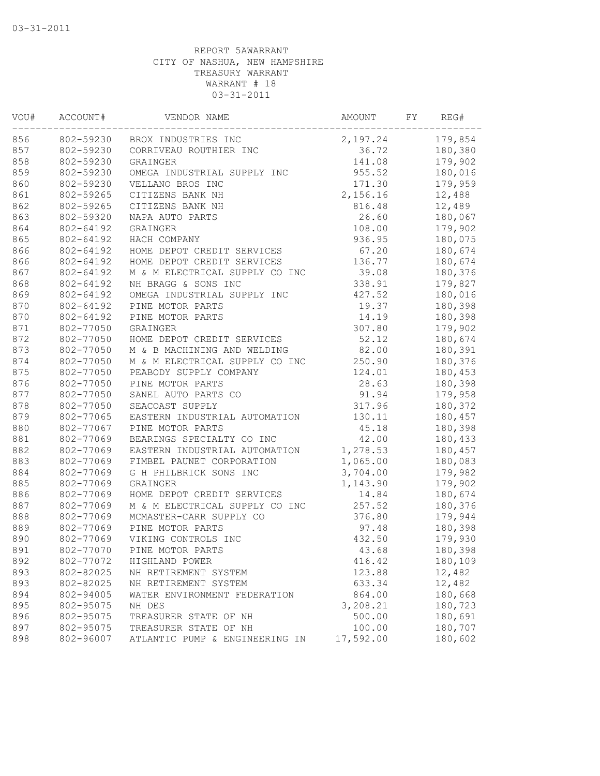| VOU# | ACCOUNT#  | VENDOR NAME                    | AMOUNT    | FY | REG#    |
|------|-----------|--------------------------------|-----------|----|---------|
| 856  | 802-59230 | BROX INDUSTRIES INC            | 2,197.24  |    | 179,854 |
| 857  | 802-59230 | CORRIVEAU ROUTHIER INC         | 36.72     |    | 180,380 |
| 858  | 802-59230 | GRAINGER                       | 141.08    |    | 179,902 |
| 859  | 802-59230 | OMEGA INDUSTRIAL SUPPLY INC    | 955.52    |    | 180,016 |
| 860  | 802-59230 | VELLANO BROS INC               | 171.30    |    | 179,959 |
| 861  | 802-59265 | CITIZENS BANK NH               | 2,156.16  |    | 12,488  |
| 862  | 802-59265 | CITIZENS BANK NH               | 816.48    |    | 12,489  |
| 863  | 802-59320 | NAPA AUTO PARTS                | 26.60     |    | 180,067 |
| 864  | 802-64192 | GRAINGER                       | 108.00    |    | 179,902 |
| 865  | 802-64192 | HACH COMPANY                   | 936.95    |    | 180,075 |
| 866  | 802-64192 | HOME DEPOT CREDIT SERVICES     | 67.20     |    | 180,674 |
| 866  | 802-64192 | HOME DEPOT CREDIT SERVICES     | 136.77    |    | 180,674 |
| 867  | 802-64192 | M & M ELECTRICAL SUPPLY CO INC | 39.08     |    | 180,376 |
| 868  | 802-64192 | NH BRAGG & SONS INC            | 338.91    |    | 179,827 |
| 869  | 802-64192 | OMEGA INDUSTRIAL SUPPLY INC    | 427.52    |    | 180,016 |
| 870  | 802-64192 | PINE MOTOR PARTS               | 19.37     |    | 180,398 |
| 870  | 802-64192 | PINE MOTOR PARTS               | 14.19     |    | 180,398 |
| 871  | 802-77050 | GRAINGER                       | 307.80    |    | 179,902 |
| 872  | 802-77050 | HOME DEPOT CREDIT SERVICES     | 52.12     |    | 180,674 |
| 873  | 802-77050 | M & B MACHINING AND WELDING    | 82.00     |    | 180,391 |
| 874  | 802-77050 | M & M ELECTRICAL SUPPLY CO INC | 250.90    |    | 180,376 |
| 875  | 802-77050 | PEABODY SUPPLY COMPANY         | 124.01    |    | 180,453 |
| 876  | 802-77050 | PINE MOTOR PARTS               | 28.63     |    | 180,398 |
| 877  | 802-77050 | SANEL AUTO PARTS CO            | 91.94     |    | 179,958 |
| 878  | 802-77050 | SEACOAST SUPPLY                | 317.96    |    | 180,372 |
| 879  | 802-77065 | EASTERN INDUSTRIAL AUTOMATION  | 130.11    |    | 180,457 |
| 880  | 802-77067 | PINE MOTOR PARTS               | 45.18     |    | 180,398 |
| 881  | 802-77069 | BEARINGS SPECIALTY CO INC      | 42.00     |    | 180,433 |
| 882  | 802-77069 | EASTERN INDUSTRIAL AUTOMATION  | 1,278.53  |    | 180,457 |
| 883  | 802-77069 | FIMBEL PAUNET CORPORATION      | 1,065.00  |    | 180,083 |
| 884  | 802-77069 | G H PHILBRICK SONS INC         | 3,704.00  |    | 179,982 |
| 885  | 802-77069 | GRAINGER                       | 1,143.90  |    | 179,902 |
| 886  | 802-77069 | HOME DEPOT CREDIT SERVICES     | 14.84     |    | 180,674 |
| 887  | 802-77069 | M & M ELECTRICAL SUPPLY CO INC | 257.52    |    | 180,376 |
| 888  | 802-77069 | MCMASTER-CARR SUPPLY CO        | 376.80    |    | 179,944 |
| 889  | 802-77069 | PINE MOTOR PARTS               | 97.48     |    | 180,398 |
| 890  | 802-77069 | VIKING CONTROLS INC            | 432.50    |    | 179,930 |
| 891  | 802-77070 | PINE MOTOR PARTS               | 43.68     |    | 180,398 |
| 892  | 802-77072 | HIGHLAND POWER                 | 416.42    |    | 180,109 |
| 893  | 802-82025 | NH RETIREMENT SYSTEM           | 123.88    |    | 12,482  |
| 893  | 802-82025 | NH RETIREMENT SYSTEM           | 633.34    |    | 12,482  |
| 894  | 802-94005 | WATER ENVIRONMENT FEDERATION   | 864.00    |    | 180,668 |
| 895  | 802-95075 | NH DES                         | 3,208.21  |    | 180,723 |
| 896  | 802-95075 | TREASURER STATE OF NH          | 500.00    |    | 180,691 |
| 897  | 802-95075 | TREASURER STATE OF NH          | 100.00    |    | 180,707 |
| 898  | 802-96007 | ATLANTIC PUMP & ENGINEERING IN | 17,592.00 |    | 180,602 |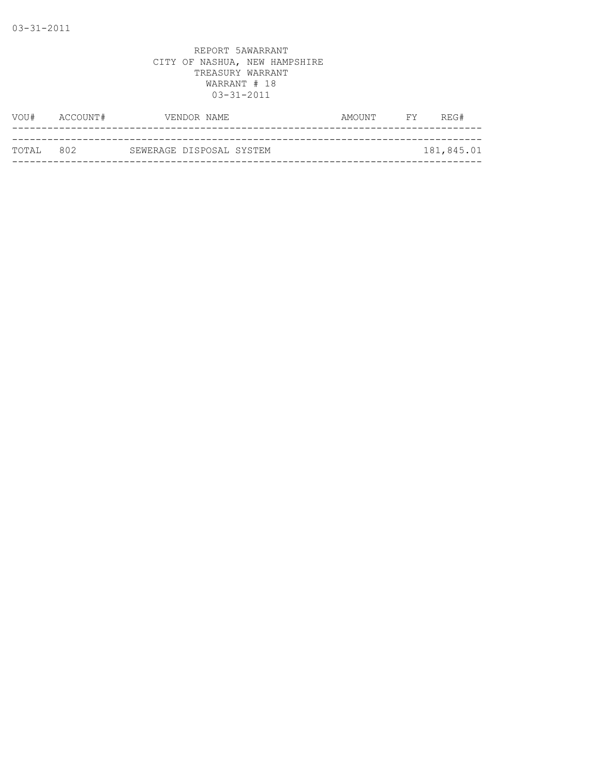| VOU#               | ACCOUNT# | VENDOR NAME              | AMOUNT | <b>FY</b> | REG#       |
|--------------------|----------|--------------------------|--------|-----------|------------|
|                    |          |                          |        |           |            |
| ТОТАІ. 80 <i>2</i> |          | SEWERAGE DISPOSAL SYSTEM |        |           | 181,845.01 |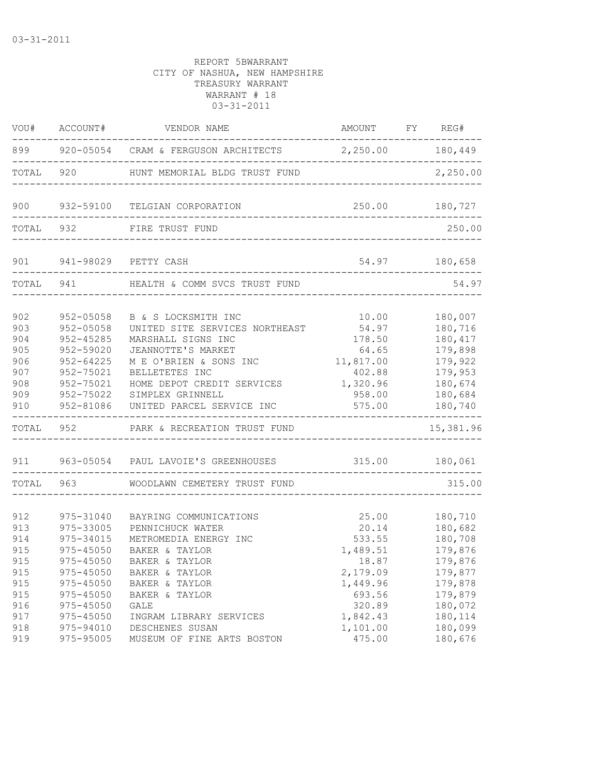|                                                             | VOU# ACCOUNT#                                                                                                                 | VENDOR NAME                                                                                                                                                                                                                  | AMOUNT FY REG#                                                                            |                                                                                                              |
|-------------------------------------------------------------|-------------------------------------------------------------------------------------------------------------------------------|------------------------------------------------------------------------------------------------------------------------------------------------------------------------------------------------------------------------------|-------------------------------------------------------------------------------------------|--------------------------------------------------------------------------------------------------------------|
|                                                             |                                                                                                                               | 899 920-05054 CRAM & FERGUSON ARCHITECTS 2,250.00 180,449                                                                                                                                                                    |                                                                                           |                                                                                                              |
| TOTAL                                                       |                                                                                                                               | 920 HUNT MEMORIAL BLDG TRUST FUND                                                                                                                                                                                            |                                                                                           | 2,250.00                                                                                                     |
| 900                                                         |                                                                                                                               | 932-59100 TELGIAN CORPORATION                                                                                                                                                                                                |                                                                                           | 250.00 180,727                                                                                               |
|                                                             | TOTAL 932                                                                                                                     | FIRE TRUST FUND                                                                                                                                                                                                              |                                                                                           | 250.00                                                                                                       |
| 901 000                                                     |                                                                                                                               | 941-98029 PETTY CASH<br>_________________________                                                                                                                                                                            | 54.97 180,658                                                                             |                                                                                                              |
|                                                             |                                                                                                                               | TOTAL 941 HEALTH & COMM SVCS TRUST FUND                                                                                                                                                                                      |                                                                                           | 54.97                                                                                                        |
| 902<br>903<br>904<br>905<br>906<br>907<br>908<br>909<br>910 | 952-05058<br>$952 - 05058$<br>$952 - 45285$<br>952-59020<br>$952 - 64225$<br>952-75021<br>952-75021<br>952-75022<br>952-81086 | B & S LOCKSMITH INC<br>UNITED SITE SERVICES NORTHEAST<br>MARSHALL SIGNS INC<br>JEANNOTTE'S MARKET<br>M E O'BRIEN & SONS INC<br>BELLETETES INC<br>HOME DEPOT CREDIT SERVICES<br>SIMPLEX GRINNELL<br>UNITED PARCEL SERVICE INC | 10.00<br>54.97<br>178.50<br>64.65<br>11,817.00<br>402.88<br>1,320.96<br>958.00<br>575.00  | 180,007<br>180,716<br>180,417<br>179,898<br>179,922<br>179,953<br>180,674<br>180,684<br>180,740<br>--------- |
|                                                             | TOTAL 952                                                                                                                     | PARK & RECREATION TRUST FUND                                                                                                                                                                                                 |                                                                                           | 15,381.96                                                                                                    |
|                                                             |                                                                                                                               | 911  963-05054  PAUL LAVOIE'S GREENHOUSES    315.00   180,061                                                                                                                                                                |                                                                                           |                                                                                                              |
| TOTAL                                                       |                                                                                                                               | 963 WOODLAWN CEMETERY TRUST FUND                                                                                                                                                                                             |                                                                                           | 315.00                                                                                                       |
| 912<br>913<br>914<br>915<br>915<br>915<br>915<br>915<br>916 | 975-31040<br>975-33005<br>975-34015<br>975-45050<br>975-45050<br>$975 - 45050$<br>$975 - 45050$<br>975-45050<br>975-45050     | BAYRING COMMUNICATIONS<br>PENNICHUCK WATER<br>METROMEDIA ENERGY INC<br>BAKER & TAYLOR<br>BAKER & TAYLOR<br>BAKER & TAYLOR<br>BAKER & TAYLOR<br>BAKER & TAYLOR<br><b>GALE</b>                                                 | 25.00<br>20.14<br>533.55<br>1,489.51<br>18.87<br>2,179.09<br>1,449.96<br>693.56<br>320.89 | 180,710<br>180,682<br>180,708<br>179,876<br>179,876<br>179,877<br>179,878<br>179,879<br>180,072              |
| 917<br>918<br>919                                           | $975 - 45050$<br>975-94010<br>975-95005                                                                                       | INGRAM LIBRARY SERVICES<br>DESCHENES SUSAN<br>MUSEUM OF FINE ARTS BOSTON                                                                                                                                                     | 1,842.43<br>1,101.00<br>475.00                                                            | 180,114<br>180,099<br>180,676                                                                                |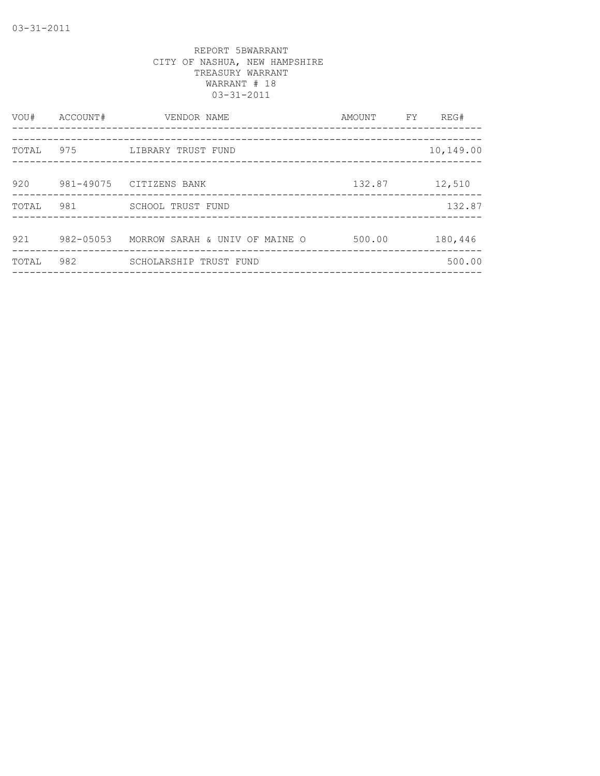| VOU#  | ACCOUNT#  | VENDOR NAME                    | AMOUNT | FY. | REG#      |
|-------|-----------|--------------------------------|--------|-----|-----------|
| TOTAL | 975       | LIBRARY TRUST FUND             |        |     | 10,149.00 |
| 920   |           | 981-49075 CITIZENS BANK        | 132.87 |     | 12,510    |
| TOTAL | 981       | SCHOOL TRUST FUND              |        |     | 132.87    |
| 921   | 982-05053 | MORROW SARAH & UNIV OF MAINE O | 500.00 |     | 180,446   |
| TOTAL | 982       | SCHOLARSHIP TRUST FUND         |        |     | 500.00    |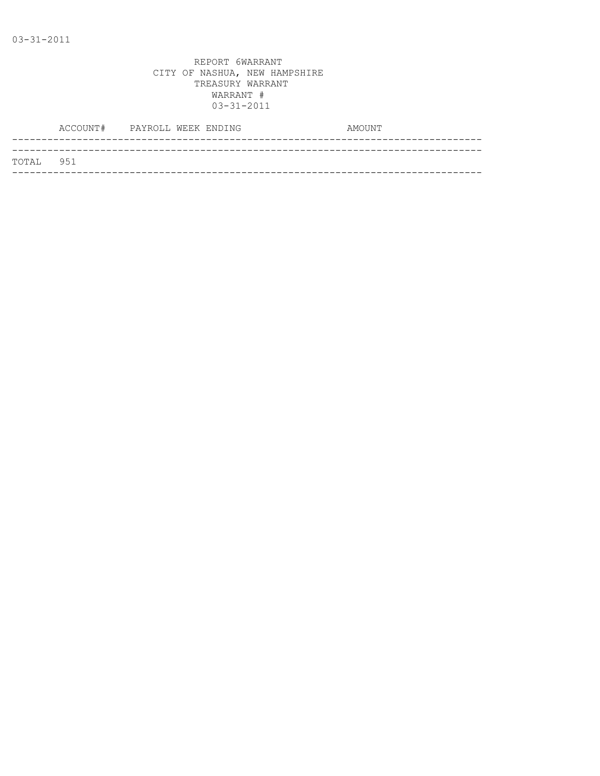|           | ACCOUNT# PAYROLL WEEK ENDING |  |  | AMOUNT |
|-----------|------------------------------|--|--|--------|
|           |                              |  |  |        |
| TOTAL 951 |                              |  |  |        |
|           |                              |  |  |        |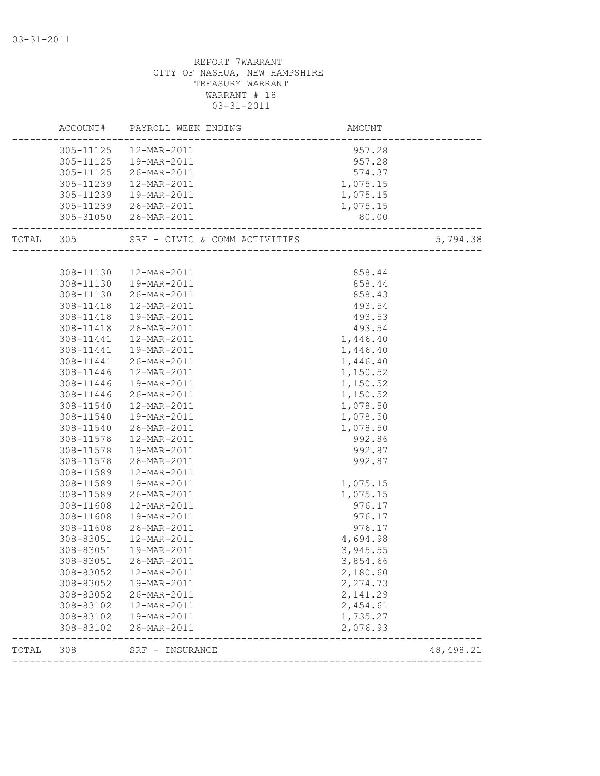|       |                        | ACCOUNT# PAYROLL WEEK ENDING | AMOUNT                 |            |
|-------|------------------------|------------------------------|------------------------|------------|
|       |                        | 305-11125  12-MAR-2011       | 957.28                 |            |
|       |                        | 305-11125  19-MAR-2011       | 957.28                 |            |
|       |                        | 305-11125 26-MAR-2011        | $574.37$<br>$1,075.15$ |            |
|       | 305-11239              | 12-MAR-2011                  |                        |            |
|       | 305-11239              | 19-MAR-2011                  | 1,075.15               |            |
|       |                        | 305-11239 26-MAR-2011        | 1,075.15               |            |
|       |                        | 305-31050 26-MAR-2011        | 80.00                  |            |
|       |                        |                              |                        | 5,794.38   |
|       |                        |                              |                        |            |
|       | 308-11130              | 12-MAR-2011                  | 858.44                 |            |
|       |                        | 308-11130  19-MAR-2011       | 858.44                 |            |
|       |                        | 308-11130 26-MAR-2011        | 858.43                 |            |
|       | 308-11418              | 12-MAR-2011                  | 493.54                 |            |
|       | 308-11418              | 19-MAR-2011                  | 493.53                 |            |
|       | 308-11418              | 26-MAR-2011                  | 493.54                 |            |
|       | 308-11441              | 12-MAR-2011                  | 1,446.40               |            |
|       | 308-11441              | 19-MAR-2011                  | 1,446.40               |            |
|       | 308-11441              | 26-MAR-2011                  | 1,446.40               |            |
|       | 308-11446              | 12-MAR-2011                  | 1,150.52               |            |
|       | 308-11446              | 19-MAR-2011                  | 1,150.52               |            |
|       | 308-11446              | 26-MAR-2011                  | 1,150.52               |            |
|       | 308-11540              | 12-MAR-2011                  | 1,078.50               |            |
|       | 308-11540              | 19-MAR-2011                  | 1,078.50               |            |
|       | 308-11540              | 26-MAR-2011                  | 1,078.50               |            |
|       | 308-11578              | 12-MAR-2011                  | 992.86                 |            |
|       | 308-11578              | 19-MAR-2011                  | 992.87                 |            |
|       | 308-11578              | 26-MAR-2011                  | 992.87                 |            |
|       | 308-11589              | 12-MAR-2011                  |                        |            |
|       | 308-11589              | 19-MAR-2011                  | 1,075.15               |            |
|       | 308-11589              | 26-MAR-2011                  | 1,075.15               |            |
|       | 308-11608              | 12-MAR-2011                  | 976.17                 |            |
|       | 308-11608              | 19-MAR-2011                  | 976.17                 |            |
|       | 308-11608              | 26-MAR-2011                  | 976.17                 |            |
|       | 308-83051              | 12-MAR-2011                  | 4,694.98               |            |
|       |                        | 308-83051  19-MAR-2011       | 3,945.55               |            |
|       |                        | 308-83051 26-MAR-2011        | 3,854.66               |            |
|       | 308-83052              | 12-MAR-2011                  | 2,180.60               |            |
|       | 308-83052              | 19-MAR-2011                  | 2,274.73               |            |
|       | 308-83052              | 26-MAR-2011                  | 2,141.29               |            |
|       | 308-83102              | 12-MAR-2011                  | 2,454.61               |            |
|       | 308-83102<br>308-83102 | 19-MAR-2011<br>26-MAR-2011   | 1,735.27<br>2,076.93   |            |
| TOTAL | 308                    | SRF - INSURANCE              |                        | 48, 498.21 |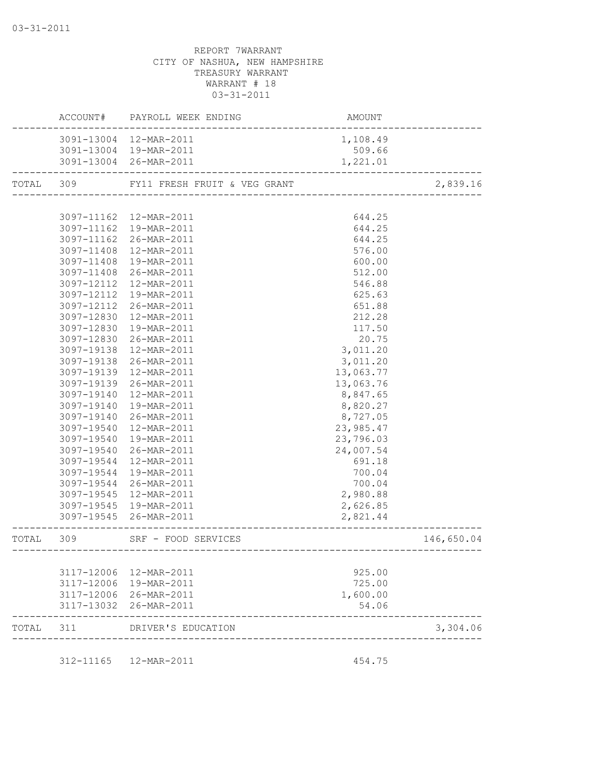|           |            | ACCOUNT# PAYROLL WEEK ENDING                                 | AMOUNT                                                    |            |
|-----------|------------|--------------------------------------------------------------|-----------------------------------------------------------|------------|
|           |            | 3091-13004 12-MAR-2011                                       | 1,108.49                                                  |            |
|           |            | 3091-13004 19-MAR-2011                                       | 509.66                                                    |            |
|           |            | 3091-13004 26-MAR-2011                                       | 1,221.01                                                  |            |
| TOTAL 309 |            | FY11 FRESH FRUIT & VEG GRANT                                 | ________________________________                          | 2,839.16   |
|           |            |                                                              |                                                           |            |
|           |            | 3097-11162  12-MAR-2011                                      | 644.25                                                    |            |
|           |            | 3097-11162  19-MAR-2011                                      | 644.25                                                    |            |
|           |            | 3097-11162 26-MAR-2011                                       | 644.25                                                    |            |
|           | 3097-11408 | 12-MAR-2011                                                  | 576.00                                                    |            |
|           | 3097-11408 | 19-MAR-2011                                                  | 600.00                                                    |            |
|           | 3097-11408 | 26-MAR-2011                                                  | 512.00                                                    |            |
|           |            | 3097-12112 12-MAR-2011                                       | 546.88                                                    |            |
|           | 3097-12112 | 19-MAR-2011                                                  | 625.63                                                    |            |
|           | 3097-12112 | 26-MAR-2011                                                  | 651.88                                                    |            |
|           | 3097-12830 | 12-MAR-2011                                                  | 212.28                                                    |            |
|           | 3097-12830 | 19-MAR-2011                                                  | 117.50                                                    |            |
|           | 3097-12830 | 26-MAR-2011                                                  | 20.75                                                     |            |
|           | 3097-19138 | 12-MAR-2011                                                  | 3,011.20                                                  |            |
|           | 3097-19138 | 26-MAR-2011                                                  | 3,011.20                                                  |            |
|           | 3097-19139 | 12-MAR-2011                                                  | 13,063.77                                                 |            |
|           |            | 3097-19139 26-MAR-2011                                       | 13,063.76                                                 |            |
|           | 3097-19140 | 12-MAR-2011                                                  | 8,847.65                                                  |            |
|           | 3097-19140 | 19-MAR-2011                                                  | 8,820.27                                                  |            |
|           | 3097-19140 | 26-MAR-2011                                                  | 8,727.05                                                  |            |
|           | 3097-19540 | 12-MAR-2011                                                  | 23,985.47                                                 |            |
|           | 3097-19540 | 19-MAR-2011                                                  | 23,796.03                                                 |            |
|           | 3097-19540 | 26-MAR-2011                                                  | 24,007.54                                                 |            |
|           | 3097-19544 | 12-MAR-2011                                                  | 691.18                                                    |            |
|           | 3097-19544 | 19-MAR-2011                                                  | 700.04                                                    |            |
|           | 3097-19544 | 26-MAR-2011                                                  | 700.04                                                    |            |
|           | 3097-19545 | 12-MAR-2011                                                  | 2,980.88                                                  |            |
|           |            | 3097-19545 19-MAR-2011                                       | 2,626.85                                                  |            |
|           |            | 3097-19545 26-MAR-2011                                       | 2,821.44                                                  |            |
| TOTAL     | 309        | SRF - FOOD SERVICES<br>. _ _ _ _ _ _ _ _ _ _ _ _ _ _ _ _ _ _ | ________________<br>------------------------------------- | 146,650.04 |
|           |            |                                                              |                                                           |            |
|           |            | 3117-12006 12-MAR-2011                                       | 925.00                                                    |            |
|           |            | 3117-12006 19-MAR-2011                                       | 725.00                                                    |            |
|           |            | 3117-12006 26-MAR-2011                                       | 1,600.00                                                  |            |
|           |            | 3117-13032 26-MAR-2011                                       | 54.06                                                     |            |
| TOTAL     | 311        | DRIVER'S EDUCATION                                           |                                                           | 3,304.06   |
|           |            |                                                              |                                                           |            |
|           | 312-11165  | 12-MAR-2011                                                  | 454.75                                                    |            |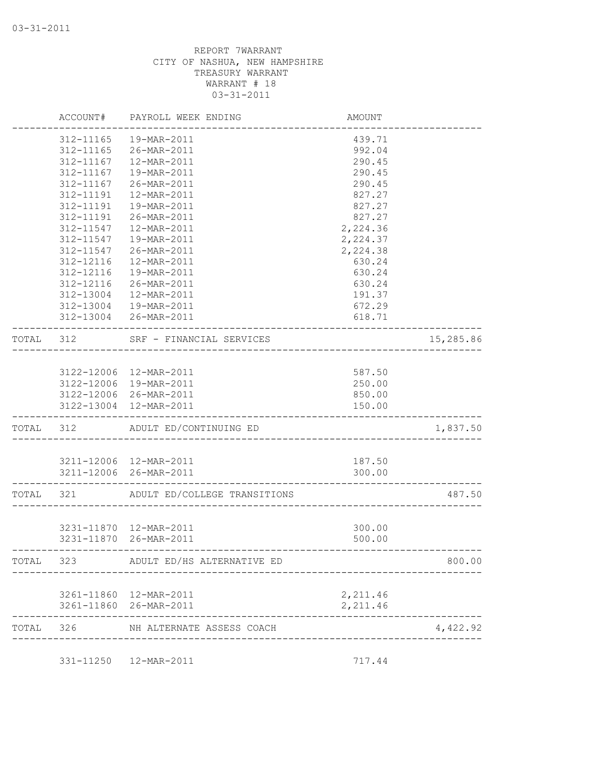|           | ACCOUNT#      | PAYROLL WEEK ENDING                              | AMOUNT                       |           |
|-----------|---------------|--------------------------------------------------|------------------------------|-----------|
|           | 312-11165     | 19-MAR-2011                                      | 439.71                       |           |
|           | $312 - 11165$ | 26-MAR-2011                                      | 992.04                       |           |
|           | 312-11167     | 12-MAR-2011                                      | 290.45                       |           |
|           | 312-11167     | 19-MAR-2011                                      | 290.45                       |           |
|           | 312-11167     | 26-MAR-2011                                      | 290.45                       |           |
|           | 312-11191     | 12-MAR-2011                                      | 827.27                       |           |
|           | 312-11191     | 19-MAR-2011                                      | 827.27                       |           |
|           | 312-11191     | 26-MAR-2011                                      | 827.27                       |           |
|           | 312-11547     | 12-MAR-2011                                      | 2,224.36                     |           |
|           | 312-11547     | 19-MAR-2011                                      | 2,224.37                     |           |
|           | $312 - 11547$ | 26-MAR-2011                                      | 2,224.38                     |           |
|           | 312-12116     | 12-MAR-2011                                      | 630.24                       |           |
|           | 312-12116     | 19-MAR-2011                                      | 630.24                       |           |
|           | 312-12116     | 26-MAR-2011                                      | 630.24                       |           |
|           | 312-13004     | 12-MAR-2011                                      | 191.37                       |           |
|           | 312-13004     | 19-MAR-2011                                      | 672.29                       |           |
|           |               | 312-13004 26-MAR-2011                            | 618.71                       |           |
| TOTAL 312 |               | SRF - FINANCIAL SERVICES                         | _________________            | 15,285.86 |
|           |               |                                                  |                              |           |
|           |               | 3122-12006 12-MAR-2011                           | 587.50                       |           |
|           |               | 3122-12006 19-MAR-2011                           | 250.00                       |           |
|           |               | 3122-12006 26-MAR-2011                           | 850.00                       |           |
|           |               | 3122-13004 12-MAR-2011                           | 150.00                       |           |
| TOTAL 312 |               | ADULT ED/CONTINUING ED                           |                              | 1,837.50  |
|           |               |                                                  |                              |           |
|           |               | 3211-12006 12-MAR-2011                           | 187.50                       |           |
|           |               | 3211-12006 26-MAR-2011                           | 300.00                       |           |
| TOTAL     | 321           | ADULT ED/COLLEGE TRANSITIONS                     |                              | 487.50    |
|           |               |                                                  |                              |           |
|           |               | 3231-11870  12-MAR-2011                          | 300.00                       |           |
|           |               | 3231-11870 26-MAR-2011                           | 500.00                       |           |
| TOTAL     | 323           | ADULT ED/HS ALTERNATIVE ED                       |                              | 800.00    |
|           |               |                                                  |                              |           |
|           |               | 3261-11860 12-MAR-2011<br>3261-11860 26-MAR-2011 | 2,211.46<br>2,211.46         |           |
|           |               |                                                  |                              |           |
| TOTAL     | 326           | NH ALTERNATE ASSESS COACH                        | ____________________________ | 4,422.92  |
|           |               |                                                  |                              |           |
|           | 331-11250     | 12-MAR-2011                                      | 717.44                       |           |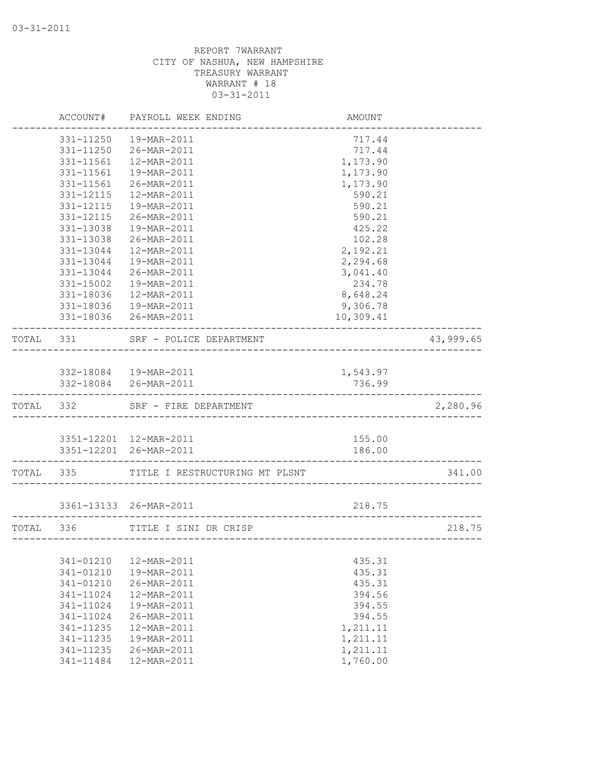|           | ACCOUNT#  | PAYROLL WEEK ENDING                             | AMOUNT             |           |
|-----------|-----------|-------------------------------------------------|--------------------|-----------|
|           | 331-11250 | 19-MAR-2011                                     | 717.44             |           |
|           | 331-11250 | 26-MAR-2011                                     | 717.44             |           |
|           | 331-11561 | 12-MAR-2011                                     | 1,173.90           |           |
|           | 331-11561 | 19-MAR-2011                                     | 1,173.90           |           |
|           | 331-11561 | 26-MAR-2011                                     | 1,173.90           |           |
|           | 331-12115 | 12-MAR-2011                                     | 590.21             |           |
|           | 331-12115 | 19-MAR-2011                                     | 590.21             |           |
|           | 331-12115 | 26-MAR-2011                                     | 590.21             |           |
|           | 331-13038 | 19-MAR-2011                                     | 425.22             |           |
|           | 331-13038 | 26-MAR-2011                                     | 102.28             |           |
|           | 331-13044 | $12 - \text{MAR} - 2011$                        | 2,192.21           |           |
|           | 331-13044 | 19-MAR-2011                                     | 2,294.68           |           |
|           | 331-13044 | 26-MAR-2011                                     | 3,041.40           |           |
|           | 331-15002 | 19-MAR-2011                                     | 234.78             |           |
|           | 331-18036 | 12-MAR-2011                                     | 8,648.24           |           |
|           | 331-18036 | 19-MAR-2011                                     | 9,306.78           |           |
|           |           | 331-18036 26-MAR-2011                           | 10,309.41          |           |
| TOTAL 331 |           | SRF - POLICE DEPARTMENT                         |                    | 43,999.65 |
|           |           |                                                 |                    |           |
|           |           | 332-18084  19-MAR-2011<br>332-18084 26-MAR-2011 | 1,543.97<br>736.99 |           |
|           |           |                                                 |                    |           |
|           | TOTAL 332 | SRF - FIRE DEPARTMENT                           |                    | 2,280.96  |
|           |           |                                                 |                    |           |
|           |           | 3351-12201 12-MAR-2011                          | 155.00             |           |
|           |           | 3351-12201 26-MAR-2011                          | 186.00             |           |
|           |           | TOTAL 335 TITLE I RESTRUCTURING MT PLSNT        |                    | 341.00    |
|           |           | 3361-13133 26-MAR-2011                          | 218.75             |           |
| TOTAL 336 |           | TITLE I SINI DR CRISP                           |                    | 218.75    |
|           |           |                                                 |                    |           |
|           | 341-01210 | 12-MAR-2011                                     | 435.31             |           |
|           | 341-01210 | 19-MAR-2011                                     | 435.31             |           |
|           | 341-01210 | 26-MAR-2011                                     | 435.31             |           |
|           | 341-11024 | 12-MAR-2011                                     | 394.56             |           |
|           | 341-11024 | 19-MAR-2011                                     | 394.55             |           |
|           | 341-11024 | 26-MAR-2011                                     | 394.55             |           |
|           | 341-11235 | 12-MAR-2011                                     | 1,211.11           |           |
|           | 341-11235 | 19-MAR-2011                                     | 1,211.11           |           |
|           | 341-11235 | 26-MAR-2011                                     | 1,211.11           |           |
|           | 341-11484 | 12-MAR-2011                                     | 1,760.00           |           |
|           |           |                                                 |                    |           |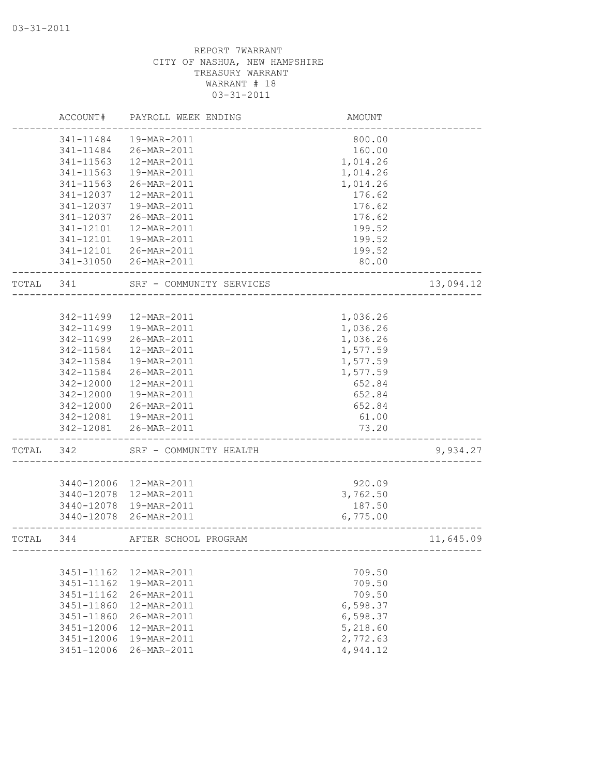|       | ACCOUNT#   | PAYROLL WEEK ENDING      | <b>AMOUNT</b>       |           |
|-------|------------|--------------------------|---------------------|-----------|
|       | 341-11484  | 19-MAR-2011              | 800.00              |           |
|       | 341-11484  | 26-MAR-2011              | 160.00              |           |
|       | 341-11563  | 12-MAR-2011              | 1,014.26            |           |
|       | 341-11563  | 19-MAR-2011              | 1,014.26            |           |
|       | 341-11563  | 26-MAR-2011              | 1,014.26            |           |
|       | 341-12037  | 12-MAR-2011              | 176.62              |           |
|       | 341-12037  | 19-MAR-2011              | 176.62              |           |
|       | 341-12037  | 26-MAR-2011              | 176.62              |           |
|       | 341-12101  | 12-MAR-2011              | 199.52              |           |
|       | 341-12101  | 19-MAR-2011              | 199.52              |           |
|       |            | 341-12101 26-MAR-2011    | 199.52              |           |
|       |            | 341-31050 26-MAR-2011    | 80.00               |           |
| TOTAL | 341        | SRF - COMMUNITY SERVICES |                     | 13,094.12 |
|       |            |                          |                     |           |
|       | 342-11499  | 12-MAR-2011              | 1,036.26            |           |
|       | 342-11499  | 19-MAR-2011              | 1,036.26            |           |
|       | 342-11499  | 26-MAR-2011              | 1,036.26            |           |
|       | 342-11584  | 12-MAR-2011              | 1,577.59            |           |
|       | 342-11584  | 19-MAR-2011              | 1,577.59            |           |
|       | 342-11584  | 26-MAR-2011              | 1,577.59            |           |
|       | 342-12000  | 12-MAR-2011              | 652.84              |           |
|       | 342-12000  | 19-MAR-2011              | 652.84              |           |
|       | 342-12000  | 26-MAR-2011              | 652.84              |           |
|       | 342-12081  | 19-MAR-2011              | 61.00               |           |
|       | 342-12081  | 26-MAR-2011              | 73.20               |           |
| TOTAL | 342        | SRF - COMMUNITY HEALTH   |                     | 9,934.27  |
|       |            |                          |                     |           |
|       | 3440-12006 | 12-MAR-2011              | 920.09              |           |
|       | 3440-12078 | 12-MAR-2011              | 3,762.50            |           |
|       | 3440-12078 | 19-MAR-2011              | 187.50              |           |
|       | 3440-12078 | 26-MAR-2011              | 6,775.00            |           |
| TOTAL | 344        | AFTER SCHOOL PROGRAM     | ------------------- | 11,645.09 |
|       |            |                          |                     |           |
|       | 3451-11162 | 12-MAR-2011              | 709.50              |           |
|       | 3451-11162 | 19-MAR-2011              | 709.50              |           |
|       | 3451-11162 | 26-MAR-2011              | 709.50              |           |
|       | 3451-11860 | 12-MAR-2011              | 6,598.37            |           |
|       | 3451-11860 | 26-MAR-2011              | 6,598.37            |           |
|       | 3451-12006 | 12-MAR-2011              | 5,218.60            |           |
|       | 3451-12006 | 19-MAR-2011              | 2,772.63            |           |
|       | 3451-12006 | 26-MAR-2011              | 4,944.12            |           |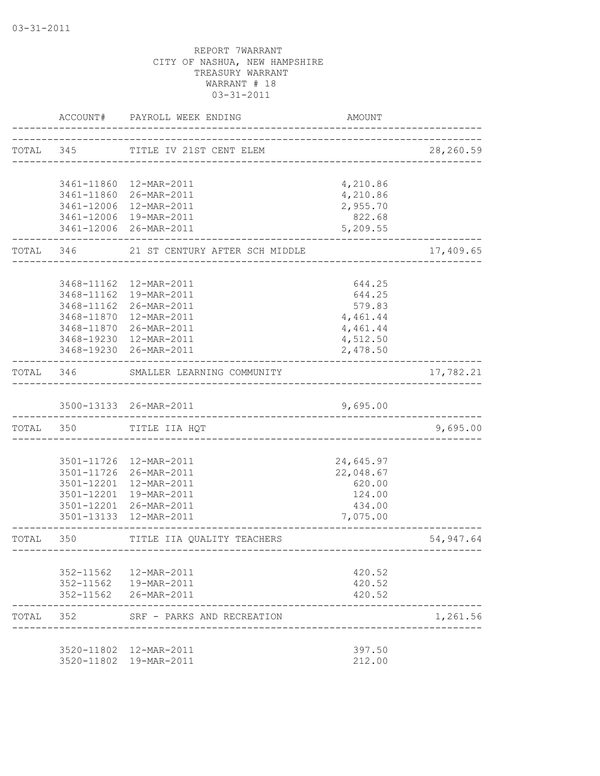|           |                                   | ACCOUNT# PAYROLL WEEK ENDING                                             | AMOUNT                        |           |
|-----------|-----------------------------------|--------------------------------------------------------------------------|-------------------------------|-----------|
|           |                                   | TOTAL 345 TITLE IV 21ST CENT ELEM<br>----------------------------------- |                               | 28,260.59 |
|           |                                   |                                                                          |                               |           |
|           |                                   | 3461-11860 12-MAR-2011                                                   | 4,210.86                      |           |
|           |                                   | 3461-11860 26-MAR-2011                                                   | 4,210.86                      |           |
|           |                                   | 3461-12006 12-MAR-2011                                                   | 2,955.70                      |           |
|           |                                   | 3461-12006 19-MAR-2011                                                   | 822.68                        |           |
|           |                                   | 3461-12006 26-MAR-2011                                                   | 5,209.55                      |           |
|           | TOTAL 346                         | 21 ST CENTURY AFTER SCH MIDDLE                                           |                               | 17,409.65 |
|           |                                   |                                                                          |                               |           |
|           |                                   | 3468-11162  12-MAR-2011                                                  | 644.25                        |           |
|           | 3468-11162                        | 19-MAR-2011                                                              | 644.25                        |           |
|           | 3468-11162                        | 26-MAR-2011                                                              | 579.83                        |           |
|           | 3468-11870                        | 12-MAR-2011                                                              | 4,461.44                      |           |
|           | 3468-11870                        | 26-MAR-2011                                                              | 4,461.44                      |           |
|           |                                   | 3468-19230 12-MAR-2011                                                   | 4,512.50                      |           |
|           | . _ _ _ _ _ _ _ _ _ _ _ _ _ _ _ _ | 3468-19230 26-MAR-2011                                                   | 2,478.50                      |           |
|           |                                   | TOTAL 346 SMALLER LEARNING COMMUNITY                                     |                               | 17,782.21 |
|           |                                   | 3500-13133 26-MAR-2011                                                   | 9,695.00                      |           |
|           | TOTAL 350                         | _________________________<br>TITLE IIA HQT                               |                               | 9,695.00  |
|           |                                   |                                                                          |                               |           |
|           |                                   | 3501-11726 12-MAR-2011                                                   | 24,645.97                     |           |
|           |                                   | 3501-11726 26-MAR-2011                                                   | 22,048.67                     |           |
|           |                                   | 3501-12201 12-MAR-2011                                                   | 620.00                        |           |
|           | 3501-12201                        | 19-MAR-2011                                                              | 124.00                        |           |
|           |                                   | 3501-12201 26-MAR-2011                                                   | 434.00                        |           |
|           | 3501-13133                        | 12-MAR-2011                                                              | 7,075.00                      |           |
| TOTAL 350 |                                   | TITLE IIA QUALITY TEACHERS                                               | ----------------------------- | 54,947.64 |
|           |                                   |                                                                          |                               |           |
|           |                                   | 352-11562  12-MAR-2011                                                   | 420.52                        |           |
|           |                                   | 352-11562  19-MAR-2011                                                   | 420.52                        |           |
|           |                                   | 352-11562 26-MAR-2011                                                    | 420.52                        |           |
| TOTAL     | 352                               | SRF - PARKS AND RECREATION                                               |                               | 1,261.56  |
|           |                                   | 3520-11802  12-MAR-2011                                                  | 397.50                        |           |
|           |                                   | 3520-11802 19-MAR-2011                                                   | 212.00                        |           |
|           |                                   |                                                                          |                               |           |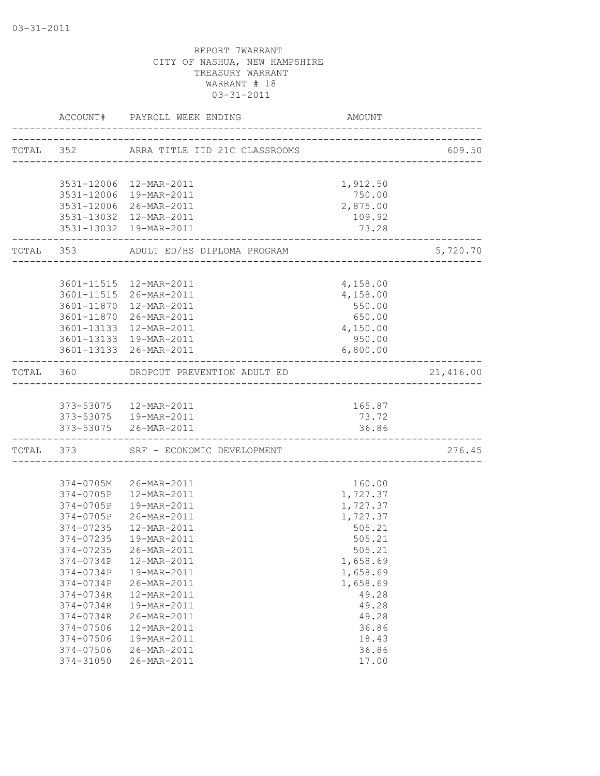|                     | ACCOUNT# PAYROLL WEEK ENDING            | AMOUNT                    |                        |
|---------------------|-----------------------------------------|---------------------------|------------------------|
|                     | TOTAL 352 ARRA TITLE IID 21C CLASSROOMS |                           |                        |
|                     |                                         |                           |                        |
|                     | 3531-12006 12-MAR-2011                  | 1,912.50                  |                        |
|                     | 3531-12006 19-MAR-2011                  | 750.00                    |                        |
|                     | 3531-12006 26-MAR-2011                  | 2,875.00                  |                        |
|                     | 3531-13032  12-MAR-2011                 | 109.92                    |                        |
|                     | 3531-13032 19-MAR-2011                  | 73.28                     |                        |
| ------------------- | TOTAL 353 ADULT ED/HS DIPLOMA PROGRAM   | _________________________ | 5,720.70               |
|                     |                                         |                           |                        |
|                     | 3601-11515 12-MAR-2011                  | 4,158.00                  |                        |
|                     | 3601-11515 26-MAR-2011                  | 4,158.00                  |                        |
|                     | 3601-11870  12-MAR-2011                 | 550.00                    |                        |
|                     | 3601-11870 26-MAR-2011                  | 650.00                    |                        |
|                     | 3601-13133 12-MAR-2011                  | 4,150.00                  |                        |
|                     | 3601-13133 19-MAR-2011                  | 950.00                    |                        |
|                     | 3601-13133 26-MAR-2011                  | 6,800.00                  |                        |
|                     | TOTAL 360 DROPOUT PREVENTION ADULT ED   |                           | 21,416.00              |
|                     |                                         |                           |                        |
|                     | 373-53075 12-MAR-2011                   | 165.87                    |                        |
|                     | 373-53075  19-MAR-2011                  | 73.72                     |                        |
| -----------------   | 373-53075 26-MAR-2011                   | 36.86                     |                        |
|                     | TOTAL 373 SRF - ECONOMIC DEVELOPMENT    |                           | 276.45<br>____________ |
|                     |                                         |                           |                        |
|                     | 374-0705M 26-MAR-2011                   | 160.00                    |                        |
|                     | 374-0705P 12-MAR-2011                   | 1,727.37                  |                        |
|                     | 374-0705P  19-MAR-2011                  | 1,727.37                  |                        |
|                     | 374-0705P 26-MAR-2011                   | 1,727.37                  |                        |
| 374-07235           | 12-MAR-2011                             | 505.21                    |                        |
| 374-07235           | 19-MAR-2011                             | 505.21                    |                        |
|                     | 374-07235 26-MAR-2011                   | 505.21                    |                        |
| 374-0734P           | 12-MAR-2011                             | 1,658.69                  |                        |
| 374-0734P           | 19-MAR-2011                             | 1,658.69                  |                        |
| 374-0734P           | 26-MAR-2011                             | 1,658.69                  |                        |
| 374-0734R           | 12-MAR-2011                             | 49.28                     |                        |
| 374-0734R           | 19-MAR-2011                             | 49.28                     |                        |
| 374-0734R           | 26-MAR-2011                             | 49.28                     |                        |
| 374-07506           | 12-MAR-2011                             | 36.86                     |                        |
| 374-07506           | 19-MAR-2011                             | 18.43                     |                        |
| 374-07506           | 26-MAR-2011                             | 36.86                     |                        |
| 374-31050           | 26-MAR-2011                             | 17.00                     |                        |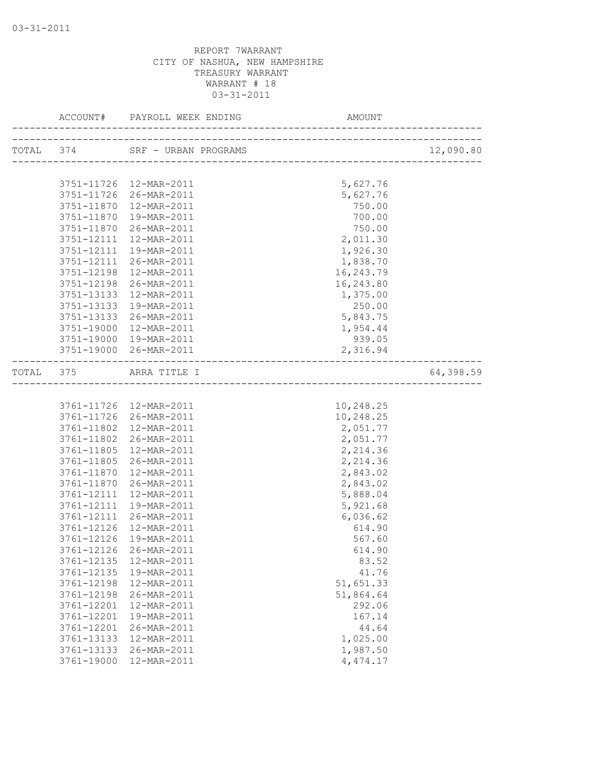|            |                         |           | 12,090.80 |
|------------|-------------------------|-----------|-----------|
|            |                         |           |           |
|            | 3751-11726 12-MAR-2011  | 5,627.76  |           |
|            | 3751-11726 26-MAR-2011  | 5,627.76  |           |
|            | 3751-11870  12-MAR-2011 | 750.00    |           |
|            | 3751-11870  19-MAR-2011 | 700.00    |           |
|            | 3751-11870 26-MAR-2011  | 750.00    |           |
|            | 3751-12111  12-MAR-2011 | 2,011.30  |           |
|            | 3751-12111 19-MAR-2011  | 1,926.30  |           |
| 3751-12111 | 26-MAR-2011             | 1,838.70  |           |
| 3751-12198 | 12-MAR-2011             | 16,243.79 |           |
|            | 3751-12198 26-MAR-2011  | 16,243.80 |           |
|            | 3751-13133  12-MAR-2011 | 1,375.00  |           |
|            | 3751-13133  19-MAR-2011 | 250.00    |           |
|            | 3751-13133 26-MAR-2011  | 5,843.75  |           |
|            | 3751-19000 12-MAR-2011  | 1,954.44  |           |
|            | 3751-19000 19-MAR-2011  | 939.05    |           |
|            | 3751-19000 26-MAR-2011  | 2,316.94  |           |
|            | TOTAL 375 ARRA TITLE I  |           | 64,398.59 |
|            |                         |           |           |
|            | 3761-11726 12-MAR-2011  | 10,248.25 |           |
|            | 3761-11726 26-MAR-2011  | 10,248.25 |           |
|            | 3761-11802  12-MAR-2011 | 2,051.77  |           |
|            | 3761-11802 26-MAR-2011  | 2,051.77  |           |
| 3761-11805 | 12-MAR-2011             | 2,214.36  |           |
| 3761-11805 | 26-MAR-2011             | 2,214.36  |           |
| 3761-11870 | 12-MAR-2011             | 2,843.02  |           |
|            | 3761-11870 26-MAR-2011  | 2,843.02  |           |
| 3761-12111 | 12-MAR-2011             | 5,888.04  |           |
| 3761-12111 | 19-MAR-2011             | 5,921.68  |           |
| 3761-12111 | 26-MAR-2011             | 6,036.62  |           |
| 3761-12126 | 12-MAR-2011             | 614.90    |           |
| 3761-12126 | 19-MAR-2011             | 567.60    |           |
|            | 3761-12126 26-MAR-2011  | 614.90    |           |
| 3761-12135 | 12-MAR-2011             | 83.52     |           |
| 3761-12135 | 19-MAR-2011             | 41.76     |           |
| 3761-12198 | 12-MAR-2011             | 51,651.33 |           |
| 3761-12198 | 26-MAR-2011             | 51,864.64 |           |
| 3761-12201 | 12-MAR-2011             | 292.06    |           |
| 3761-12201 | 19-MAR-2011             | 167.14    |           |
| 3761-12201 | 26-MAR-2011             | 44.64     |           |
| 3761-13133 | 12-MAR-2011             | 1,025.00  |           |
| 3761-13133 | 26-MAR-2011             | 1,987.50  |           |
| 3761-19000 | 12-MAR-2011             | 4, 474.17 |           |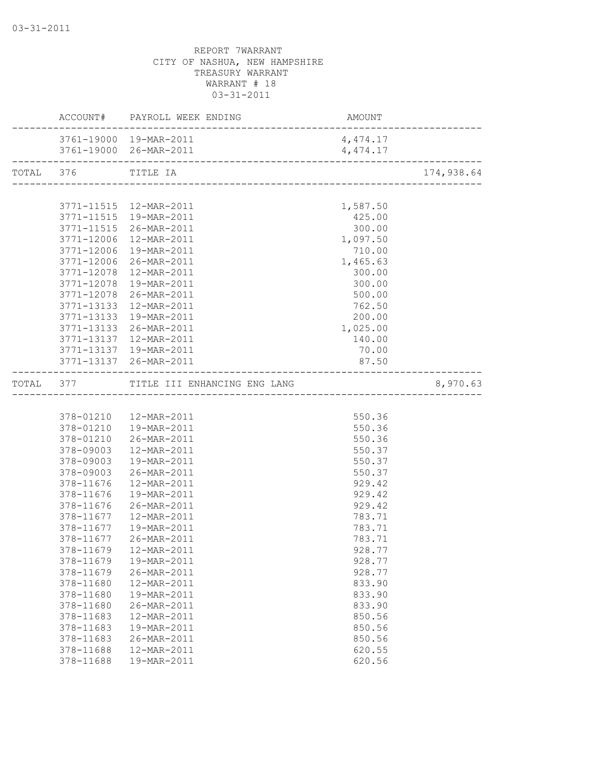|                    | ACCOUNT# PAYROLL WEEK ENDING           |          |                                   |
|--------------------|----------------------------------------|----------|-----------------------------------|
|                    | 3761-19000 19-MAR-2011                 | 4,474.17 |                                   |
|                    |                                        | 4,474.17 | . _ _ _ _ _ _ _ _ _ _ _ _ _ _ _ _ |
| TOTAL 376 TITLE IA |                                        |          | 174,938.64                        |
|                    |                                        |          |                                   |
|                    | 3771-11515 12-MAR-2011                 | 1,587.50 |                                   |
|                    | 3771-11515  19-MAR-2011                | 425.00   |                                   |
|                    | 3771-11515 26-MAR-2011                 | 300.00   |                                   |
|                    | 3771-12006 12-MAR-2011                 | 1,097.50 |                                   |
|                    | 3771-12006 19-MAR-2011                 | 710.00   |                                   |
|                    | 3771-12006 26-MAR-2011                 | 1,465.63 |                                   |
|                    | 3771-12078 12-MAR-2011                 | 300.00   |                                   |
|                    | 3771-12078 19-MAR-2011                 | 300.00   |                                   |
|                    | 3771-12078 26-MAR-2011                 | 500.00   |                                   |
|                    | 3771-13133 12-MAR-2011                 | 762.50   |                                   |
|                    | 3771-13133 19-MAR-2011                 | 200.00   |                                   |
|                    | 3771-13133 26-MAR-2011                 | 1,025.00 |                                   |
| 3771-13137         | 12-MAR-2011                            | 140.00   |                                   |
|                    | 3771-13137 19-MAR-2011                 | 70.00    |                                   |
|                    | 3771-13137 26-MAR-2011                 | 87.50    |                                   |
|                    | TOTAL 377 TITLE III ENHANCING ENG LANG |          | 8,970.63                          |
|                    |                                        |          |                                   |
|                    | 378-01210  12-MAR-2011                 | 550.36   |                                   |
|                    | 378-01210  19-MAR-2011                 | 550.36   |                                   |
|                    | 378-01210 26-MAR-2011                  | 550.36   |                                   |
| 378-09003          | 12-MAR-2011                            | 550.37   |                                   |
| 378-09003          | 19-MAR-2011                            | 550.37   |                                   |
| 378-09003          | 26-MAR-2011                            | 550.37   |                                   |
| 378-11676          | 12-MAR-2011                            | 929.42   |                                   |
| 378-11676          | 19-MAR-2011                            | 929.42   |                                   |
| 378-11676          | 26-MAR-2011                            | 929.42   |                                   |
|                    | 378-11677  12-MAR-2011                 | 783.71   |                                   |
| 378-11677          | 19-MAR-2011                            | 783.71   |                                   |
| 378-11677          | 26-MAR-2011                            | 783.71   |                                   |
|                    | 378-11679   12-MAR-2011                | 928.77   |                                   |
| 378-11679          | 19-MAR-2011                            | 928.77   |                                   |
| 378-11679          | 26-MAR-2011                            | 928.77   |                                   |
| 378-11680          | 12-MAR-2011                            | 833.90   |                                   |
| 378-11680          | 19-MAR-2011                            | 833.90   |                                   |
| 378-11680          | 26-MAR-2011                            | 833.90   |                                   |
| 378-11683          | 12-MAR-2011                            | 850.56   |                                   |
| 378-11683          | 19-MAR-2011                            | 850.56   |                                   |
| 378-11683          | 26-MAR-2011                            | 850.56   |                                   |
| 378-11688          | 12-MAR-2011                            | 620.55   |                                   |
| 378-11688          | 19-MAR-2011                            | 620.56   |                                   |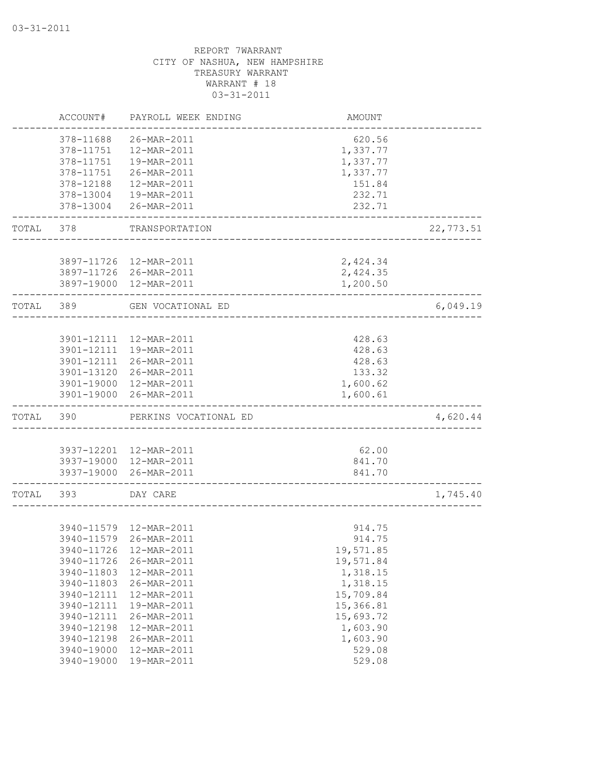|       | ACCOUNT#                 | PAYROLL WEEK ENDING        | AMOUNT               |           |
|-------|--------------------------|----------------------------|----------------------|-----------|
|       | 378-11688<br>378-11751   | 26-MAR-2011<br>12-MAR-2011 | 620.56               |           |
|       | 378-11751                | 19-MAR-2011                | 1,337.77<br>1,337.77 |           |
|       | 378-11751                | 26-MAR-2011                | 1,337.77             |           |
|       | 378-12188                | 12-MAR-2011                | 151.84               |           |
|       | 378-13004                | 19-MAR-2011                | 232.71               |           |
|       | 378-13004                | 26-MAR-2011                | 232.71               |           |
| TOTAL | 378                      | TRANSPORTATION             |                      | 22,773.51 |
|       |                          |                            |                      |           |
|       |                          | 3897-11726 12-MAR-2011     | 2,424.34             |           |
|       |                          | 3897-11726 26-MAR-2011     | 2,424.35             |           |
|       |                          | 3897-19000 12-MAR-2011     | 1,200.50             |           |
| TOTAL | 389                      | GEN VOCATIONAL ED          |                      | 6,049.19  |
|       |                          |                            |                      |           |
|       | 3901-12111               | 12-MAR-2011                | 428.63               |           |
|       | 3901-12111               | 19-MAR-2011                | 428.63               |           |
|       | 3901-12111               | 26-MAR-2011                | 428.63               |           |
|       | 3901-13120               | 26-MAR-2011                | 133.32               |           |
|       | 3901-19000<br>3901-19000 | 12-MAR-2011<br>26-MAR-2011 | 1,600.62<br>1,600.61 |           |
| TOTAL | 390                      | PERKINS VOCATIONAL ED      |                      | 4,620.44  |
|       |                          |                            |                      |           |
|       |                          | 3937-12201 12-MAR-2011     | 62.00                |           |
|       |                          | 3937-19000 12-MAR-2011     | 841.70               |           |
|       | 3937-19000               | 26-MAR-2011                | 841.70               |           |
| TOTAL | 393                      | DAY CARE                   |                      | 1,745.40  |
|       |                          |                            |                      |           |
|       |                          | 3940-11579 12-MAR-2011     | 914.75               |           |
|       | 3940-11579               | 26-MAR-2011                | 914.75               |           |
|       |                          | 3940-11726 12-MAR-2011     | 19,571.85            |           |
|       | 3940-11726               | 26-MAR-2011                | 19,571.84            |           |
|       | 3940-11803               | 12-MAR-2011                | 1,318.15             |           |
|       | 3940-11803               | 26-MAR-2011                | 1,318.15             |           |
|       | 3940-12111               | 12-MAR-2011                | 15,709.84            |           |
|       | 3940-12111               | 19-MAR-2011                | 15,366.81            |           |
|       | 3940-12111               | 26-MAR-2011                | 15,693.72            |           |
|       | 3940-12198               | 12-MAR-2011                | 1,603.90             |           |
|       | 3940-12198               | 26-MAR-2011                | 1,603.90             |           |
|       | 3940-19000               | 12-MAR-2011                | 529.08               |           |
|       | 3940-19000               | 19-MAR-2011                | 529.08               |           |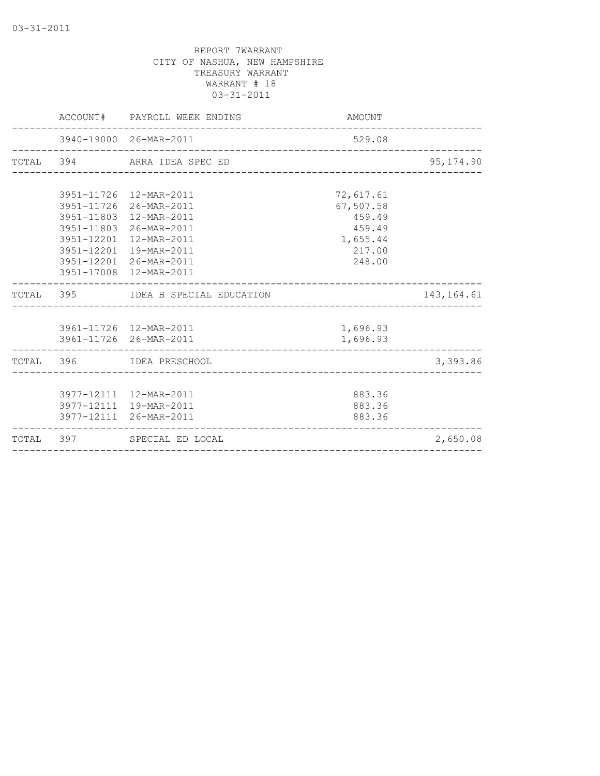|  | ACCOUNT# PAYROLL WEEK ENDING                                                                                                                                                                                 | AMOUNT                                                                     |             |
|--|--------------------------------------------------------------------------------------------------------------------------------------------------------------------------------------------------------------|----------------------------------------------------------------------------|-------------|
|  | 3940-19000 26-MAR-2011                                                                                                                                                                                       | 529.08                                                                     |             |
|  | TOTAL 394 ARRA IDEA SPEC ED                                                                                                                                                                                  |                                                                            | 95, 174.90  |
|  | 3951-11726 12-MAR-2011<br>3951-11726 26-MAR-2011<br>3951-11803 12-MAR-2011<br>3951-11803 26-MAR-2011<br>3951-12201 12-MAR-2011<br>3951-12201 19-MAR-2011<br>3951-12201 26-MAR-2011<br>3951-17008 12-MAR-2011 | 72,617.61<br>67,507.58<br>459.49<br>459.49<br>1,655.44<br>217.00<br>248.00 |             |
|  | TOTAL 395 IDEA B SPECIAL EDUCATION                                                                                                                                                                           |                                                                            | 143, 164.61 |
|  | 3961-11726 12-MAR-2011<br>3961-11726 26-MAR-2011                                                                                                                                                             | 1,696.93<br>1,696.93                                                       |             |
|  | TOTAL 396 IDEA PRESCHOOL                                                                                                                                                                                     |                                                                            | 3,393.86    |
|  | 3977-12111 12-MAR-2011<br>3977-12111 19-MAR-2011<br>3977-12111 26-MAR-2011                                                                                                                                   | 883.36<br>883.36<br>883.36                                                 |             |
|  | TOTAL 397 SPECIAL ED LOCAL                                                                                                                                                                                   |                                                                            | 2,650.08    |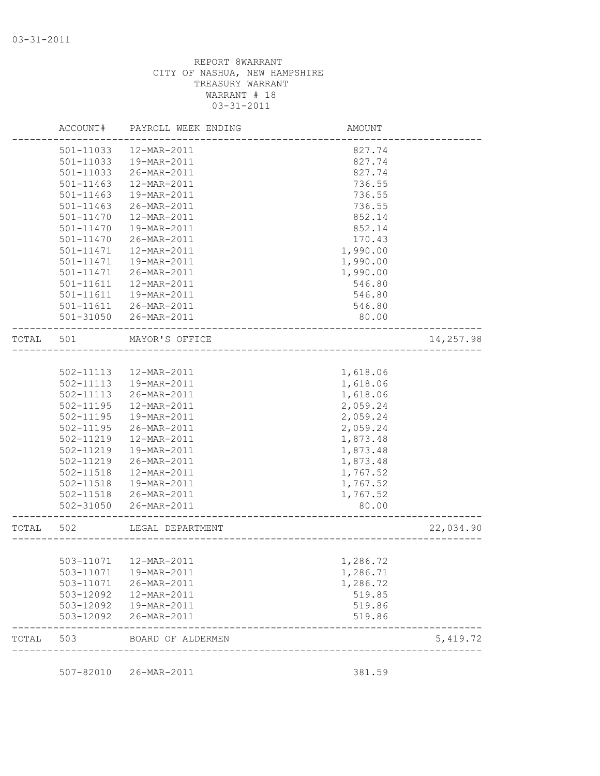|           | ACCOUNT#      | PAYROLL WEEK ENDING    | AMOUNT   |           |
|-----------|---------------|------------------------|----------|-----------|
|           | 501-11033     | 12-MAR-2011            | 827.74   |           |
|           | 501-11033     | 19-MAR-2011            | 827.74   |           |
|           | 501-11033     | 26-MAR-2011            | 827.74   |           |
|           | $501 - 11463$ | 12-MAR-2011            | 736.55   |           |
|           | 501-11463     | 19-MAR-2011            | 736.55   |           |
|           | 501-11463     | 26-MAR-2011            | 736.55   |           |
|           | 501-11470     | 12-MAR-2011            | 852.14   |           |
|           | 501-11470     | 19-MAR-2011            | 852.14   |           |
|           | 501-11470     | 26-MAR-2011            | 170.43   |           |
|           | 501-11471     | 12-MAR-2011            | 1,990.00 |           |
|           | 501-11471     | 19-MAR-2011            | 1,990.00 |           |
|           | 501-11471     | 26-MAR-2011            | 1,990.00 |           |
|           | 501-11611     | 12-MAR-2011            | 546.80   |           |
|           | 501-11611     | 19-MAR-2011            | 546.80   |           |
|           | 501-11611     | 26-MAR-2011            | 546.80   |           |
|           | $501 - 31050$ | 26-MAR-2011            | 80.00    |           |
| TOTAL 501 |               | MAYOR'S OFFICE         |          | 14,257.98 |
|           |               |                        |          |           |
|           | 502-11113     | 12-MAR-2011            | 1,618.06 |           |
|           | 502-11113     | 19-MAR-2011            | 1,618.06 |           |
|           | 502-11113     | 26-MAR-2011            | 1,618.06 |           |
|           | 502-11195     | 12-MAR-2011            | 2,059.24 |           |
|           | 502-11195     | 19-MAR-2011            | 2,059.24 |           |
|           | 502-11195     | 26-MAR-2011            | 2,059.24 |           |
|           | 502-11219     | 12-MAR-2011            | 1,873.48 |           |
|           | 502-11219     | 19-MAR-2011            | 1,873.48 |           |
|           | 502-11219     | 26-MAR-2011            | 1,873.48 |           |
|           | 502-11518     | 12-MAR-2011            | 1,767.52 |           |
|           | 502-11518     | 19-MAR-2011            | 1,767.52 |           |
|           | 502-11518     | 26-MAR-2011            | 1,767.52 |           |
|           | $502 - 31050$ | 26-MAR-2011            | 80.00    |           |
| TOTAL 502 |               | LEGAL DEPARTMENT       |          | 22,034.90 |
|           |               |                        |          |           |
|           |               |                        | 1,286.72 |           |
|           | 503-11071     | 19-MAR-2011            | 1,286.71 |           |
|           |               | 503-11071  26-MAR-2011 | 1,286.72 |           |
|           | 503-12092     | 12-MAR-2011            | 519.85   |           |
|           | 503-12092     | 19-MAR-2011            | 519.86   |           |
|           | 503-12092     | 26-MAR-2011            | 519.86   |           |
| TOTAL     | 503           | BOARD OF ALDERMEN      |          | 5,419.72  |

507-82010 26-MAR-2011 381.59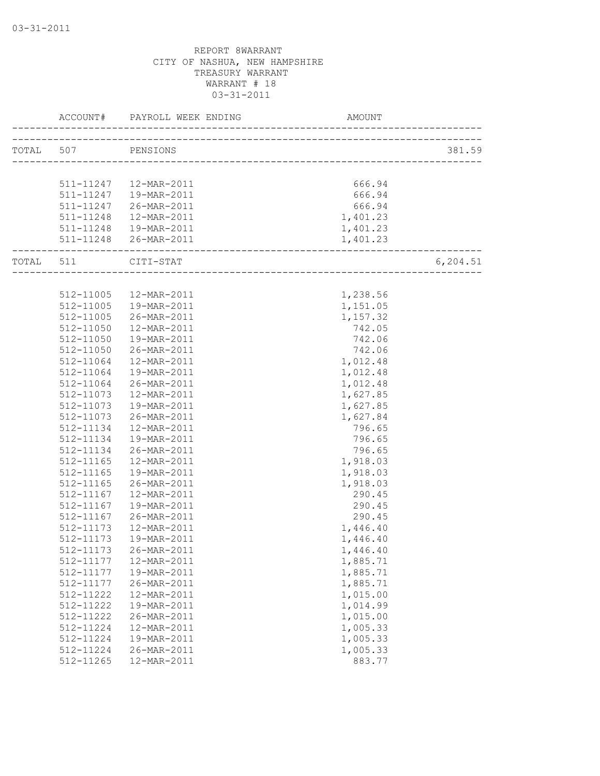| TOTAL 507 PENSIONS<br>511-11247  12-MAR-2011<br>666.94 | 381.59    |
|--------------------------------------------------------|-----------|
|                                                        |           |
|                                                        |           |
|                                                        |           |
|                                                        |           |
| 511-11247  19-MAR-2011<br>666.94                       |           |
| 511-11247 26-MAR-2011<br>666.94                        |           |
| 1,401.23<br>511-11248  12-MAR-2011                     |           |
| 511-11248  19-MAR-2011<br>1,401.23                     |           |
| 511-11248 26-MAR-2011<br>1,401.23                      |           |
| TOTAL 511 CITI-STAT                                    | 6, 204.51 |
|                                                        |           |
| 1,238.56<br>512-11005  12-MAR-2011                     |           |
| 512-11005  19-MAR-2011<br>1,151.05                     |           |
| 512-11005<br>1,157.32<br>26-MAR-2011                   |           |
| 742.05<br>512-11050<br>12-MAR-2011                     |           |
| 512-11050<br>19-MAR-2011<br>742.06                     |           |
| 512-11050<br>742.06<br>26-MAR-2011                     |           |
| 512-11064<br>1,012.48<br>12-MAR-2011                   |           |
| 1,012.48<br>512-11064<br>19-MAR-2011                   |           |
| 512-11064<br>26-MAR-2011<br>1,012.48                   |           |
| 512-11073<br>1,627.85<br>12-MAR-2011                   |           |
| 1,627.85<br>512-11073<br>19-MAR-2011                   |           |
| 1,627.84<br>512-11073<br>26-MAR-2011                   |           |
| 796.65<br>512-11134<br>12-MAR-2011                     |           |
| 796.65<br>512-11134<br>19-MAR-2011                     |           |
| 512-11134<br>796.65<br>26-MAR-2011                     |           |
| 1,918.03<br>512-11165<br>12-MAR-2011                   |           |
| 512-11165<br>1,918.03<br>19-MAR-2011                   |           |
| 1,918.03<br>512-11165<br>26-MAR-2011                   |           |
| 512-11167<br>12-MAR-2011<br>290.45                     |           |
| 290.45<br>512-11167<br>19-MAR-2011                     |           |
| 512-11167<br>290.45<br>26-MAR-2011                     |           |
| 1,446.40<br>512-11173<br>12-MAR-2011                   |           |
| 512-11173<br>19-MAR-2011<br>1,446.40                   |           |
| 512-11173 26-MAR-2011<br>1,446.40                      |           |
| 1,885.71<br>512-11177<br>12-MAR-2011                   |           |
| 512-11177<br>19-MAR-2011<br>1,885.71                   |           |
| 1,885.71<br>512-11177<br>26-MAR-2011                   |           |
| 1,015.00<br>512-11222<br>12-MAR-2011                   |           |
| 1,014.99<br>512-11222<br>19-MAR-2011                   |           |
| 1,015.00<br>512-11222<br>26-MAR-2011                   |           |
| 512-11224<br>12-MAR-2011<br>1,005.33                   |           |
| 512-11224<br>1,005.33<br>19-MAR-2011                   |           |
| 1,005.33<br>512-11224<br>26-MAR-2011                   |           |
| 883.77<br>512-11265<br>12-MAR-2011                     |           |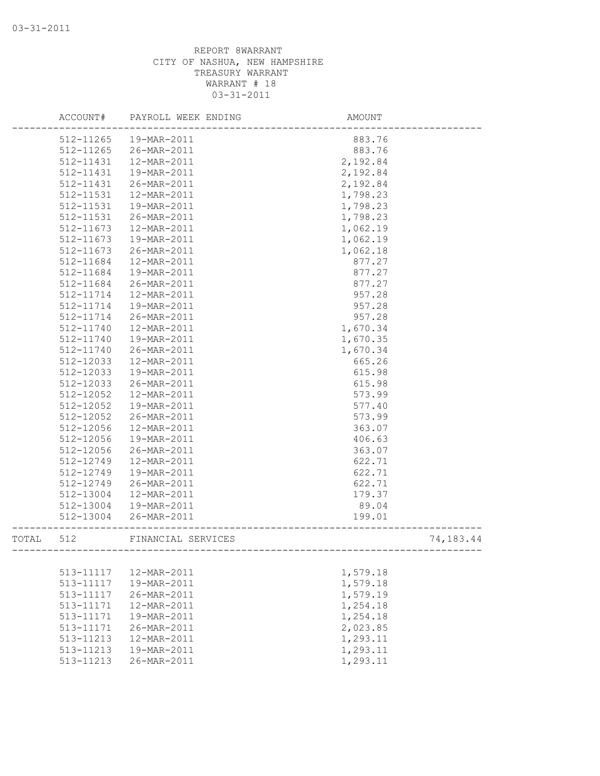|       | ACCOUNT#      | PAYROLL WEEK ENDING | AMOUNT   |           |
|-------|---------------|---------------------|----------|-----------|
|       | 512-11265     | 19-MAR-2011         | 883.76   |           |
|       | 512-11265     | 26-MAR-2011         | 883.76   |           |
|       | 512-11431     | 12-MAR-2011         | 2,192.84 |           |
|       | $512 - 11431$ | 19-MAR-2011         | 2,192.84 |           |
|       | 512-11431     | 26-MAR-2011         | 2,192.84 |           |
|       | 512-11531     | 12-MAR-2011         | 1,798.23 |           |
|       | 512-11531     | 19-MAR-2011         | 1,798.23 |           |
|       | 512-11531     | 26-MAR-2011         | 1,798.23 |           |
|       | 512-11673     | 12-MAR-2011         | 1,062.19 |           |
|       | 512-11673     | 19-MAR-2011         | 1,062.19 |           |
|       | 512-11673     | 26-MAR-2011         | 1,062.18 |           |
|       | 512-11684     | 12-MAR-2011         | 877.27   |           |
|       | 512-11684     | 19-MAR-2011         | 877.27   |           |
|       | 512-11684     | 26-MAR-2011         | 877.27   |           |
|       | 512-11714     | 12-MAR-2011         | 957.28   |           |
|       | 512-11714     | 19-MAR-2011         | 957.28   |           |
|       | 512-11714     | 26-MAR-2011         | 957.28   |           |
|       | 512-11740     | 12-MAR-2011         | 1,670.34 |           |
|       | 512-11740     | 19-MAR-2011         | 1,670.35 |           |
|       | 512-11740     | 26-MAR-2011         | 1,670.34 |           |
|       | 512-12033     | 12-MAR-2011         | 665.26   |           |
|       | 512-12033     | 19-MAR-2011         | 615.98   |           |
|       | 512-12033     | 26-MAR-2011         | 615.98   |           |
|       | 512-12052     | 12-MAR-2011         | 573.99   |           |
|       | 512-12052     | 19-MAR-2011         | 577.40   |           |
|       | 512-12052     | 26-MAR-2011         | 573.99   |           |
|       | 512-12056     | 12-MAR-2011         | 363.07   |           |
|       | 512-12056     | 19-MAR-2011         | 406.63   |           |
|       | 512-12056     | 26-MAR-2011         | 363.07   |           |
|       | 512-12749     | 12-MAR-2011         | 622.71   |           |
|       | 512-12749     | 19-MAR-2011         | 622.71   |           |
|       | 512-12749     | 26-MAR-2011         | 622.71   |           |
|       | 512-13004     | 12-MAR-2011         | 179.37   |           |
|       | 512-13004     | 19-MAR-2011         | 89.04    |           |
|       | 512-13004     | 26-MAR-2011         | 199.01   |           |
| TOTAL | 512           | FINANCIAL SERVICES  |          | 74,183.44 |
|       |               |                     |          |           |
|       | 513-11117     | 12-MAR-2011         | 1,579.18 |           |
|       | 513-11117     | 19-MAR-2011         | 1,579.18 |           |
|       | 513-11117     | 26-MAR-2011         | 1,579.19 |           |
|       | 513-11171     | 12-MAR-2011         | 1,254.18 |           |
|       | 513-11171     | 19-MAR-2011         | 1,254.18 |           |
|       | 513-11171     | 26-MAR-2011         | 2,023.85 |           |
|       | 513-11213     | 12-MAR-2011         | 1,293.11 |           |
|       | 513-11213     | 19-MAR-2011         | 1,293.11 |           |
|       | 513-11213     | 26-MAR-2011         | 1,293.11 |           |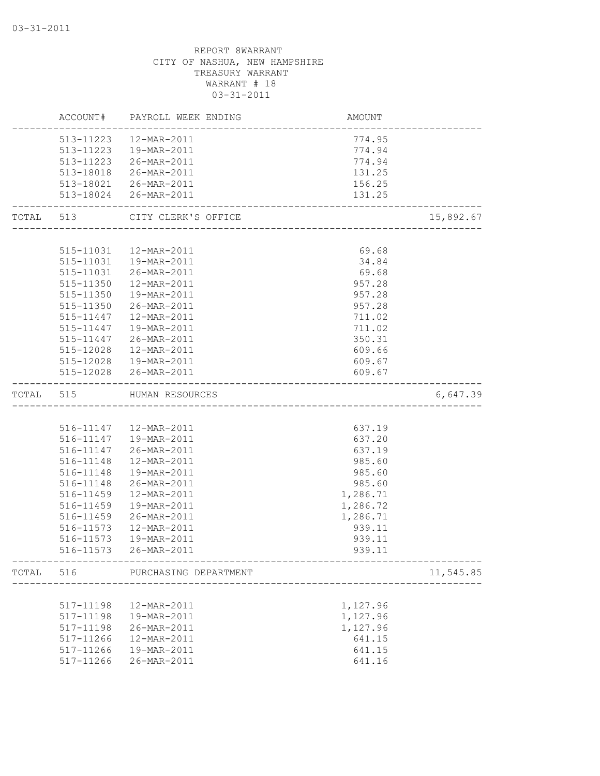|           |           | ACCOUNT# PAYROLL WEEK ENDING | AMOUNT                      |           |
|-----------|-----------|------------------------------|-----------------------------|-----------|
|           |           | 513-11223  12-MAR-2011       | 774.95                      |           |
|           |           | 513-11223  19-MAR-2011       | 774.94                      |           |
|           |           | 513-11223 26-MAR-2011        | 774.94                      |           |
|           |           | 513-18018 26-MAR-2011        | 131.25                      |           |
|           |           | 513-18021 26-MAR-2011        | 156.25                      |           |
|           |           | 513-18024 26-MAR-2011        | 131.25                      |           |
| TOTAL 513 |           | CITY CLERK'S OFFICE          | --------------------------- | 15,892.67 |
|           |           |                              |                             |           |
|           |           | 515-11031  12-MAR-2011       | 69.68                       |           |
|           |           | 515-11031  19-MAR-2011       | 34.84                       |           |
|           |           | 515-11031 26-MAR-2011        | 69.68                       |           |
|           | 515-11350 | 12-MAR-2011                  | 957.28                      |           |
|           | 515-11350 | 19-MAR-2011                  | 957.28                      |           |
|           | 515-11350 | 26-MAR-2011                  | 957.28                      |           |
|           | 515-11447 | 12-MAR-2011                  | 711.02                      |           |
|           | 515-11447 | 19-MAR-2011                  | 711.02                      |           |
|           | 515-11447 | 26-MAR-2011                  | 350.31                      |           |
|           | 515-12028 | 12-MAR-2011                  | 609.66                      |           |
|           |           | 515-12028  19-MAR-2011       | 609.67                      |           |
|           |           | 515-12028 26-MAR-2011        | 609.67                      |           |
| TOTAL 515 |           | HUMAN RESOURCES              |                             | 6,647.39  |
|           |           |                              |                             |           |
|           |           | 516-11147  12-MAR-2011       | 637.19                      |           |
|           |           | 516-11147  19-MAR-2011       | 637.20                      |           |
|           |           | 516-11147 26-MAR-2011        | 637.19                      |           |
|           | 516-11148 | 12-MAR-2011                  | 985.60                      |           |
|           | 516-11148 | 19-MAR-2011                  | 985.60                      |           |
|           | 516-11148 | 26-MAR-2011                  | 985.60                      |           |
|           | 516-11459 | 12-MAR-2011                  | 1,286.71                    |           |
|           | 516-11459 | 19-MAR-2011                  | 1,286.72                    |           |
|           | 516-11459 | 26-MAR-2011                  | 1,286.71                    |           |
|           | 516-11573 | 12-MAR-2011                  | 939.11                      |           |
|           | 516-11573 | 19-MAR-2011                  | 939.11                      |           |
|           |           | 516-11573 26-MAR-2011        | 939.11                      |           |
| TOTAL 516 |           | PURCHASING DEPARTMENT        |                             | 11,545.85 |
|           |           |                              |                             |           |
|           | 517-11198 | 12-MAR-2011                  | 1,127.96                    |           |
|           | 517-11198 | 19-MAR-2011                  | 1,127.96                    |           |
|           | 517-11198 | 26-MAR-2011                  | 1,127.96                    |           |
|           | 517-11266 | 12-MAR-2011                  | 641.15                      |           |
|           | 517-11266 | 19-MAR-2011                  | 641.15                      |           |
|           | 517-11266 | 26-MAR-2011                  | 641.16                      |           |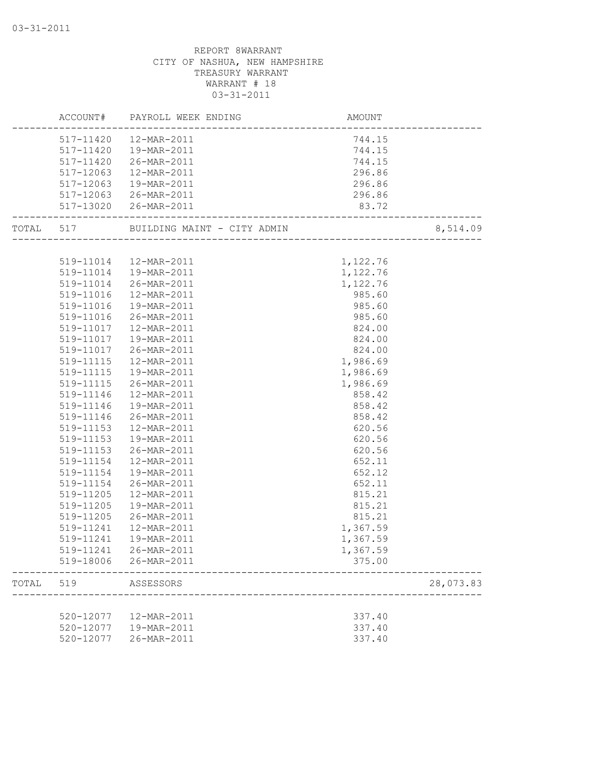|       |           | ACCOUNT# PAYROLL WEEK ENDING | AMOUNT<br>-------------------- |           |
|-------|-----------|------------------------------|--------------------------------|-----------|
|       | 517-11420 | 12-MAR-2011                  | 744.15                         |           |
|       | 517-11420 | 19-MAR-2011                  | 744.15                         |           |
|       | 517-11420 | 26-MAR-2011                  | 744.15                         |           |
|       | 517-12063 | 12-MAR-2011                  | 296.86                         |           |
|       | 517-12063 | 19-MAR-2011                  | 296.86                         |           |
|       |           | 517-12063 26-MAR-2011        | 296.86                         |           |
|       |           | 517-13020 26-MAR-2011        | 83.72                          |           |
|       |           |                              |                                | 8,514.09  |
|       |           |                              |                                |           |
|       |           | 519-11014  12-MAR-2011       | 1,122.76                       |           |
|       |           | 519-11014  19-MAR-2011       | 1,122.76                       |           |
|       | 519-11014 | 26-MAR-2011                  | 1,122.76                       |           |
|       | 519-11016 | 12-MAR-2011                  | 985.60                         |           |
|       | 519-11016 | 19-MAR-2011                  | 985.60                         |           |
|       | 519-11016 | 26-MAR-2011                  | 985.60                         |           |
|       | 519-11017 | 12-MAR-2011                  | 824.00                         |           |
|       | 519-11017 | 19-MAR-2011                  | 824.00                         |           |
|       | 519-11017 | 26-MAR-2011                  | 824.00                         |           |
|       | 519-11115 | 12-MAR-2011                  | 1,986.69                       |           |
|       | 519-11115 | 19-MAR-2011                  | 1,986.69                       |           |
|       | 519-11115 | 26-MAR-2011                  | 1,986.69                       |           |
|       | 519-11146 | 12-MAR-2011                  | 858.42                         |           |
|       | 519-11146 | 19-MAR-2011                  | 858.42                         |           |
|       | 519-11146 | 26-MAR-2011                  | 858.42                         |           |
|       | 519-11153 | 12-MAR-2011                  | 620.56                         |           |
|       | 519-11153 | 19-MAR-2011                  | 620.56                         |           |
|       | 519-11153 | 26-MAR-2011                  | 620.56                         |           |
|       | 519-11154 | 12-MAR-2011                  | 652.11                         |           |
|       | 519-11154 | 19-MAR-2011                  | 652.12                         |           |
|       | 519-11154 | 26-MAR-2011                  | 652.11                         |           |
|       | 519-11205 | 12-MAR-2011                  | 815.21                         |           |
|       | 519-11205 | 19-MAR-2011                  | 815.21                         |           |
|       | 519-11205 | 26-MAR-2011                  | 815.21                         |           |
|       | 519-11241 | 12-MAR-2011                  | 1,367.59                       |           |
|       | 519-11241 | 19-MAR-2011                  | 1,367.59                       |           |
|       |           |                              | 1,367.59                       |           |
|       | 519-18006 | 26-MAR-2011                  | 375.00                         |           |
| TOTAL | 519       | ASSESSORS                    |                                | 28,073.83 |
|       |           |                              |                                |           |
|       | 520-12077 | 12-MAR-2011                  | 337.40                         |           |
|       | 520-12077 | 19-MAR-2011                  | 337.40                         |           |
|       | 520-12077 | 26-MAR-2011                  | 337.40                         |           |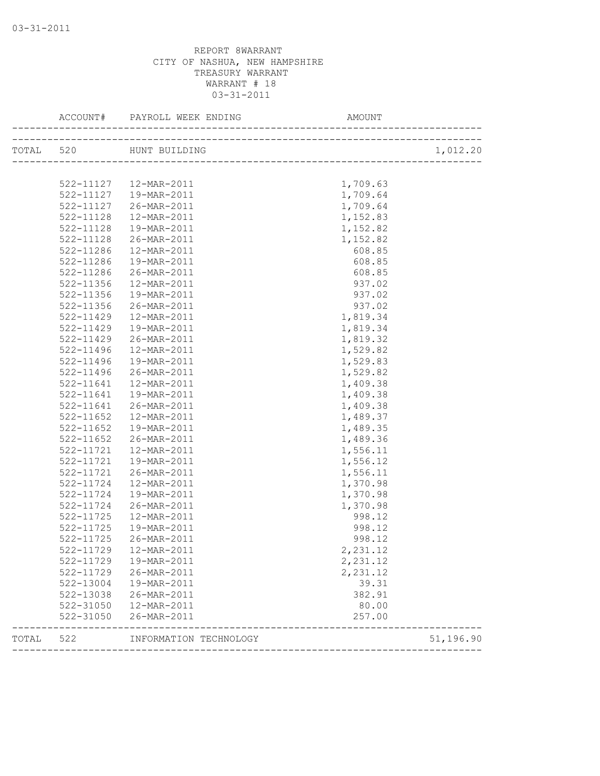|           |               |                        |           | 1,012.20  |
|-----------|---------------|------------------------|-----------|-----------|
|           |               |                        |           |           |
|           |               | 522-11127  12-MAR-2011 | 1,709.63  |           |
|           |               | 522-11127  19-MAR-2011 | 1,709.64  |           |
|           | 522-11127     | 26-MAR-2011            | 1,709.64  |           |
|           | 522-11128     | 12-MAR-2011            | 1,152.83  |           |
|           | 522-11128     | 19-MAR-2011            | 1,152.82  |           |
|           | 522-11128     | 26-MAR-2011            | 1,152.82  |           |
|           | 522-11286     | 12-MAR-2011            | 608.85    |           |
|           | 522-11286     | 19-MAR-2011            | 608.85    |           |
|           | 522-11286     | 26-MAR-2011            | 608.85    |           |
|           | 522-11356     | 12-MAR-2011            | 937.02    |           |
|           | 522-11356     | 19-MAR-2011            | 937.02    |           |
|           | 522-11356     | 26-MAR-2011            | 937.02    |           |
|           | 522-11429     | 12-MAR-2011            | 1,819.34  |           |
|           | 522-11429     | 19-MAR-2011            | 1,819.34  |           |
|           | $522 - 11429$ | 26-MAR-2011            | 1,819.32  |           |
|           | $522 - 11496$ | 12-MAR-2011            | 1,529.82  |           |
|           | 522-11496     | 19-MAR-2011            | 1,529.83  |           |
|           | 522-11496     | 26-MAR-2011            | 1,529.82  |           |
|           | $522 - 11641$ | 12-MAR-2011            | 1,409.38  |           |
|           | 522-11641     | 19-MAR-2011            | 1,409.38  |           |
|           | 522-11641     | 26-MAR-2011            | 1,409.38  |           |
|           | 522-11652     | 12-MAR-2011            | 1,489.37  |           |
|           | 522-11652     | 19-MAR-2011            | 1,489.35  |           |
|           | 522-11652     | 26-MAR-2011            | 1,489.36  |           |
|           | 522-11721     | 12-MAR-2011            | 1,556.11  |           |
|           | 522-11721     | 19-MAR-2011            | 1,556.12  |           |
|           | 522-11721     | 26-MAR-2011            | 1,556.11  |           |
|           | 522-11724     | 12-MAR-2011            | 1,370.98  |           |
|           | 522-11724     | 19-MAR-2011            | 1,370.98  |           |
|           | 522-11724     | 26-MAR-2011            | 1,370.98  |           |
|           | 522-11725     | 12-MAR-2011            | 998.12    |           |
|           | 522-11725     | 19-MAR-2011            | 998.12    |           |
|           | 522-11725     | 26-MAR-2011            | 998.12    |           |
|           |               | 522-11729  12-MAR-2011 | 2, 231.12 |           |
|           | 522-11729     | 19-MAR-2011            | 2,231.12  |           |
|           |               | 522-11729 26-MAR-2011  | 2,231.12  |           |
|           |               | 522-13004  19-MAR-2011 | 39.31     |           |
|           | 522-13038     | 26-MAR-2011            | 382.91    |           |
|           | 522-31050     | 12-MAR-2011            | 80.00     |           |
|           | 522-31050     | 26-MAR-2011            | 257.00    |           |
| TOTAL 522 |               | INFORMATION TECHNOLOGY |           | 51,196.90 |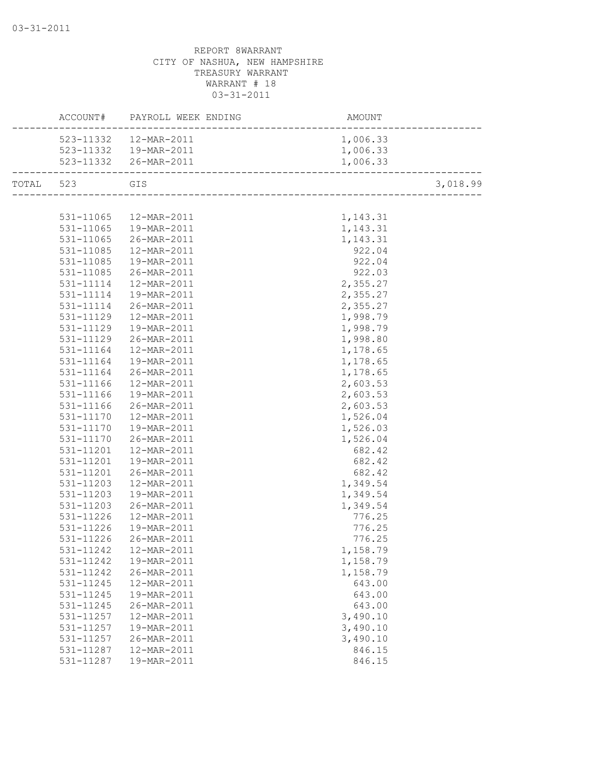|           |            | ACCOUNT# PAYROLL WEEK ENDING | AMOUNT<br>------------------------ |          |
|-----------|------------|------------------------------|------------------------------------|----------|
|           |            | 523-11332  12-MAR-2011       | 1,006.33                           |          |
|           |            | 523-11332  19-MAR-2011       | 1,006.33                           |          |
|           |            | 523-11332 26-MAR-2011        | 1,006.33                           |          |
| TOTAL 523 | <b>GIS</b> |                              |                                    | 3,018.99 |
|           |            |                              |                                    |          |
|           |            | 531-11065  12-MAR-2011       | 1,143.31                           |          |
|           |            | 531-11065  19-MAR-2011       | 1,143.31                           |          |
|           |            | 531-11065 26-MAR-2011        | 1,143.31                           |          |
|           |            | 531-11085  12-MAR-2011       | 922.04                             |          |
|           |            | 531-11085  19-MAR-2011       | 922.04                             |          |
|           | 531-11085  | 26-MAR-2011                  | 922.03                             |          |
|           | 531-11114  | 12-MAR-2011                  | 2,355.27                           |          |
|           | 531-11114  | 19-MAR-2011                  | 2,355.27                           |          |
|           | 531-11114  | 26-MAR-2011                  | 2,355.27                           |          |
|           | 531-11129  | 12-MAR-2011                  | 1,998.79                           |          |
|           | 531-11129  | 19-MAR-2011                  | 1,998.79                           |          |
|           | 531-11129  | 26-MAR-2011                  | 1,998.80                           |          |
|           | 531-11164  | 12-MAR-2011                  | 1,178.65                           |          |
|           | 531-11164  | 19-MAR-2011                  | 1,178.65                           |          |
|           |            | 531-11164 26-MAR-2011        | 1,178.65                           |          |
|           | 531-11166  | 12-MAR-2011                  | 2,603.53                           |          |
|           | 531-11166  | 19-MAR-2011                  | 2,603.53                           |          |
|           | 531-11166  | 26-MAR-2011                  | 2,603.53                           |          |
|           |            | 531-11170  12-MAR-2011       | 1,526.04                           |          |
|           | 531-11170  | 19-MAR-2011                  | 1,526.03                           |          |
|           |            | 531-11170 26-MAR-2011        | 1,526.04                           |          |
|           |            | 531-11201  12-MAR-2011       | 682.42                             |          |
|           | 531-11201  | 19-MAR-2011                  | 682.42                             |          |
|           | 531-11201  | 26-MAR-2011                  | 682.42                             |          |
|           | 531-11203  | 12-MAR-2011                  | 1,349.54                           |          |
|           | 531-11203  | 19-MAR-2011                  | 1,349.54                           |          |
|           | 531-11203  | 26-MAR-2011                  | 1,349.54                           |          |
|           | 531-11226  | 12-MAR-2011                  | 776.25                             |          |
|           | 531-11226  | 19-MAR-2011                  | 776.25                             |          |
|           | 531-11226  | 26-MAR-2011                  | 776.25                             |          |
|           |            | 531-11242  12-MAR-2011       | 1,158.79                           |          |
|           | 531-11242  | 19-MAR-2011                  | 1,158.79                           |          |
|           | 531-11242  | 26-MAR-2011                  | 1,158.79                           |          |
|           | 531-11245  | 12-MAR-2011                  | 643.00                             |          |
|           | 531-11245  | 19-MAR-2011                  | 643.00                             |          |
|           | 531-11245  | 26-MAR-2011                  | 643.00                             |          |
|           | 531-11257  | 12-MAR-2011                  | 3,490.10                           |          |
|           | 531-11257  | 19-MAR-2011                  | 3,490.10                           |          |
|           | 531-11257  | 26-MAR-2011                  | 3,490.10                           |          |
|           | 531-11287  | 12-MAR-2011                  | 846.15                             |          |
|           | 531-11287  | 19-MAR-2011                  | 846.15                             |          |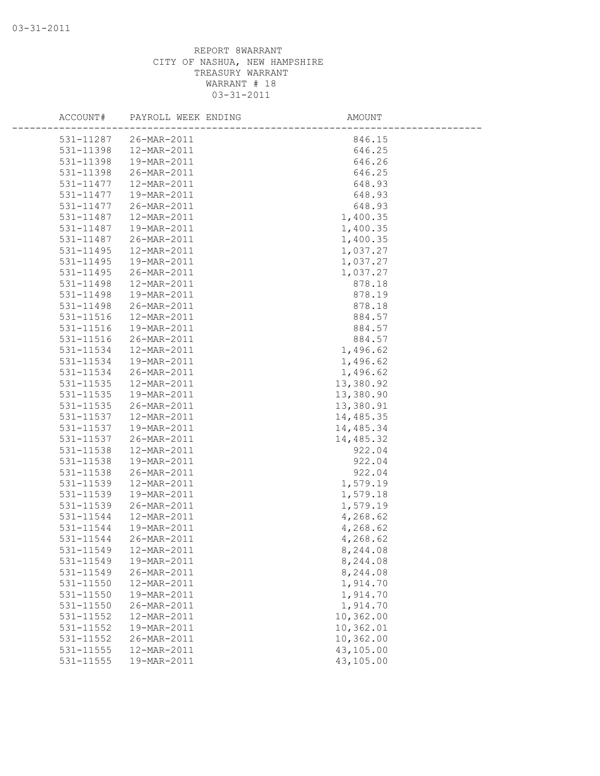| ACCOUNT#  | PAYROLL WEEK ENDING | AMOUNT    |  |
|-----------|---------------------|-----------|--|
| 531-11287 | 26-MAR-2011         | 846.15    |  |
| 531-11398 | 12-MAR-2011         | 646.25    |  |
| 531-11398 | 19-MAR-2011         | 646.26    |  |
| 531-11398 | 26-MAR-2011         | 646.25    |  |
| 531-11477 | 12-MAR-2011         | 648.93    |  |
| 531-11477 | 19-MAR-2011         | 648.93    |  |
| 531-11477 | 26-MAR-2011         | 648.93    |  |
| 531-11487 | 12-MAR-2011         | 1,400.35  |  |
| 531-11487 | 19-MAR-2011         | 1,400.35  |  |
| 531-11487 | 26-MAR-2011         | 1,400.35  |  |
| 531-11495 | 12-MAR-2011         | 1,037.27  |  |
| 531-11495 | 19-MAR-2011         | 1,037.27  |  |
| 531-11495 | 26-MAR-2011         | 1,037.27  |  |
| 531-11498 | 12-MAR-2011         | 878.18    |  |
| 531-11498 | 19-MAR-2011         | 878.19    |  |
| 531-11498 | 26-MAR-2011         | 878.18    |  |
| 531-11516 | 12-MAR-2011         | 884.57    |  |
| 531-11516 | 19-MAR-2011         | 884.57    |  |
| 531-11516 | 26-MAR-2011         | 884.57    |  |
| 531-11534 | 12-MAR-2011         | 1,496.62  |  |
| 531-11534 | 19-MAR-2011         | 1,496.62  |  |
| 531-11534 | 26-MAR-2011         | 1,496.62  |  |
| 531-11535 | 12-MAR-2011         | 13,380.92 |  |
| 531-11535 | 19-MAR-2011         | 13,380.90 |  |
| 531-11535 | 26-MAR-2011         | 13,380.91 |  |
| 531-11537 | 12-MAR-2011         | 14,485.35 |  |
| 531-11537 | 19-MAR-2011         | 14,485.34 |  |
| 531-11537 | 26-MAR-2011         | 14,485.32 |  |
| 531-11538 | 12-MAR-2011         | 922.04    |  |
| 531-11538 | 19-MAR-2011         | 922.04    |  |
| 531-11538 | 26-MAR-2011         | 922.04    |  |
| 531-11539 | 12-MAR-2011         | 1,579.19  |  |
| 531-11539 | 19-MAR-2011         | 1,579.18  |  |
| 531-11539 | 26-MAR-2011         | 1,579.19  |  |
| 531-11544 | 12-MAR-2011         | 4,268.62  |  |
| 531-11544 | 19-MAR-2011         | 4,268.62  |  |
| 531-11544 | 26-MAR-2011         | 4,268.62  |  |
| 531-11549 | 12-MAR-2011         | 8,244.08  |  |
| 531-11549 | 19-MAR-2011         | 8,244.08  |  |
| 531-11549 | 26-MAR-2011         | 8,244.08  |  |
| 531-11550 | 12-MAR-2011         | 1,914.70  |  |
| 531-11550 | 19-MAR-2011         | 1,914.70  |  |
| 531-11550 | 26-MAR-2011         | 1,914.70  |  |
| 531-11552 | 12-MAR-2011         | 10,362.00 |  |
| 531-11552 | 19-MAR-2011         | 10,362.01 |  |
| 531-11552 | 26-MAR-2011         | 10,362.00 |  |
| 531-11555 | 12-MAR-2011         | 43,105.00 |  |
| 531-11555 | 19-MAR-2011         | 43,105.00 |  |
|           |                     |           |  |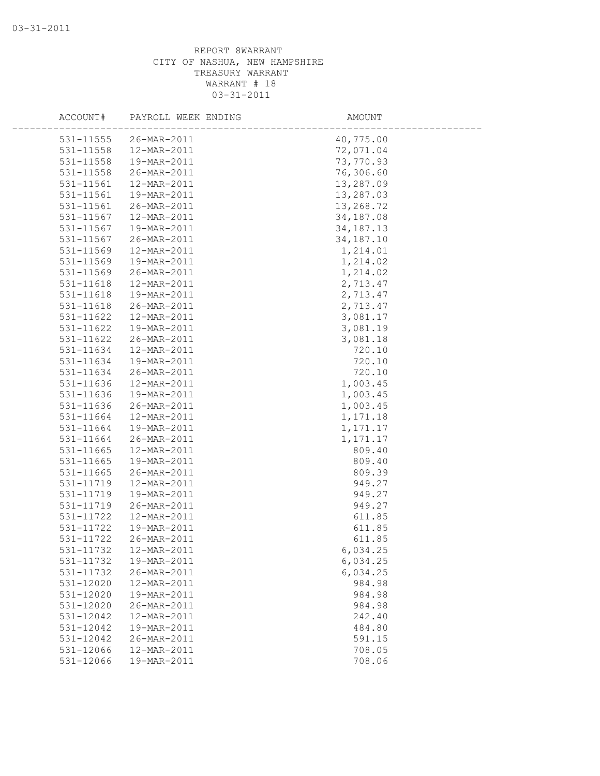| ACCOUNT#               | PAYROLL WEEK ENDING        | AMOUNT             |
|------------------------|----------------------------|--------------------|
| 531-11555              | 26-MAR-2011                | 40,775.00          |
| 531-11558              | 12-MAR-2011                | 72,071.04          |
| 531-11558              | 19-MAR-2011                | 73,770.93          |
| 531-11558              | 26-MAR-2011                | 76,306.60          |
| 531-11561              | 12-MAR-2011                | 13,287.09          |
| 531-11561              | 19-MAR-2011                | 13,287.03          |
| 531-11561              | 26-MAR-2011                | 13,268.72          |
| 531-11567              | 12-MAR-2011                | 34,187.08          |
| 531-11567              | 19-MAR-2011                | 34, 187. 13        |
| 531-11567              | 26-MAR-2011                | 34, 187. 10        |
| 531-11569              | 12-MAR-2011                | 1,214.01           |
| 531-11569              | 19-MAR-2011                | 1,214.02           |
| 531-11569              | 26-MAR-2011                | 1,214.02           |
| 531-11618              | 12-MAR-2011                | 2,713.47           |
| 531-11618              | 19-MAR-2011                | 2,713.47           |
| 531-11618              | 26-MAR-2011                | 2,713.47           |
| $531 - 11622$          | 12-MAR-2011                | 3,081.17           |
| 531-11622              | 19-MAR-2011                | 3,081.19           |
| 531-11622              | 26-MAR-2011                | 3,081.18           |
| 531-11634              | 12-MAR-2011                | 720.10             |
| 531-11634              | 19-MAR-2011                | 720.10             |
| 531-11634              | 26-MAR-2011                | 720.10             |
| 531-11636              | 12-MAR-2011                | 1,003.45           |
| 531-11636              | 19-MAR-2011                | 1,003.45           |
| 531-11636              | 26-MAR-2011                | 1,003.45           |
| 531-11664              | 12-MAR-2011                | 1,171.18           |
| 531-11664              | 19-MAR-2011                | 1, 171. 17         |
| 531-11664              | 26-MAR-2011                | 1, 171. 17         |
| 531-11665              | 12-MAR-2011                | 809.40             |
| 531-11665              | 19-MAR-2011                | 809.40             |
| 531-11665              | 26-MAR-2011                | 809.39             |
| 531-11719              | 12-MAR-2011                | 949.27             |
| 531-11719              | 19-MAR-2011                | 949.27             |
| 531-11719              | 26-MAR-2011                | 949.27             |
| 531-11722              | 12-MAR-2011                | 611.85             |
| 531-11722              | 19-MAR-2011                | 611.85             |
| 531-11722              | 26-MAR-2011                | 611.85             |
| 531-11732              | 12-MAR-2011                | 6,034.25           |
| 531-11732              | 19-MAR-2011                | 6,034.25           |
| 531-11732<br>531-12020 | 26-MAR-2011<br>12-MAR-2011 | 6,034.25<br>984.98 |
| 531-12020              | 19-MAR-2011                | 984.98             |
| 531-12020              | 26-MAR-2011                | 984.98             |
| 531-12042              | 12-MAR-2011                | 242.40             |
| 531-12042              | 19-MAR-2011                | 484.80             |
| 531-12042              | 26-MAR-2011                | 591.15             |
| 531-12066              | 12-MAR-2011                | 708.05             |
| 531-12066              | 19-MAR-2011                | 708.06             |
|                        |                            |                    |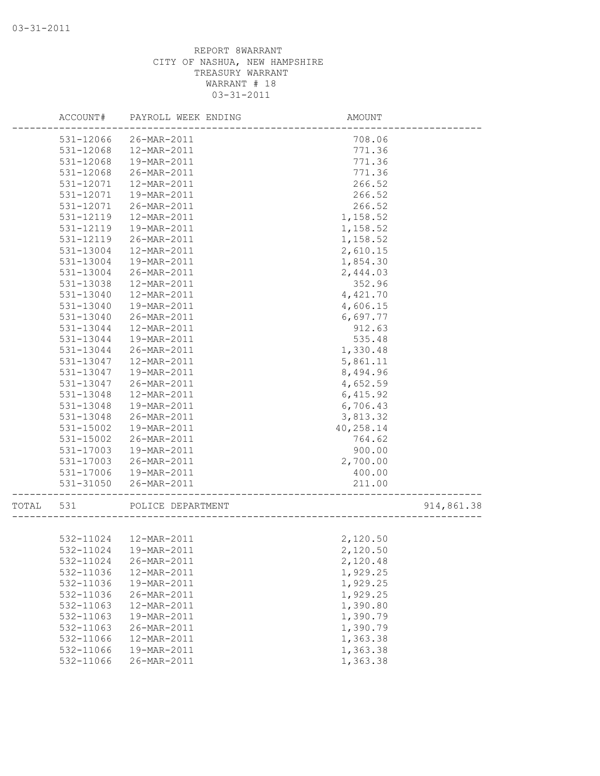|       | ACCOUNT#  | PAYROLL WEEK ENDING    | AMOUNT    |            |
|-------|-----------|------------------------|-----------|------------|
|       | 531-12066 | 26-MAR-2011            | 708.06    |            |
|       | 531-12068 | 12-MAR-2011            | 771.36    |            |
|       | 531-12068 | 19-MAR-2011            | 771.36    |            |
|       | 531-12068 | 26-MAR-2011            | 771.36    |            |
|       | 531-12071 | 12-MAR-2011            | 266.52    |            |
|       | 531-12071 | 19-MAR-2011            | 266.52    |            |
|       | 531-12071 | 26-MAR-2011            | 266.52    |            |
|       | 531-12119 | 12-MAR-2011            | 1,158.52  |            |
|       | 531-12119 | 19-MAR-2011            | 1,158.52  |            |
|       | 531-12119 | 26-MAR-2011            | 1,158.52  |            |
|       | 531-13004 | 12-MAR-2011            | 2,610.15  |            |
|       | 531-13004 | 19-MAR-2011            | 1,854.30  |            |
|       | 531-13004 | 26-MAR-2011            | 2,444.03  |            |
|       | 531-13038 | 12-MAR-2011            | 352.96    |            |
|       | 531-13040 | 12-MAR-2011            | 4,421.70  |            |
|       | 531-13040 | 19-MAR-2011            | 4,606.15  |            |
|       | 531-13040 | 26-MAR-2011            | 6,697.77  |            |
|       | 531-13044 | 12-MAR-2011            | 912.63    |            |
|       | 531-13044 | 19-MAR-2011            | 535.48    |            |
|       | 531-13044 | 26-MAR-2011            | 1,330.48  |            |
|       | 531-13047 | 12-MAR-2011            | 5,861.11  |            |
|       | 531-13047 | 19-MAR-2011            | 8,494.96  |            |
|       | 531-13047 | 26-MAR-2011            | 4,652.59  |            |
|       | 531-13048 | 12-MAR-2011            | 6,415.92  |            |
|       | 531-13048 | 19-MAR-2011            | 6,706.43  |            |
|       | 531-13048 | 26-MAR-2011            | 3,813.32  |            |
|       | 531-15002 | 19-MAR-2011            | 40,258.14 |            |
|       | 531-15002 | 26-MAR-2011            | 764.62    |            |
|       | 531-17003 | 19-MAR-2011            | 900.00    |            |
|       | 531-17003 | 26-MAR-2011            | 2,700.00  |            |
|       | 531-17006 | 19-MAR-2011            | 400.00    |            |
|       | 531-31050 | 26-MAR-2011            | 211.00    |            |
|       |           |                        |           |            |
| TOTAL | 531       | POLICE DEPARTMENT      |           | 914,861.38 |
|       |           |                        |           |            |
|       |           | 532-11024  12-MAR-2011 | 2,120.50  |            |
|       |           | 532-11024  19-MAR-2011 | 2,120.50  |            |
|       | 532-11024 | 26-MAR-2011            | 2,120.48  |            |
|       | 532-11036 | 12-MAR-2011            | 1,929.25  |            |
|       | 532-11036 | 19-MAR-2011            | 1,929.25  |            |
|       | 532-11036 | 26-MAR-2011            | 1,929.25  |            |
|       | 532-11063 | 12-MAR-2011            | 1,390.80  |            |
|       | 532-11063 | 19-MAR-2011            | 1,390.79  |            |
|       | 532-11063 | 26-MAR-2011            | 1,390.79  |            |
|       | 532-11066 | 12-MAR-2011            | 1,363.38  |            |
|       | 532-11066 | 19-MAR-2011            | 1,363.38  |            |
|       | 532-11066 | 26-MAR-2011            | 1,363.38  |            |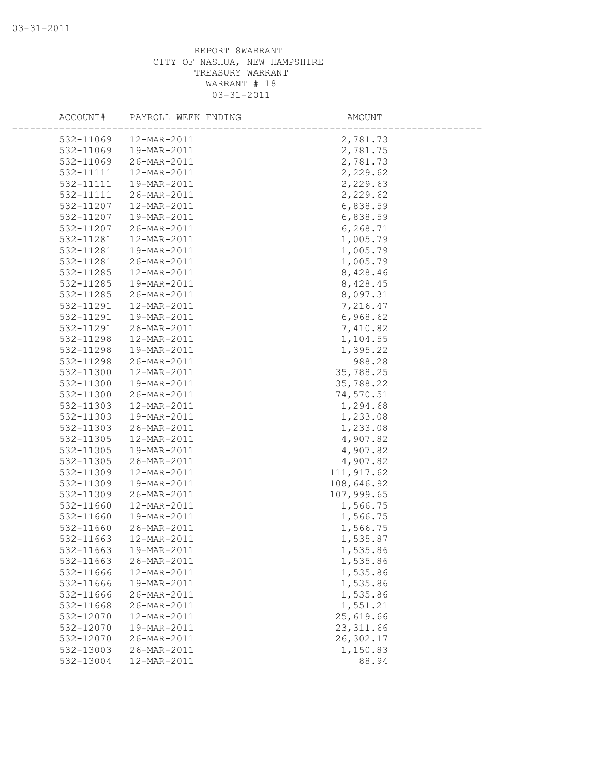| ACCOUNT#  | PAYROLL WEEK ENDING | AMOUNT      |  |
|-----------|---------------------|-------------|--|
| 532-11069 | 12-MAR-2011         | 2,781.73    |  |
| 532-11069 | 19-MAR-2011         | 2,781.75    |  |
| 532-11069 | 26-MAR-2011         | 2,781.73    |  |
| 532-11111 | 12-MAR-2011         | 2,229.62    |  |
| 532-11111 | 19-MAR-2011         | 2,229.63    |  |
| 532-11111 | 26-MAR-2011         | 2,229.62    |  |
| 532-11207 | 12-MAR-2011         | 6,838.59    |  |
| 532-11207 | 19-MAR-2011         | 6,838.59    |  |
| 532-11207 | 26-MAR-2011         | 6,268.71    |  |
| 532-11281 | 12-MAR-2011         | 1,005.79    |  |
| 532-11281 | 19-MAR-2011         | 1,005.79    |  |
| 532-11281 | 26-MAR-2011         | 1,005.79    |  |
| 532-11285 | 12-MAR-2011         | 8,428.46    |  |
| 532-11285 | 19-MAR-2011         | 8,428.45    |  |
| 532-11285 | 26-MAR-2011         | 8,097.31    |  |
| 532-11291 | 12-MAR-2011         | 7,216.47    |  |
| 532-11291 | 19-MAR-2011         | 6,968.62    |  |
| 532-11291 | 26-MAR-2011         | 7,410.82    |  |
| 532-11298 | 12-MAR-2011         | 1,104.55    |  |
| 532-11298 | 19-MAR-2011         | 1,395.22    |  |
| 532-11298 | 26-MAR-2011         | 988.28      |  |
| 532-11300 | 12-MAR-2011         | 35,788.25   |  |
| 532-11300 | 19-MAR-2011         | 35,788.22   |  |
| 532-11300 | 26-MAR-2011         | 74,570.51   |  |
| 532-11303 | 12-MAR-2011         | 1,294.68    |  |
| 532-11303 | 19-MAR-2011         | 1,233.08    |  |
| 532-11303 | 26-MAR-2011         | 1,233.08    |  |
| 532-11305 | 12-MAR-2011         | 4,907.82    |  |
| 532-11305 | 19-MAR-2011         | 4,907.82    |  |
| 532-11305 | 26-MAR-2011         | 4,907.82    |  |
| 532-11309 | 12-MAR-2011         | 111, 917.62 |  |
| 532-11309 | 19-MAR-2011         | 108,646.92  |  |
| 532-11309 | 26-MAR-2011         | 107,999.65  |  |
| 532-11660 | 12-MAR-2011         | 1,566.75    |  |
| 532-11660 | 19-MAR-2011         | 1,566.75    |  |
| 532-11660 | 26-MAR-2011         | 1,566.75    |  |
| 532-11663 | 12-MAR-2011         | 1,535.87    |  |
| 532-11663 | 19-MAR-2011         | 1,535.86    |  |
| 532-11663 | 26-MAR-2011         | 1,535.86    |  |
| 532-11666 | 12-MAR-2011         | 1,535.86    |  |
| 532-11666 | 19-MAR-2011         | 1,535.86    |  |
| 532-11666 | 26-MAR-2011         | 1,535.86    |  |
| 532-11668 | 26-MAR-2011         | 1,551.21    |  |
| 532-12070 | 12-MAR-2011         | 25,619.66   |  |
| 532-12070 | 19-MAR-2011         | 23, 311.66  |  |
| 532-12070 | 26-MAR-2011         | 26,302.17   |  |
| 532-13003 | 26-MAR-2011         | 1,150.83    |  |
| 532-13004 | 12-MAR-2011         | 88.94       |  |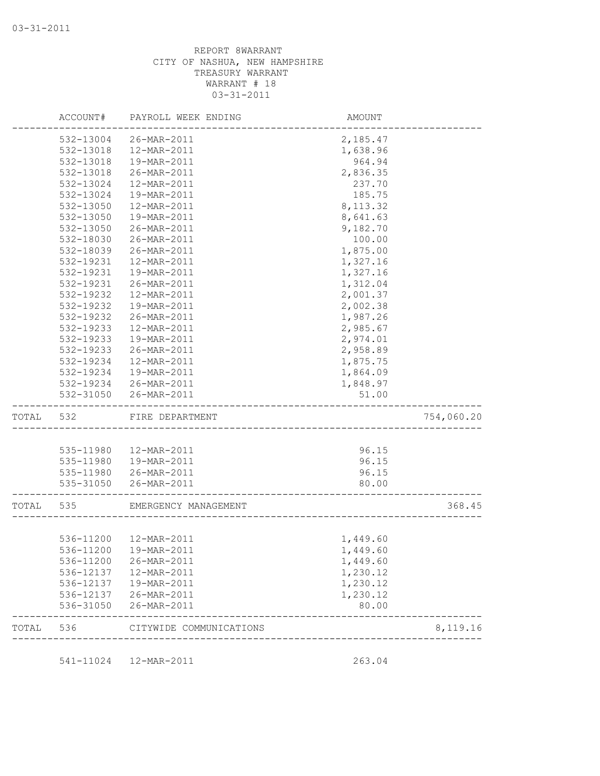|           |           | ACCOUNT# PAYROLL WEEK ENDING         | AMOUNT            |            |
|-----------|-----------|--------------------------------------|-------------------|------------|
|           | 532-13004 | 26-MAR-2011                          | 2,185.47          |            |
|           | 532-13018 | 12-MAR-2011                          | 1,638.96          |            |
|           | 532-13018 | 19-MAR-2011                          | 964.94            |            |
|           | 532-13018 | 26-MAR-2011                          | 2,836.35          |            |
|           | 532-13024 | 12-MAR-2011                          | 237.70            |            |
|           | 532-13024 | 19-MAR-2011                          | 185.75            |            |
|           | 532-13050 | 12-MAR-2011                          | 8, 113.32         |            |
|           | 532-13050 | 19-MAR-2011                          | 8,641.63          |            |
|           | 532-13050 | 26-MAR-2011                          | 9,182.70          |            |
|           | 532-18030 | 26-MAR-2011                          | 100.00            |            |
|           | 532-18039 | 26-MAR-2011                          | 1,875.00          |            |
|           | 532-19231 | 12-MAR-2011                          | 1,327.16          |            |
|           | 532-19231 | 19-MAR-2011                          | 1,327.16          |            |
|           | 532-19231 | 26-MAR-2011                          | 1,312.04          |            |
|           | 532-19232 | 12-MAR-2011                          | 2,001.37          |            |
|           | 532-19232 | 19-MAR-2011                          | 2,002.38          |            |
|           | 532-19232 | 26-MAR-2011                          | 1,987.26          |            |
|           | 532-19233 | 12-MAR-2011                          | 2,985.67          |            |
|           | 532-19233 | 19-MAR-2011                          | 2,974.01          |            |
|           | 532-19233 | 26-MAR-2011                          | 2,958.89          |            |
|           | 532-19234 | 12-MAR-2011                          | 1,875.75          |            |
|           | 532-19234 | 19-MAR-2011                          | 1,864.09          |            |
|           |           |                                      |                   |            |
|           | 532-31050 | 532-19234 26-MAR-2011<br>26-MAR-2011 | 1,848.97<br>51.00 |            |
| TOTAL     | 532       | FIRE DEPARTMENT                      |                   | 754,060.20 |
|           |           |                                      |                   |            |
|           |           | 535-11980  12-MAR-2011               | 96.15             |            |
|           |           | 535-11980  19-MAR-2011               | 96.15             |            |
|           |           | 535-11980 26-MAR-2011                | 96.15             |            |
|           |           | 535-31050 26-MAR-2011                | 80.00             |            |
| TOTAL 535 |           | EMERGENCY MANAGEMENT                 |                   | 368.45     |
|           |           |                                      |                   |            |
|           |           | 536-11200  12-MAR-2011               | 1,449.60          |            |
|           |           | 536-11200  19-MAR-2011               | 1,449.60          |            |
|           | 536-11200 | 26-MAR-2011                          | 1,449.60          |            |
|           |           | 536-12137  12-MAR-2011               | 1,230.12          |            |
|           | 536-12137 | 19-MAR-2011                          | 1,230.12          |            |
|           | 536-12137 | 26-MAR-2011                          | 1,230.12          |            |
|           |           | 26-MAR-2011                          | 80.00             |            |
|           | 536-31050 |                                      |                   |            |

541-11024 12-MAR-2011 263.04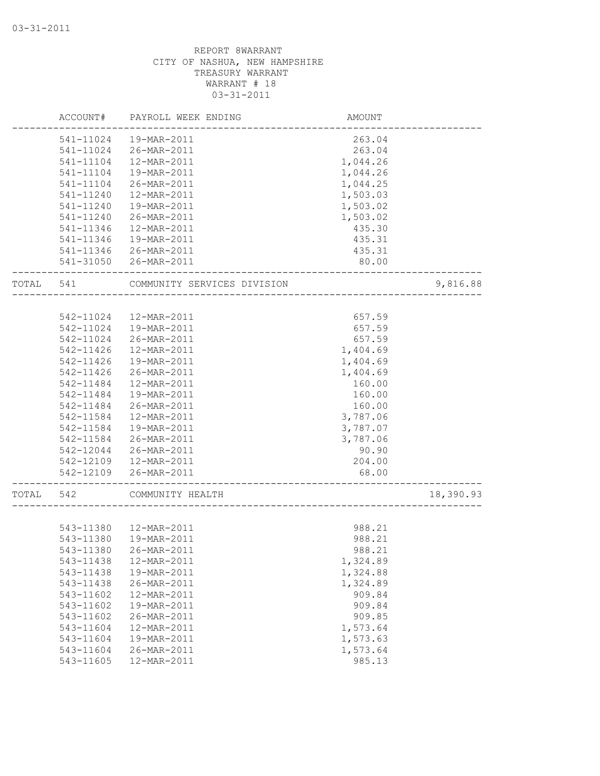|       | ACCOUNT#  | PAYROLL WEEK ENDING         | AMOUNT   |           |
|-------|-----------|-----------------------------|----------|-----------|
|       | 541-11024 | 19-MAR-2011                 | 263.04   |           |
|       | 541-11024 | 26-MAR-2011                 | 263.04   |           |
|       | 541-11104 | 12-MAR-2011                 | 1,044.26 |           |
|       | 541-11104 | 19-MAR-2011                 | 1,044.26 |           |
|       | 541-11104 | 26-MAR-2011                 | 1,044.25 |           |
|       | 541-11240 | 12-MAR-2011                 | 1,503.03 |           |
|       | 541-11240 | 19-MAR-2011                 | 1,503.02 |           |
|       | 541-11240 | 26-MAR-2011                 | 1,503.02 |           |
|       | 541-11346 | 12-MAR-2011                 | 435.30   |           |
|       | 541-11346 | 19-MAR-2011                 | 435.31   |           |
|       |           | 541-11346 26-MAR-2011       | 435.31   |           |
|       |           | 541-31050 26-MAR-2011       | 80.00    |           |
| TOTAL | 541       | COMMUNITY SERVICES DIVISION |          | 9,816.88  |
|       |           |                             |          |           |
|       | 542-11024 | 12-MAR-2011                 | 657.59   |           |
|       | 542-11024 | 19-MAR-2011                 | 657.59   |           |
|       | 542-11024 | 26-MAR-2011                 | 657.59   |           |
|       | 542-11426 | 12-MAR-2011                 | 1,404.69 |           |
|       | 542-11426 | 19-MAR-2011                 | 1,404.69 |           |
|       | 542-11426 | 26-MAR-2011                 | 1,404.69 |           |
|       | 542-11484 | 12-MAR-2011                 | 160.00   |           |
|       | 542-11484 | 19-MAR-2011                 | 160.00   |           |
|       | 542-11484 | 26-MAR-2011                 | 160.00   |           |
|       | 542-11584 | 12-MAR-2011                 | 3,787.06 |           |
|       | 542-11584 | 19-MAR-2011                 | 3,787.07 |           |
|       | 542-11584 | 26-MAR-2011                 | 3,787.06 |           |
|       | 542-12044 | 26-MAR-2011                 | 90.90    |           |
|       |           | 542-12109  12-MAR-2011      | 204.00   |           |
|       | 542-12109 | 26-MAR-2011                 | 68.00    |           |
| TOTAL | 542       | COMMUNITY HEALTH            |          | 18,390.93 |
|       |           |                             |          |           |
|       |           | 543-11380  12-MAR-2011      | 988.21   |           |
|       | 543-11380 | 19-MAR-2011                 | 988.21   |           |
|       | 543-11380 | 26-MAR-2011                 | 988.21   |           |
|       | 543-11438 | 12-MAR-2011                 | 1,324.89 |           |
|       | 543-11438 | 19-MAR-2011                 | 1,324.88 |           |
|       | 543-11438 | 26-MAR-2011                 | 1,324.89 |           |
|       | 543-11602 | 12-MAR-2011                 | 909.84   |           |
|       | 543-11602 | 19-MAR-2011                 | 909.84   |           |
|       | 543-11602 | 26-MAR-2011                 | 909.85   |           |
|       | 543-11604 | 12-MAR-2011                 | 1,573.64 |           |
|       | 543-11604 | 19-MAR-2011                 | 1,573.63 |           |
|       | 543-11604 | 26-MAR-2011                 | 1,573.64 |           |
|       | 543-11605 | 12-MAR-2011                 | 985.13   |           |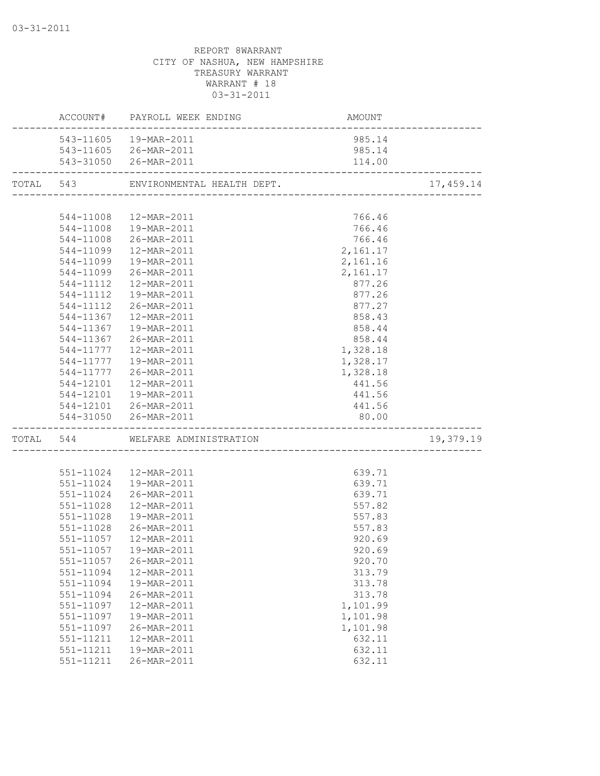|           | ---------                | ACCOUNT# PAYROLL WEEK ENDING     | AMOUNT<br>--------------------------      |            |
|-----------|--------------------------|----------------------------------|-------------------------------------------|------------|
|           |                          | 543-11605  19-MAR-2011           | 985.14                                    |            |
|           |                          | 543-11605 26-MAR-2011            | 985.14                                    |            |
|           |                          | 543-31050 26-MAR-2011            | 114.00                                    |            |
| TOTAL 543 |                          |                                  |                                           | 17, 459.14 |
|           |                          |                                  |                                           |            |
|           |                          | 544-11008  12-MAR-2011           | 766.46                                    |            |
|           |                          | 544-11008  19-MAR-2011           | 766.46                                    |            |
|           |                          | 544-11008 26-MAR-2011            | 766.46                                    |            |
|           |                          | 544-11099  12-MAR-2011           | 2,161.17                                  |            |
|           | 544-11099                | 19-MAR-2011                      | 2,161.16                                  |            |
|           | 544-11099                | 26-MAR-2011                      | 2,161.17                                  |            |
|           | 544-11112                | 12-MAR-2011                      | 877.26                                    |            |
|           | 544-11112                | 19-MAR-2011                      | 877.26                                    |            |
|           | 544-11112                | 26-MAR-2011                      | 877.27                                    |            |
|           | 544-11367                | 12-MAR-2011                      | 858.43                                    |            |
|           | 544-11367                | 19-MAR-2011                      | 858.44                                    |            |
|           | 544-11367                | 26-MAR-2011                      | 858.44                                    |            |
|           |                          | 544-11777  12-MAR-2011           | 1,328.18                                  |            |
|           |                          | 544-11777   19-MAR-2011          | 1,328.17                                  |            |
|           |                          | 544-11777 26-MAR-2011            | 1,328.18                                  |            |
|           |                          | 544-12101  12-MAR-2011           | 441.56                                    |            |
|           |                          | 544-12101  19-MAR-2011           | 441.56                                    |            |
|           |                          | 544-12101 26-MAR-2011            | 441.56                                    |            |
|           |                          | 544-31050 26-MAR-2011            | 80.00<br>-------------------------------- |            |
|           | ------------------------ | TOTAL 544 WELFARE ADMINISTRATION |                                           | 19,379.19  |
|           |                          |                                  |                                           |            |
|           |                          | 551-11024  12-MAR-2011           | 639.71                                    |            |
|           | 551-11024                | 19-MAR-2011                      | 639.71                                    |            |
|           | 551-11024                | 26-MAR-2011                      | 639.71                                    |            |
|           | 551-11028                | 12-MAR-2011                      | 557.82                                    |            |
|           | 551-11028                | 19-MAR-2011                      | 557.83                                    |            |
|           | 551-11028                | 26-MAR-2011                      | 557.83                                    |            |
|           |                          | 551-11057  12-MAR-2011           | 920.69                                    |            |
|           |                          | 551-11057  19-MAR-2011           | 920.69                                    |            |
|           | 551-11057                | 26-MAR-2011                      | 920.70                                    |            |
|           | 551-11094                | 12-MAR-2011                      | 313.79                                    |            |
|           | 551-11094                | 19-MAR-2011                      | 313.78                                    |            |
|           | 551-11094                | 26-MAR-2011                      | 313.78                                    |            |
|           | 551-11097                | 12-MAR-2011                      | 1,101.99                                  |            |
|           | 551-11097                | 19-MAR-2011                      | 1,101.98                                  |            |
|           | 551-11097                | 26-MAR-2011                      | 1,101.98                                  |            |
|           | 551-11211                | 12-MAR-2011                      | 632.11                                    |            |
|           | 551-11211                | 19-MAR-2011                      | 632.11                                    |            |
|           | 551-11211                | 26-MAR-2011                      | 632.11                                    |            |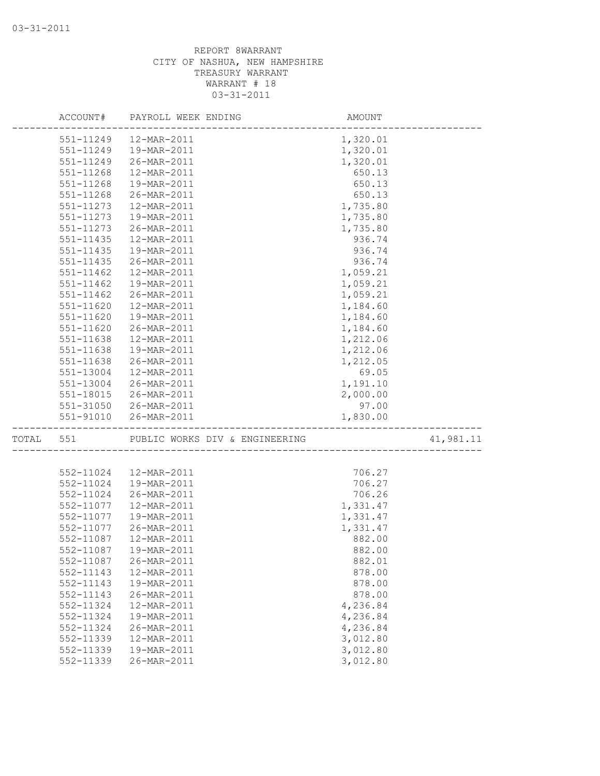|                        | ACCOUNT# PAYROLL WEEK ENDING                        | AMOUNT               |           |
|------------------------|-----------------------------------------------------|----------------------|-----------|
| 551-11249              | 12-MAR-2011                                         | 1,320.01             |           |
| 551-11249              | 19-MAR-2011                                         | 1,320.01             |           |
| 551-11249              | 26-MAR-2011                                         | 1,320.01             |           |
| 551-11268              | 12-MAR-2011                                         | 650.13               |           |
| 551-11268              | 19-MAR-2011                                         | 650.13               |           |
| 551-11268              | 26-MAR-2011                                         | 650.13               |           |
| 551-11273              | 12-MAR-2011                                         | 1,735.80             |           |
| 551-11273              | 19-MAR-2011                                         | 1,735.80             |           |
| 551-11273              | 26-MAR-2011                                         | 1,735.80             |           |
| 551-11435              | 12-MAR-2011                                         | 936.74               |           |
| 551-11435              | 19-MAR-2011                                         | 936.74               |           |
| 551-11435              | 26-MAR-2011                                         | 936.74               |           |
| 551-11462              | 12-MAR-2011                                         | 1,059.21             |           |
| 551-11462              | 19-MAR-2011                                         | 1,059.21             |           |
| 551-11462              | 26-MAR-2011                                         | 1,059.21             |           |
| 551-11620              | 12-MAR-2011                                         | 1,184.60             |           |
| 551-11620              | 19-MAR-2011                                         | 1,184.60             |           |
| 551-11620              | 26-MAR-2011                                         | 1,184.60             |           |
| 551-11638              | 12-MAR-2011                                         | 1,212.06             |           |
| 551-11638              | 19-MAR-2011                                         | 1,212.06             |           |
| 551-11638              | 26-MAR-2011                                         | 1,212.05             |           |
| 551-13004              | 12-MAR-2011                                         | 69.05                |           |
| 551-13004              | 26-MAR-2011                                         | 1,191.10             |           |
| 551-18015              | 26-MAR-2011                                         | 2,000.00             |           |
|                        | 551-31050 26-MAR-2011                               | 97.00                |           |
|                        | 551-91010 26-MAR-2011<br>-------------------------- | 1,830.00             |           |
| TOTAL 551              | PUBLIC WORKS DIV & ENGINEERING                      |                      | 41,981.11 |
|                        |                                                     |                      |           |
| 552-11024              | 12-MAR-2011                                         | 706.27               |           |
| 552-11024              | 19-MAR-2011                                         | 706.27               |           |
| 552-11024              | 26-MAR-2011                                         | 706.26               |           |
| 552-11077              | 12-MAR-2011                                         | 1,331.47             |           |
| 552-11077              | 19-MAR-2011                                         | 1,331.47             |           |
| 552-11077              | 26-MAR-2011                                         | 1,331.47             |           |
| 552-11087              | 12-MAR-2011                                         | 882.00               |           |
|                        | 552-11087  19-MAR-2011                              | 882.00               |           |
| 552-11087              | 26-MAR-2011                                         | 882.01               |           |
| 552-11143              | 12-MAR-2011                                         | 878.00               |           |
| 552-11143              | 19-MAR-2011                                         | 878.00<br>878.00     |           |
| 552-11143              | 26-MAR-2011<br>12-MAR-2011                          |                      |           |
| 552-11324              | 19-MAR-2011                                         | 4,236.84<br>4,236.84 |           |
| 552-11324              |                                                     |                      |           |
| 552-11324<br>552-11339 | 26-MAR-2011                                         | 4,236.84<br>3,012.80 |           |
| 552-11339              | 12-MAR-2011<br>19-MAR-2011                          | 3,012.80             |           |
| 552-11339              | 26-MAR-2011                                         | 3,012.80             |           |
|                        |                                                     |                      |           |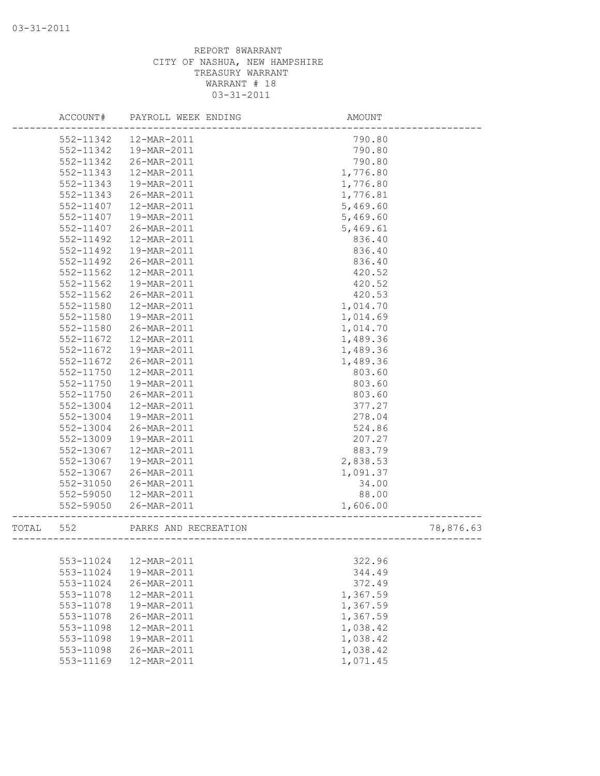|       | ACCOUNT#  | PAYROLL WEEK ENDING  | AMOUNT   |           |
|-------|-----------|----------------------|----------|-----------|
|       | 552-11342 | 12-MAR-2011          | 790.80   |           |
|       | 552-11342 | 19-MAR-2011          | 790.80   |           |
|       | 552-11342 | 26-MAR-2011          | 790.80   |           |
|       | 552-11343 | 12-MAR-2011          | 1,776.80 |           |
|       | 552-11343 | 19-MAR-2011          | 1,776.80 |           |
|       | 552-11343 | 26-MAR-2011          | 1,776.81 |           |
|       | 552-11407 | 12-MAR-2011          | 5,469.60 |           |
|       | 552-11407 | 19-MAR-2011          | 5,469.60 |           |
|       | 552-11407 | 26-MAR-2011          | 5,469.61 |           |
|       | 552-11492 | 12-MAR-2011          | 836.40   |           |
|       | 552-11492 | 19-MAR-2011          | 836.40   |           |
|       | 552-11492 | 26-MAR-2011          | 836.40   |           |
|       | 552-11562 | 12-MAR-2011          | 420.52   |           |
|       | 552-11562 | 19-MAR-2011          | 420.52   |           |
|       | 552-11562 | 26-MAR-2011          | 420.53   |           |
|       | 552-11580 | 12-MAR-2011          | 1,014.70 |           |
|       | 552-11580 | 19-MAR-2011          | 1,014.69 |           |
|       | 552-11580 | 26-MAR-2011          | 1,014.70 |           |
|       | 552-11672 | 12-MAR-2011          | 1,489.36 |           |
|       | 552-11672 | 19-MAR-2011          | 1,489.36 |           |
|       | 552-11672 | 26-MAR-2011          | 1,489.36 |           |
|       | 552-11750 | 12-MAR-2011          | 803.60   |           |
|       | 552-11750 | 19-MAR-2011          | 803.60   |           |
|       | 552-11750 | 26-MAR-2011          | 803.60   |           |
|       | 552-13004 | 12-MAR-2011          | 377.27   |           |
|       | 552-13004 | 19-MAR-2011          | 278.04   |           |
|       | 552-13004 | 26-MAR-2011          | 524.86   |           |
|       | 552-13009 | 19-MAR-2011          | 207.27   |           |
|       | 552-13067 | 12-MAR-2011          | 883.79   |           |
|       | 552-13067 | 19-MAR-2011          | 2,838.53 |           |
|       | 552-13067 | 26-MAR-2011          | 1,091.37 |           |
|       | 552-31050 | 26-MAR-2011          | 34.00    |           |
|       | 552-59050 | 12-MAR-2011          | 88.00    |           |
|       | 552-59050 | 26-MAR-2011          | 1,606.00 |           |
| TOTAL | 552       | PARKS AND RECREATION |          | 78,876.63 |
|       |           |                      |          |           |
|       | 553-11024 | 12-MAR-2011          | 322.96   |           |
|       | 553-11024 | 19-MAR-2011          | 344.49   |           |
|       | 553-11024 | 26-MAR-2011          | 372.49   |           |
|       | 553-11078 | 12-MAR-2011          | 1,367.59 |           |
|       | 553-11078 | 19-MAR-2011          | 1,367.59 |           |
|       | 553-11078 | 26-MAR-2011          | 1,367.59 |           |
|       | 553-11098 | 12-MAR-2011          | 1,038.42 |           |
|       | 553-11098 | 19-MAR-2011          | 1,038.42 |           |
|       | 553-11098 | 26-MAR-2011          | 1,038.42 |           |
|       | 553-11169 | 12-MAR-2011          | 1,071.45 |           |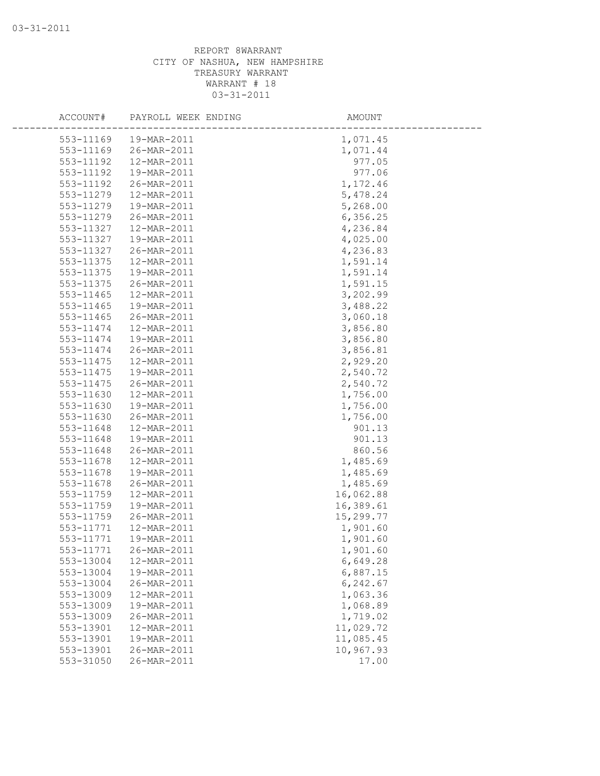| ACCOUNT#      | PAYROLL WEEK ENDING | AMOUNT    |  |
|---------------|---------------------|-----------|--|
| 553-11169     | 19-MAR-2011         | 1,071.45  |  |
| 553-11169     | 26-MAR-2011         | 1,071.44  |  |
| 553-11192     | 12-MAR-2011         | 977.05    |  |
| 553-11192     | 19-MAR-2011         | 977.06    |  |
| 553-11192     | 26-MAR-2011         | 1,172.46  |  |
| 553-11279     | 12-MAR-2011         | 5,478.24  |  |
| 553-11279     | 19-MAR-2011         | 5,268.00  |  |
| 553-11279     | 26-MAR-2011         | 6,356.25  |  |
| 553-11327     | 12-MAR-2011         | 4,236.84  |  |
| 553-11327     | 19-MAR-2011         | 4,025.00  |  |
| 553-11327     | 26-MAR-2011         | 4,236.83  |  |
| 553-11375     | 12-MAR-2011         | 1,591.14  |  |
| 553-11375     | 19-MAR-2011         | 1,591.14  |  |
| 553-11375     | 26-MAR-2011         | 1,591.15  |  |
| 553-11465     | 12-MAR-2011         | 3,202.99  |  |
| $553 - 11465$ | 19-MAR-2011         | 3,488.22  |  |
| 553-11465     | 26-MAR-2011         | 3,060.18  |  |
| 553-11474     | 12-MAR-2011         | 3,856.80  |  |
| 553-11474     | 19-MAR-2011         | 3,856.80  |  |
| 553-11474     | 26-MAR-2011         | 3,856.81  |  |
| 553-11475     | 12-MAR-2011         | 2,929.20  |  |
| 553-11475     | 19-MAR-2011         | 2,540.72  |  |
| 553-11475     | 26-MAR-2011         | 2,540.72  |  |
| 553-11630     | 12-MAR-2011         | 1,756.00  |  |
| 553-11630     | 19-MAR-2011         | 1,756.00  |  |
| 553-11630     | 26-MAR-2011         | 1,756.00  |  |
| 553-11648     | 12-MAR-2011         | 901.13    |  |
| 553-11648     | 19-MAR-2011         | 901.13    |  |
| 553-11648     | 26-MAR-2011         | 860.56    |  |
| 553-11678     | 12-MAR-2011         | 1,485.69  |  |
| 553-11678     | 19-MAR-2011         | 1,485.69  |  |
| 553-11678     | 26-MAR-2011         | 1,485.69  |  |
| 553-11759     | 12-MAR-2011         | 16,062.88 |  |
| 553-11759     | 19-MAR-2011         | 16,389.61 |  |
| 553-11759     | 26-MAR-2011         | 15,299.77 |  |
| 553-11771     | 12-MAR-2011         | 1,901.60  |  |
| 553-11771     | 19-MAR-2011         | 1,901.60  |  |
| 553-11771     | 26-MAR-2011         | 1,901.60  |  |
| 553-13004     | 12-MAR-2011         | 6,649.28  |  |
| 553-13004     | 19-MAR-2011         | 6,887.15  |  |
| 553-13004     | 26-MAR-2011         | 6,242.67  |  |
| 553-13009     | 12-MAR-2011         | 1,063.36  |  |
| 553-13009     | 19-MAR-2011         | 1,068.89  |  |
| 553-13009     | 26-MAR-2011         | 1,719.02  |  |
| 553-13901     | 12-MAR-2011         | 11,029.72 |  |
| 553-13901     | 19-MAR-2011         | 11,085.45 |  |
| 553-13901     | 26-MAR-2011         | 10,967.93 |  |
| 553-31050     | 26-MAR-2011         | 17.00     |  |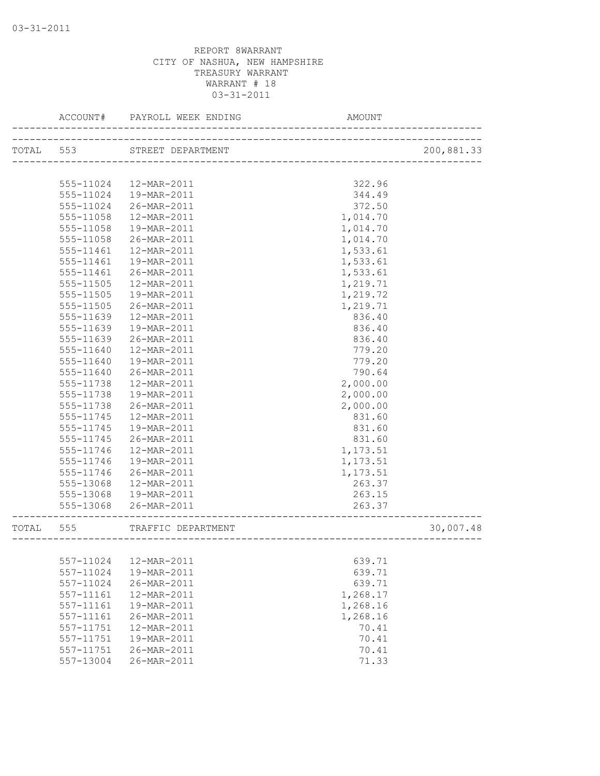|           | ACCOUNT#      | PAYROLL WEEK ENDING | AMOUNT                  |            |
|-----------|---------------|---------------------|-------------------------|------------|
| TOTAL 553 |               | STREET DEPARTMENT   |                         | 200,881.33 |
|           |               |                     |                         |            |
|           | 555-11024     | 12-MAR-2011         | 322.96                  |            |
|           | 555-11024     | 19-MAR-2011         | 344.49                  |            |
|           | 555-11024     | 26-MAR-2011         | 372.50                  |            |
|           | 555-11058     | 12-MAR-2011         | 1,014.70                |            |
|           | 555-11058     | 19-MAR-2011         | 1,014.70                |            |
|           | 555-11058     | 26-MAR-2011         | 1,014.70                |            |
|           | 555-11461     | 12-MAR-2011         | 1,533.61                |            |
|           | 555-11461     | 19-MAR-2011         | 1,533.61                |            |
|           | 555-11461     | 26-MAR-2011         | 1,533.61                |            |
|           | 555-11505     | 12-MAR-2011         | 1,219.71                |            |
|           | 555-11505     | 19-MAR-2011         | 1,219.72                |            |
|           | $555 - 11505$ | 26-MAR-2011         | 1,219.71                |            |
|           | 555-11639     | 12-MAR-2011         | 836.40                  |            |
|           | 555-11639     | 19-MAR-2011         | 836.40                  |            |
|           | 555-11639     | 26-MAR-2011         | 836.40                  |            |
|           | 555-11640     | 12-MAR-2011         | 779.20                  |            |
|           | 555-11640     | 19-MAR-2011         | 779.20                  |            |
|           | 555-11640     | 26-MAR-2011         | 790.64                  |            |
|           | 555-11738     | 12-MAR-2011         | 2,000.00                |            |
|           | 555-11738     | 19-MAR-2011         | 2,000.00                |            |
|           | 555-11738     | 26-MAR-2011         | 2,000.00                |            |
|           | 555-11745     | 12-MAR-2011         | 831.60                  |            |
|           | 555-11745     | 19-MAR-2011         | 831.60                  |            |
|           | 555-11745     | 26-MAR-2011         | 831.60                  |            |
|           | 555-11746     | 12-MAR-2011         | 1,173.51                |            |
|           | 555-11746     | 19-MAR-2011         | 1,173.51                |            |
|           | 555-11746     | 26-MAR-2011         | 1,173.51                |            |
|           | 555-13068     | 12-MAR-2011         | 263.37                  |            |
|           | 555-13068     | 19-MAR-2011         | 263.15                  |            |
|           | 555-13068     |                     |                         |            |
|           |               | 26-MAR-2011         | 263.37                  |            |
| TOTAL     | 555           | TRAFFIC DEPARTMENT  | _______________________ | 30,007.48  |
|           |               |                     |                         |            |
|           | 557-11024     | 12-MAR-2011         | 639.71                  |            |
|           | 557-11024     | 19-MAR-2011         | 639.71                  |            |
|           | 557-11024     | 26-MAR-2011         | 639.71                  |            |
|           | 557-11161     | 12-MAR-2011         | 1,268.17                |            |
|           | 557-11161     | 19-MAR-2011         | 1,268.16                |            |
|           | 557-11161     | 26-MAR-2011         | 1,268.16                |            |
|           | 557-11751     | 12-MAR-2011         | 70.41                   |            |
|           | 557-11751     | 19-MAR-2011         | 70.41                   |            |
|           | 557-11751     | 26-MAR-2011         | 70.41                   |            |
|           | 557-13004     | 26-MAR-2011         | 71.33                   |            |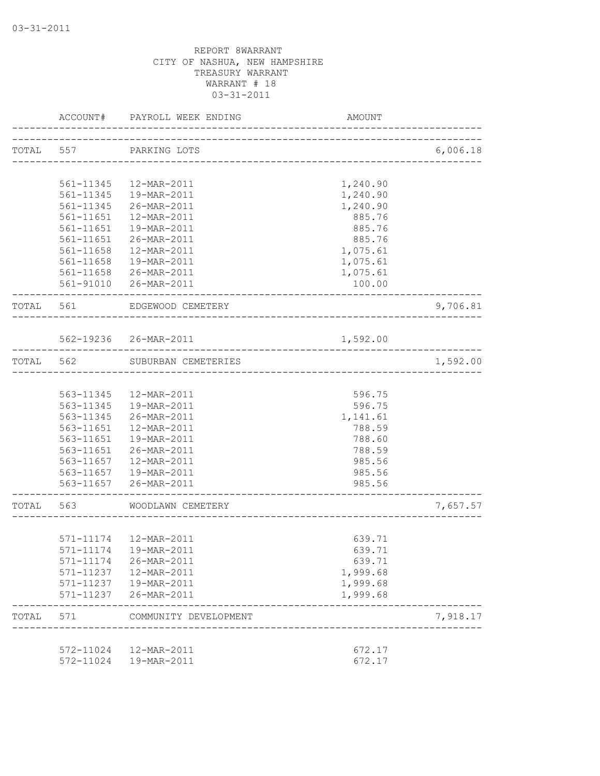|           | ACCOUNT#  | PAYROLL WEEK ENDING     | AMOUNT                                |          |
|-----------|-----------|-------------------------|---------------------------------------|----------|
|           |           | TOTAL 557 PARKING LOTS  |                                       | 6,006.18 |
|           |           |                         | ------------------------------------- |          |
|           | 561-11345 | 12-MAR-2011             | 1,240.90                              |          |
|           | 561-11345 | 19-MAR-2011             | 1,240.90                              |          |
|           | 561-11345 | 26-MAR-2011             | 1,240.90                              |          |
|           | 561-11651 | 12-MAR-2011             | 885.76                                |          |
|           | 561-11651 | 19-MAR-2011             | 885.76                                |          |
|           | 561-11651 | 26-MAR-2011             | 885.76                                |          |
|           | 561-11658 | 12-MAR-2011             | 1,075.61                              |          |
|           | 561-11658 | 19-MAR-2011             | 1,075.61                              |          |
|           |           | 561-11658 26-MAR-2011   | 1,075.61                              |          |
|           |           | 561-91010 26-MAR-2011   | 100.00                                |          |
| TOTAL 561 |           | EDGEWOOD CEMETERY       |                                       | 9,706.81 |
|           |           |                         |                                       |          |
|           |           | 562-19236 26-MAR-2011   | 1,592.00                              |          |
| TOTAL     | 562       | SUBURBAN CEMETERIES     | ------------------------------------  | 1,592.00 |
|           |           |                         |                                       |          |
|           | 563-11345 | 12-MAR-2011             | 596.75                                |          |
|           | 563-11345 | 19-MAR-2011             | 596.75                                |          |
|           | 563-11345 | 26-MAR-2011             | 1,141.61                              |          |
|           | 563-11651 | 12-MAR-2011             | 788.59                                |          |
|           | 563-11651 | 19-MAR-2011             | 788.60                                |          |
|           | 563-11651 | 26-MAR-2011             | 788.59                                |          |
|           | 563-11657 | 12-MAR-2011             | 985.56                                |          |
|           |           | 563-11657  19-MAR-2011  | 985.56                                |          |
|           |           | 563-11657 26-MAR-2011   | 985.56                                |          |
| TOTAL     | 563       | WOODLAWN CEMETERY       |                                       | 7,657.57 |
|           |           |                         |                                       |          |
|           |           | 571-11174  12-MAR-2011  | 639.71                                |          |
|           |           | 571-11174   19-MAR-2011 | 639.71                                |          |
|           |           | 571-11174 26-MAR-2011   | 639.71                                |          |
|           |           | 571-11237  12-MAR-2011  | 1,999.68                              |          |
|           |           | 571-11237  19-MAR-2011  | 1,999.68                              |          |
|           |           | 571-11237 26-MAR-2011   | 1,999.68                              |          |
| TOTAL     | 571       | COMMUNITY DEVELOPMENT   |                                       | 7,918.17 |
|           |           |                         |                                       |          |
|           |           | 572-11024  12-MAR-2011  | 672.17                                |          |
|           |           | 572-11024  19-MAR-2011  | 672.17                                |          |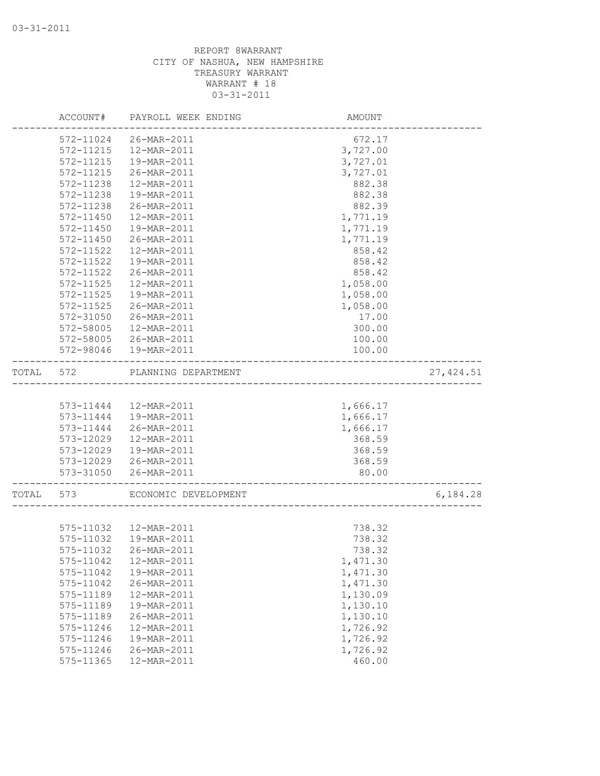|       | ACCOUNT#  | PAYROLL WEEK ENDING    | AMOUNT                 |            |
|-------|-----------|------------------------|------------------------|------------|
|       | 572-11024 | 26-MAR-2011            | 672.17                 |            |
|       | 572-11215 | 12-MAR-2011            | 3,727.00               |            |
|       | 572-11215 | 19-MAR-2011            | 3,727.01               |            |
|       | 572-11215 | 26-MAR-2011            | 3,727.01               |            |
|       | 572-11238 | 12-MAR-2011            | 882.38                 |            |
|       | 572-11238 | 19-MAR-2011            | 882.38                 |            |
|       | 572-11238 | 26-MAR-2011            | 882.39                 |            |
|       | 572-11450 | 12-MAR-2011            | 1,771.19               |            |
|       | 572-11450 | 19-MAR-2011            | 1,771.19               |            |
|       | 572-11450 | 26-MAR-2011            | 1,771.19               |            |
|       | 572-11522 | 12-MAR-2011            | 858.42                 |            |
|       | 572-11522 | 19-MAR-2011            | 858.42                 |            |
|       | 572-11522 | 26-MAR-2011            | 858.42                 |            |
|       | 572-11525 | 12-MAR-2011            | 1,058.00               |            |
|       | 572-11525 | 19-MAR-2011            | 1,058.00               |            |
|       | 572-11525 | 26-MAR-2011            | 1,058.00               |            |
|       | 572-31050 | 26-MAR-2011            | 17.00                  |            |
|       | 572-58005 | 12-MAR-2011            | 300.00                 |            |
|       | 572-58005 | 26-MAR-2011            | 100.00                 |            |
|       | 572-98046 | 19-MAR-2011            | 100.00                 |            |
| TOTAL | 572       | PLANNING DEPARTMENT    | ---------------------- | 27, 424.51 |
|       |           |                        |                        |            |
|       | 573-11444 | 12-MAR-2011            | 1,666.17               |            |
|       | 573-11444 | 19-MAR-2011            | 1,666.17               |            |
|       | 573-11444 | 26-MAR-2011            | 1,666.17               |            |
|       | 573-12029 | 12-MAR-2011            | 368.59                 |            |
|       | 573-12029 | 19-MAR-2011            | 368.59                 |            |
|       | 573-12029 | 26-MAR-2011            | 368.59                 |            |
|       | 573-31050 | 26-MAR-2011            | 80.00                  |            |
| TOTAL | 573       | ECONOMIC DEVELOPMENT   |                        | 6,184.28   |
|       |           |                        |                        |            |
|       |           | 575-11032  12-MAR-2011 | 738.32                 |            |
|       | 575-11032 | 19-MAR-2011            | 738.32                 |            |
|       | 575-11032 | 26-MAR-2011            | 738.32                 |            |
|       | 575-11042 | 12-MAR-2011            | 1,471.30               |            |
|       | 575-11042 | 19-MAR-2011            | 1,471.30               |            |
|       | 575-11042 | 26-MAR-2011            | 1,471.30               |            |
|       | 575-11189 | 12-MAR-2011            | 1,130.09               |            |
|       | 575-11189 | 19-MAR-2011            | 1,130.10               |            |
|       | 575-11189 | 26-MAR-2011            | 1,130.10               |            |
|       | 575-11246 | 12-MAR-2011            | 1,726.92               |            |
|       | 575-11246 | 19-MAR-2011            | 1,726.92               |            |
|       | 575-11246 | 26-MAR-2011            | 1,726.92               |            |
|       | 575-11365 | 12-MAR-2011            | 460.00                 |            |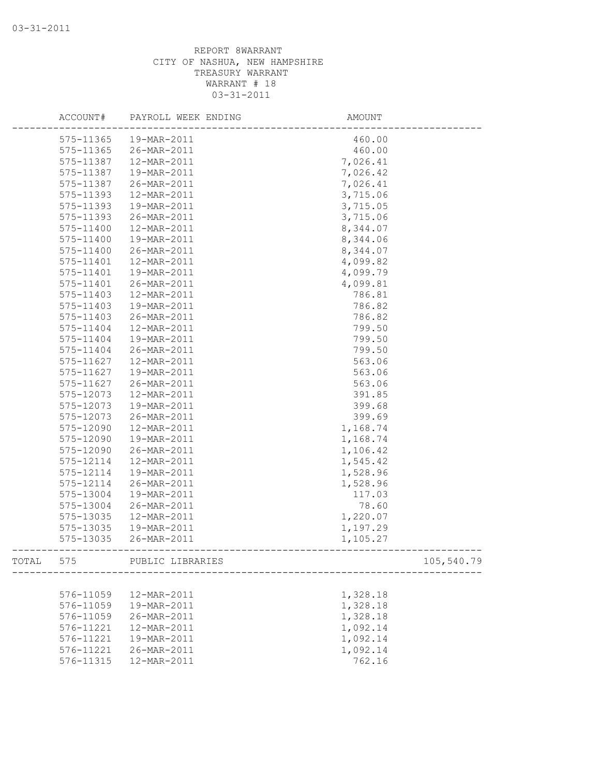|       | ACCOUNT#  | PAYROLL WEEK ENDING | AMOUNT   |            |
|-------|-----------|---------------------|----------|------------|
|       | 575-11365 | 19-MAR-2011         | 460.00   |            |
|       | 575-11365 | 26-MAR-2011         | 460.00   |            |
|       | 575-11387 | 12-MAR-2011         | 7,026.41 |            |
|       | 575-11387 | 19-MAR-2011         | 7,026.42 |            |
|       | 575-11387 | 26-MAR-2011         | 7,026.41 |            |
|       | 575-11393 | 12-MAR-2011         | 3,715.06 |            |
|       | 575-11393 | 19-MAR-2011         | 3,715.05 |            |
|       | 575-11393 | 26-MAR-2011         | 3,715.06 |            |
|       | 575-11400 | 12-MAR-2011         | 8,344.07 |            |
|       | 575-11400 | 19-MAR-2011         | 8,344.06 |            |
|       | 575-11400 | 26-MAR-2011         | 8,344.07 |            |
|       | 575-11401 | 12-MAR-2011         | 4,099.82 |            |
|       | 575-11401 | 19-MAR-2011         | 4,099.79 |            |
|       | 575-11401 | 26-MAR-2011         | 4,099.81 |            |
|       | 575-11403 | 12-MAR-2011         | 786.81   |            |
|       | 575-11403 | 19-MAR-2011         | 786.82   |            |
|       | 575-11403 | 26-MAR-2011         | 786.82   |            |
|       | 575-11404 | 12-MAR-2011         | 799.50   |            |
|       | 575-11404 | 19-MAR-2011         | 799.50   |            |
|       | 575-11404 | 26-MAR-2011         | 799.50   |            |
|       | 575-11627 | 12-MAR-2011         | 563.06   |            |
|       | 575-11627 | 19-MAR-2011         | 563.06   |            |
|       | 575-11627 | 26-MAR-2011         | 563.06   |            |
|       | 575-12073 | 12-MAR-2011         | 391.85   |            |
|       | 575-12073 | 19-MAR-2011         | 399.68   |            |
|       | 575-12073 | 26-MAR-2011         | 399.69   |            |
|       | 575-12090 | 12-MAR-2011         | 1,168.74 |            |
|       | 575-12090 | 19-MAR-2011         | 1,168.74 |            |
|       | 575-12090 | 26-MAR-2011         | 1,106.42 |            |
|       | 575-12114 | 12-MAR-2011         | 1,545.42 |            |
|       | 575-12114 | 19-MAR-2011         | 1,528.96 |            |
|       | 575-12114 | 26-MAR-2011         | 1,528.96 |            |
|       | 575-13004 | 19-MAR-2011         | 117.03   |            |
|       | 575-13004 | 26-MAR-2011         | 78.60    |            |
|       | 575-13035 | 12-MAR-2011         | 1,220.07 |            |
|       | 575-13035 | 19-MAR-2011         | 1,197.29 |            |
|       | 575-13035 | 26-MAR-2011         | 1,105.27 |            |
| TOTAL | 575       | PUBLIC LIBRARIES    |          | 105,540.79 |
|       |           |                     |          |            |
|       | 576-11059 | 12-MAR-2011         | 1,328.18 |            |
|       | 576-11059 | 19-MAR-2011         | 1,328.18 |            |
|       | 576-11059 | 26-MAR-2011         | 1,328.18 |            |
|       | 576-11221 | 12-MAR-2011         | 1,092.14 |            |
|       | 576-11221 | 19-MAR-2011         | 1,092.14 |            |
|       | 576-11221 | 26-MAR-2011         | 1,092.14 |            |
|       | 576-11315 | 12-MAR-2011         | 762.16   |            |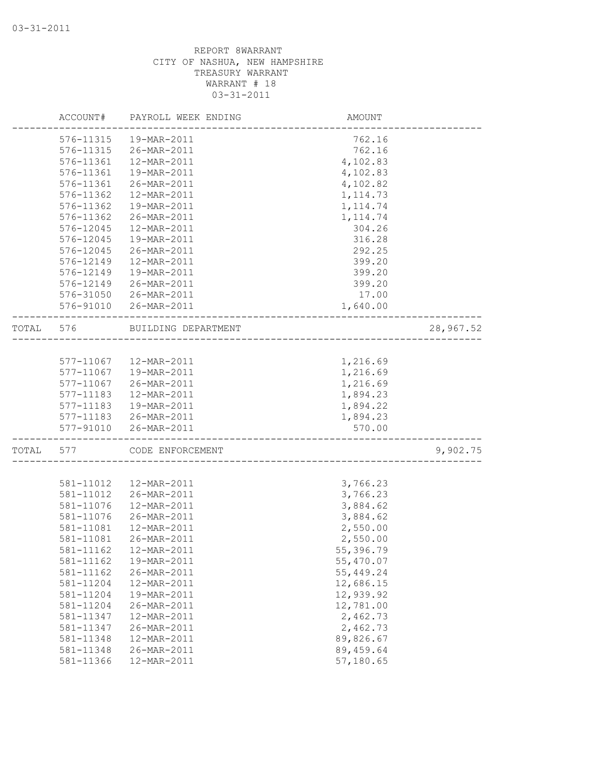|           | ACCOUNT#  | PAYROLL WEEK ENDING    | AMOUNT     |           |
|-----------|-----------|------------------------|------------|-----------|
|           | 576-11315 | 19-MAR-2011            | 762.16     |           |
|           | 576-11315 | 26-MAR-2011            | 762.16     |           |
|           | 576-11361 | 12-MAR-2011            | 4,102.83   |           |
|           | 576-11361 | 19-MAR-2011            | 4,102.83   |           |
|           | 576-11361 | 26-MAR-2011            | 4,102.82   |           |
|           | 576-11362 | 12-MAR-2011            | 1, 114.73  |           |
|           | 576-11362 | 19-MAR-2011            | 1, 114.74  |           |
|           | 576-11362 | 26-MAR-2011            | 1, 114.74  |           |
|           | 576-12045 | 12-MAR-2011            | 304.26     |           |
|           | 576-12045 | 19-MAR-2011            | 316.28     |           |
|           | 576-12045 | 26-MAR-2011            | 292.25     |           |
|           | 576-12149 | 12-MAR-2011            | 399.20     |           |
|           | 576-12149 | 19-MAR-2011            | 399.20     |           |
|           | 576-12149 | 26-MAR-2011            | 399.20     |           |
|           | 576-31050 | 26-MAR-2011            | 17.00      |           |
|           | 576-91010 | 26-MAR-2011            | 1,640.00   |           |
|           |           |                        |            |           |
| TOTAL 576 |           | BUILDING DEPARTMENT    |            | 28,967.52 |
|           |           |                        |            |           |
|           |           | 577-11067  12-MAR-2011 | 1,216.69   |           |
|           | 577-11067 | 19-MAR-2011            | 1,216.69   |           |
|           | 577-11067 | 26-MAR-2011            | 1,216.69   |           |
|           | 577-11183 | 12-MAR-2011            | 1,894.23   |           |
|           | 577-11183 | 19-MAR-2011            | 1,894.22   |           |
|           | 577-11183 | 26-MAR-2011            | 1,894.23   |           |
|           | 577-91010 | 26-MAR-2011            | 570.00     |           |
| TOTAL     | 577       | CODE ENFORCEMENT       |            | 9,902.75  |
|           |           |                        |            |           |
|           | 581-11012 | 12-MAR-2011            | 3,766.23   |           |
|           | 581-11012 | 26-MAR-2011            | 3,766.23   |           |
|           | 581-11076 | 12-MAR-2011            | 3,884.62   |           |
|           | 581-11076 | 26-MAR-2011            | 3,884.62   |           |
|           | 581-11081 | 12-MAR-2011            | 2,550.00   |           |
|           | 581-11081 | 26-MAR-2011            | 2,550.00   |           |
|           | 581-11162 | 12-MAR-2011            | 55,396.79  |           |
|           | 581-11162 | 19-MAR-2011            | 55,470.07  |           |
|           | 581-11162 | 26-MAR-2011            | 55,449.24  |           |
|           | 581-11204 | 12-MAR-2011            | 12,686.15  |           |
|           | 581-11204 | 19-MAR-2011            | 12,939.92  |           |
|           | 581-11204 | 26-MAR-2011            | 12,781.00  |           |
|           | 581-11347 | 12-MAR-2011            | 2,462.73   |           |
|           | 581-11347 | 26-MAR-2011            | 2,462.73   |           |
|           | 581-11348 | 12-MAR-2011            | 89,826.67  |           |
|           | 581-11348 | 26-MAR-2011            | 89, 459.64 |           |
|           | 581-11366 | 12-MAR-2011            | 57,180.65  |           |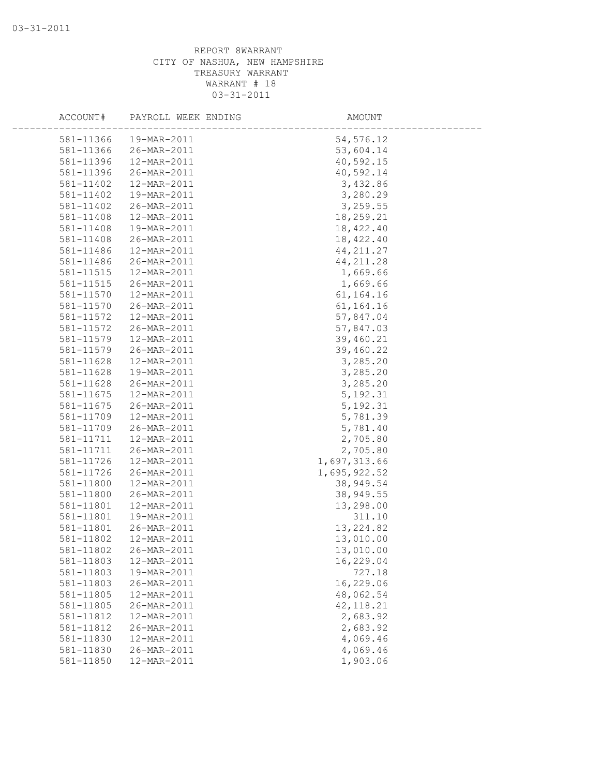| ACCOUNT#  | PAYROLL WEEK ENDING | AMOUNT       |  |
|-----------|---------------------|--------------|--|
| 581-11366 | 19-MAR-2011         | 54, 576.12   |  |
| 581-11366 | 26-MAR-2011         | 53,604.14    |  |
| 581-11396 | 12-MAR-2011         | 40,592.15    |  |
| 581-11396 | 26-MAR-2011         | 40,592.14    |  |
| 581-11402 | 12-MAR-2011         | 3,432.86     |  |
| 581-11402 | 19-MAR-2011         | 3,280.29     |  |
| 581-11402 | 26-MAR-2011         | 3,259.55     |  |
| 581-11408 | 12-MAR-2011         | 18,259.21    |  |
| 581-11408 | 19-MAR-2011         | 18,422.40    |  |
| 581-11408 | 26-MAR-2011         | 18,422.40    |  |
| 581-11486 | 12-MAR-2011         | 44, 211.27   |  |
| 581-11486 | 26-MAR-2011         | 44, 211.28   |  |
| 581-11515 | 12-MAR-2011         | 1,669.66     |  |
| 581-11515 | 26-MAR-2011         | 1,669.66     |  |
| 581-11570 | 12-MAR-2011         | 61, 164. 16  |  |
| 581-11570 | 26-MAR-2011         | 61,164.16    |  |
| 581-11572 | 12-MAR-2011         | 57,847.04    |  |
| 581-11572 | 26-MAR-2011         | 57,847.03    |  |
| 581-11579 | 12-MAR-2011         | 39,460.21    |  |
| 581-11579 | 26-MAR-2011         | 39,460.22    |  |
| 581-11628 | 12-MAR-2011         | 3,285.20     |  |
| 581-11628 | 19-MAR-2011         | 3,285.20     |  |
| 581-11628 | 26-MAR-2011         | 3,285.20     |  |
| 581-11675 | 12-MAR-2011         | 5, 192.31    |  |
| 581-11675 | 26-MAR-2011         | 5, 192.31    |  |
| 581-11709 | 12-MAR-2011         | 5,781.39     |  |
| 581-11709 | 26-MAR-2011         | 5,781.40     |  |
| 581-11711 | 12-MAR-2011         | 2,705.80     |  |
| 581-11711 | 26-MAR-2011         | 2,705.80     |  |
| 581-11726 | 12-MAR-2011         | 1,697,313.66 |  |
| 581-11726 | 26-MAR-2011         | 1,695,922.52 |  |
| 581-11800 | 12-MAR-2011         | 38,949.54    |  |
| 581-11800 | 26-MAR-2011         | 38,949.55    |  |
| 581-11801 | 12-MAR-2011         | 13,298.00    |  |
| 581-11801 | 19-MAR-2011         | 311.10       |  |
| 581-11801 | 26-MAR-2011         | 13, 224.82   |  |
| 581-11802 | 12-MAR-2011         | 13,010.00    |  |
| 581-11802 | 26-MAR-2011         | 13,010.00    |  |
| 581-11803 | 12-MAR-2011         | 16,229.04    |  |
| 581-11803 | 19-MAR-2011         | 727.18       |  |
| 581-11803 | 26-MAR-2011         | 16,229.06    |  |
| 581-11805 | 12-MAR-2011         | 48,062.54    |  |
| 581-11805 | 26-MAR-2011         | 42, 118.21   |  |
| 581-11812 | 12-MAR-2011         | 2,683.92     |  |
| 581-11812 | 26-MAR-2011         | 2,683.92     |  |
| 581-11830 | 12-MAR-2011         | 4,069.46     |  |
| 581-11830 | 26-MAR-2011         | 4,069.46     |  |
| 581-11850 | 12-MAR-2011         | 1,903.06     |  |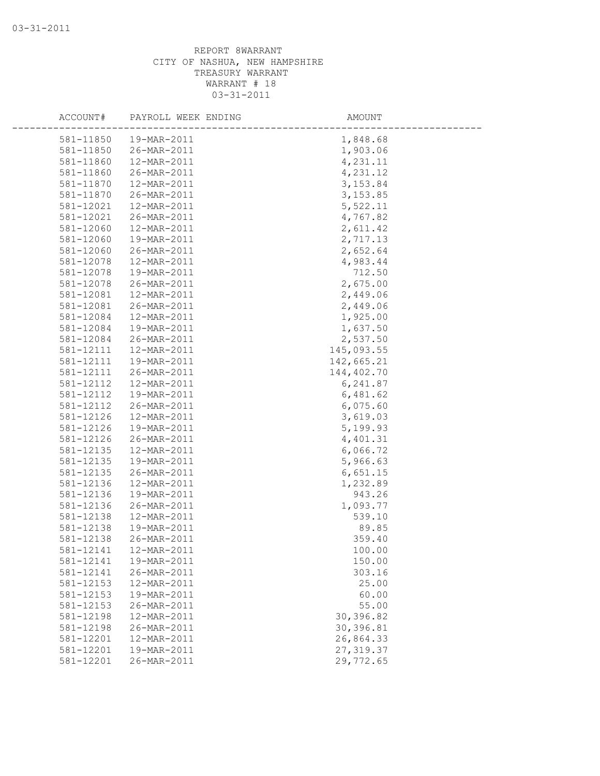| ACCOUNT#  | PAYROLL WEEK ENDING | AMOUNT     |
|-----------|---------------------|------------|
| 581-11850 | 19-MAR-2011         | 1,848.68   |
| 581-11850 | 26-MAR-2011         | 1,903.06   |
| 581-11860 | 12-MAR-2011         | 4,231.11   |
| 581-11860 | 26-MAR-2011         | 4,231.12   |
| 581-11870 | 12-MAR-2011         | 3, 153.84  |
| 581-11870 | 26-MAR-2011         | 3, 153.85  |
| 581-12021 | 12-MAR-2011         | 5,522.11   |
| 581-12021 | 26-MAR-2011         | 4,767.82   |
| 581-12060 | 12-MAR-2011         | 2,611.42   |
| 581-12060 | 19-MAR-2011         | 2,717.13   |
| 581-12060 | 26-MAR-2011         | 2,652.64   |
| 581-12078 | 12-MAR-2011         | 4,983.44   |
| 581-12078 | 19-MAR-2011         | 712.50     |
| 581-12078 | 26-MAR-2011         | 2,675.00   |
| 581-12081 | 12-MAR-2011         | 2,449.06   |
| 581-12081 | 26-MAR-2011         | 2,449.06   |
| 581-12084 | 12-MAR-2011         | 1,925.00   |
| 581-12084 | 19-MAR-2011         | 1,637.50   |
| 581-12084 | 26-MAR-2011         | 2,537.50   |
| 581-12111 | 12-MAR-2011         | 145,093.55 |
| 581-12111 | 19-MAR-2011         | 142,665.21 |
| 581-12111 | 26-MAR-2011         | 144,402.70 |
| 581-12112 | 12-MAR-2011         | 6,241.87   |
| 581-12112 | 19-MAR-2011         | 6,481.62   |
| 581-12112 | 26-MAR-2011         | 6,075.60   |
| 581-12126 | 12-MAR-2011         | 3,619.03   |
| 581-12126 | 19-MAR-2011         | 5,199.93   |
| 581-12126 | 26-MAR-2011         | 4,401.31   |
| 581-12135 | 12-MAR-2011         | 6,066.72   |
| 581-12135 | 19-MAR-2011         | 5,966.63   |
| 581-12135 | 26-MAR-2011         | 6,651.15   |
| 581-12136 | 12-MAR-2011         | 1,232.89   |
| 581-12136 | 19-MAR-2011         | 943.26     |
| 581-12136 | 26-MAR-2011         | 1,093.77   |
| 581-12138 | 12-MAR-2011         | 539.10     |
| 581-12138 | 19-MAR-2011         | 89.85      |
| 581-12138 | 26-MAR-2011         | 359.40     |
| 581-12141 | 12-MAR-2011         | 100.00     |
| 581-12141 | 19-MAR-2011         | 150.00     |
| 581-12141 | 26-MAR-2011         | 303.16     |
| 581-12153 | 12-MAR-2011         | 25.00      |
| 581-12153 | 19-MAR-2011         | 60.00      |
| 581-12153 | 26-MAR-2011         | 55.00      |
| 581-12198 | 12-MAR-2011         | 30,396.82  |
| 581-12198 | 26-MAR-2011         | 30,396.81  |
| 581-12201 | 12-MAR-2011         | 26,864.33  |
| 581-12201 | 19-MAR-2011         | 27, 319.37 |
| 581-12201 | 26-MAR-2011         | 29,772.65  |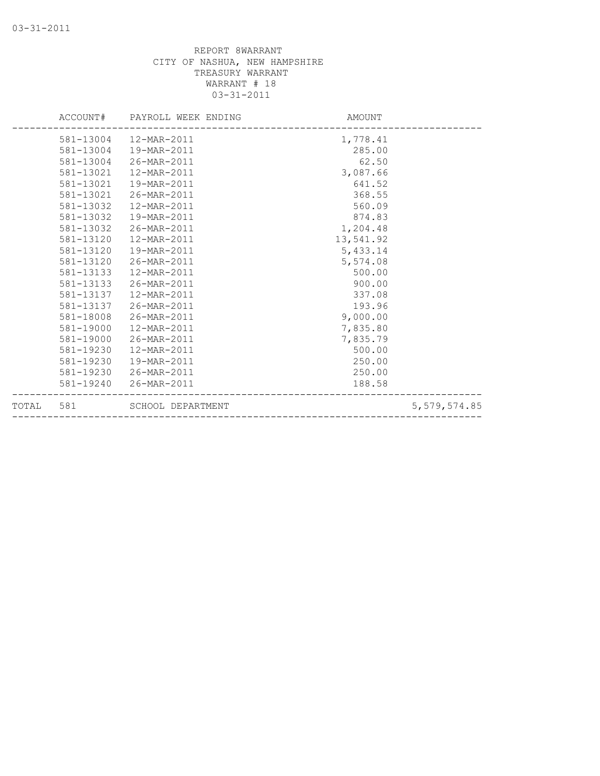|           | ACCOUNT# PAYROLL WEEK ENDING | AMOUNT    |                |
|-----------|------------------------------|-----------|----------------|
|           | 581-13004  12-MAR-2011       | 1,778.41  |                |
| 581-13004 | 19-MAR-2011                  | 285.00    |                |
| 581-13004 | 26-MAR-2011                  | 62.50     |                |
| 581-13021 | 12-MAR-2011                  | 3,087.66  |                |
| 581-13021 | 19-MAR-2011                  | 641.52    |                |
| 581-13021 | 26-MAR-2011                  | 368.55    |                |
| 581-13032 | 12-MAR-2011                  | 560.09    |                |
| 581-13032 | 19-MAR-2011                  | 874.83    |                |
| 581-13032 | 26-MAR-2011                  | 1,204.48  |                |
| 581-13120 | 12-MAR-2011                  | 13,541.92 |                |
| 581-13120 | 19-MAR-2011                  | 5,433.14  |                |
| 581-13120 | 26-MAR-2011                  | 5,574.08  |                |
| 581-13133 | 12-MAR-2011                  | 500.00    |                |
| 581-13133 | 26-MAR-2011                  | 900.00    |                |
| 581-13137 | 12-MAR-2011                  | 337.08    |                |
| 581-13137 | 26-MAR-2011                  | 193.96    |                |
| 581-18008 | 26-MAR-2011                  | 9,000.00  |                |
| 581-19000 | 12-MAR-2011                  | 7,835.80  |                |
| 581-19000 | 26-MAR-2011                  | 7,835.79  |                |
| 581-19230 | 12-MAR-2011                  | 500.00    |                |
| 581-19230 | 19-MAR-2011                  | 250.00    |                |
|           | 581-19230 26-MAR-2011        | 250.00    |                |
|           | 581-19240 26-MAR-2011        | 188.58    |                |
| TOTAL 581 | SCHOOL DEPARTMENT            |           | 5, 579, 574.85 |
|           |                              |           |                |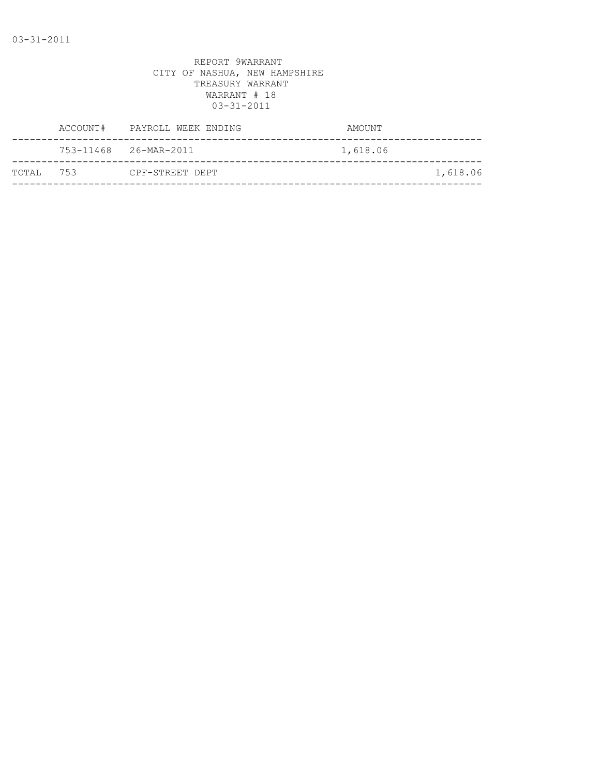|           | ACCOUNT#              | PAYROLL WEEK ENDING | AMOUNT   |          |
|-----------|-----------------------|---------------------|----------|----------|
|           | 753-11468 26-MAR-2011 |                     | 1,618.06 |          |
| TOTAL 753 |                       | CPF-STREET DEPT     |          | 1,618.06 |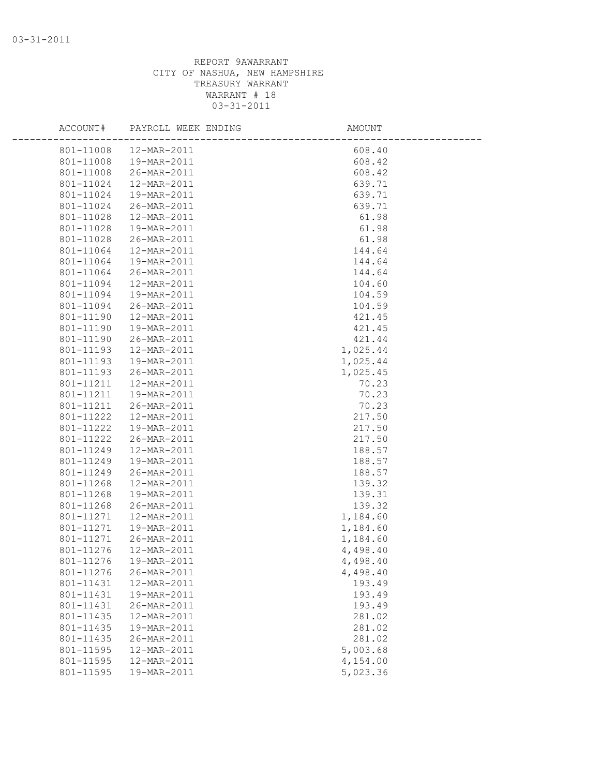| ACCOUNT#               | PAYROLL WEEK ENDING        | AMOUNT             |  |
|------------------------|----------------------------|--------------------|--|
| 801-11008              | 12-MAR-2011                | 608.40             |  |
| 801-11008              | 19-MAR-2011                | 608.42             |  |
| 801-11008              | 26-MAR-2011                | 608.42             |  |
| 801-11024              | 12-MAR-2011                | 639.71             |  |
| 801-11024              | 19-MAR-2011                | 639.71             |  |
| 801-11024              | 26-MAR-2011                | 639.71             |  |
| 801-11028              | 12-MAR-2011                | 61.98              |  |
| 801-11028              | 19-MAR-2011                | 61.98              |  |
| 801-11028              | 26-MAR-2011                | 61.98              |  |
| 801-11064              | 12-MAR-2011                | 144.64             |  |
| 801-11064              | 19-MAR-2011                | 144.64             |  |
| 801-11064              | 26-MAR-2011                | 144.64             |  |
| 801-11094              | 12-MAR-2011                | 104.60             |  |
| 801-11094              | 19-MAR-2011                | 104.59             |  |
| 801-11094              | 26-MAR-2011                | 104.59             |  |
| 801-11190              | 12-MAR-2011                | 421.45             |  |
| 801-11190              | 19-MAR-2011                | 421.45             |  |
| 801-11190              | 26-MAR-2011                | 421.44             |  |
| 801-11193              | 12-MAR-2011                | 1,025.44           |  |
| 801-11193              | 19-MAR-2011                | 1,025.44           |  |
| 801-11193              | 26-MAR-2011                | 1,025.45           |  |
| 801-11211              | 12-MAR-2011                | 70.23              |  |
| 801-11211              | 19-MAR-2011                | 70.23              |  |
| 801-11211              | 26-MAR-2011                | 70.23              |  |
| 801-11222              | 12-MAR-2011                | 217.50             |  |
| 801-11222              | 19-MAR-2011                | 217.50             |  |
| 801-11222              | 26-MAR-2011                | 217.50             |  |
| 801-11249              | 12-MAR-2011                | 188.57             |  |
| 801-11249              | 19-MAR-2011                | 188.57             |  |
| 801-11249              | 26-MAR-2011                | 188.57             |  |
| 801-11268              | 12-MAR-2011                | 139.32             |  |
| 801-11268              | 19-MAR-2011                | 139.31             |  |
| 801-11268              | 26-MAR-2011                | 139.32             |  |
| 801-11271              | 12-MAR-2011                | 1,184.60           |  |
| 801-11271              | 19-MAR-2011                | 1,184.60           |  |
| 801-11271              | 26-MAR-2011<br>12-MAR-2011 | 1,184.60           |  |
| 801-11276              |                            | 4,498.40           |  |
| 801-11276              | 19-MAR-2011                | 4,498.40           |  |
| 801-11276<br>801-11431 | 26-MAR-2011<br>12-MAR-2011 | 4,498.40<br>193.49 |  |
| 801-11431              | 19-MAR-2011                | 193.49             |  |
| 801-11431              | 26-MAR-2011                | 193.49             |  |
| 801-11435              | 12-MAR-2011                | 281.02             |  |
| 801-11435              | 19-MAR-2011                | 281.02             |  |
| 801-11435              | 26-MAR-2011                | 281.02             |  |
| 801-11595              | 12-MAR-2011                | 5,003.68           |  |
| 801-11595              | 12-MAR-2011                | 4,154.00           |  |
| 801-11595              | 19-MAR-2011                | 5,023.36           |  |
|                        |                            |                    |  |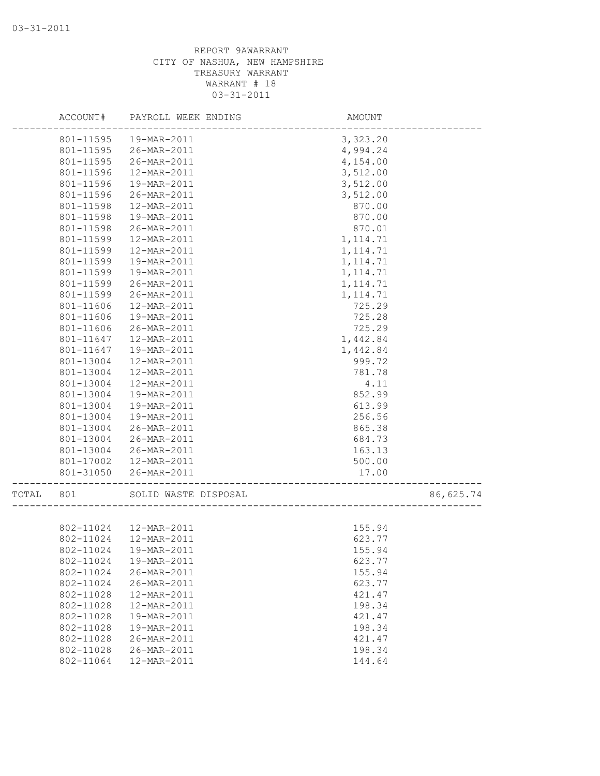|       | ACCOUNT#  | PAYROLL WEEK ENDING    | AMOUNT               |           |
|-------|-----------|------------------------|----------------------|-----------|
|       | 801-11595 | 19-MAR-2011            | 3,323.20             |           |
|       | 801-11595 | 26-MAR-2011            | 4,994.24             |           |
|       | 801-11595 | 26-MAR-2011            | 4,154.00             |           |
|       | 801-11596 | 12-MAR-2011            | 3,512.00             |           |
|       | 801-11596 | 19-MAR-2011            | 3,512.00             |           |
|       | 801-11596 | 26-MAR-2011            | 3,512.00             |           |
|       | 801-11598 | 12-MAR-2011            | 870.00               |           |
|       | 801-11598 | 19-MAR-2011            | 870.00               |           |
|       | 801-11598 | 26-MAR-2011            | 870.01               |           |
|       | 801-11599 | 12-MAR-2011            | 1, 114.71            |           |
|       | 801-11599 | 12-MAR-2011            | 1, 114.71            |           |
|       | 801-11599 | 19-MAR-2011            | 1, 114.71            |           |
|       | 801-11599 | 19-MAR-2011            | 1, 114.71            |           |
|       | 801-11599 | 26-MAR-2011            | 1, 114.71            |           |
|       | 801-11599 | 26-MAR-2011            | 1, 114.71            |           |
|       | 801-11606 | 12-MAR-2011            | 725.29               |           |
|       | 801-11606 | 19-MAR-2011            | 725.28               |           |
|       | 801-11606 | 26-MAR-2011            | 725.29               |           |
|       | 801-11647 | 12-MAR-2011            | 1,442.84             |           |
|       | 801-11647 | 19-MAR-2011            | 1,442.84             |           |
|       | 801-13004 | 12-MAR-2011            | 999.72               |           |
|       | 801-13004 | 12-MAR-2011            | 781.78               |           |
|       | 801-13004 | 12-MAR-2011            | 4.11                 |           |
|       | 801-13004 | 19-MAR-2011            | 852.99               |           |
|       | 801-13004 | 19-MAR-2011            | 613.99               |           |
|       | 801-13004 | 19-MAR-2011            | 256.56               |           |
|       | 801-13004 | 26-MAR-2011            | 865.38               |           |
|       | 801-13004 | 26-MAR-2011            | 684.73               |           |
|       | 801-13004 | 26-MAR-2011            | 163.13               |           |
|       | 801-17002 | 12-MAR-2011            | 500.00               |           |
|       | 801-31050 | 26-MAR-2011            | 17.00                |           |
|       |           |                        |                      |           |
| TOTAL | 801       | SOLID WASTE DISPOSAL   | ____________________ | 86,625.74 |
|       |           |                        |                      |           |
|       |           | 802-11024  12-MAR-2011 | 155.94               |           |
|       | 802-11024 | 12-MAR-2011            | 623.77               |           |
|       |           | 802-11024  19-MAR-2011 | 155.94               |           |
|       | 802-11024 | 19-MAR-2011            | 623.77               |           |
|       | 802-11024 | 26-MAR-2011            | 155.94               |           |
|       | 802-11024 | 26-MAR-2011            | 623.77               |           |
|       | 802-11028 | 12-MAR-2011            | 421.47               |           |
|       | 802-11028 | 12-MAR-2011            | 198.34               |           |
|       | 802-11028 | 19-MAR-2011            | 421.47               |           |
|       | 802-11028 | 19-MAR-2011            | 198.34               |           |
|       | 802-11028 | 26-MAR-2011            | 421.47               |           |
|       | 802-11028 | 26-MAR-2011            | 198.34               |           |
|       | 802-11064 | 12-MAR-2011            | 144.64               |           |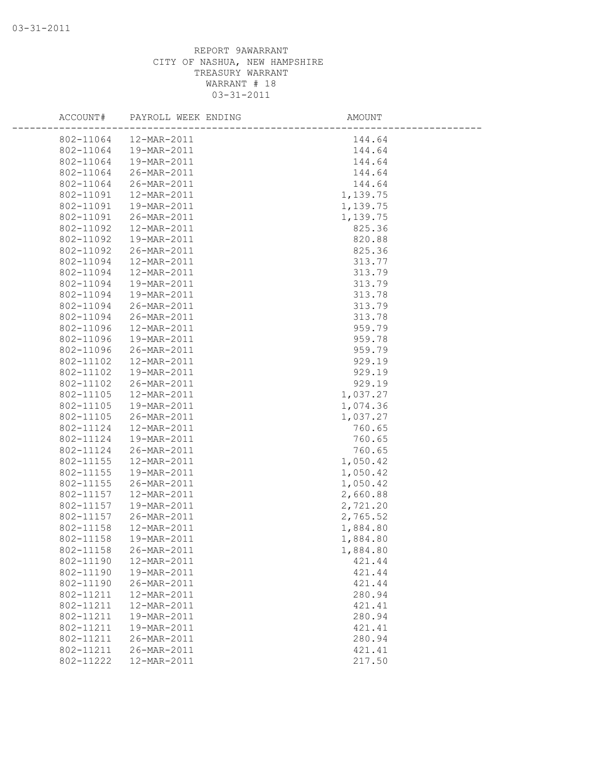| ACCOUNT#  | PAYROLL WEEK ENDING | AMOUNT   |  |
|-----------|---------------------|----------|--|
| 802-11064 | 12-MAR-2011         | 144.64   |  |
| 802-11064 | 19-MAR-2011         | 144.64   |  |
| 802-11064 | 19-MAR-2011         | 144.64   |  |
| 802-11064 | 26-MAR-2011         | 144.64   |  |
| 802-11064 | 26-MAR-2011         | 144.64   |  |
| 802-11091 | 12-MAR-2011         | 1,139.75 |  |
| 802-11091 | 19-MAR-2011         | 1,139.75 |  |
| 802-11091 | 26-MAR-2011         | 1,139.75 |  |
| 802-11092 | 12-MAR-2011         | 825.36   |  |
| 802-11092 | 19-MAR-2011         | 820.88   |  |
| 802-11092 | 26-MAR-2011         | 825.36   |  |
| 802-11094 | 12-MAR-2011         | 313.77   |  |
| 802-11094 | 12-MAR-2011         | 313.79   |  |
| 802-11094 | 19-MAR-2011         | 313.79   |  |
| 802-11094 | 19-MAR-2011         | 313.78   |  |
| 802-11094 | 26-MAR-2011         | 313.79   |  |
| 802-11094 | 26-MAR-2011         | 313.78   |  |
| 802-11096 | 12-MAR-2011         | 959.79   |  |
| 802-11096 | 19-MAR-2011         | 959.78   |  |
| 802-11096 | 26-MAR-2011         | 959.79   |  |
| 802-11102 | 12-MAR-2011         | 929.19   |  |
| 802-11102 | 19-MAR-2011         | 929.19   |  |
| 802-11102 | 26-MAR-2011         | 929.19   |  |
| 802-11105 | 12-MAR-2011         | 1,037.27 |  |
| 802-11105 | 19-MAR-2011         | 1,074.36 |  |
| 802-11105 | 26-MAR-2011         | 1,037.27 |  |
| 802-11124 | 12-MAR-2011         | 760.65   |  |
| 802-11124 | 19-MAR-2011         | 760.65   |  |
| 802-11124 | 26-MAR-2011         | 760.65   |  |
| 802-11155 | 12-MAR-2011         | 1,050.42 |  |
| 802-11155 | 19-MAR-2011         | 1,050.42 |  |
| 802-11155 | 26-MAR-2011         | 1,050.42 |  |
| 802-11157 | 12-MAR-2011         | 2,660.88 |  |
| 802-11157 | 19-MAR-2011         | 2,721.20 |  |
| 802-11157 | 26-MAR-2011         | 2,765.52 |  |
| 802-11158 | 12-MAR-2011         | 1,884.80 |  |
| 802-11158 | 19-MAR-2011         | 1,884.80 |  |
| 802-11158 | 26-MAR-2011         | 1,884.80 |  |
| 802-11190 | 12-MAR-2011         | 421.44   |  |
| 802-11190 | 19-MAR-2011         | 421.44   |  |
| 802-11190 | 26-MAR-2011         | 421.44   |  |
| 802-11211 | 12-MAR-2011         | 280.94   |  |
| 802-11211 | 12-MAR-2011         | 421.41   |  |
| 802-11211 | 19-MAR-2011         | 280.94   |  |
| 802-11211 | 19-MAR-2011         | 421.41   |  |
| 802-11211 | 26-MAR-2011         | 280.94   |  |
| 802-11211 | 26-MAR-2011         | 421.41   |  |
| 802-11222 | 12-MAR-2011         | 217.50   |  |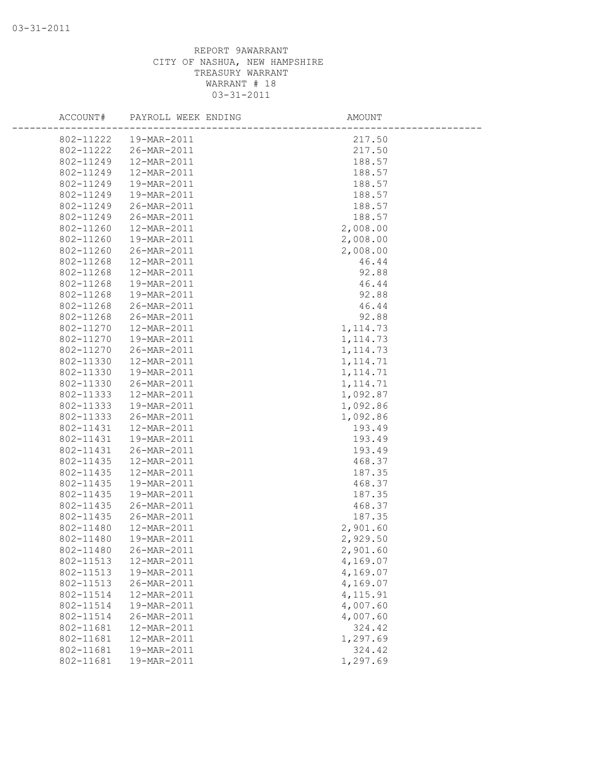| ACCOUNT#  | PAYROLL WEEK ENDING | AMOUNT    |
|-----------|---------------------|-----------|
| 802-11222 | 19-MAR-2011         | 217.50    |
| 802-11222 | 26-MAR-2011         | 217.50    |
| 802-11249 | 12-MAR-2011         | 188.57    |
| 802-11249 | 12-MAR-2011         | 188.57    |
| 802-11249 | 19-MAR-2011         | 188.57    |
| 802-11249 | 19-MAR-2011         | 188.57    |
| 802-11249 | 26-MAR-2011         | 188.57    |
| 802-11249 | 26-MAR-2011         | 188.57    |
| 802-11260 | 12-MAR-2011         | 2,008.00  |
| 802-11260 | 19-MAR-2011         | 2,008.00  |
| 802-11260 | 26-MAR-2011         | 2,008.00  |
| 802-11268 | 12-MAR-2011         | 46.44     |
| 802-11268 | 12-MAR-2011         | 92.88     |
| 802-11268 | 19-MAR-2011         | 46.44     |
| 802-11268 | 19-MAR-2011         | 92.88     |
| 802-11268 | 26-MAR-2011         | 46.44     |
| 802-11268 | 26-MAR-2011         | 92.88     |
| 802-11270 | 12-MAR-2011         | 1, 114.73 |
| 802-11270 | 19-MAR-2011         | 1, 114.73 |
| 802-11270 | 26-MAR-2011         | 1, 114.73 |
| 802-11330 | 12-MAR-2011         | 1, 114.71 |
| 802-11330 | 19-MAR-2011         | 1, 114.71 |
| 802-11330 | 26-MAR-2011         | 1, 114.71 |
| 802-11333 | 12-MAR-2011         | 1,092.87  |
| 802-11333 | 19-MAR-2011         | 1,092.86  |
| 802-11333 | 26-MAR-2011         | 1,092.86  |
| 802-11431 | 12-MAR-2011         | 193.49    |
| 802-11431 | 19-MAR-2011         | 193.49    |
| 802-11431 | 26-MAR-2011         | 193.49    |
| 802-11435 | 12-MAR-2011         | 468.37    |
| 802-11435 | 12-MAR-2011         | 187.35    |
| 802-11435 | 19-MAR-2011         | 468.37    |
| 802-11435 | 19-MAR-2011         | 187.35    |
| 802-11435 | 26-MAR-2011         | 468.37    |
| 802-11435 | 26-MAR-2011         | 187.35    |
| 802-11480 | 12-MAR-2011         | 2,901.60  |
| 802-11480 | 19-MAR-2011         | 2,929.50  |
| 802-11480 | 26-MAR-2011         | 2,901.60  |
| 802-11513 | 12-MAR-2011         | 4,169.07  |
| 802-11513 | 19-MAR-2011         | 4,169.07  |
| 802-11513 | 26-MAR-2011         | 4,169.07  |
| 802-11514 | 12-MAR-2011         | 4, 115.91 |
| 802-11514 | 19-MAR-2011         | 4,007.60  |
| 802-11514 | 26-MAR-2011         | 4,007.60  |
| 802-11681 | 12-MAR-2011         | 324.42    |
| 802-11681 | 12-MAR-2011         | 1,297.69  |
| 802-11681 | 19-MAR-2011         | 324.42    |
| 802-11681 | 19-MAR-2011         | 1,297.69  |